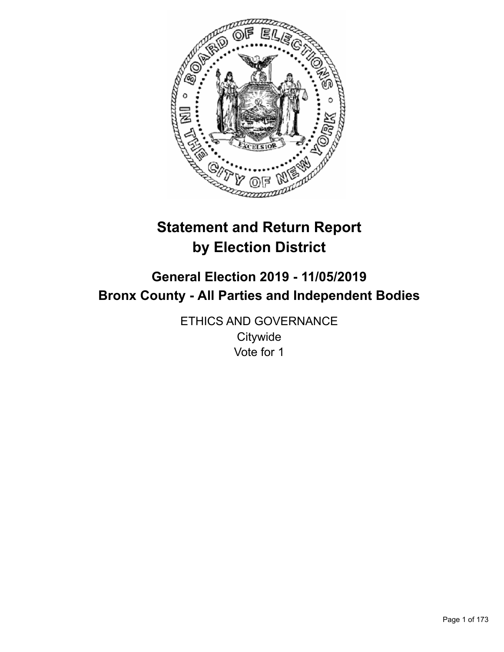

# **Statement and Return Report by Election District**

# **General Election 2019 - 11/05/2019 Bronx County - All Parties and Independent Bodies**

ETHICS AND GOVERNANCE **Citywide** Vote for 1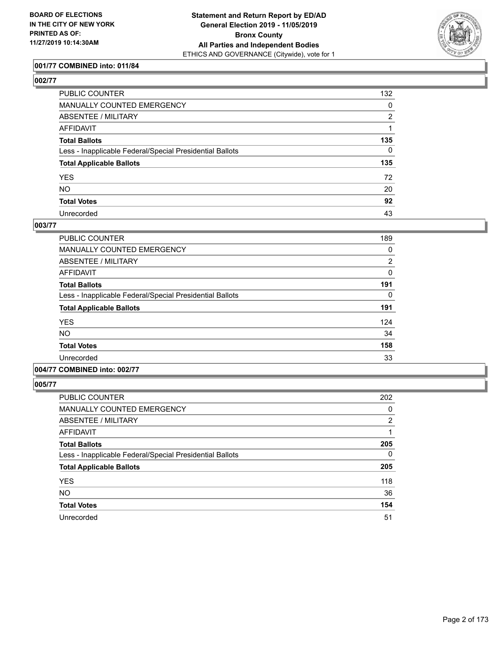

## **001/77 COMBINED into: 011/84**

| ۰.<br>۰. |
|----------|
|----------|

| PUBLIC COUNTER                                           | 132 |
|----------------------------------------------------------|-----|
| MANUALLY COUNTED EMERGENCY                               | 0   |
| ABSENTEE / MILITARY                                      | 2   |
| AFFIDAVIT                                                |     |
| Total Ballots                                            | 135 |
| Less - Inapplicable Federal/Special Presidential Ballots | 0   |
| <b>Total Applicable Ballots</b>                          | 135 |
| YES                                                      | 72  |
| NO.                                                      | 20  |
| <b>Total Votes</b>                                       | 92  |
| Unrecorded                                               | 43  |

#### **003/77**

| <b>PUBLIC COUNTER</b>                                    | 189 |
|----------------------------------------------------------|-----|
| <b>MANUALLY COUNTED EMERGENCY</b>                        | 0   |
| ABSENTEE / MILITARY                                      | 2   |
| AFFIDAVIT                                                | 0   |
| <b>Total Ballots</b>                                     | 191 |
| Less - Inapplicable Federal/Special Presidential Ballots | 0   |
| <b>Total Applicable Ballots</b>                          | 191 |
| <b>YES</b>                                               | 124 |
| N <sub>O</sub>                                           | 34  |
| <b>Total Votes</b>                                       | 158 |
| Unrecorded                                               | 33  |
|                                                          |     |

# **004/77 COMBINED into: 002/77**

| <b>PUBLIC COUNTER</b>                                    | 202            |
|----------------------------------------------------------|----------------|
| MANUALLY COUNTED EMERGENCY                               | 0              |
| ABSENTEE / MILITARY                                      | $\overline{2}$ |
| AFFIDAVIT                                                |                |
| <b>Total Ballots</b>                                     | 205            |
| Less - Inapplicable Federal/Special Presidential Ballots | 0              |
| <b>Total Applicable Ballots</b>                          | 205            |
| <b>YES</b>                                               | 118            |
| <b>NO</b>                                                | 36             |
| <b>Total Votes</b>                                       | 154            |
| Unrecorded                                               | 51             |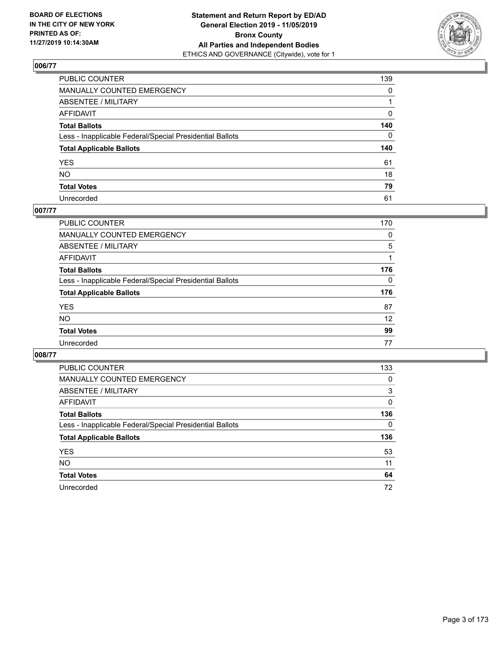

| PUBLIC COUNTER                                           | 139          |
|----------------------------------------------------------|--------------|
| MANUALLY COUNTED EMERGENCY                               | $\mathbf{0}$ |
| ABSENTEE / MILITARY                                      |              |
| AFFIDAVIT                                                | 0            |
| Total Ballots                                            | 140          |
| Less - Inapplicable Federal/Special Presidential Ballots | $\mathbf{0}$ |
| <b>Total Applicable Ballots</b>                          | 140          |
| YES                                                      | 61           |
| NO.                                                      | 18           |
| <b>Total Votes</b>                                       | 79           |
| Unrecorded                                               | 61           |

#### **007/77**

| <b>PUBLIC COUNTER</b>                                    | 170      |
|----------------------------------------------------------|----------|
| <b>MANUALLY COUNTED EMERGENCY</b>                        | $\Omega$ |
| ABSENTEE / MILITARY                                      | 5        |
| AFFIDAVIT                                                |          |
| <b>Total Ballots</b>                                     | 176      |
| Less - Inapplicable Federal/Special Presidential Ballots | $\Omega$ |
| <b>Total Applicable Ballots</b>                          | 176      |
| <b>YES</b>                                               | 87       |
| <b>NO</b>                                                | 12       |
| <b>Total Votes</b>                                       | 99       |
| Unrecorded                                               | 77       |

| PUBLIC COUNTER                                           | 133      |
|----------------------------------------------------------|----------|
| <b>MANUALLY COUNTED EMERGENCY</b>                        | $\Omega$ |
| ABSENTEE / MILITARY                                      | 3        |
| AFFIDAVIT                                                | 0        |
| <b>Total Ballots</b>                                     | 136      |
| Less - Inapplicable Federal/Special Presidential Ballots | $\Omega$ |
| <b>Total Applicable Ballots</b>                          | 136      |
| <b>YES</b>                                               | 53       |
| <b>NO</b>                                                | 11       |
| <b>Total Votes</b>                                       | 64       |
| Unrecorded                                               | 72       |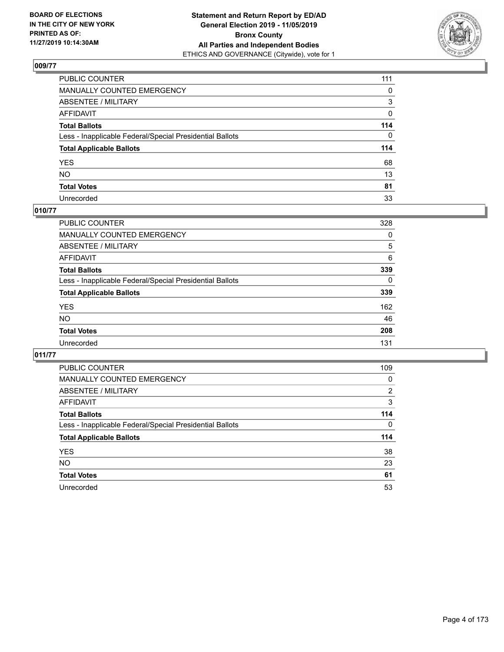

| PUBLIC COUNTER                                           | 111 |
|----------------------------------------------------------|-----|
| MANUALLY COUNTED EMERGENCY                               | 0   |
| ABSENTEE / MILITARY                                      | 3   |
| AFFIDAVIT                                                | 0   |
| Total Ballots                                            | 114 |
| Less - Inapplicable Federal/Special Presidential Ballots | 0   |
| <b>Total Applicable Ballots</b>                          | 114 |
| YES                                                      | 68  |
| NO.                                                      | 13  |
| <b>Total Votes</b>                                       | 81  |
| Unrecorded                                               | 33  |

# **010/77**

| <b>PUBLIC COUNTER</b>                                    | 328      |
|----------------------------------------------------------|----------|
| MANUALLY COUNTED EMERGENCY                               | 0        |
| ABSENTEE / MILITARY                                      | 5        |
| AFFIDAVIT                                                | 6        |
| <b>Total Ballots</b>                                     | 339      |
| Less - Inapplicable Federal/Special Presidential Ballots | $\Omega$ |
| <b>Total Applicable Ballots</b>                          | 339      |
| <b>YES</b>                                               | 162      |
| <b>NO</b>                                                | 46       |
| <b>Total Votes</b>                                       | 208      |
| Unrecorded                                               | 131      |

| <b>PUBLIC COUNTER</b>                                    | 109            |
|----------------------------------------------------------|----------------|
| <b>MANUALLY COUNTED EMERGENCY</b>                        | 0              |
| ABSENTEE / MILITARY                                      | $\overline{2}$ |
| AFFIDAVIT                                                | 3              |
| <b>Total Ballots</b>                                     | 114            |
| Less - Inapplicable Federal/Special Presidential Ballots | $\Omega$       |
| <b>Total Applicable Ballots</b>                          | 114            |
| <b>YES</b>                                               | 38             |
| NO.                                                      | 23             |
| <b>Total Votes</b>                                       | 61             |
| Unrecorded                                               | 53             |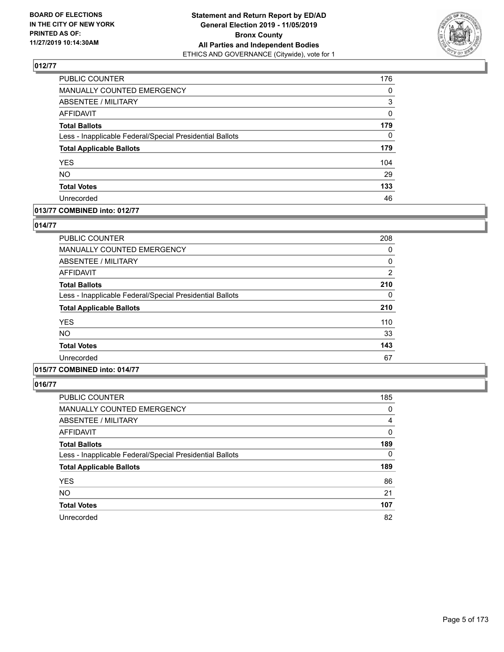

| PUBLIC COUNTER                                           | 176      |
|----------------------------------------------------------|----------|
| MANUALLY COUNTED EMERGENCY                               | $\Omega$ |
| ABSENTEE / MILITARY                                      | 3        |
| <b>AFFIDAVIT</b>                                         | 0        |
| <b>Total Ballots</b>                                     | 179      |
| Less - Inapplicable Federal/Special Presidential Ballots | 0        |
| <b>Total Applicable Ballots</b>                          | 179      |
| <b>YES</b>                                               | 104      |
| <b>NO</b>                                                | 29       |
| <b>Total Votes</b>                                       | 133      |
| Unrecorded                                               | 46       |

#### **013/77 COMBINED into: 012/77**

#### **014/77**

| <b>PUBLIC COUNTER</b>                                    | 208            |
|----------------------------------------------------------|----------------|
| <b>MANUALLY COUNTED EMERGENCY</b>                        | 0              |
| ABSENTEE / MILITARY                                      | 0              |
| <b>AFFIDAVIT</b>                                         | $\overline{2}$ |
| <b>Total Ballots</b>                                     | 210            |
| Less - Inapplicable Federal/Special Presidential Ballots | 0              |
| <b>Total Applicable Ballots</b>                          | 210            |
| <b>YES</b>                                               | 110            |
| <b>NO</b>                                                | 33             |
| <b>Total Votes</b>                                       | 143            |
| Unrecorded                                               | 67             |

# **015/77 COMBINED into: 014/77**

| <b>PUBLIC COUNTER</b>                                    | 185      |
|----------------------------------------------------------|----------|
| MANUALLY COUNTED EMERGENCY                               | 0        |
| ABSENTEE / MILITARY                                      | 4        |
| AFFIDAVIT                                                | $\Omega$ |
| <b>Total Ballots</b>                                     | 189      |
| Less - Inapplicable Federal/Special Presidential Ballots | $\Omega$ |
| <b>Total Applicable Ballots</b>                          | 189      |
| <b>YES</b>                                               | 86       |
| <b>NO</b>                                                | 21       |
| <b>Total Votes</b>                                       | 107      |
| Unrecorded                                               | 82       |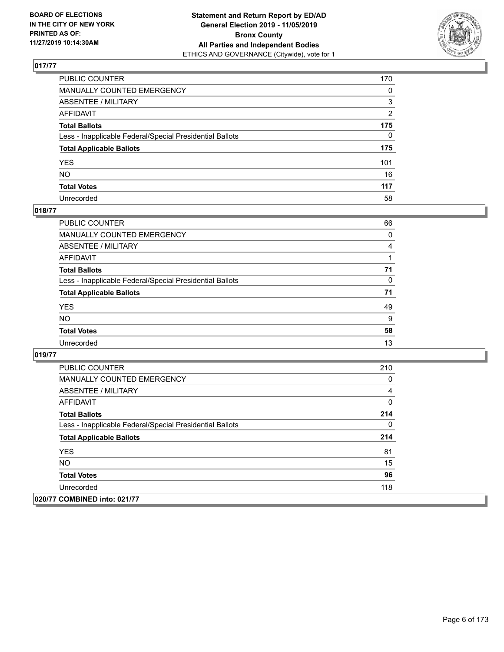

| PUBLIC COUNTER                                           | 170            |
|----------------------------------------------------------|----------------|
| MANUALLY COUNTED EMERGENCY                               | $\mathbf{0}$   |
| ABSENTEE / MILITARY                                      | 3              |
| AFFIDAVIT                                                | $\overline{2}$ |
| Total Ballots                                            | 175            |
| Less - Inapplicable Federal/Special Presidential Ballots | $\Omega$       |
| <b>Total Applicable Ballots</b>                          | 175            |
| YES                                                      | 101            |
| NO.                                                      | 16             |
| <b>Total Votes</b>                                       | 117            |
| Unrecorded                                               | 58             |

## **018/77**

| PUBLIC COUNTER                                           | 66       |
|----------------------------------------------------------|----------|
| <b>MANUALLY COUNTED EMERGENCY</b>                        | $\Omega$ |
| ABSENTEE / MILITARY                                      | 4        |
| AFFIDAVIT                                                |          |
| <b>Total Ballots</b>                                     | 71       |
| Less - Inapplicable Federal/Special Presidential Ballots | $\Omega$ |
| <b>Total Applicable Ballots</b>                          | 71       |
| <b>YES</b>                                               | 49       |
| <b>NO</b>                                                | 9        |
| <b>Total Votes</b>                                       | 58       |
| Unrecorded                                               | 13       |

| <b>PUBLIC COUNTER</b>                                    | 210 |
|----------------------------------------------------------|-----|
| <b>MANUALLY COUNTED EMERGENCY</b>                        | 0   |
| ABSENTEE / MILITARY                                      | 4   |
| AFFIDAVIT                                                | 0   |
| <b>Total Ballots</b>                                     | 214 |
| Less - Inapplicable Federal/Special Presidential Ballots | 0   |
| <b>Total Applicable Ballots</b>                          | 214 |
| <b>YES</b>                                               | 81  |
| <b>NO</b>                                                | 15  |
| <b>Total Votes</b>                                       | 96  |
| Unrecorded                                               | 118 |
| 020/77 COMBINED into: 021/77                             |     |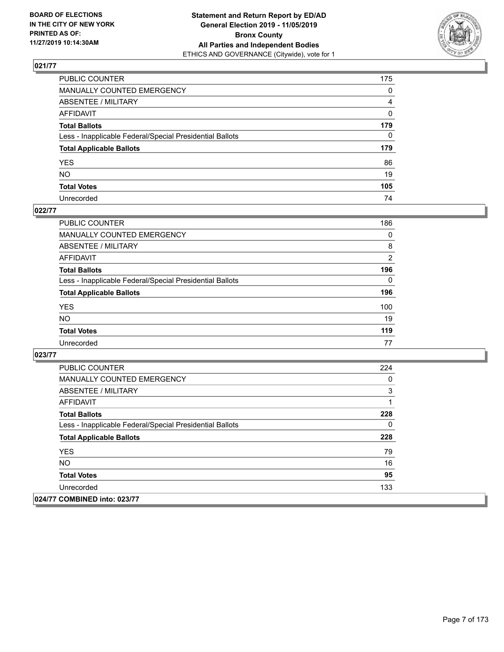

| PUBLIC COUNTER                                           | 175            |
|----------------------------------------------------------|----------------|
| MANUALLY COUNTED EMERGENCY                               | $\mathbf{0}$   |
| ABSENTEE / MILITARY                                      | $\overline{4}$ |
| AFFIDAVIT                                                | $\mathbf 0$    |
| Total Ballots                                            | 179            |
| Less - Inapplicable Federal/Special Presidential Ballots | $\Omega$       |
| <b>Total Applicable Ballots</b>                          | 179            |
| YES                                                      | 86             |
| NO.                                                      | 19             |
| <b>Total Votes</b>                                       | 105            |
| Unrecorded                                               | 74             |

## **022/77**

| <b>PUBLIC COUNTER</b>                                    | 186            |
|----------------------------------------------------------|----------------|
| <b>MANUALLY COUNTED EMERGENCY</b>                        | 0              |
| ABSENTEE / MILITARY                                      | 8              |
| AFFIDAVIT                                                | $\overline{2}$ |
| <b>Total Ballots</b>                                     | 196            |
| Less - Inapplicable Federal/Special Presidential Ballots | $\Omega$       |
| <b>Total Applicable Ballots</b>                          | 196            |
| <b>YES</b>                                               | 100            |
| <b>NO</b>                                                | 19             |
| <b>Total Votes</b>                                       | 119            |
| Unrecorded                                               | 77             |

| <b>PUBLIC COUNTER</b>                                    | 224 |
|----------------------------------------------------------|-----|
| <b>MANUALLY COUNTED EMERGENCY</b>                        | 0   |
| ABSENTEE / MILITARY                                      | 3   |
| AFFIDAVIT                                                | 1   |
| <b>Total Ballots</b>                                     | 228 |
| Less - Inapplicable Federal/Special Presidential Ballots | 0   |
| <b>Total Applicable Ballots</b>                          | 228 |
| <b>YES</b>                                               | 79  |
| NO.                                                      | 16  |
| <b>Total Votes</b>                                       | 95  |
| Unrecorded                                               | 133 |
| 024/77 COMBINED into: 023/77                             |     |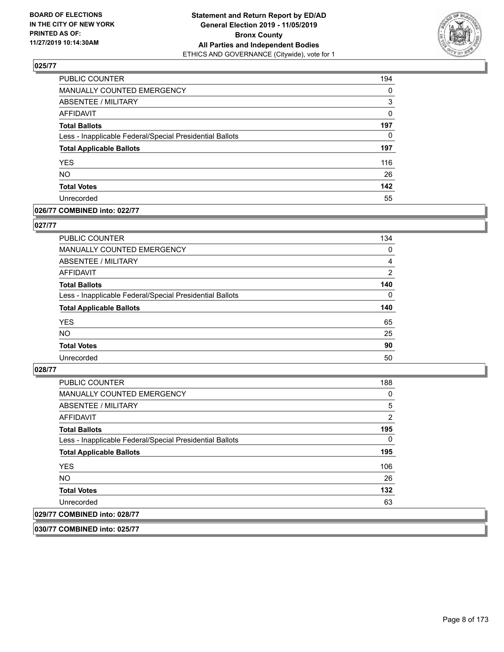

| PUBLIC COUNTER                                           | 194      |
|----------------------------------------------------------|----------|
| MANUALLY COUNTED EMERGENCY                               | $\Omega$ |
| ABSENTEE / MILITARY                                      | 3        |
| AFFIDAVIT                                                | 0        |
| <b>Total Ballots</b>                                     | 197      |
| Less - Inapplicable Federal/Special Presidential Ballots | 0        |
| <b>Total Applicable Ballots</b>                          | 197      |
| <b>YES</b>                                               | 116      |
| <b>NO</b>                                                | 26       |
| <b>Total Votes</b>                                       | 142      |
| Unrecorded                                               | 55       |

#### **026/77 COMBINED into: 022/77**

#### **027/77**

| PUBLIC COUNTER                                           | 134      |
|----------------------------------------------------------|----------|
| MANUALLY COUNTED EMERGENCY                               | 0        |
| ABSENTEE / MILITARY                                      | 4        |
| AFFIDAVIT                                                | 2        |
| <b>Total Ballots</b>                                     | 140      |
| Less - Inapplicable Federal/Special Presidential Ballots | $\Omega$ |
| <b>Total Applicable Ballots</b>                          | 140      |
| <b>YES</b>                                               | 65       |
| <b>NO</b>                                                | 25       |
| <b>Total Votes</b>                                       | 90       |
| Unrecorded                                               | 50       |

### **028/77**

| <b>PUBLIC COUNTER</b>                                    | 188      |
|----------------------------------------------------------|----------|
| <b>MANUALLY COUNTED EMERGENCY</b>                        | 0        |
| ABSENTEE / MILITARY                                      | 5        |
| AFFIDAVIT                                                | 2        |
| <b>Total Ballots</b>                                     | 195      |
| Less - Inapplicable Federal/Special Presidential Ballots | $\Omega$ |
| <b>Total Applicable Ballots</b>                          | 195      |
| <b>YES</b>                                               | 106      |
| NO.                                                      | 26       |
| <b>Total Votes</b>                                       | 132      |
| Unrecorded                                               | 63       |
| 029/77 COMBINED into: 028/77                             |          |

**030/77 COMBINED into: 025/77**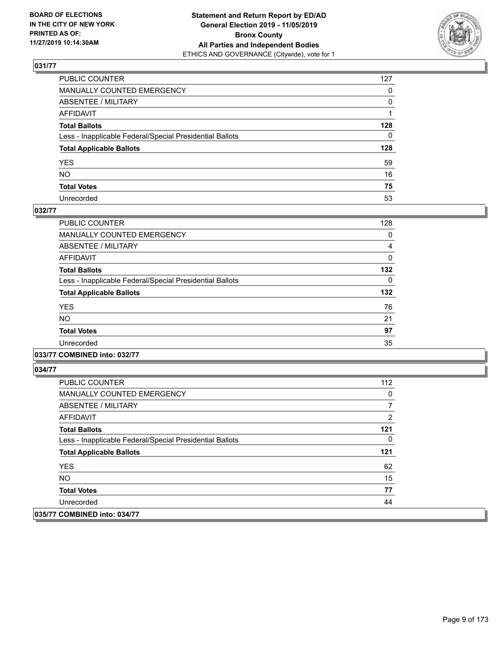

| PUBLIC COUNTER                                           | 127          |
|----------------------------------------------------------|--------------|
| MANUALLY COUNTED EMERGENCY                               | $\mathbf{0}$ |
| ABSENTEE / MILITARY                                      | 0            |
| AFFIDAVIT                                                |              |
| Total Ballots                                            | 128          |
| Less - Inapplicable Federal/Special Presidential Ballots | $\mathbf{0}$ |
| <b>Total Applicable Ballots</b>                          | 128          |
| YES                                                      | 59           |
| NO.                                                      | 16           |
| <b>Total Votes</b>                                       | 75           |
| Unrecorded                                               | 53           |

#### **032/77**

| <b>PUBLIC COUNTER</b>                                    | 128      |
|----------------------------------------------------------|----------|
| MANUALLY COUNTED EMERGENCY                               | 0        |
| ABSENTEE / MILITARY                                      | 4        |
| <b>AFFIDAVIT</b>                                         | 0        |
| <b>Total Ballots</b>                                     | 132      |
| Less - Inapplicable Federal/Special Presidential Ballots | $\Omega$ |
| <b>Total Applicable Ballots</b>                          | 132      |
| <b>YES</b>                                               | 76       |
| NO.                                                      | 21       |
| <b>Total Votes</b>                                       | 97       |
| Unrecorded                                               | 35       |
|                                                          |          |

**033/77 COMBINED into: 032/77**

| <b>PUBLIC COUNTER</b>                                    | 112 |
|----------------------------------------------------------|-----|
| <b>MANUALLY COUNTED EMERGENCY</b>                        | 0   |
| ABSENTEE / MILITARY                                      | 7   |
| AFFIDAVIT                                                | 2   |
| <b>Total Ballots</b>                                     | 121 |
| Less - Inapplicable Federal/Special Presidential Ballots | 0   |
| <b>Total Applicable Ballots</b>                          | 121 |
| <b>YES</b>                                               | 62  |
| NO.                                                      | 15  |
| <b>Total Votes</b>                                       | 77  |
| Unrecorded                                               | 44  |
| 035/77 COMBINED into: 034/77                             |     |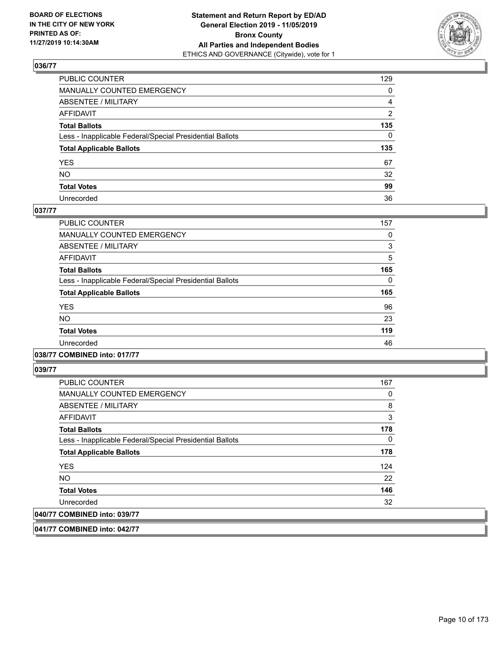

| PUBLIC COUNTER                                           | 129            |
|----------------------------------------------------------|----------------|
| MANUALLY COUNTED EMERGENCY                               | $\mathbf{0}$   |
| ABSENTEE / MILITARY                                      | 4              |
| AFFIDAVIT                                                | $\overline{2}$ |
| Total Ballots                                            | 135            |
| Less - Inapplicable Federal/Special Presidential Ballots | $\Omega$       |
| <b>Total Applicable Ballots</b>                          | 135            |
| YES                                                      | 67             |
| NO.                                                      | 32             |
| <b>Total Votes</b>                                       | 99             |
| Unrecorded                                               | 36             |

## **037/77**

| <b>PUBLIC COUNTER</b>                                    | 157      |
|----------------------------------------------------------|----------|
| <b>MANUALLY COUNTED EMERGENCY</b>                        | 0        |
| ABSENTEE / MILITARY                                      | 3        |
| <b>AFFIDAVIT</b>                                         | 5        |
| <b>Total Ballots</b>                                     | 165      |
| Less - Inapplicable Federal/Special Presidential Ballots | $\Omega$ |
| <b>Total Applicable Ballots</b>                          | 165      |
| <b>YES</b>                                               | 96       |
| NO.                                                      | 23       |
| <b>Total Votes</b>                                       | 119      |
| Unrecorded                                               | 46       |
|                                                          |          |

**038/77 COMBINED into: 017/77**

**039/77** 

| <b>PUBLIC COUNTER</b>                                    | 167      |
|----------------------------------------------------------|----------|
| MANUALLY COUNTED EMERGENCY                               | 0        |
| ABSENTEE / MILITARY                                      | 8        |
| AFFIDAVIT                                                | 3        |
| <b>Total Ballots</b>                                     | 178      |
| Less - Inapplicable Federal/Special Presidential Ballots | $\Omega$ |
| <b>Total Applicable Ballots</b>                          | 178      |
| <b>YES</b>                                               | 124      |
| <b>NO</b>                                                | 22       |
| <b>Total Votes</b>                                       | 146      |
| Unrecorded                                               | 32       |
| 040/77 COMBINED into: 039/77                             |          |

**041/77 COMBINED into: 042/77**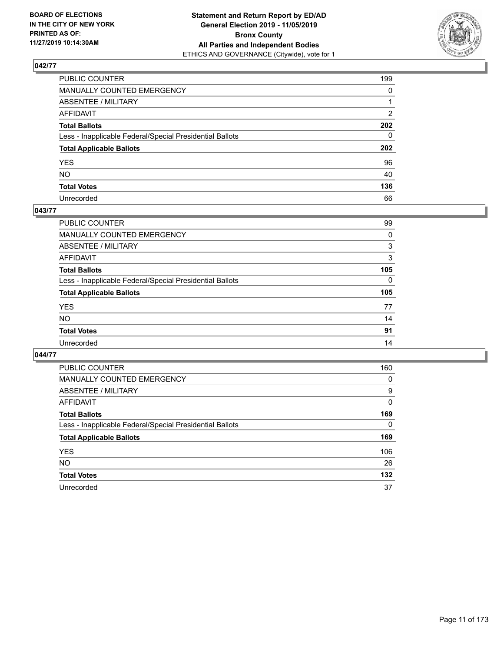

| PUBLIC COUNTER                                           | 199          |
|----------------------------------------------------------|--------------|
| MANUALLY COUNTED EMERGENCY                               | $\mathbf{0}$ |
| ABSENTEE / MILITARY                                      |              |
| AFFIDAVIT                                                | 2            |
| Total Ballots                                            | 202          |
| Less - Inapplicable Federal/Special Presidential Ballots | $\mathbf{0}$ |
| <b>Total Applicable Ballots</b>                          | 202          |
| YES                                                      | 96           |
| NO.                                                      | 40           |
| <b>Total Votes</b>                                       | 136          |
| Unrecorded                                               | 66           |

#### **043/77**

| <b>PUBLIC COUNTER</b>                                    | 99       |
|----------------------------------------------------------|----------|
| <b>MANUALLY COUNTED EMERGENCY</b>                        | 0        |
| ABSENTEE / MILITARY                                      | 3        |
| AFFIDAVIT                                                | 3        |
| <b>Total Ballots</b>                                     | 105      |
| Less - Inapplicable Federal/Special Presidential Ballots | $\Omega$ |
| <b>Total Applicable Ballots</b>                          | 105      |
| <b>YES</b>                                               | 77       |
| <b>NO</b>                                                | 14       |
| <b>Total Votes</b>                                       | 91       |
| Unrecorded                                               | 14       |
|                                                          |          |

| PUBLIC COUNTER                                           | 160      |
|----------------------------------------------------------|----------|
| <b>MANUALLY COUNTED EMERGENCY</b>                        | $\Omega$ |
| ABSENTEE / MILITARY                                      | 9        |
| AFFIDAVIT                                                | 0        |
| <b>Total Ballots</b>                                     | 169      |
| Less - Inapplicable Federal/Special Presidential Ballots | $\Omega$ |
| <b>Total Applicable Ballots</b>                          | 169      |
| <b>YES</b>                                               | 106      |
| <b>NO</b>                                                | 26       |
| <b>Total Votes</b>                                       | 132      |
| Unrecorded                                               | 37       |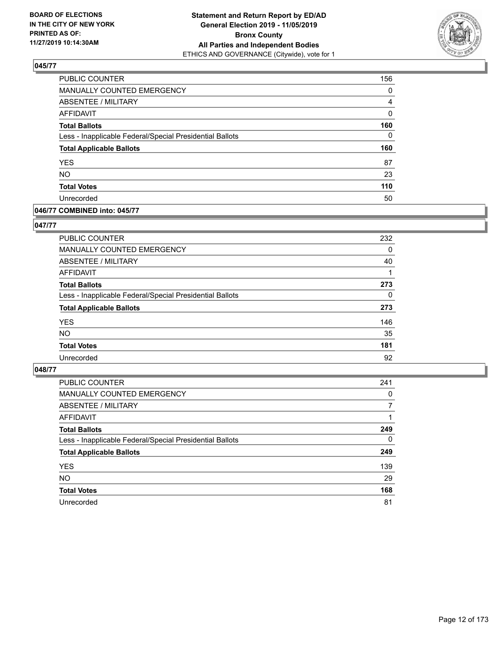

| PUBLIC COUNTER                                           | 156      |
|----------------------------------------------------------|----------|
| MANUALLY COUNTED EMERGENCY                               | 0        |
| ABSENTEE / MILITARY                                      | 4        |
| <b>AFFIDAVIT</b>                                         | 0        |
| <b>Total Ballots</b>                                     | 160      |
| Less - Inapplicable Federal/Special Presidential Ballots | $\Omega$ |
| <b>Total Applicable Ballots</b>                          | 160      |
| <b>YES</b>                                               | 87       |
| <b>NO</b>                                                | 23       |
| <b>Total Votes</b>                                       | 110      |
| Unrecorded                                               | 50       |

#### **046/77 COMBINED into: 045/77**

#### **047/77**

| <b>PUBLIC COUNTER</b>                                    | 232      |
|----------------------------------------------------------|----------|
| <b>MANUALLY COUNTED EMERGENCY</b>                        | 0        |
| ABSENTEE / MILITARY                                      | 40       |
| AFFIDAVIT                                                |          |
| <b>Total Ballots</b>                                     | 273      |
| Less - Inapplicable Federal/Special Presidential Ballots | $\Omega$ |
| <b>Total Applicable Ballots</b>                          | 273      |
| <b>YES</b>                                               | 146      |
| <b>NO</b>                                                | 35       |
| <b>Total Votes</b>                                       | 181      |
| Unrecorded                                               | 92       |

| <b>PUBLIC COUNTER</b>                                    | 241      |
|----------------------------------------------------------|----------|
| <b>MANUALLY COUNTED EMERGENCY</b>                        | $\Omega$ |
| ABSENTEE / MILITARY                                      | 7        |
| AFFIDAVIT                                                |          |
| <b>Total Ballots</b>                                     | 249      |
| Less - Inapplicable Federal/Special Presidential Ballots | 0        |
| <b>Total Applicable Ballots</b>                          | 249      |
| <b>YES</b>                                               | 139      |
| <b>NO</b>                                                | 29       |
| <b>Total Votes</b>                                       | 168      |
| Unrecorded                                               | 81       |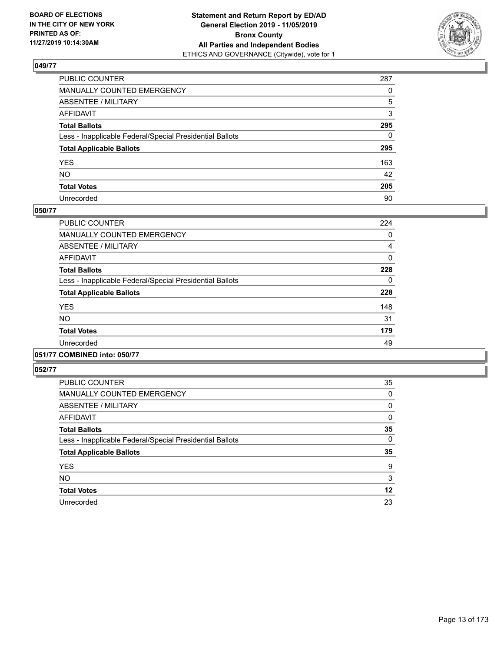

| PUBLIC COUNTER                                           | 287          |
|----------------------------------------------------------|--------------|
| MANUALLY COUNTED EMERGENCY                               | $\Omega$     |
| ABSENTEE / MILITARY                                      | 5            |
| AFFIDAVIT                                                | 3            |
| Total Ballots                                            | 295          |
| Less - Inapplicable Federal/Special Presidential Ballots | $\mathbf{0}$ |
| <b>Total Applicable Ballots</b>                          | 295          |
| YES                                                      | 163          |
| NO.                                                      | 42           |
| <b>Total Votes</b>                                       | 205          |
| Unrecorded                                               | 90           |

#### **050/77**

| <b>PUBLIC COUNTER</b>                                    | 224 |
|----------------------------------------------------------|-----|
| <b>MANUALLY COUNTED EMERGENCY</b>                        | 0   |
| ABSENTEE / MILITARY                                      | 4   |
| <b>AFFIDAVIT</b>                                         | 0   |
| <b>Total Ballots</b>                                     | 228 |
| Less - Inapplicable Federal/Special Presidential Ballots | 0   |
| <b>Total Applicable Ballots</b>                          | 228 |
| <b>YES</b>                                               | 148 |
| NO.                                                      | 31  |
| <b>Total Votes</b>                                       | 179 |
| Unrecorded                                               | 49  |
|                                                          |     |

## **051/77 COMBINED into: 050/77**

| <b>PUBLIC COUNTER</b>                                    | 35 |
|----------------------------------------------------------|----|
| <b>MANUALLY COUNTED EMERGENCY</b>                        | 0  |
| ABSENTEE / MILITARY                                      | 0  |
| AFFIDAVIT                                                | 0  |
| <b>Total Ballots</b>                                     | 35 |
| Less - Inapplicable Federal/Special Presidential Ballots | 0  |
| <b>Total Applicable Ballots</b>                          | 35 |
| <b>YES</b>                                               | 9  |
| <b>NO</b>                                                | 3  |
| <b>Total Votes</b>                                       | 12 |
| Unrecorded                                               | 23 |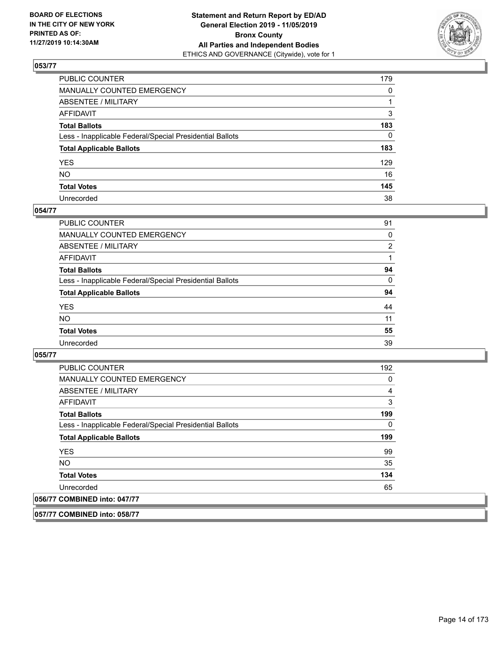

| PUBLIC COUNTER                                           | 179          |
|----------------------------------------------------------|--------------|
| MANUALLY COUNTED EMERGENCY                               | $\mathbf{0}$ |
| ABSENTEE / MILITARY                                      |              |
| AFFIDAVIT                                                | 3            |
| Total Ballots                                            | 183          |
| Less - Inapplicable Federal/Special Presidential Ballots | $\mathbf{0}$ |
| <b>Total Applicable Ballots</b>                          | 183          |
| YES                                                      | 129          |
| NO.                                                      | 16           |
| <b>Total Votes</b>                                       | 145          |
| Unrecorded                                               | 38           |

#### **054/77**

| <b>PUBLIC COUNTER</b>                                    | 91             |
|----------------------------------------------------------|----------------|
| <b>MANUALLY COUNTED EMERGENCY</b>                        | 0              |
| ABSENTEE / MILITARY                                      | $\overline{2}$ |
| AFFIDAVIT                                                |                |
| <b>Total Ballots</b>                                     | 94             |
| Less - Inapplicable Federal/Special Presidential Ballots | 0              |
| <b>Total Applicable Ballots</b>                          | 94             |
| <b>YES</b>                                               | 44             |
| <b>NO</b>                                                | 11             |
| <b>Total Votes</b>                                       | 55             |
| Unrecorded                                               | 39             |

#### **055/77**

**057/77 COMBINED into: 058/77**

| <b>PUBLIC COUNTER</b>                                    | 192 |
|----------------------------------------------------------|-----|
| <b>MANUALLY COUNTED EMERGENCY</b>                        | 0   |
| ABSENTEE / MILITARY                                      | 4   |
| <b>AFFIDAVIT</b>                                         | 3   |
| <b>Total Ballots</b>                                     | 199 |
| Less - Inapplicable Federal/Special Presidential Ballots | 0   |
| <b>Total Applicable Ballots</b>                          | 199 |
| <b>YES</b>                                               | 99  |
| NO.                                                      | 35  |
| <b>Total Votes</b>                                       | 134 |
| Unrecorded                                               | 65  |
| 056/77 COMBINED into: 047/77                             |     |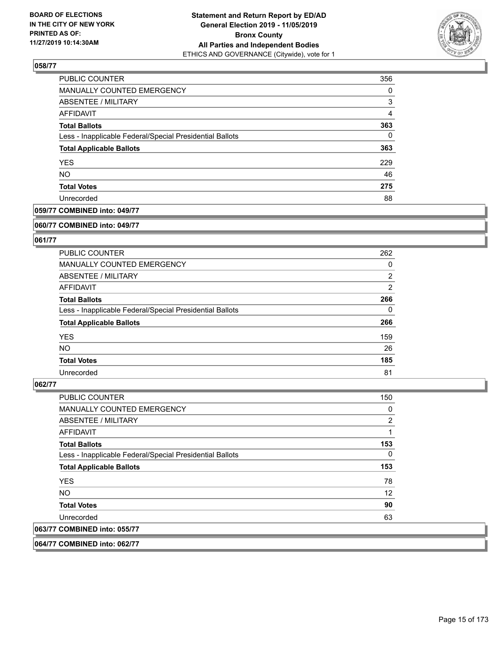

| PUBLIC COUNTER                                           | 356            |
|----------------------------------------------------------|----------------|
| MANUALLY COUNTED EMERGENCY                               | $\Omega$       |
| ABSENTEE / MILITARY                                      | 3              |
| AFFIDAVIT                                                | $\overline{4}$ |
| <b>Total Ballots</b>                                     | 363            |
| Less - Inapplicable Federal/Special Presidential Ballots | 0              |
| <b>Total Applicable Ballots</b>                          | 363            |
| <b>YES</b>                                               | 229            |
| <b>NO</b>                                                | 46             |
| <b>Total Votes</b>                                       | 275            |
| Unrecorded                                               | 88             |

## **059/77 COMBINED into: 049/77**

#### **060/77 COMBINED into: 049/77**

## **061/77**

| <b>PUBLIC COUNTER</b>                                    | 262            |
|----------------------------------------------------------|----------------|
| MANUALLY COUNTED EMERGENCY                               | 0              |
| ABSENTEE / MILITARY                                      | $\overline{2}$ |
| AFFIDAVIT                                                | $\overline{2}$ |
| <b>Total Ballots</b>                                     | 266            |
| Less - Inapplicable Federal/Special Presidential Ballots | $\Omega$       |
| <b>Total Applicable Ballots</b>                          | 266            |
| <b>YES</b>                                               | 159            |
| NO.                                                      | 26             |
| <b>Total Votes</b>                                       | 185            |
| Unrecorded                                               | 81             |

#### **062/77**

| <b>PUBLIC COUNTER</b>                                    | 150          |
|----------------------------------------------------------|--------------|
| <b>MANUALLY COUNTED EMERGENCY</b>                        | 0            |
| ABSENTEE / MILITARY                                      | 2            |
| <b>AFFIDAVIT</b>                                         |              |
| <b>Total Ballots</b>                                     | 153          |
| Less - Inapplicable Federal/Special Presidential Ballots | $\mathbf{0}$ |
| <b>Total Applicable Ballots</b>                          | 153          |
| <b>YES</b>                                               | 78           |
| <b>NO</b>                                                | 12           |
| <b>Total Votes</b>                                       | 90           |
| Unrecorded                                               | 63           |
| 063/77 COMBINED into: 055/77                             |              |

**064/77 COMBINED into: 062/77**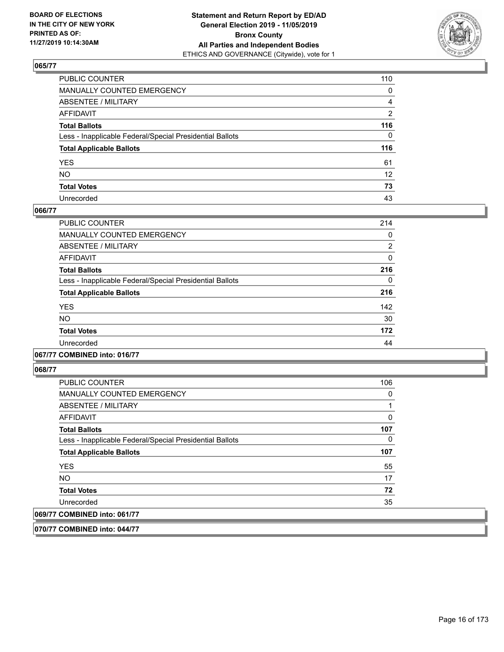

| PUBLIC COUNTER                                           | 110               |
|----------------------------------------------------------|-------------------|
| MANUALLY COUNTED EMERGENCY                               | $\mathbf{0}$      |
| ABSENTEE / MILITARY                                      | $\overline{4}$    |
| AFFIDAVIT                                                | $\overline{2}$    |
| Total Ballots                                            | 116               |
| Less - Inapplicable Federal/Special Presidential Ballots | $\Omega$          |
| <b>Total Applicable Ballots</b>                          | 116               |
| YES                                                      | 61                |
| NO.                                                      | $12 \overline{ }$ |
| <b>Total Votes</b>                                       | 73                |
| Unrecorded                                               | 43                |

## **066/77**

| PUBLIC COUNTER                                           | 214 |
|----------------------------------------------------------|-----|
| <b>MANUALLY COUNTED EMERGENCY</b>                        | 0   |
| ABSENTEE / MILITARY                                      | 2   |
| <b>AFFIDAVIT</b>                                         | 0   |
| <b>Total Ballots</b>                                     | 216 |
| Less - Inapplicable Federal/Special Presidential Ballots | 0   |
| <b>Total Applicable Ballots</b>                          | 216 |
| <b>YES</b>                                               | 142 |
| <b>NO</b>                                                | 30  |
| <b>Total Votes</b>                                       | 172 |
| Unrecorded                                               | 44  |

## **067/77 COMBINED into: 016/77**

**068/77** 

| <b>PUBLIC COUNTER</b>                                    | 106 |
|----------------------------------------------------------|-----|
| <b>MANUALLY COUNTED EMERGENCY</b>                        | 0   |
| ABSENTEE / MILITARY                                      |     |
| AFFIDAVIT                                                | 0   |
| <b>Total Ballots</b>                                     | 107 |
| Less - Inapplicable Federal/Special Presidential Ballots | 0   |
| <b>Total Applicable Ballots</b>                          | 107 |
| <b>YES</b>                                               | 55  |
| NO.                                                      | 17  |
| <b>Total Votes</b>                                       | 72  |
| Unrecorded                                               | 35  |
| 069/77 COMBINED into: 061/77                             |     |

**070/77 COMBINED into: 044/77**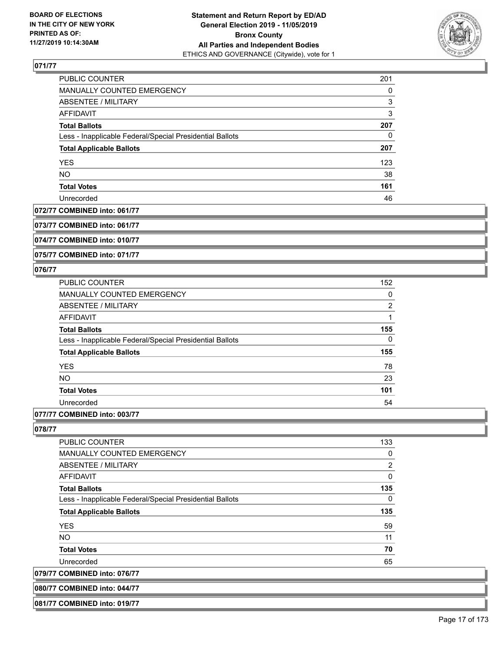

| <b>PUBLIC COUNTER</b>                                    | 201 |
|----------------------------------------------------------|-----|
| MANUALLY COUNTED EMERGENCY                               | 0   |
| <b>ABSENTEE / MILITARY</b>                               | 3   |
| AFFIDAVIT                                                | 3   |
| <b>Total Ballots</b>                                     | 207 |
| Less - Inapplicable Federal/Special Presidential Ballots | 0   |
| <b>Total Applicable Ballots</b>                          | 207 |
| <b>YES</b>                                               | 123 |
| <b>NO</b>                                                | 38  |
| <b>Total Votes</b>                                       | 161 |
| Unrecorded                                               | 46  |

#### **072/77 COMBINED into: 061/77**

**073/77 COMBINED into: 061/77**

**074/77 COMBINED into: 010/77**

**075/77 COMBINED into: 071/77**

## **076/77**

| <b>PUBLIC COUNTER</b>                                    | 152           |
|----------------------------------------------------------|---------------|
| <b>MANUALLY COUNTED EMERGENCY</b>                        | 0             |
| ABSENTEE / MILITARY                                      | $\mathcal{P}$ |
| AFFIDAVIT                                                |               |
| <b>Total Ballots</b>                                     | 155           |
| Less - Inapplicable Federal/Special Presidential Ballots | $\Omega$      |
| <b>Total Applicable Ballots</b>                          | 155           |
| <b>YES</b>                                               | 78            |
| <b>NO</b>                                                | 23            |
| <b>Total Votes</b>                                       | 101           |
| Unrecorded                                               | 54            |
|                                                          |               |

## **077/77 COMBINED into: 003/77**

**080/77 COMBINED into: 044/77 081/77 COMBINED into: 019/77**

| <b>PUBLIC COUNTER</b>                                    | 133            |
|----------------------------------------------------------|----------------|
| <b>MANUALLY COUNTED EMERGENCY</b>                        | 0              |
| ABSENTEE / MILITARY                                      | $\overline{2}$ |
| <b>AFFIDAVIT</b>                                         | 0              |
| <b>Total Ballots</b>                                     | 135            |
| Less - Inapplicable Federal/Special Presidential Ballots | 0              |
| <b>Total Applicable Ballots</b>                          | 135            |
| <b>YES</b>                                               | 59             |
| NO.                                                      | 11             |
| <b>Total Votes</b>                                       | 70             |
| Unrecorded                                               | 65             |
| 079/77 COMBINED into: 076/77                             |                |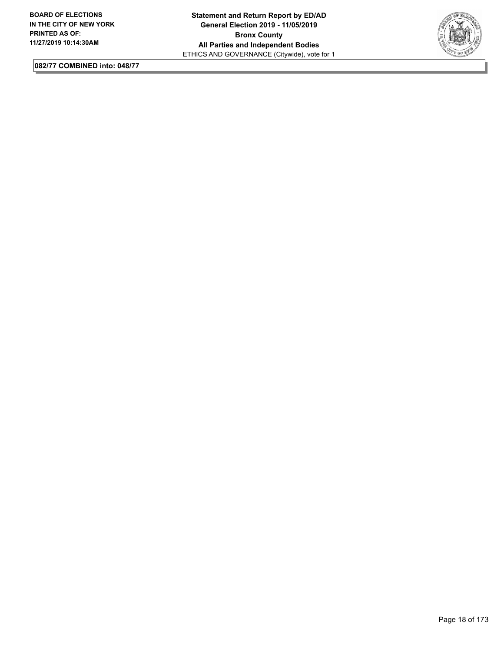

**082/77 COMBINED into: 048/77**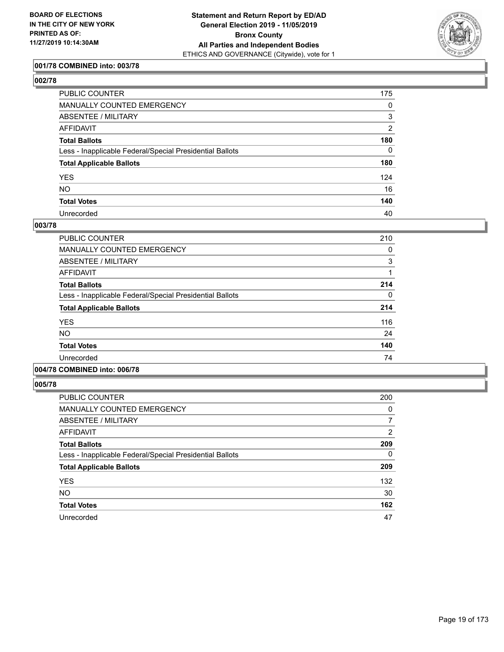

## **001/78 COMBINED into: 003/78**

| ۰.<br>۰.<br>۰, |  |
|----------------|--|
|----------------|--|

| PUBLIC COUNTER                                           | 175            |
|----------------------------------------------------------|----------------|
| MANUALLY COUNTED EMERGENCY                               | 0              |
| ABSENTEE / MILITARY                                      | 3              |
| AFFIDAVIT                                                | $\overline{2}$ |
| Total Ballots                                            | 180            |
| Less - Inapplicable Federal/Special Presidential Ballots | $\mathbf{0}$   |
| <b>Total Applicable Ballots</b>                          | 180            |
| YES                                                      | 124            |
| NO.                                                      | 16             |
| <b>Total Votes</b>                                       | 140            |
| Unrecorded                                               | 40             |

#### **003/78**

| PUBLIC COUNTER                                           | 210      |
|----------------------------------------------------------|----------|
| <b>MANUALLY COUNTED EMERGENCY</b>                        | 0        |
| ABSENTEE / MILITARY                                      | 3        |
| <b>AFFIDAVIT</b>                                         |          |
| <b>Total Ballots</b>                                     | 214      |
| Less - Inapplicable Federal/Special Presidential Ballots | $\Omega$ |
| <b>Total Applicable Ballots</b>                          | 214      |
| <b>YES</b>                                               | 116      |
| NO.                                                      | 24       |
| <b>Total Votes</b>                                       | 140      |
| Unrecorded                                               | 74       |
|                                                          |          |

# **004/78 COMBINED into: 006/78**

| <b>PUBLIC COUNTER</b>                                    | 200            |
|----------------------------------------------------------|----------------|
| <b>MANUALLY COUNTED EMERGENCY</b>                        | 0              |
| ABSENTEE / MILITARY                                      | 7              |
| AFFIDAVIT                                                | $\overline{2}$ |
| <b>Total Ballots</b>                                     | 209            |
| Less - Inapplicable Federal/Special Presidential Ballots | 0              |
| <b>Total Applicable Ballots</b>                          | 209            |
| <b>YES</b>                                               | 132            |
| <b>NO</b>                                                | 30             |
| <b>Total Votes</b>                                       | 162            |
| Unrecorded                                               | 47             |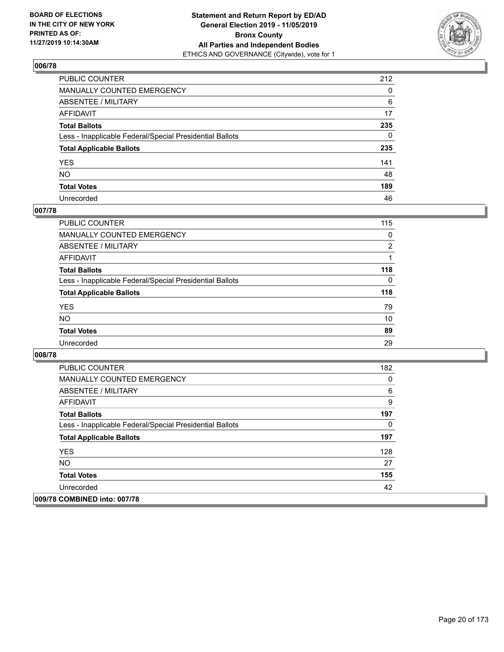

| PUBLIC COUNTER                                           | 212          |
|----------------------------------------------------------|--------------|
| MANUALLY COUNTED EMERGENCY                               | 0            |
| ABSENTEE / MILITARY                                      | 6            |
| AFFIDAVIT                                                | 17           |
| Total Ballots                                            | 235          |
| Less - Inapplicable Federal/Special Presidential Ballots | $\mathbf{0}$ |
| <b>Total Applicable Ballots</b>                          | 235          |
| YES                                                      | 141          |
| NO.                                                      | 48           |
| <b>Total Votes</b>                                       | 189          |
| Unrecorded                                               | 46           |

#### **007/78**

| <b>PUBLIC COUNTER</b>                                    | 115            |
|----------------------------------------------------------|----------------|
| <b>MANUALLY COUNTED EMERGENCY</b>                        | $\Omega$       |
| ABSENTEE / MILITARY                                      | $\overline{2}$ |
| AFFIDAVIT                                                |                |
| <b>Total Ballots</b>                                     | 118            |
| Less - Inapplicable Federal/Special Presidential Ballots | $\Omega$       |
| <b>Total Applicable Ballots</b>                          | 118            |
| <b>YES</b>                                               | 79             |
| <b>NO</b>                                                | 10             |
| <b>Total Votes</b>                                       | 89             |
| Unrecorded                                               | 29             |

| <b>PUBLIC COUNTER</b>                                    | 182 |
|----------------------------------------------------------|-----|
| <b>MANUALLY COUNTED EMERGENCY</b>                        | 0   |
| ABSENTEE / MILITARY                                      | 6   |
| AFFIDAVIT                                                | 9   |
| <b>Total Ballots</b>                                     | 197 |
| Less - Inapplicable Federal/Special Presidential Ballots | 0   |
| <b>Total Applicable Ballots</b>                          | 197 |
| <b>YES</b>                                               | 128 |
| <b>NO</b>                                                | 27  |
| <b>Total Votes</b>                                       | 155 |
| Unrecorded                                               | 42  |
| 009/78 COMBINED into: 007/78                             |     |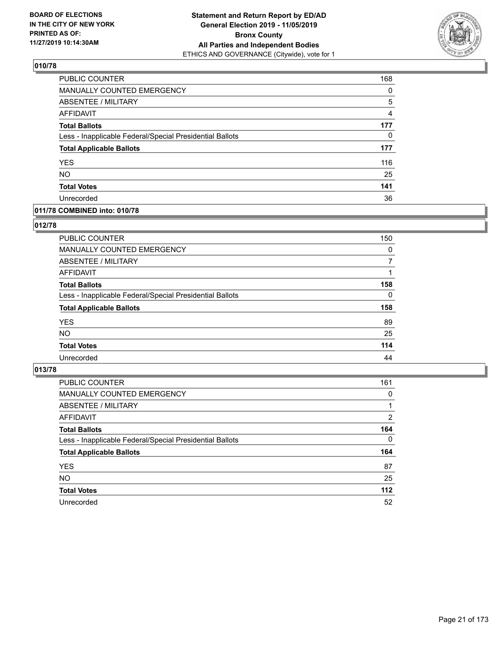

| PUBLIC COUNTER                                           | 168 |
|----------------------------------------------------------|-----|
| <b>MANUALLY COUNTED EMERGENCY</b>                        | 0   |
| <b>ABSENTEE / MILITARY</b>                               | 5   |
| AFFIDAVIT                                                | 4   |
| <b>Total Ballots</b>                                     | 177 |
| Less - Inapplicable Federal/Special Presidential Ballots | 0   |
| <b>Total Applicable Ballots</b>                          | 177 |
| <b>YES</b>                                               | 116 |
| <b>NO</b>                                                | 25  |
| <b>Total Votes</b>                                       | 141 |
| Unrecorded                                               | 36  |

# **011/78 COMBINED into: 010/78**

#### **012/78**

| PUBLIC COUNTER                                           | 150      |
|----------------------------------------------------------|----------|
| MANUALLY COUNTED EMERGENCY                               | 0        |
| ABSENTEE / MILITARY                                      | 7        |
| AFFIDAVIT                                                |          |
| <b>Total Ballots</b>                                     | 158      |
| Less - Inapplicable Federal/Special Presidential Ballots | $\Omega$ |
| <b>Total Applicable Ballots</b>                          | 158      |
| <b>YES</b>                                               | 89       |
| <b>NO</b>                                                | 25       |
| <b>Total Votes</b>                                       | 114      |
| Unrecorded                                               | 44       |

| <b>PUBLIC COUNTER</b>                                    | 161      |
|----------------------------------------------------------|----------|
| MANUALLY COUNTED EMERGENCY                               | $\Omega$ |
| ABSENTEE / MILITARY                                      |          |
| AFFIDAVIT                                                | 2        |
| <b>Total Ballots</b>                                     | 164      |
| Less - Inapplicable Federal/Special Presidential Ballots | $\Omega$ |
| <b>Total Applicable Ballots</b>                          | 164      |
| <b>YES</b>                                               | 87       |
| <b>NO</b>                                                | 25       |
| <b>Total Votes</b>                                       | $112$    |
| Unrecorded                                               | 52       |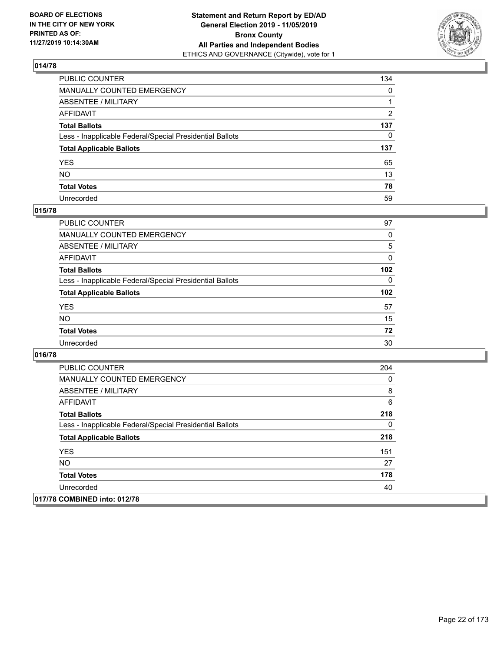

| PUBLIC COUNTER                                           | 134          |
|----------------------------------------------------------|--------------|
| MANUALLY COUNTED EMERGENCY                               | $\mathbf{0}$ |
| ABSENTEE / MILITARY                                      |              |
| AFFIDAVIT                                                | 2            |
| Total Ballots                                            | 137          |
| Less - Inapplicable Federal/Special Presidential Ballots | $\Omega$     |
| <b>Total Applicable Ballots</b>                          | 137          |
| YES                                                      | 65           |
| NO.                                                      | 13           |
| <b>Total Votes</b>                                       | 78           |
| Unrecorded                                               | 59           |

#### **015/78**

| <b>PUBLIC COUNTER</b>                                    | 97               |
|----------------------------------------------------------|------------------|
| MANUALLY COUNTED EMERGENCY                               | 0                |
| ABSENTEE / MILITARY                                      | 5                |
| AFFIDAVIT                                                | $\Omega$         |
| <b>Total Ballots</b>                                     | 102 <sub>2</sub> |
| Less - Inapplicable Federal/Special Presidential Ballots | $\Omega$         |
| <b>Total Applicable Ballots</b>                          | 102              |
| <b>YES</b>                                               | 57               |
| <b>NO</b>                                                | 15               |
| <b>Total Votes</b>                                       | 72               |
| Unrecorded                                               | 30               |

| <b>PUBLIC COUNTER</b>                                    | 204 |
|----------------------------------------------------------|-----|
| <b>MANUALLY COUNTED EMERGENCY</b>                        | 0   |
| ABSENTEE / MILITARY                                      | 8   |
| AFFIDAVIT                                                | 6   |
| <b>Total Ballots</b>                                     | 218 |
| Less - Inapplicable Federal/Special Presidential Ballots | 0   |
| <b>Total Applicable Ballots</b>                          | 218 |
| <b>YES</b>                                               | 151 |
| <b>NO</b>                                                | 27  |
| <b>Total Votes</b>                                       | 178 |
| Unrecorded                                               | 40  |
| 017/78 COMBINED into: 012/78                             |     |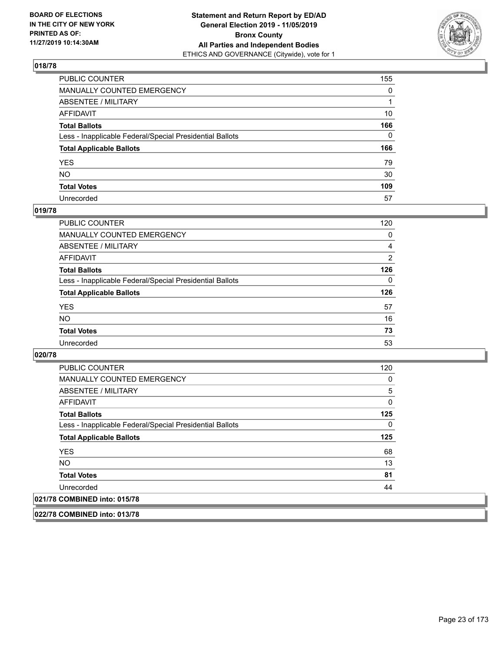

| PUBLIC COUNTER                                           | 155          |
|----------------------------------------------------------|--------------|
| MANUALLY COUNTED EMERGENCY                               | $\mathbf{0}$ |
| ABSENTEE / MILITARY                                      |              |
| AFFIDAVIT                                                | 10           |
| Total Ballots                                            | 166          |
| Less - Inapplicable Federal/Special Presidential Ballots | $\mathbf{0}$ |
| <b>Total Applicable Ballots</b>                          | 166          |
| YES                                                      | 79           |
| NO.                                                      | 30           |
| <b>Total Votes</b>                                       | 109          |
| Unrecorded                                               | 57           |

#### **019/78**

| <b>PUBLIC COUNTER</b>                                    | 120      |
|----------------------------------------------------------|----------|
| MANUALLY COUNTED EMERGENCY                               | 0        |
| ABSENTEE / MILITARY                                      | 4        |
| AFFIDAVIT                                                | 2        |
| <b>Total Ballots</b>                                     | 126      |
| Less - Inapplicable Federal/Special Presidential Ballots | $\Omega$ |
| <b>Total Applicable Ballots</b>                          | 126      |
| <b>YES</b>                                               | 57       |
| <b>NO</b>                                                | 16       |
| <b>Total Votes</b>                                       | 73       |
| Unrecorded                                               | 53       |

**020/78** 

| <b>PUBLIC COUNTER</b>                                    | 120 |
|----------------------------------------------------------|-----|
| <b>MANUALLY COUNTED EMERGENCY</b>                        | 0   |
| ABSENTEE / MILITARY                                      | 5   |
| AFFIDAVIT                                                | 0   |
| <b>Total Ballots</b>                                     | 125 |
| Less - Inapplicable Federal/Special Presidential Ballots | 0   |
| <b>Total Applicable Ballots</b>                          | 125 |
| <b>YES</b>                                               | 68  |
| NO.                                                      | 13  |
| <b>Total Votes</b>                                       | 81  |
| Unrecorded                                               | 44  |
| 021/78 COMBINED into: 015/78                             |     |

**022/78 COMBINED into: 013/78**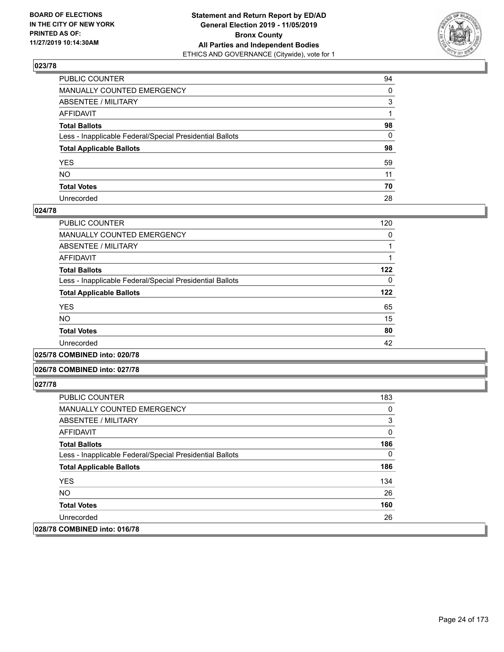

| PUBLIC COUNTER                                           | 94           |
|----------------------------------------------------------|--------------|
| MANUALLY COUNTED EMERGENCY                               | $\mathbf{0}$ |
| ABSENTEE / MILITARY                                      | 3            |
| AFFIDAVIT                                                |              |
| Total Ballots                                            | 98           |
| Less - Inapplicable Federal/Special Presidential Ballots | $\mathbf{0}$ |
| <b>Total Applicable Ballots</b>                          | 98           |
| YES                                                      | 59           |
| NO.                                                      | 11           |
| <b>Total Votes</b>                                       | 70           |
| Unrecorded                                               | 28           |

#### **024/78**

| <b>PUBLIC COUNTER</b>                                    | 120      |
|----------------------------------------------------------|----------|
| <b>MANUALLY COUNTED EMERGENCY</b>                        | 0        |
| ABSENTEE / MILITARY                                      |          |
| AFFIDAVIT                                                |          |
| <b>Total Ballots</b>                                     | 122      |
| Less - Inapplicable Federal/Special Presidential Ballots | $\Omega$ |
| <b>Total Applicable Ballots</b>                          | 122      |
| <b>YES</b>                                               | 65       |
| <b>NO</b>                                                | 15       |
| <b>Total Votes</b>                                       | 80       |
| Unrecorded                                               | 42       |
|                                                          |          |

**025/78 COMBINED into: 020/78**

#### **026/78 COMBINED into: 027/78**

| <b>PUBLIC COUNTER</b>                                    | 183 |
|----------------------------------------------------------|-----|
| <b>MANUALLY COUNTED EMERGENCY</b>                        | 0   |
| ABSENTEE / MILITARY                                      | 3   |
| AFFIDAVIT                                                | 0   |
| <b>Total Ballots</b>                                     | 186 |
| Less - Inapplicable Federal/Special Presidential Ballots | 0   |
| <b>Total Applicable Ballots</b>                          | 186 |
| <b>YES</b>                                               | 134 |
| NO.                                                      | 26  |
| <b>Total Votes</b>                                       | 160 |
| Unrecorded                                               | 26  |
| 028/78 COMBINED into: 016/78                             |     |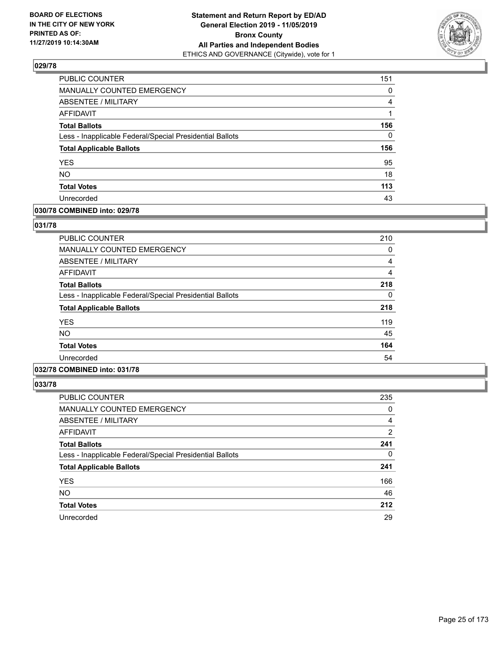

| PUBLIC COUNTER                                           | 151      |
|----------------------------------------------------------|----------|
| <b>MANUALLY COUNTED EMERGENCY</b>                        | 0        |
| ABSENTEE / MILITARY                                      | 4        |
| <b>AFFIDAVIT</b>                                         | 1        |
| <b>Total Ballots</b>                                     | 156      |
| Less - Inapplicable Federal/Special Presidential Ballots | $\Omega$ |
| <b>Total Applicable Ballots</b>                          | 156      |
| <b>YES</b>                                               | 95       |
| <b>NO</b>                                                | 18       |
| <b>Total Votes</b>                                       | 113      |
| Unrecorded                                               | 43       |

#### **030/78 COMBINED into: 029/78**

#### **031/78**

| <b>PUBLIC COUNTER</b>                                    | 210 |
|----------------------------------------------------------|-----|
| MANUALLY COUNTED EMERGENCY                               | 0   |
| ABSENTEE / MILITARY                                      | 4   |
| AFFIDAVIT                                                | 4   |
| <b>Total Ballots</b>                                     | 218 |
| Less - Inapplicable Federal/Special Presidential Ballots | 0   |
| <b>Total Applicable Ballots</b>                          | 218 |
| <b>YES</b>                                               | 119 |
| <b>NO</b>                                                | 45  |
| <b>Total Votes</b>                                       | 164 |
| Unrecorded                                               | 54  |

# **032/78 COMBINED into: 031/78**

| <b>PUBLIC COUNTER</b>                                    | 235            |
|----------------------------------------------------------|----------------|
| MANUALLY COUNTED EMERGENCY                               | 0              |
| ABSENTEE / MILITARY                                      | $\overline{4}$ |
| AFFIDAVIT                                                | $\overline{2}$ |
| <b>Total Ballots</b>                                     | 241            |
| Less - Inapplicable Federal/Special Presidential Ballots | 0              |
| <b>Total Applicable Ballots</b>                          | 241            |
| <b>YES</b>                                               | 166            |
| <b>NO</b>                                                | 46             |
| <b>Total Votes</b>                                       | 212            |
| Unrecorded                                               | 29             |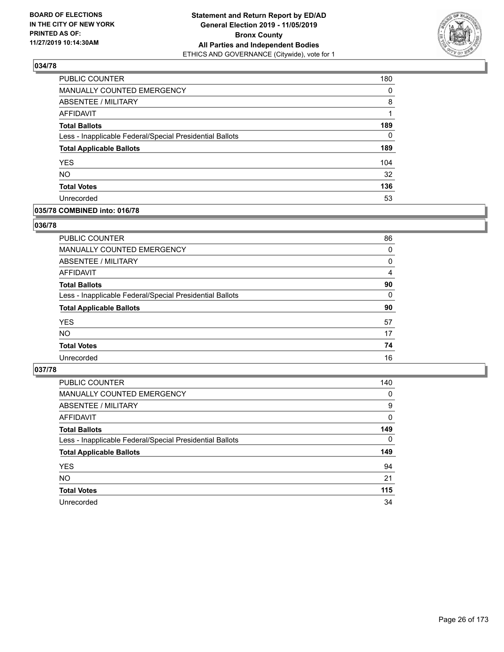

| PUBLIC COUNTER                                           | 180      |
|----------------------------------------------------------|----------|
| MANUALLY COUNTED EMERGENCY                               | $\Omega$ |
| <b>ABSENTEE / MILITARY</b>                               | 8        |
| AFFIDAVIT                                                |          |
| <b>Total Ballots</b>                                     | 189      |
| Less - Inapplicable Federal/Special Presidential Ballots | $\Omega$ |
| <b>Total Applicable Ballots</b>                          | 189      |
| <b>YES</b>                                               | 104      |
| <b>NO</b>                                                | 32       |
| <b>Total Votes</b>                                       | 136      |
| Unrecorded                                               | 53       |

#### **035/78 COMBINED into: 016/78**

#### **036/78**

| PUBLIC COUNTER                                           | 86       |
|----------------------------------------------------------|----------|
| MANUALLY COUNTED EMERGENCY                               | 0        |
| ABSENTEE / MILITARY                                      | 0        |
| AFFIDAVIT                                                | 4        |
| <b>Total Ballots</b>                                     | 90       |
| Less - Inapplicable Federal/Special Presidential Ballots | $\Omega$ |
| <b>Total Applicable Ballots</b>                          | 90       |
| <b>YES</b>                                               | 57       |
| <b>NO</b>                                                | 17       |
| <b>Total Votes</b>                                       | 74       |
| Unrecorded                                               | 16       |

| <b>PUBLIC COUNTER</b>                                    | 140      |
|----------------------------------------------------------|----------|
| MANUALLY COUNTED EMERGENCY                               | 0        |
| ABSENTEE / MILITARY                                      | 9        |
| AFFIDAVIT                                                | $\Omega$ |
| <b>Total Ballots</b>                                     | 149      |
| Less - Inapplicable Federal/Special Presidential Ballots | $\Omega$ |
| <b>Total Applicable Ballots</b>                          | 149      |
| <b>YES</b>                                               | 94       |
| <b>NO</b>                                                | 21       |
| <b>Total Votes</b>                                       | 115      |
| Unrecorded                                               | 34       |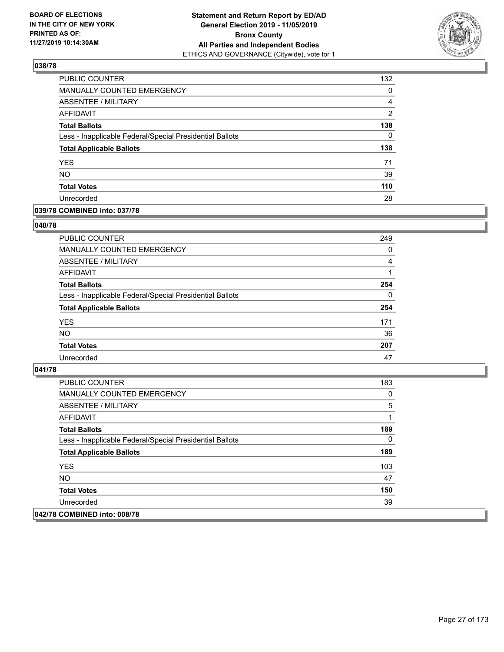

| PUBLIC COUNTER                                           | 132            |
|----------------------------------------------------------|----------------|
| MANUALLY COUNTED EMERGENCY                               | 0              |
| ABSENTEE / MILITARY                                      | 4              |
| AFFIDAVIT                                                | $\overline{2}$ |
| <b>Total Ballots</b>                                     | 138            |
| Less - Inapplicable Federal/Special Presidential Ballots | $\Omega$       |
| <b>Total Applicable Ballots</b>                          | 138            |
| <b>YES</b>                                               | 71             |
| <b>NO</b>                                                | 39             |
| <b>Total Votes</b>                                       | 110            |
| Unrecorded                                               | 28             |

## **039/78 COMBINED into: 037/78**

#### **040/78**

| PUBLIC COUNTER                                           | 249      |
|----------------------------------------------------------|----------|
| <b>MANUALLY COUNTED EMERGENCY</b>                        | 0        |
| ABSENTEE / MILITARY                                      | 4        |
| AFFIDAVIT                                                |          |
| <b>Total Ballots</b>                                     | 254      |
| Less - Inapplicable Federal/Special Presidential Ballots | $\Omega$ |
| <b>Total Applicable Ballots</b>                          | 254      |
| <b>YES</b>                                               | 171      |
| <b>NO</b>                                                | 36       |
| <b>Total Votes</b>                                       | 207      |
| Unrecorded                                               | 47       |

| PUBLIC COUNTER                                           | 183 |
|----------------------------------------------------------|-----|
| <b>MANUALLY COUNTED EMERGENCY</b>                        | 0   |
| ABSENTEE / MILITARY                                      | 5   |
| AFFIDAVIT                                                |     |
| <b>Total Ballots</b>                                     | 189 |
| Less - Inapplicable Federal/Special Presidential Ballots | 0   |
| <b>Total Applicable Ballots</b>                          | 189 |
| <b>YES</b>                                               | 103 |
| NO.                                                      | 47  |
| <b>Total Votes</b>                                       | 150 |
| Unrecorded                                               | 39  |
| 042/78 COMBINED into: 008/78                             |     |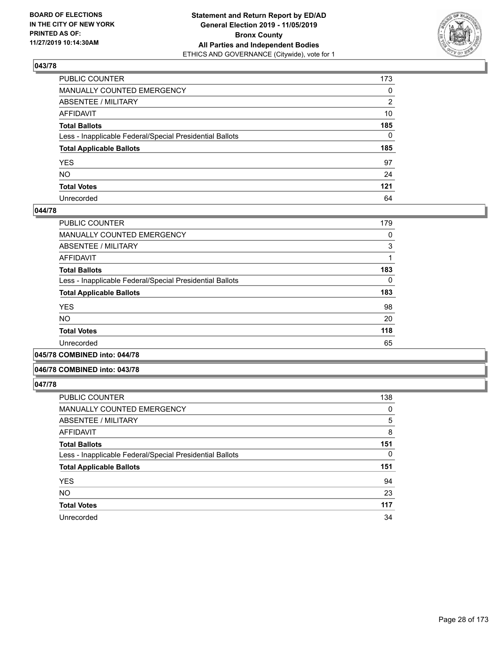

| PUBLIC COUNTER                                           | 173          |
|----------------------------------------------------------|--------------|
| MANUALLY COUNTED EMERGENCY                               | $\mathbf{0}$ |
| ABSENTEE / MILITARY                                      | 2            |
| AFFIDAVIT                                                | 10           |
| Total Ballots                                            | 185          |
| Less - Inapplicable Federal/Special Presidential Ballots | $\Omega$     |
| <b>Total Applicable Ballots</b>                          | 185          |
| YES                                                      | 97           |
| NO.                                                      | 24           |
| <b>Total Votes</b>                                       | 121          |
| Unrecorded                                               | 64           |

#### **044/78**

| PUBLIC COUNTER                                           | 179 |
|----------------------------------------------------------|-----|
| <b>MANUALLY COUNTED EMERGENCY</b>                        | 0   |
| ABSENTEE / MILITARY                                      | 3   |
| AFFIDAVIT                                                |     |
| <b>Total Ballots</b>                                     | 183 |
| Less - Inapplicable Federal/Special Presidential Ballots | 0   |
| <b>Total Applicable Ballots</b>                          | 183 |
| <b>YES</b>                                               | 98  |
| <b>NO</b>                                                | 20  |
| <b>Total Votes</b>                                       | 118 |
| Unrecorded                                               | 65  |
|                                                          |     |

**045/78 COMBINED into: 044/78**

#### **046/78 COMBINED into: 043/78**

| <b>PUBLIC COUNTER</b>                                    | 138      |
|----------------------------------------------------------|----------|
| <b>MANUALLY COUNTED EMERGENCY</b>                        | 0        |
| ABSENTEE / MILITARY                                      | 5        |
| <b>AFFIDAVIT</b>                                         | 8        |
| <b>Total Ballots</b>                                     | 151      |
| Less - Inapplicable Federal/Special Presidential Ballots | $\Omega$ |
| <b>Total Applicable Ballots</b>                          | 151      |
| <b>YES</b>                                               | 94       |
| <b>NO</b>                                                | 23       |
| <b>Total Votes</b>                                       | 117      |
| Unrecorded                                               | 34       |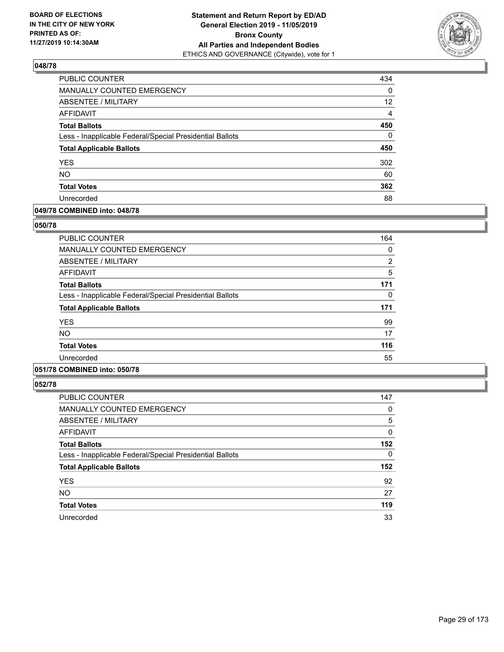

| PUBLIC COUNTER                                           | 434               |
|----------------------------------------------------------|-------------------|
| MANUALLY COUNTED EMERGENCY                               | 0                 |
| <b>ABSENTEE / MILITARY</b>                               | $12 \overline{ }$ |
| AFFIDAVIT                                                | $\overline{4}$    |
| <b>Total Ballots</b>                                     | 450               |
| Less - Inapplicable Federal/Special Presidential Ballots | $\Omega$          |
| <b>Total Applicable Ballots</b>                          | 450               |
| <b>YES</b>                                               | 302               |
| <b>NO</b>                                                | 60                |
| <b>Total Votes</b>                                       | 362               |
| Unrecorded                                               | 88                |

## **049/78 COMBINED into: 048/78**

#### **050/78**

| <b>PUBLIC COUNTER</b>                                    | 164            |
|----------------------------------------------------------|----------------|
| <b>MANUALLY COUNTED EMERGENCY</b>                        | 0              |
| ABSENTEE / MILITARY                                      | $\overline{2}$ |
| AFFIDAVIT                                                | 5              |
| <b>Total Ballots</b>                                     | 171            |
| Less - Inapplicable Federal/Special Presidential Ballots | 0              |
| <b>Total Applicable Ballots</b>                          | 171            |
| <b>YES</b>                                               | 99             |
| <b>NO</b>                                                | 17             |
| <b>Total Votes</b>                                       | 116            |
| Unrecorded                                               | 55             |
|                                                          |                |

# **051/78 COMBINED into: 050/78**

| <b>PUBLIC COUNTER</b>                                    | 147      |
|----------------------------------------------------------|----------|
| <b>MANUALLY COUNTED EMERGENCY</b>                        | 0        |
| <b>ABSENTEE / MILITARY</b>                               | 5        |
| <b>AFFIDAVIT</b>                                         | 0        |
| <b>Total Ballots</b>                                     | 152      |
| Less - Inapplicable Federal/Special Presidential Ballots | $\Omega$ |
| <b>Total Applicable Ballots</b>                          | 152      |
| <b>YES</b>                                               | 92       |
| <b>NO</b>                                                | 27       |
| <b>Total Votes</b>                                       | 119      |
| Unrecorded                                               | 33       |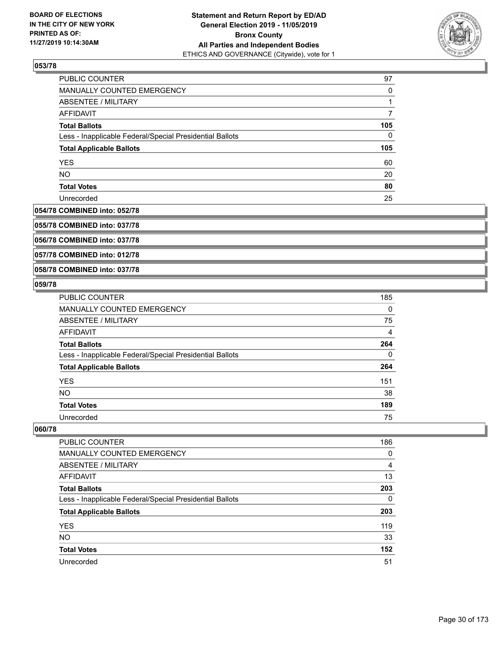

| PUBLIC COUNTER                                           | 97  |
|----------------------------------------------------------|-----|
| MANUALLY COUNTED EMERGENCY                               | 0   |
| ABSENTEE / MILITARY                                      | 1   |
| AFFIDAVIT                                                |     |
| <b>Total Ballots</b>                                     | 105 |
| Less - Inapplicable Federal/Special Presidential Ballots | 0   |
| <b>Total Applicable Ballots</b>                          | 105 |
| <b>YES</b>                                               | 60  |
| <b>NO</b>                                                | 20  |
| <b>Total Votes</b>                                       | 80  |
| Unrecorded                                               | 25  |

#### **054/78 COMBINED into: 052/78**

**055/78 COMBINED into: 037/78**

**056/78 COMBINED into: 037/78**

**057/78 COMBINED into: 012/78**

**058/78 COMBINED into: 037/78**

#### **059/78**

| PUBLIC COUNTER                                           | 185 |
|----------------------------------------------------------|-----|
| <b>MANUALLY COUNTED EMERGENCY</b>                        | 0   |
| ABSENTEE / MILITARY                                      | 75  |
| AFFIDAVIT                                                | 4   |
| <b>Total Ballots</b>                                     | 264 |
| Less - Inapplicable Federal/Special Presidential Ballots | 0   |
| <b>Total Applicable Ballots</b>                          | 264 |
| <b>YES</b>                                               | 151 |
| <b>NO</b>                                                | 38  |
| <b>Total Votes</b>                                       | 189 |
| Unrecorded                                               | 75  |

| PUBLIC COUNTER                                           | 186 |
|----------------------------------------------------------|-----|
| <b>MANUALLY COUNTED EMERGENCY</b>                        | 0   |
| ABSENTEE / MILITARY                                      | 4   |
| AFFIDAVIT                                                | 13  |
| <b>Total Ballots</b>                                     | 203 |
| Less - Inapplicable Federal/Special Presidential Ballots | 0   |
| <b>Total Applicable Ballots</b>                          | 203 |
| <b>YES</b>                                               | 119 |
| <b>NO</b>                                                | 33  |
| <b>Total Votes</b>                                       | 152 |
| Unrecorded                                               | 51  |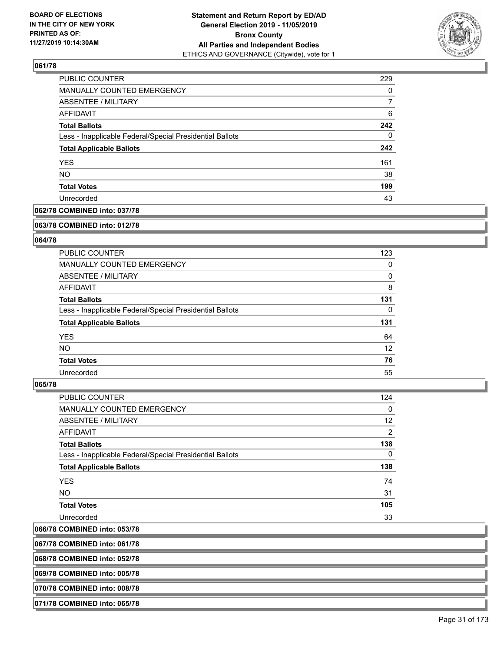

| PUBLIC COUNTER                                           | 229      |
|----------------------------------------------------------|----------|
| <b>MANUALLY COUNTED EMERGENCY</b>                        | $\Omega$ |
| ABSENTEE / MILITARY                                      | 7        |
| AFFIDAVIT                                                | 6        |
| <b>Total Ballots</b>                                     | 242      |
| Less - Inapplicable Federal/Special Presidential Ballots | $\Omega$ |
| <b>Total Applicable Ballots</b>                          | 242      |
| YES                                                      | 161      |
| <b>NO</b>                                                | 38       |
| <b>Total Votes</b>                                       | 199      |
| Unrecorded                                               | 43       |

#### **062/78 COMBINED into: 037/78**

#### **063/78 COMBINED into: 012/78**

#### **064/78**

| <b>PUBLIC COUNTER</b>                                    | 123      |
|----------------------------------------------------------|----------|
| <b>MANUALLY COUNTED EMERGENCY</b>                        | 0        |
| ABSENTEE / MILITARY                                      | $\Omega$ |
| <b>AFFIDAVIT</b>                                         | 8        |
| <b>Total Ballots</b>                                     | 131      |
| Less - Inapplicable Federal/Special Presidential Ballots | $\Omega$ |
|                                                          |          |
| <b>Total Applicable Ballots</b>                          | 131      |
| <b>YES</b>                                               | 64       |
| <b>NO</b>                                                | 12       |
| <b>Total Votes</b>                                       | 76       |

#### **065/78**

| <b>PUBLIC COUNTER</b>                                    | 124      |
|----------------------------------------------------------|----------|
| MANUALLY COUNTED EMERGENCY                               | $\Omega$ |
| ABSENTEE / MILITARY                                      | 12       |
| AFFIDAVIT                                                | 2        |
| <b>Total Ballots</b>                                     | 138      |
| Less - Inapplicable Federal/Special Presidential Ballots | $\Omega$ |
| <b>Total Applicable Ballots</b>                          | 138      |
| <b>YES</b>                                               | 74       |
| NO.                                                      | 31       |
| <b>Total Votes</b>                                       | 105      |
| Unrecorded                                               | 33       |
|                                                          |          |

## **066/78 COMBINED into: 053/78**

**067/78 COMBINED into: 061/78**

**068/78 COMBINED into: 052/78**

**069/78 COMBINED into: 005/78**

**070/78 COMBINED into: 008/78**

**071/78 COMBINED into: 065/78**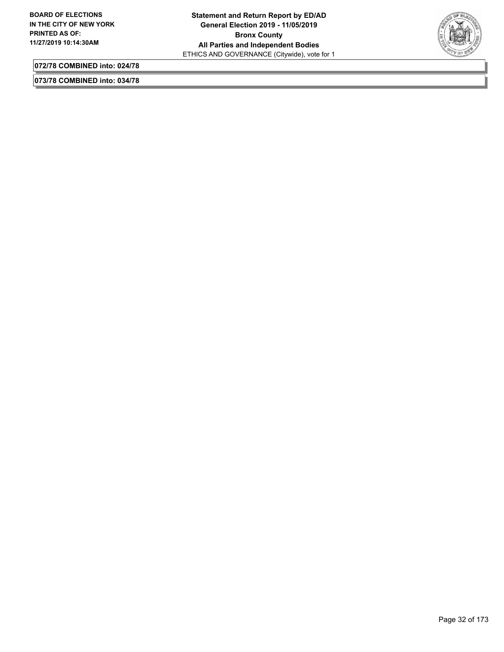

**072/78 COMBINED into: 024/78**

**073/78 COMBINED into: 034/78**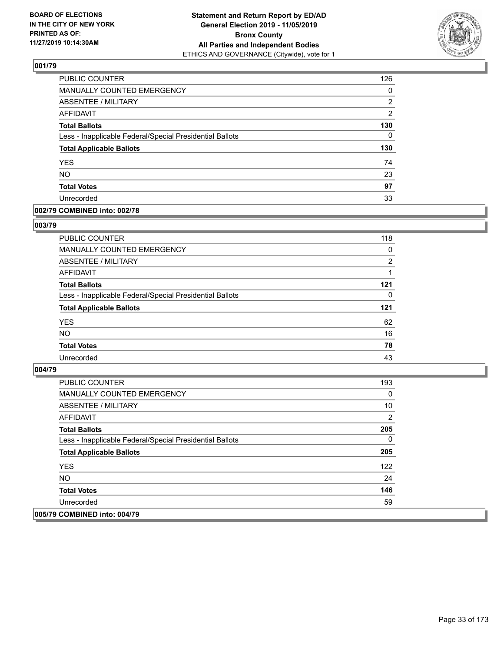

| PUBLIC COUNTER                                           | 126            |
|----------------------------------------------------------|----------------|
| MANUALLY COUNTED EMERGENCY                               | 0              |
| <b>ABSENTEE / MILITARY</b>                               | 2              |
| <b>AFFIDAVIT</b>                                         | $\overline{2}$ |
| <b>Total Ballots</b>                                     | 130            |
| Less - Inapplicable Federal/Special Presidential Ballots | $\Omega$       |
| <b>Total Applicable Ballots</b>                          | 130            |
| <b>YES</b>                                               | 74             |
| <b>NO</b>                                                | 23             |
| <b>Total Votes</b>                                       | 97             |
| Unrecorded                                               | 33             |

#### **002/79 COMBINED into: 002/78**

#### **003/79**

| PUBLIC COUNTER                                           | 118      |
|----------------------------------------------------------|----------|
| MANUALLY COUNTED EMERGENCY                               | 0        |
| ABSENTEE / MILITARY                                      | 2        |
| AFFIDAVIT                                                |          |
| <b>Total Ballots</b>                                     | 121      |
| Less - Inapplicable Federal/Special Presidential Ballots | $\Omega$ |
| <b>Total Applicable Ballots</b>                          | 121      |
| <b>YES</b>                                               | 62       |
| <b>NO</b>                                                | 16       |
| <b>Total Votes</b>                                       | 78       |
| Unrecorded                                               | 43       |

| <b>PUBLIC COUNTER</b>                                    | 193 |
|----------------------------------------------------------|-----|
| <b>MANUALLY COUNTED EMERGENCY</b>                        | 0   |
| ABSENTEE / MILITARY                                      | 10  |
| AFFIDAVIT                                                | 2   |
| <b>Total Ballots</b>                                     | 205 |
| Less - Inapplicable Federal/Special Presidential Ballots | 0   |
| <b>Total Applicable Ballots</b>                          | 205 |
| <b>YES</b>                                               | 122 |
| NO.                                                      | 24  |
| <b>Total Votes</b>                                       | 146 |
| Unrecorded                                               | 59  |
| 005/79 COMBINED into: 004/79                             |     |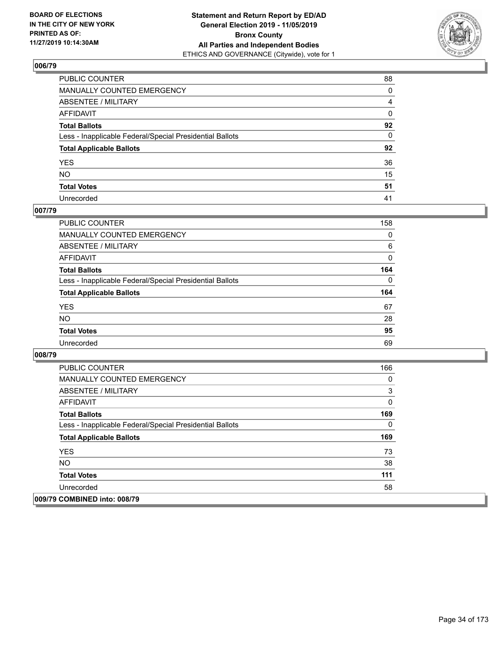

| PUBLIC COUNTER                                           | 88             |
|----------------------------------------------------------|----------------|
| MANUALLY COUNTED EMERGENCY                               | $\Omega$       |
| ABSENTEE / MILITARY                                      | $\overline{4}$ |
| AFFIDAVIT                                                | 0              |
| Total Ballots                                            | 92             |
| Less - Inapplicable Federal/Special Presidential Ballots | $\mathbf{0}$   |
| <b>Total Applicable Ballots</b>                          | 92             |
| YES                                                      | 36             |
| NO.                                                      | 15             |
| <b>Total Votes</b>                                       | 51             |
| Unrecorded                                               | 41             |

#### **007/79**

| <b>PUBLIC COUNTER</b>                                    | 158      |
|----------------------------------------------------------|----------|
| <b>MANUALLY COUNTED EMERGENCY</b>                        | $\Omega$ |
| ABSENTEE / MILITARY                                      | 6        |
| AFFIDAVIT                                                | 0        |
| <b>Total Ballots</b>                                     | 164      |
| Less - Inapplicable Federal/Special Presidential Ballots | $\Omega$ |
| <b>Total Applicable Ballots</b>                          | 164      |
| <b>YES</b>                                               | 67       |
| <b>NO</b>                                                | 28       |
| <b>Total Votes</b>                                       | 95       |
| Unrecorded                                               | 69       |

| <b>PUBLIC COUNTER</b>                                    | 166 |
|----------------------------------------------------------|-----|
| <b>MANUALLY COUNTED EMERGENCY</b>                        | 0   |
| ABSENTEE / MILITARY                                      | 3   |
| AFFIDAVIT                                                | 0   |
| <b>Total Ballots</b>                                     | 169 |
| Less - Inapplicable Federal/Special Presidential Ballots | 0   |
| <b>Total Applicable Ballots</b>                          | 169 |
| <b>YES</b>                                               | 73  |
| NO.                                                      | 38  |
| <b>Total Votes</b>                                       | 111 |
| Unrecorded                                               | 58  |
| 009/79 COMBINED into: 008/79                             |     |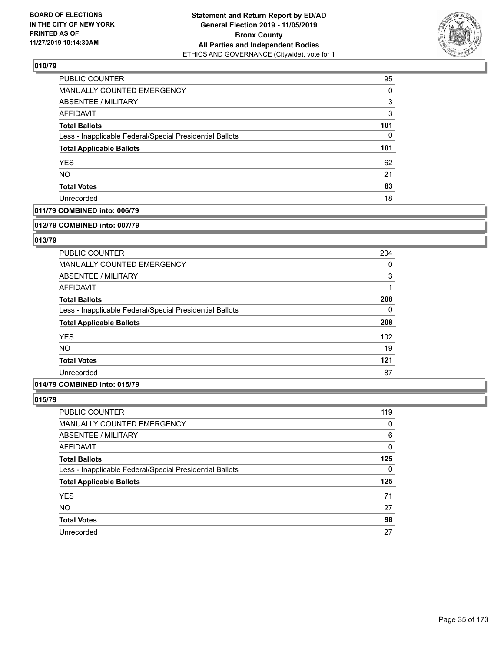

| PUBLIC COUNTER                                           | 95       |
|----------------------------------------------------------|----------|
| <b>MANUALLY COUNTED EMERGENCY</b>                        | $\Omega$ |
| <b>ABSENTEE / MILITARY</b>                               | 3        |
| AFFIDAVIT                                                | 3        |
| <b>Total Ballots</b>                                     | 101      |
| Less - Inapplicable Federal/Special Presidential Ballots | 0        |
| <b>Total Applicable Ballots</b>                          | 101      |
| <b>YES</b>                                               | 62       |
| <b>NO</b>                                                | 21       |
| <b>Total Votes</b>                                       | 83       |
| Unrecorded                                               | 18       |

## **011/79 COMBINED into: 006/79**

#### **012/79 COMBINED into: 007/79**

## **013/79**

| <b>PUBLIC COUNTER</b>                                    | 204      |
|----------------------------------------------------------|----------|
| <b>MANUALLY COUNTED EMERGENCY</b>                        | 0        |
| ABSENTEE / MILITARY                                      | 3        |
| AFFIDAVIT                                                |          |
| <b>Total Ballots</b>                                     | 208      |
| Less - Inapplicable Federal/Special Presidential Ballots | $\Omega$ |
| <b>Total Applicable Ballots</b>                          | 208      |
| <b>YES</b>                                               | 102      |
| <b>NO</b>                                                | 19       |
| <b>Total Votes</b>                                       | 121      |
| Unrecorded                                               | 87       |

#### **014/79 COMBINED into: 015/79**

| PUBLIC COUNTER                                           | 119 |
|----------------------------------------------------------|-----|
| <b>MANUALLY COUNTED EMERGENCY</b>                        | 0   |
| <b>ABSENTEE / MILITARY</b>                               | 6   |
| AFFIDAVIT                                                | 0   |
| <b>Total Ballots</b>                                     | 125 |
| Less - Inapplicable Federal/Special Presidential Ballots | 0   |
| <b>Total Applicable Ballots</b>                          | 125 |
| <b>YES</b>                                               | 71  |
| <b>NO</b>                                                | 27  |
| <b>Total Votes</b>                                       | 98  |
| Unrecorded                                               | 27  |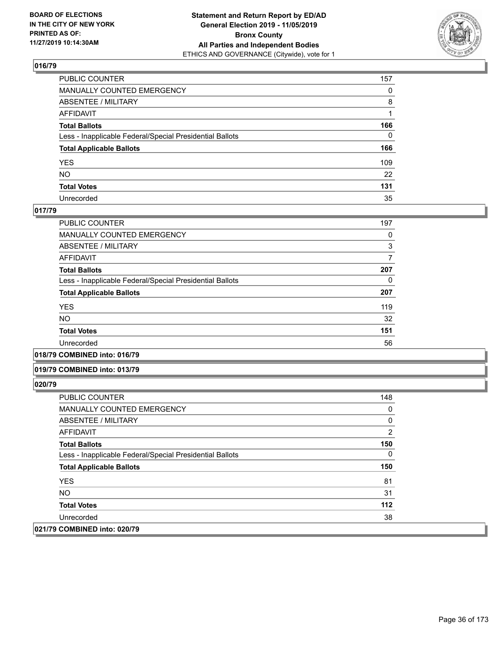

| PUBLIC COUNTER                                           | 157          |
|----------------------------------------------------------|--------------|
| MANUALLY COUNTED EMERGENCY                               | $\Omega$     |
| ABSENTEE / MILITARY                                      | 8            |
| AFFIDAVIT                                                |              |
| Total Ballots                                            | 166          |
| Less - Inapplicable Federal/Special Presidential Ballots | $\mathbf{0}$ |
| <b>Total Applicable Ballots</b>                          | 166          |
| YES                                                      | 109          |
| NO.                                                      | 22           |
| <b>Total Votes</b>                                       | 131          |
| Unrecorded                                               | 35           |

#### **017/79**

| PUBLIC COUNTER                                           | 197 |
|----------------------------------------------------------|-----|
| <b>MANUALLY COUNTED EMERGENCY</b>                        | 0   |
| ABSENTEE / MILITARY                                      | 3   |
| AFFIDAVIT                                                | 7   |
| <b>Total Ballots</b>                                     | 207 |
| Less - Inapplicable Federal/Special Presidential Ballots | 0   |
| <b>Total Applicable Ballots</b>                          | 207 |
| <b>YES</b>                                               | 119 |
| NO.                                                      | 32  |
| <b>Total Votes</b>                                       | 151 |
| Unrecorded                                               | 56  |
|                                                          |     |

#### **018/79 COMBINED into: 016/79**

#### **019/79 COMBINED into: 013/79**

| <b>PUBLIC COUNTER</b>                                    | 148 |
|----------------------------------------------------------|-----|
| <b>MANUALLY COUNTED EMERGENCY</b>                        | 0   |
| ABSENTEE / MILITARY                                      | 0   |
| AFFIDAVIT                                                | 2   |
| <b>Total Ballots</b>                                     | 150 |
| Less - Inapplicable Federal/Special Presidential Ballots | 0   |
| <b>Total Applicable Ballots</b>                          | 150 |
| <b>YES</b>                                               | 81  |
| NO.                                                      | 31  |
| <b>Total Votes</b>                                       | 112 |
| Unrecorded                                               | 38  |
| 021/79 COMBINED into: 020/79                             |     |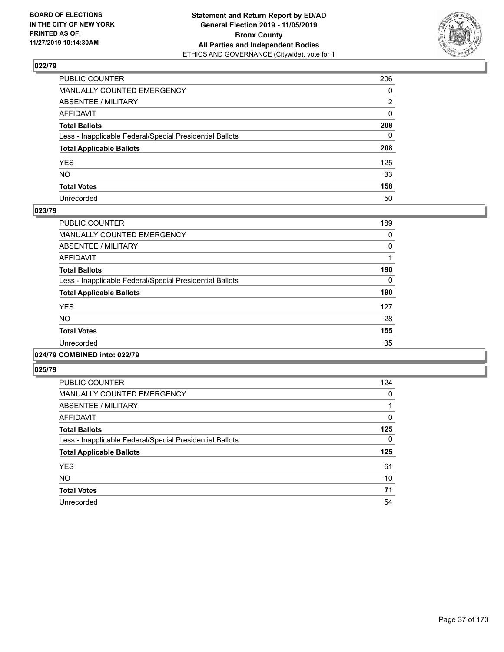

| PUBLIC COUNTER                                           | 206          |
|----------------------------------------------------------|--------------|
| MANUALLY COUNTED EMERGENCY                               | 0            |
| ABSENTEE / MILITARY                                      | 2            |
| AFFIDAVIT                                                | $\mathbf{0}$ |
| Total Ballots                                            | 208          |
| Less - Inapplicable Federal/Special Presidential Ballots | $\mathbf{0}$ |
| <b>Total Applicable Ballots</b>                          | 208          |
| YES                                                      | 125          |
| NO.                                                      | 33           |
| <b>Total Votes</b>                                       | 158          |
| Unrecorded                                               | 50           |

### **023/79**

| <b>PUBLIC COUNTER</b>                                    | 189      |
|----------------------------------------------------------|----------|
| <b>MANUALLY COUNTED EMERGENCY</b>                        | 0        |
| ABSENTEE / MILITARY                                      | $\Omega$ |
| <b>AFFIDAVIT</b>                                         |          |
| <b>Total Ballots</b>                                     | 190      |
| Less - Inapplicable Federal/Special Presidential Ballots | $\Omega$ |
| <b>Total Applicable Ballots</b>                          | 190      |
| <b>YES</b>                                               | 127      |
| <b>NO</b>                                                | 28       |
| <b>Total Votes</b>                                       | 155      |
| Unrecorded                                               | 35       |
|                                                          |          |

### **024/79 COMBINED into: 022/79**

| <b>PUBLIC COUNTER</b>                                    | 124 |
|----------------------------------------------------------|-----|
| <b>MANUALLY COUNTED EMERGENCY</b>                        | 0   |
| ABSENTEE / MILITARY                                      |     |
| <b>AFFIDAVIT</b>                                         | 0   |
| <b>Total Ballots</b>                                     | 125 |
| Less - Inapplicable Federal/Special Presidential Ballots | 0   |
| <b>Total Applicable Ballots</b>                          | 125 |
| <b>YES</b>                                               | 61  |
| <b>NO</b>                                                | 10  |
| <b>Total Votes</b>                                       | 71  |
| Unrecorded                                               | 54  |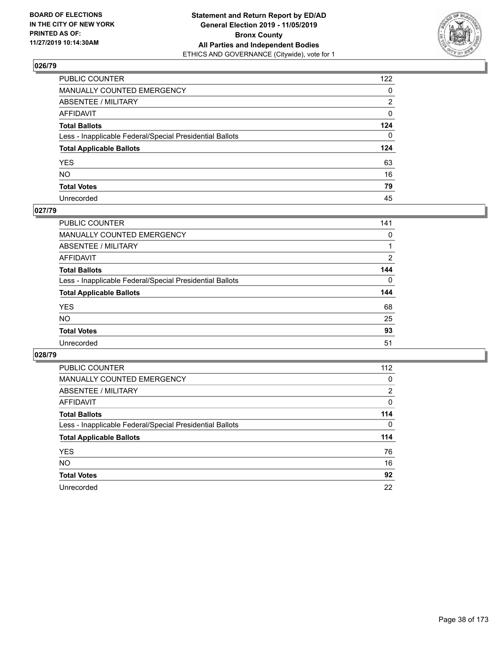

| PUBLIC COUNTER                                           | 122          |
|----------------------------------------------------------|--------------|
| MANUALLY COUNTED EMERGENCY                               | 0            |
| ABSENTEE / MILITARY                                      | 2            |
| AFFIDAVIT                                                | 0            |
| Total Ballots                                            | 124          |
| Less - Inapplicable Federal/Special Presidential Ballots | $\mathbf{0}$ |
| <b>Total Applicable Ballots</b>                          | 124          |
| YES                                                      | 63           |
| NO.                                                      | 16           |
| <b>Total Votes</b>                                       | 79           |
| Unrecorded                                               | 45           |

# **027/79**

| PUBLIC COUNTER                                           | 141      |
|----------------------------------------------------------|----------|
| <b>MANUALLY COUNTED EMERGENCY</b>                        | 0        |
| ABSENTEE / MILITARY                                      |          |
| AFFIDAVIT                                                | 2        |
| <b>Total Ballots</b>                                     | 144      |
| Less - Inapplicable Federal/Special Presidential Ballots | $\Omega$ |
| <b>Total Applicable Ballots</b>                          | 144      |
| <b>YES</b>                                               | 68       |
| <b>NO</b>                                                | 25       |
| <b>Total Votes</b>                                       | 93       |
| Unrecorded                                               | 51       |

| <b>PUBLIC COUNTER</b>                                    | 112      |
|----------------------------------------------------------|----------|
| <b>MANUALLY COUNTED EMERGENCY</b>                        | 0        |
| ABSENTEE / MILITARY                                      | 2        |
| AFFIDAVIT                                                | 0        |
| <b>Total Ballots</b>                                     | 114      |
| Less - Inapplicable Federal/Special Presidential Ballots | $\Omega$ |
| <b>Total Applicable Ballots</b>                          | 114      |
| <b>YES</b>                                               | 76       |
| NO.                                                      | 16       |
| <b>Total Votes</b>                                       | 92       |
|                                                          |          |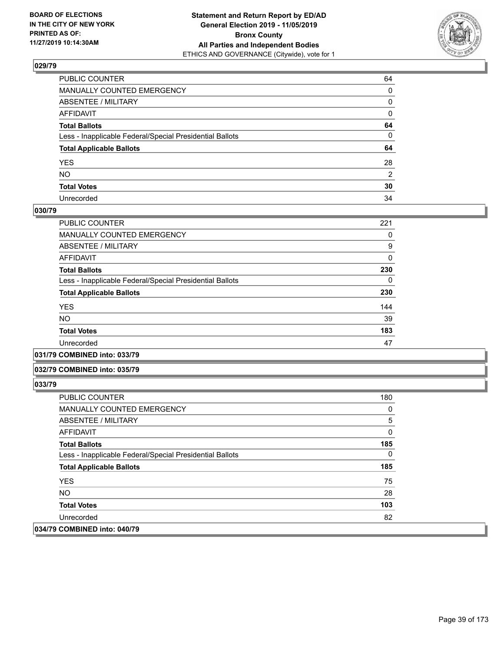

| PUBLIC COUNTER                                           | 64           |
|----------------------------------------------------------|--------------|
| MANUALLY COUNTED EMERGENCY                               | $\mathbf{0}$ |
| ABSENTEE / MILITARY                                      | 0            |
| AFFIDAVIT                                                | 0            |
| Total Ballots                                            | 64           |
| Less - Inapplicable Federal/Special Presidential Ballots | $\mathbf{0}$ |
| <b>Total Applicable Ballots</b>                          | 64           |
| YES                                                      | 28           |
| NO.                                                      | 2            |
| <b>Total Votes</b>                                       | 30           |
| Unrecorded                                               | 34           |

### **030/79**

| <b>PUBLIC COUNTER</b>                                    | 221      |
|----------------------------------------------------------|----------|
| <b>MANUALLY COUNTED EMERGENCY</b>                        | 0        |
| ABSENTEE / MILITARY                                      | 9        |
| AFFIDAVIT                                                | $\Omega$ |
| <b>Total Ballots</b>                                     | 230      |
| Less - Inapplicable Federal/Special Presidential Ballots | 0        |
| <b>Total Applicable Ballots</b>                          | 230      |
| <b>YES</b>                                               | 144      |
| <b>NO</b>                                                | 39       |
| <b>Total Votes</b>                                       | 183      |
| Unrecorded                                               | 47       |
|                                                          |          |

### **031/79 COMBINED into: 033/79**

#### **032/79 COMBINED into: 035/79**

| <b>PUBLIC COUNTER</b>                                    | 180 |
|----------------------------------------------------------|-----|
| <b>MANUALLY COUNTED EMERGENCY</b>                        | 0   |
| ABSENTEE / MILITARY                                      | 5   |
| AFFIDAVIT                                                | 0   |
| <b>Total Ballots</b>                                     | 185 |
| Less - Inapplicable Federal/Special Presidential Ballots | 0   |
| <b>Total Applicable Ballots</b>                          | 185 |
| <b>YES</b>                                               | 75  |
| NO.                                                      | 28  |
| <b>Total Votes</b>                                       | 103 |
| Unrecorded                                               | 82  |
| 034/79 COMBINED into: 040/79                             |     |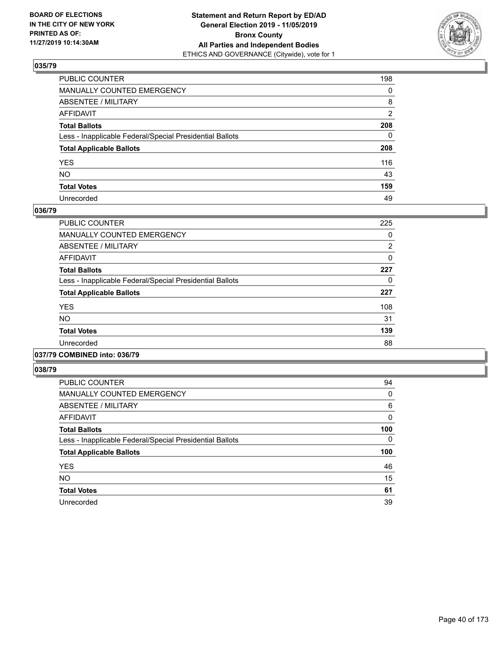

| PUBLIC COUNTER                                           | 198            |
|----------------------------------------------------------|----------------|
| MANUALLY COUNTED EMERGENCY                               | $\mathbf{0}$   |
| ABSENTEE / MILITARY                                      | 8              |
| AFFIDAVIT                                                | $\overline{2}$ |
| Total Ballots                                            | 208            |
| Less - Inapplicable Federal/Special Presidential Ballots | $\mathbf{0}$   |
| <b>Total Applicable Ballots</b>                          | 208            |
| YES                                                      | 116            |
| NΟ                                                       | 43             |
| <b>Total Votes</b>                                       | 159            |
| Unrecorded                                               | 49             |

### **036/79**

| <b>PUBLIC COUNTER</b>                                    | 225 |
|----------------------------------------------------------|-----|
| <b>MANUALLY COUNTED EMERGENCY</b>                        | 0   |
| ABSENTEE / MILITARY                                      | 2   |
| <b>AFFIDAVIT</b>                                         | 0   |
| <b>Total Ballots</b>                                     | 227 |
| Less - Inapplicable Federal/Special Presidential Ballots | 0   |
| <b>Total Applicable Ballots</b>                          | 227 |
| <b>YES</b>                                               | 108 |
| <b>NO</b>                                                | 31  |
| <b>Total Votes</b>                                       | 139 |
| Unrecorded                                               | 88  |
|                                                          |     |

### **037/79 COMBINED into: 036/79**

| <b>PUBLIC COUNTER</b>                                    | 94  |
|----------------------------------------------------------|-----|
| <b>MANUALLY COUNTED EMERGENCY</b>                        | 0   |
| ABSENTEE / MILITARY                                      | 6   |
| <b>AFFIDAVIT</b>                                         | 0   |
| <b>Total Ballots</b>                                     | 100 |
| Less - Inapplicable Federal/Special Presidential Ballots | 0   |
| <b>Total Applicable Ballots</b>                          | 100 |
|                                                          | 46  |
| <b>YES</b>                                               |     |
| <b>NO</b>                                                | 15  |
| <b>Total Votes</b>                                       | 61  |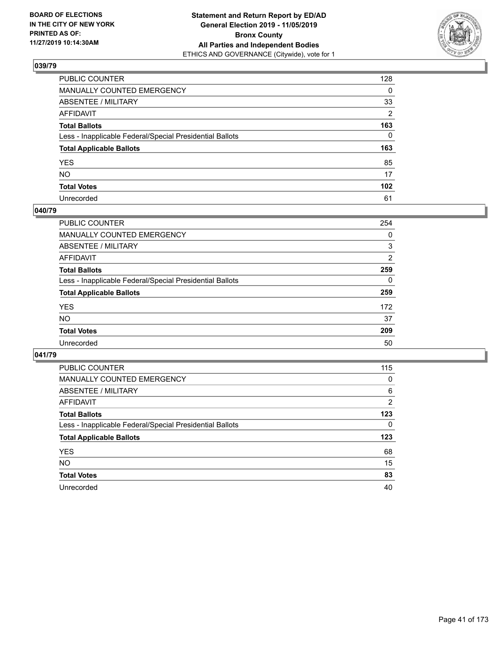

| PUBLIC COUNTER                                           | 128              |
|----------------------------------------------------------|------------------|
| MANUALLY COUNTED EMERGENCY                               | $\mathbf{0}$     |
| ABSENTEE / MILITARY                                      | 33               |
| AFFIDAVIT                                                | 2                |
| Total Ballots                                            | 163              |
| Less - Inapplicable Federal/Special Presidential Ballots | $\mathbf{0}$     |
| <b>Total Applicable Ballots</b>                          | 163              |
| YES                                                      | 85               |
| NO.                                                      | 17               |
| <b>Total Votes</b>                                       | 102 <sub>2</sub> |
| Unrecorded                                               | 61               |

### **040/79**

| PUBLIC COUNTER                                           | 254      |
|----------------------------------------------------------|----------|
| MANUALLY COUNTED EMERGENCY                               | 0        |
| ABSENTEE / MILITARY                                      | 3        |
| AFFIDAVIT                                                | 2        |
| <b>Total Ballots</b>                                     | 259      |
| Less - Inapplicable Federal/Special Presidential Ballots | $\Omega$ |
| <b>Total Applicable Ballots</b>                          | 259      |
| <b>YES</b>                                               | 172      |
| <b>NO</b>                                                | 37       |
| <b>Total Votes</b>                                       | 209      |
| Unrecorded                                               | 50       |

| <b>PUBLIC COUNTER</b>                                    | 115      |
|----------------------------------------------------------|----------|
| <b>MANUALLY COUNTED EMERGENCY</b>                        | $\Omega$ |
| ABSENTEE / MILITARY                                      | 6        |
| AFFIDAVIT                                                | 2        |
| <b>Total Ballots</b>                                     | 123      |
| Less - Inapplicable Federal/Special Presidential Ballots | $\Omega$ |
| <b>Total Applicable Ballots</b>                          | 123      |
| <b>YES</b>                                               | 68       |
| <b>NO</b>                                                | 15       |
| <b>Total Votes</b>                                       | 83       |
| Unrecorded                                               | 40       |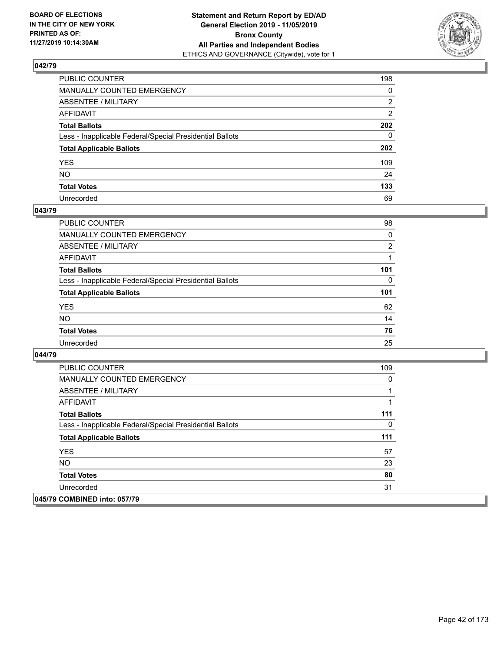

| PUBLIC COUNTER                                           | 198          |
|----------------------------------------------------------|--------------|
| MANUALLY COUNTED EMERGENCY                               | 0            |
| ABSENTEE / MILITARY                                      | 2            |
| AFFIDAVIT                                                | 2            |
| Total Ballots                                            | 202          |
| Less - Inapplicable Federal/Special Presidential Ballots | $\mathbf{0}$ |
| <b>Total Applicable Ballots</b>                          | 202          |
| YES                                                      | 109          |
| NO.                                                      | 24           |
| <b>Total Votes</b>                                       | 133          |
| Unrecorded                                               | 69           |

### **043/79**

| <b>PUBLIC COUNTER</b>                                    | 98             |
|----------------------------------------------------------|----------------|
| MANUALLY COUNTED EMERGENCY                               | 0              |
| ABSENTEE / MILITARY                                      | $\overline{2}$ |
| AFFIDAVIT                                                |                |
| <b>Total Ballots</b>                                     | 101            |
| Less - Inapplicable Federal/Special Presidential Ballots | 0              |
| <b>Total Applicable Ballots</b>                          | 101            |
| <b>YES</b>                                               | 62             |
| <b>NO</b>                                                | 14             |
| <b>Total Votes</b>                                       | 76             |
| Unrecorded                                               | 25             |

| <b>PUBLIC COUNTER</b>                                    | 109 |
|----------------------------------------------------------|-----|
| <b>MANUALLY COUNTED EMERGENCY</b>                        | 0   |
| ABSENTEE / MILITARY                                      | 1   |
| <b>AFFIDAVIT</b>                                         | 1   |
| <b>Total Ballots</b>                                     | 111 |
| Less - Inapplicable Federal/Special Presidential Ballots | 0   |
| <b>Total Applicable Ballots</b>                          | 111 |
| <b>YES</b>                                               | 57  |
| NO.                                                      | 23  |
| <b>Total Votes</b>                                       | 80  |
| Unrecorded                                               | 31  |
| 045/79 COMBINED into: 057/79                             |     |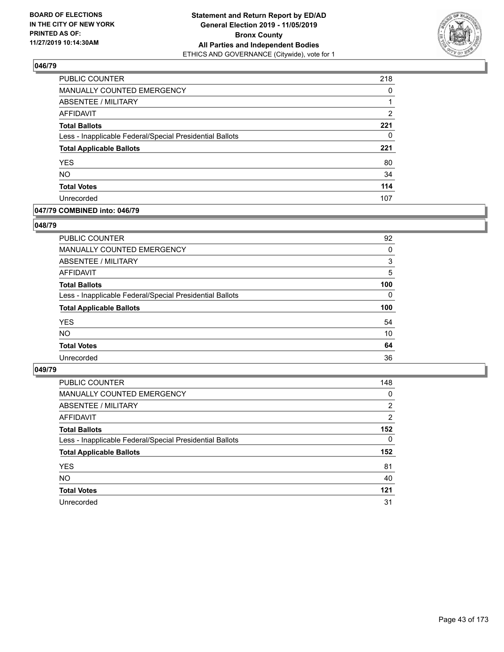

| PUBLIC COUNTER                                           | 218 |
|----------------------------------------------------------|-----|
| MANUALLY COUNTED EMERGENCY                               | 0   |
| ABSENTEE / MILITARY                                      |     |
| AFFIDAVIT                                                | 2   |
| <b>Total Ballots</b>                                     | 221 |
| Less - Inapplicable Federal/Special Presidential Ballots | 0   |
| <b>Total Applicable Ballots</b>                          | 221 |
| <b>YES</b>                                               | 80  |
| <b>NO</b>                                                | 34  |
| <b>Total Votes</b>                                       | 114 |
| Unrecorded                                               | 107 |

## **047/79 COMBINED into: 046/79**

### **048/79**

| <b>PUBLIC COUNTER</b>                                    | 92       |
|----------------------------------------------------------|----------|
| MANUALLY COUNTED EMERGENCY                               | $\Omega$ |
| ABSENTEE / MILITARY                                      | 3        |
| AFFIDAVIT                                                | 5        |
| <b>Total Ballots</b>                                     | 100      |
| Less - Inapplicable Federal/Special Presidential Ballots | $\Omega$ |
| <b>Total Applicable Ballots</b>                          | 100      |
| <b>YES</b>                                               | 54       |
| <b>NO</b>                                                | 10       |
| <b>Total Votes</b>                                       | 64       |
| Unrecorded                                               | 36       |
|                                                          |          |

| <b>PUBLIC COUNTER</b>                                    | 148      |
|----------------------------------------------------------|----------|
| MANUALLY COUNTED EMERGENCY                               | 0        |
| ABSENTEE / MILITARY                                      | 2        |
| AFFIDAVIT                                                | 2        |
| <b>Total Ballots</b>                                     | 152      |
| Less - Inapplicable Federal/Special Presidential Ballots | $\Omega$ |
| <b>Total Applicable Ballots</b>                          | 152      |
| <b>YES</b>                                               | 81       |
| <b>NO</b>                                                | 40       |
| <b>Total Votes</b>                                       | 121      |
| Unrecorded                                               | 31       |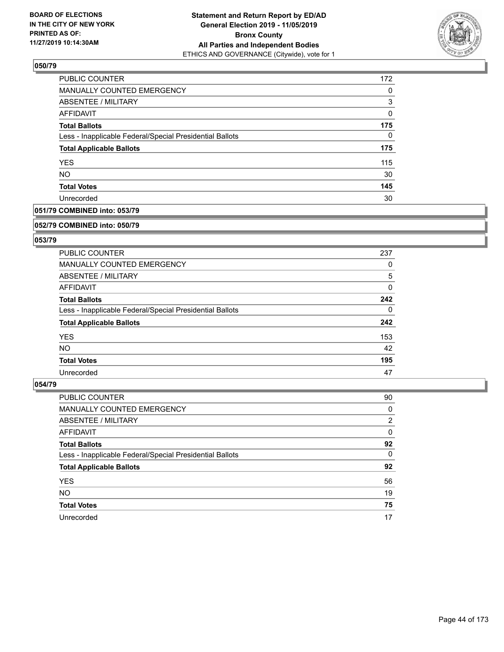

| PUBLIC COUNTER                                           | 172      |
|----------------------------------------------------------|----------|
| MANUALLY COUNTED EMERGENCY                               | 0        |
| <b>ABSENTEE / MILITARY</b>                               | 3        |
| AFFIDAVIT                                                | 0        |
| <b>Total Ballots</b>                                     | 175      |
| Less - Inapplicable Federal/Special Presidential Ballots | $\Omega$ |
| <b>Total Applicable Ballots</b>                          | 175      |
| <b>YES</b>                                               | 115      |
| <b>NO</b>                                                | 30       |
| <b>Total Votes</b>                                       | 145      |
| Unrecorded                                               | 30       |

# **051/79 COMBINED into: 053/79**

#### **052/79 COMBINED into: 050/79**

# **053/79**

| <b>PUBLIC COUNTER</b>                                    | 237      |
|----------------------------------------------------------|----------|
| <b>MANUALLY COUNTED EMERGENCY</b>                        | 0        |
| ABSENTEE / MILITARY                                      | 5        |
| AFFIDAVIT                                                | $\Omega$ |
| <b>Total Ballots</b>                                     | 242      |
| Less - Inapplicable Federal/Special Presidential Ballots | $\Omega$ |
| <b>Total Applicable Ballots</b>                          | 242      |
| <b>YES</b>                                               | 153      |
| NO.                                                      | 42       |
| <b>Total Votes</b>                                       | 195      |
| Unrecorded                                               | 47       |

| <b>PUBLIC COUNTER</b>                                    | 90             |
|----------------------------------------------------------|----------------|
| MANUALLY COUNTED EMERGENCY                               | 0              |
| ABSENTEE / MILITARY                                      | $\overline{2}$ |
| AFFIDAVIT                                                | 0              |
| <b>Total Ballots</b>                                     | 92             |
| Less - Inapplicable Federal/Special Presidential Ballots | $\Omega$       |
| <b>Total Applicable Ballots</b>                          | 92             |
| <b>YES</b>                                               | 56             |
| <b>NO</b>                                                | 19             |
| <b>Total Votes</b>                                       | 75             |
| Unrecorded                                               | 17             |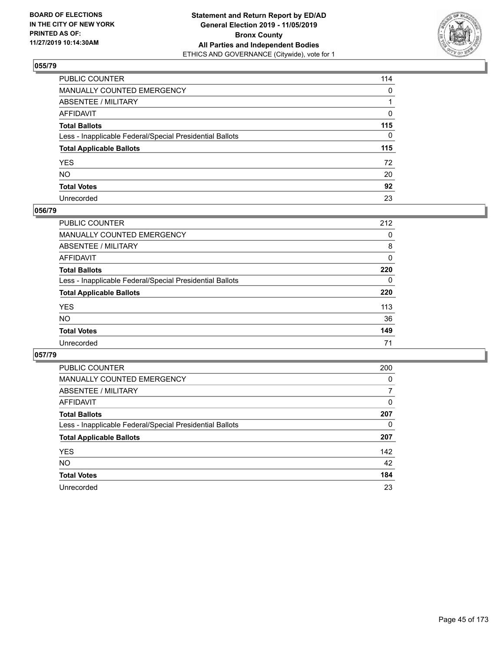

| PUBLIC COUNTER                                           | 114          |
|----------------------------------------------------------|--------------|
| MANUALLY COUNTED EMERGENCY                               | $\mathbf{0}$ |
| ABSENTEE / MILITARY                                      |              |
| AFFIDAVIT                                                | 0            |
| Total Ballots                                            | 115          |
| Less - Inapplicable Federal/Special Presidential Ballots | $\Omega$     |
| <b>Total Applicable Ballots</b>                          | 115          |
| YES                                                      | 72           |
| NO.                                                      | 20           |
| <b>Total Votes</b>                                       | 92           |
| Unrecorded                                               | 23           |

### **056/79**

| <b>PUBLIC COUNTER</b>                                    | 212      |
|----------------------------------------------------------|----------|
| <b>MANUALLY COUNTED EMERGENCY</b>                        | 0        |
| ABSENTEE / MILITARY                                      | 8        |
| AFFIDAVIT                                                | 0        |
| <b>Total Ballots</b>                                     | 220      |
| Less - Inapplicable Federal/Special Presidential Ballots | $\Omega$ |
| <b>Total Applicable Ballots</b>                          | 220      |
| <b>YES</b>                                               | 113      |
| <b>NO</b>                                                | 36       |
| <b>Total Votes</b>                                       | 149      |
| Unrecorded                                               | 71       |

| PUBLIC COUNTER                                           | 200      |
|----------------------------------------------------------|----------|
| MANUALLY COUNTED EMERGENCY                               | $\Omega$ |
| ABSENTEE / MILITARY                                      | 7        |
| AFFIDAVIT                                                | 0        |
| <b>Total Ballots</b>                                     | 207      |
| Less - Inapplicable Federal/Special Presidential Ballots | 0        |
| <b>Total Applicable Ballots</b>                          | 207      |
| <b>YES</b>                                               | 142      |
| <b>NO</b>                                                | 42       |
| <b>Total Votes</b>                                       | 184      |
| Unrecorded                                               | 23       |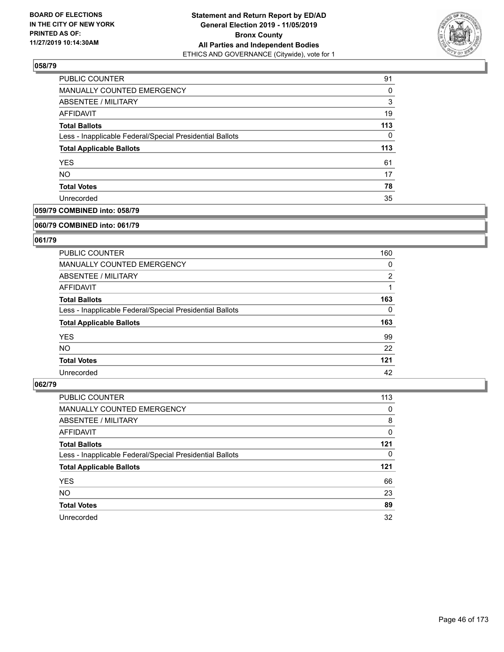

| PUBLIC COUNTER                                           | 91       |
|----------------------------------------------------------|----------|
| <b>MANUALLY COUNTED EMERGENCY</b>                        | $\Omega$ |
| ABSENTEE / MILITARY                                      | 3        |
| AFFIDAVIT                                                | 19       |
| <b>Total Ballots</b>                                     | 113      |
| Less - Inapplicable Federal/Special Presidential Ballots | 0        |
| <b>Total Applicable Ballots</b>                          | 113      |
| <b>YES</b>                                               | 61       |
| <b>NO</b>                                                | 17       |
| <b>Total Votes</b>                                       | 78       |
| Unrecorded                                               | 35       |

# **059/79 COMBINED into: 058/79**

#### **060/79 COMBINED into: 061/79**

# **061/79**

| <b>PUBLIC COUNTER</b>                                    | 160            |
|----------------------------------------------------------|----------------|
| <b>MANUALLY COUNTED EMERGENCY</b>                        | 0              |
| ABSENTEE / MILITARY                                      | $\overline{2}$ |
| AFFIDAVIT                                                |                |
| <b>Total Ballots</b>                                     | 163            |
| Less - Inapplicable Federal/Special Presidential Ballots | 0              |
| <b>Total Applicable Ballots</b>                          | 163            |
| <b>YES</b>                                               | 99             |
| NO.                                                      | 22             |
| <b>Total Votes</b>                                       | 121            |
| Unrecorded                                               | 42             |

| PUBLIC COUNTER                                           | 113 |
|----------------------------------------------------------|-----|
| <b>MANUALLY COUNTED EMERGENCY</b>                        | 0   |
| ABSENTEE / MILITARY                                      | 8   |
| AFFIDAVIT                                                | 0   |
| <b>Total Ballots</b>                                     | 121 |
| Less - Inapplicable Federal/Special Presidential Ballots | 0   |
|                                                          |     |
| <b>Total Applicable Ballots</b>                          | 121 |
| <b>YES</b>                                               | 66  |
| <b>NO</b>                                                | 23  |
| <b>Total Votes</b>                                       | 89  |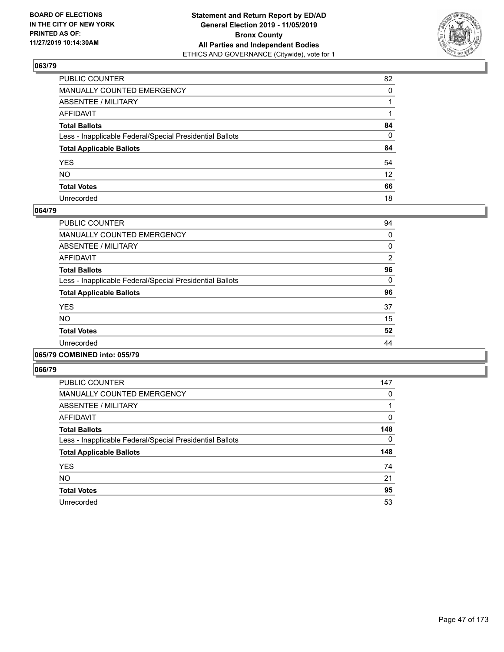

| PUBLIC COUNTER                                           | 82              |
|----------------------------------------------------------|-----------------|
| MANUALLY COUNTED EMERGENCY                               | $\Omega$        |
| ABSENTEE / MILITARY                                      |                 |
| AFFIDAVIT                                                |                 |
| Total Ballots                                            | 84              |
| Less - Inapplicable Federal/Special Presidential Ballots | 0               |
| <b>Total Applicable Ballots</b>                          | 84              |
| YES                                                      | 54              |
| NO.                                                      | 12 <sup>2</sup> |
| <b>Total Votes</b>                                       | 66              |
| Unrecorded                                               | 18              |

### **064/79**

| <b>PUBLIC COUNTER</b>                                    | 94       |
|----------------------------------------------------------|----------|
| MANUALLY COUNTED EMERGENCY                               | 0        |
| ABSENTEE / MILITARY                                      | 0        |
| AFFIDAVIT                                                | 2        |
| <b>Total Ballots</b>                                     | 96       |
| Less - Inapplicable Federal/Special Presidential Ballots | $\Omega$ |
| <b>Total Applicable Ballots</b>                          | 96       |
| <b>YES</b>                                               | 37       |
| <b>NO</b>                                                | 15       |
| <b>Total Votes</b>                                       | 52       |
| Unrecorded                                               | 44       |
|                                                          |          |

### **065/79 COMBINED into: 055/79**

| <b>PUBLIC COUNTER</b>                                    | 147 |
|----------------------------------------------------------|-----|
| <b>MANUALLY COUNTED EMERGENCY</b>                        | 0   |
| ABSENTEE / MILITARY                                      |     |
| <b>AFFIDAVIT</b>                                         | 0   |
| <b>Total Ballots</b>                                     | 148 |
| Less - Inapplicable Federal/Special Presidential Ballots | 0   |
| <b>Total Applicable Ballots</b>                          | 148 |
| <b>YES</b>                                               | 74  |
| <b>NO</b>                                                | 21  |
| <b>Total Votes</b>                                       | 95  |
| Unrecorded                                               | 53  |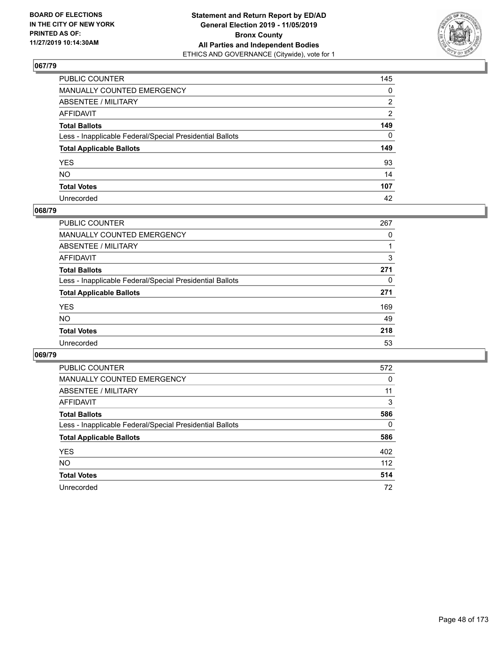

| PUBLIC COUNTER                                           | 145            |
|----------------------------------------------------------|----------------|
| MANUALLY COUNTED EMERGENCY                               | $\mathbf{0}$   |
| ABSENTEE / MILITARY                                      | 2              |
| AFFIDAVIT                                                | $\overline{2}$ |
| Total Ballots                                            | 149            |
| Less - Inapplicable Federal/Special Presidential Ballots | $\Omega$       |
| <b>Total Applicable Ballots</b>                          | 149            |
| YES                                                      | 93             |
| NO.                                                      | 14             |
| <b>Total Votes</b>                                       | 107            |
| Unrecorded                                               | 42             |

### **068/79**

| PUBLIC COUNTER                                           | 267      |
|----------------------------------------------------------|----------|
| MANUALLY COUNTED EMERGENCY                               | 0        |
| ABSENTEE / MILITARY                                      |          |
| AFFIDAVIT                                                | 3        |
| <b>Total Ballots</b>                                     | 271      |
| Less - Inapplicable Federal/Special Presidential Ballots | $\Omega$ |
| <b>Total Applicable Ballots</b>                          | 271      |
| <b>YES</b>                                               | 169      |
| <b>NO</b>                                                | 49       |
| <b>Total Votes</b>                                       | 218      |
| Unrecorded                                               | 53       |

| <b>PUBLIC COUNTER</b>                                    | 572 |
|----------------------------------------------------------|-----|
| <b>MANUALLY COUNTED EMERGENCY</b>                        | 0   |
| ABSENTEE / MILITARY                                      | 11  |
| AFFIDAVIT                                                | 3   |
| <b>Total Ballots</b>                                     | 586 |
| Less - Inapplicable Federal/Special Presidential Ballots | 0   |
| <b>Total Applicable Ballots</b>                          | 586 |
| <b>YES</b>                                               | 402 |
| NO.                                                      | 112 |
| <b>Total Votes</b>                                       | 514 |
| Unrecorded                                               | 72  |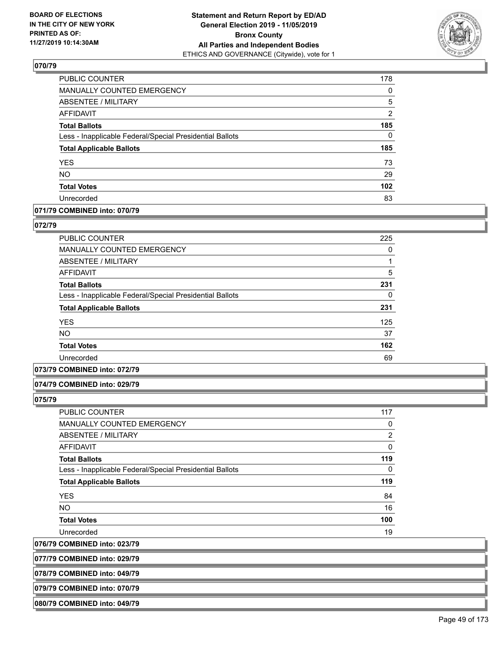

| PUBLIC COUNTER                                           | 178              |
|----------------------------------------------------------|------------------|
| <b>MANUALLY COUNTED EMERGENCY</b>                        | $\Omega$         |
| ABSENTEE / MILITARY                                      | 5                |
| <b>AFFIDAVIT</b>                                         | $\overline{2}$   |
| <b>Total Ballots</b>                                     | 185              |
| Less - Inapplicable Federal/Special Presidential Ballots | $\Omega$         |
| <b>Total Applicable Ballots</b>                          | 185              |
| <b>YES</b>                                               | 73               |
| <b>NO</b>                                                | 29               |
| <b>Total Votes</b>                                       | 102 <sub>2</sub> |
| Unrecorded                                               | 83               |

# **071/79 COMBINED into: 070/79**

#### **072/79**

| <b>PUBLIC COUNTER</b>                                    | 225 |
|----------------------------------------------------------|-----|
| MANUALLY COUNTED EMERGENCY                               | 0   |
| ABSENTEE / MILITARY                                      |     |
| AFFIDAVIT                                                | 5   |
| <b>Total Ballots</b>                                     | 231 |
| Less - Inapplicable Federal/Special Presidential Ballots | 0   |
| <b>Total Applicable Ballots</b>                          | 231 |
| <b>YES</b>                                               | 125 |
| <b>NO</b>                                                | 37  |
| <b>Total Votes</b>                                       | 162 |
| Unrecorded                                               | 69  |

### **073/79 COMBINED into: 072/79**

#### **074/79 COMBINED into: 029/79**

**075/79** 

| <b>PUBLIC COUNTER</b>                                    | 117            |
|----------------------------------------------------------|----------------|
| <b>MANUALLY COUNTED EMERGENCY</b>                        | 0              |
| ABSENTEE / MILITARY                                      | $\overline{2}$ |
| <b>AFFIDAVIT</b>                                         | 0              |
| <b>Total Ballots</b>                                     | 119            |
| Less - Inapplicable Federal/Special Presidential Ballots | $\Omega$       |
| <b>Total Applicable Ballots</b>                          | 119            |
| <b>YES</b>                                               | 84             |
| <b>NO</b>                                                | 16             |
| <b>Total Votes</b>                                       | 100            |
| Unrecorded                                               | 19             |

**076/79 COMBINED into: 023/79**

**077/79 COMBINED into: 029/79**

**078/79 COMBINED into: 049/79**

**079/79 COMBINED into: 070/79**

**080/79 COMBINED into: 049/79**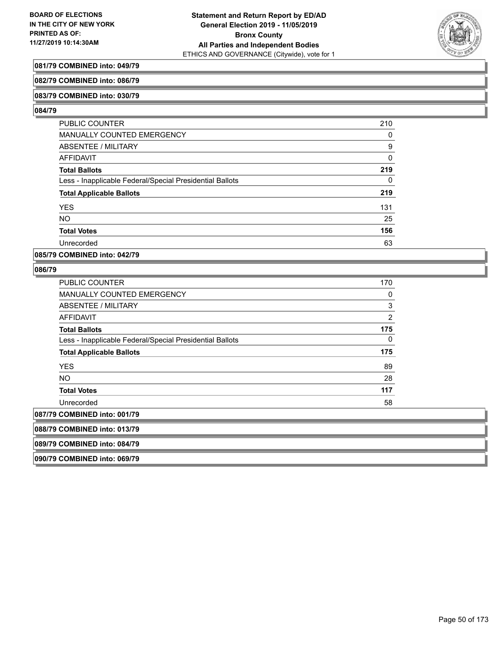

# **081/79 COMBINED into: 049/79**

### **082/79 COMBINED into: 086/79**

### **083/79 COMBINED into: 030/79**

### **084/79**

| <b>PUBLIC COUNTER</b>                                    | 210 |
|----------------------------------------------------------|-----|
| MANUALLY COUNTED EMERGENCY                               | 0   |
| ABSENTEE / MILITARY                                      | 9   |
| AFFIDAVIT                                                | 0   |
| <b>Total Ballots</b>                                     | 219 |
| Less - Inapplicable Federal/Special Presidential Ballots | 0   |
| <b>Total Applicable Ballots</b>                          | 219 |
| <b>YES</b>                                               | 131 |
| <b>NO</b>                                                | 25  |
| <b>Total Votes</b>                                       | 156 |
| Unrecorded                                               | 63  |

## **085/79 COMBINED into: 042/79**

### **086/79**

| <b>PUBLIC COUNTER</b>                                    | 170            |
|----------------------------------------------------------|----------------|
| <b>MANUALLY COUNTED EMERGENCY</b>                        | 0              |
| ABSENTEE / MILITARY                                      | $\sqrt{3}$     |
| AFFIDAVIT                                                | $\overline{2}$ |
| Total Ballots                                            | 175            |
| Less - Inapplicable Federal/Special Presidential Ballots | 0              |
| <b>Total Applicable Ballots</b>                          | 175            |
| <b>YES</b>                                               | 89             |
| <b>NO</b>                                                | 28             |
| <b>Total Votes</b>                                       | 117            |
| Unrecorded                                               | 58             |
| 087/79 COMBINED into: 001/79                             |                |
| 088/79 COMBINED into: 013/79                             |                |
| 089/79 COMBINED into: 084/79                             |                |
|                                                          |                |

**090/79 COMBINED into: 069/79**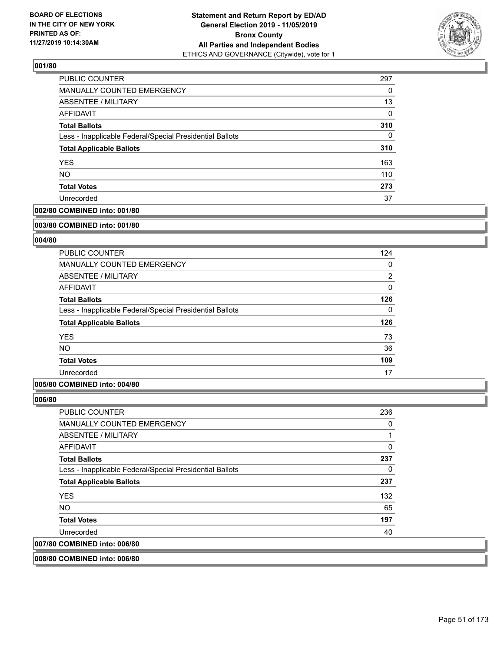

| <b>PUBLIC COUNTER</b>                                    | 297 |
|----------------------------------------------------------|-----|
| MANUALLY COUNTED EMERGENCY                               | 0   |
| <b>ABSENTEE / MILITARY</b>                               | 13  |
| AFFIDAVIT                                                | 0   |
| <b>Total Ballots</b>                                     | 310 |
| Less - Inapplicable Federal/Special Presidential Ballots | 0   |
| <b>Total Applicable Ballots</b>                          | 310 |
| <b>YES</b>                                               | 163 |
| <b>NO</b>                                                | 110 |
| <b>Total Votes</b>                                       | 273 |
| Unrecorded                                               | 37  |

# **002/80 COMBINED into: 001/80**

#### **003/80 COMBINED into: 001/80**

# **004/80**

| <b>PUBLIC COUNTER</b>                                    | 124      |
|----------------------------------------------------------|----------|
| <b>MANUALLY COUNTED EMERGENCY</b>                        | 0        |
| ABSENTEE / MILITARY                                      | 2        |
| AFFIDAVIT                                                | $\Omega$ |
| <b>Total Ballots</b>                                     | 126      |
| Less - Inapplicable Federal/Special Presidential Ballots | $\Omega$ |
| <b>Total Applicable Ballots</b>                          | 126      |
| <b>YES</b>                                               | 73       |
| NO.                                                      | 36       |
| <b>Total Votes</b>                                       | 109      |
| Unrecorded                                               | 17       |

### **005/80 COMBINED into: 004/80**

**006/80** 

| <b>PUBLIC COUNTER</b>                                    | 236 |
|----------------------------------------------------------|-----|
| <b>MANUALLY COUNTED EMERGENCY</b>                        | 0   |
| ABSENTEE / MILITARY                                      |     |
| AFFIDAVIT                                                | 0   |
| <b>Total Ballots</b>                                     | 237 |
| Less - Inapplicable Federal/Special Presidential Ballots | 0   |
| <b>Total Applicable Ballots</b>                          | 237 |
| <b>YES</b>                                               | 132 |
| <b>NO</b>                                                | 65  |
| <b>Total Votes</b>                                       | 197 |
| Unrecorded                                               | 40  |
| <b>COMBINED into: 006/80</b>                             |     |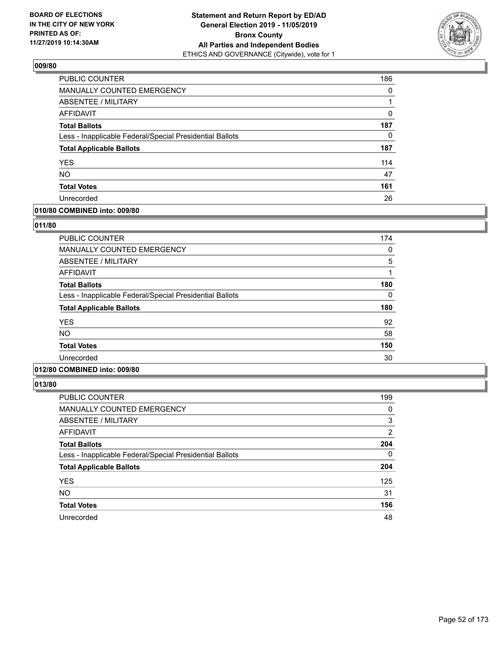

| PUBLIC COUNTER                                           | 186 |
|----------------------------------------------------------|-----|
| MANUALLY COUNTED EMERGENCY                               | 0   |
| ABSENTEE / MILITARY                                      |     |
| AFFIDAVIT                                                | 0   |
| <b>Total Ballots</b>                                     | 187 |
| Less - Inapplicable Federal/Special Presidential Ballots | 0   |
| <b>Total Applicable Ballots</b>                          | 187 |
| <b>YES</b>                                               | 114 |
| <b>NO</b>                                                | 47  |
| <b>Total Votes</b>                                       | 161 |
| Unrecorded                                               | 26  |

# **010/80 COMBINED into: 009/80**

### **011/80**

| <b>PUBLIC COUNTER</b>                                    | 174 |
|----------------------------------------------------------|-----|
| <b>MANUALLY COUNTED EMERGENCY</b>                        | 0   |
| <b>ABSENTEE / MILITARY</b>                               | 5   |
| AFFIDAVIT                                                |     |
| <b>Total Ballots</b>                                     | 180 |
| Less - Inapplicable Federal/Special Presidential Ballots | 0   |
| <b>Total Applicable Ballots</b>                          | 180 |
| <b>YES</b>                                               | 92  |
| <b>NO</b>                                                | 58  |
| <b>Total Votes</b>                                       | 150 |
| Unrecorded                                               | 30  |
|                                                          |     |

# **012/80 COMBINED into: 009/80**

| PUBLIC COUNTER                                           | 199      |
|----------------------------------------------------------|----------|
| <b>MANUALLY COUNTED EMERGENCY</b>                        | 0        |
| <b>ABSENTEE / MILITARY</b>                               | 3        |
| <b>AFFIDAVIT</b>                                         | 2        |
| <b>Total Ballots</b>                                     | 204      |
| Less - Inapplicable Federal/Special Presidential Ballots | $\Omega$ |
| <b>Total Applicable Ballots</b>                          | 204      |
| <b>YES</b>                                               | 125      |
| <b>NO</b>                                                | 31       |
| <b>Total Votes</b>                                       | 156      |
| Unrecorded                                               | 48       |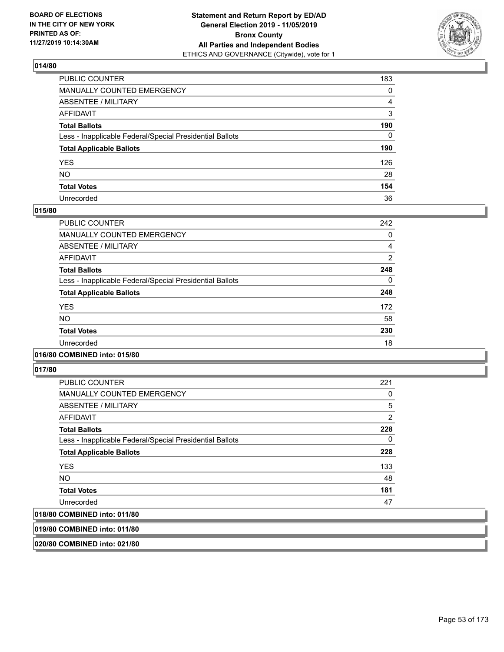

| PUBLIC COUNTER                                           | 183          |
|----------------------------------------------------------|--------------|
| MANUALLY COUNTED EMERGENCY                               | 0            |
| ABSENTEE / MILITARY                                      | 4            |
| AFFIDAVIT                                                | 3            |
| Total Ballots                                            | 190          |
| Less - Inapplicable Federal/Special Presidential Ballots | $\mathbf{0}$ |
| <b>Total Applicable Ballots</b>                          | 190          |
| YES                                                      | 126          |
| NO.                                                      | 28           |
| <b>Total Votes</b>                                       | 154          |
| Unrecorded                                               | 36           |

### **015/80**

| <b>PUBLIC COUNTER</b>                                    | 242 |
|----------------------------------------------------------|-----|
| <b>MANUALLY COUNTED EMERGENCY</b>                        | 0   |
| ABSENTEE / MILITARY                                      | 4   |
| <b>AFFIDAVIT</b>                                         | 2   |
| <b>Total Ballots</b>                                     | 248 |
| Less - Inapplicable Federal/Special Presidential Ballots | 0   |
| <b>Total Applicable Ballots</b>                          | 248 |
| <b>YES</b>                                               | 172 |
| <b>NO</b>                                                | 58  |
| <b>Total Votes</b>                                       | 230 |
| Unrecorded                                               | 18  |
|                                                          |     |

### **016/80 COMBINED into: 015/80**

**017/80** 

| <b>PUBLIC COUNTER</b>                                    | 221 |
|----------------------------------------------------------|-----|
| <b>MANUALLY COUNTED EMERGENCY</b>                        | 0   |
| ABSENTEE / MILITARY                                      | 5   |
| AFFIDAVIT                                                | 2   |
| <b>Total Ballots</b>                                     | 228 |
| Less - Inapplicable Federal/Special Presidential Ballots | 0   |
| <b>Total Applicable Ballots</b>                          | 228 |
| <b>YES</b>                                               | 133 |
| NO.                                                      | 48  |
| <b>Total Votes</b>                                       | 181 |
| Unrecorded                                               | 47  |
| 018/80 COMBINED into: 011/80                             |     |

**019/80 COMBINED into: 011/80**

**020/80 COMBINED into: 021/80**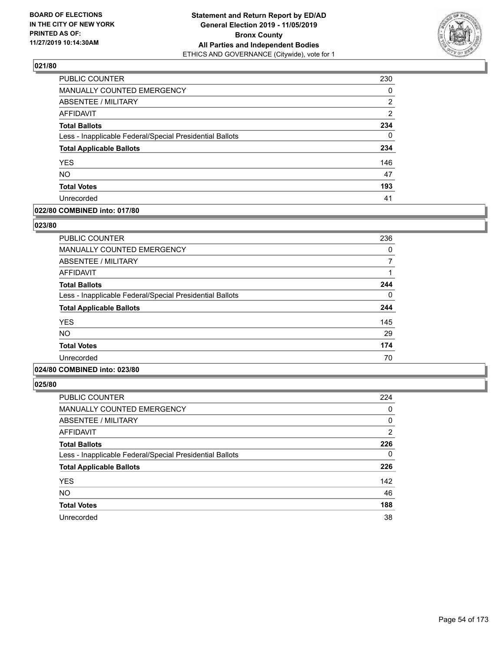

| PUBLIC COUNTER                                           | 230 |
|----------------------------------------------------------|-----|
| MANUALLY COUNTED EMERGENCY                               | 0   |
| <b>ABSENTEE / MILITARY</b>                               | 2   |
| AFFIDAVIT                                                | 2   |
| <b>Total Ballots</b>                                     | 234 |
| Less - Inapplicable Federal/Special Presidential Ballots | 0   |
| <b>Total Applicable Ballots</b>                          | 234 |
| <b>YES</b>                                               | 146 |
| <b>NO</b>                                                | 47  |
| <b>Total Votes</b>                                       | 193 |
| Unrecorded                                               | 41  |

# **022/80 COMBINED into: 017/80**

### **023/80**

| <b>PUBLIC COUNTER</b>                                    | 236 |
|----------------------------------------------------------|-----|
| <b>MANUALLY COUNTED EMERGENCY</b>                        | 0   |
| ABSENTEE / MILITARY                                      |     |
| AFFIDAVIT                                                |     |
| <b>Total Ballots</b>                                     | 244 |
| Less - Inapplicable Federal/Special Presidential Ballots | 0   |
| <b>Total Applicable Ballots</b>                          | 244 |
| <b>YES</b>                                               | 145 |
| <b>NO</b>                                                | 29  |
| <b>Total Votes</b>                                       | 174 |
| Unrecorded                                               | 70  |
|                                                          |     |

# **024/80 COMBINED into: 023/80**

| PUBLIC COUNTER                                           | 224      |
|----------------------------------------------------------|----------|
| <b>MANUALLY COUNTED EMERGENCY</b>                        | 0        |
| ABSENTEE / MILITARY                                      | 0        |
| <b>AFFIDAVIT</b>                                         | 2        |
| <b>Total Ballots</b>                                     | 226      |
| Less - Inapplicable Federal/Special Presidential Ballots | $\Omega$ |
| <b>Total Applicable Ballots</b>                          | 226      |
| <b>YES</b>                                               | 142      |
| <b>NO</b>                                                | 46       |
| <b>Total Votes</b>                                       | 188      |
| Unrecorded                                               | 38       |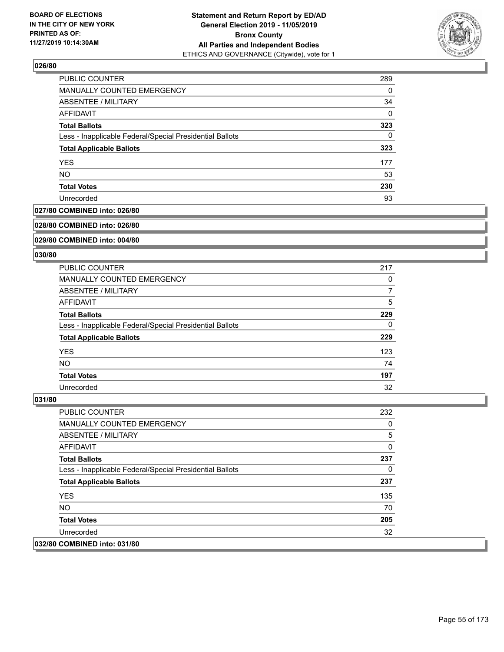

| <b>PUBLIC COUNTER</b>                                    | 289 |
|----------------------------------------------------------|-----|
| <b>MANUALLY COUNTED EMERGENCY</b>                        | 0   |
| ABSENTEE / MILITARY                                      | 34  |
| AFFIDAVIT                                                | 0   |
| <b>Total Ballots</b>                                     | 323 |
| Less - Inapplicable Federal/Special Presidential Ballots | 0   |
| <b>Total Applicable Ballots</b>                          | 323 |
| <b>YES</b>                                               | 177 |
| <b>NO</b>                                                | 53  |
| <b>Total Votes</b>                                       | 230 |
| Unrecorded                                               | 93  |

## **027/80 COMBINED into: 026/80**

#### **028/80 COMBINED into: 026/80**

# **029/80 COMBINED into: 004/80**

#### **030/80**

| <b>PUBLIC COUNTER</b>                                    | 217 |
|----------------------------------------------------------|-----|
| MANUALLY COUNTED EMERGENCY                               | 0   |
| ABSENTEE / MILITARY                                      | 7   |
| AFFIDAVIT                                                | 5   |
| <b>Total Ballots</b>                                     | 229 |
| Less - Inapplicable Federal/Special Presidential Ballots | 0   |
| <b>Total Applicable Ballots</b>                          | 229 |
| <b>YES</b>                                               | 123 |
| NO.                                                      | 74  |
| <b>Total Votes</b>                                       | 197 |
| Unrecorded                                               | 32  |

| <b>PUBLIC COUNTER</b>                                    | 232 |
|----------------------------------------------------------|-----|
| <b>MANUALLY COUNTED EMERGENCY</b>                        | 0   |
| ABSENTEE / MILITARY                                      | 5   |
| AFFIDAVIT                                                | 0   |
| <b>Total Ballots</b>                                     | 237 |
| Less - Inapplicable Federal/Special Presidential Ballots | 0   |
| <b>Total Applicable Ballots</b>                          | 237 |
| <b>YES</b>                                               | 135 |
| NO.                                                      | 70  |
| <b>Total Votes</b>                                       | 205 |
| Unrecorded                                               | 32  |
| 032/80 COMBINED into: 031/80                             |     |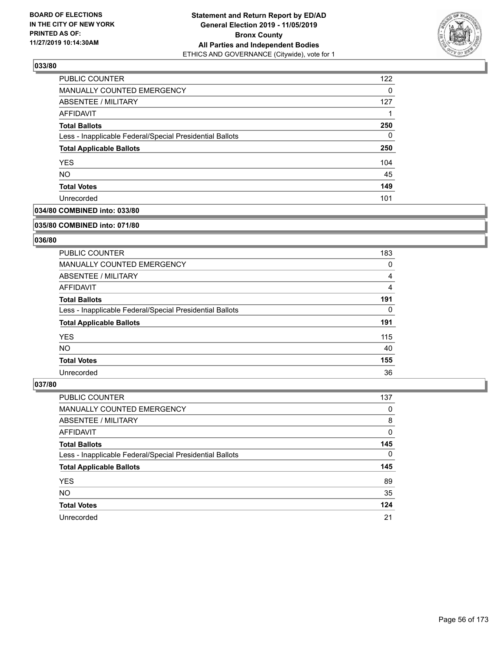

| <b>PUBLIC COUNTER</b>                                    | 122      |
|----------------------------------------------------------|----------|
| <b>MANUALLY COUNTED EMERGENCY</b>                        | $\Omega$ |
| ABSENTEE / MILITARY                                      | 127      |
| AFFIDAVIT                                                |          |
| <b>Total Ballots</b>                                     | 250      |
| Less - Inapplicable Federal/Special Presidential Ballots | $\Omega$ |
| <b>Total Applicable Ballots</b>                          | 250      |
| <b>YES</b>                                               | 104      |
| <b>NO</b>                                                | 45       |
| <b>Total Votes</b>                                       | 149      |
| Unrecorded                                               | 101      |

# **034/80 COMBINED into: 033/80**

#### **035/80 COMBINED into: 071/80**

# **036/80**

| <b>PUBLIC COUNTER</b>                                    | 183 |
|----------------------------------------------------------|-----|
| <b>MANUALLY COUNTED EMERGENCY</b>                        | 0   |
| ABSENTEE / MILITARY                                      | 4   |
| AFFIDAVIT                                                | 4   |
| <b>Total Ballots</b>                                     | 191 |
| Less - Inapplicable Federal/Special Presidential Ballots | 0   |
| <b>Total Applicable Ballots</b>                          | 191 |
| <b>YES</b>                                               | 115 |
| NO.                                                      | 40  |
| <b>Total Votes</b>                                       | 155 |
| Unrecorded                                               | 36  |

| <b>PUBLIC COUNTER</b>                                    | 137      |
|----------------------------------------------------------|----------|
| MANUALLY COUNTED EMERGENCY                               | 0        |
| ABSENTEE / MILITARY                                      | 8        |
| AFFIDAVIT                                                | 0        |
| <b>Total Ballots</b>                                     | 145      |
| Less - Inapplicable Federal/Special Presidential Ballots | $\Omega$ |
| <b>Total Applicable Ballots</b>                          | 145      |
| <b>YES</b>                                               | 89       |
| <b>NO</b>                                                | 35       |
| <b>Total Votes</b>                                       | 124      |
| Unrecorded                                               | 21       |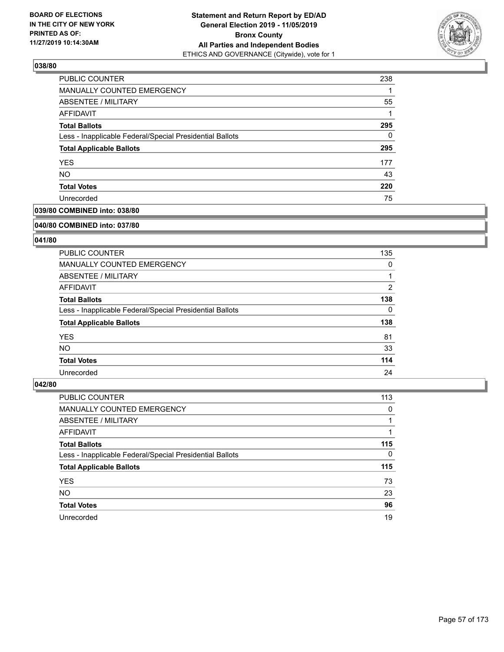

| <b>PUBLIC COUNTER</b>                                    | 238 |
|----------------------------------------------------------|-----|
| <b>MANUALLY COUNTED EMERGENCY</b>                        |     |
| ABSENTEE / MILITARY                                      | 55  |
| AFFIDAVIT                                                |     |
| <b>Total Ballots</b>                                     | 295 |
| Less - Inapplicable Federal/Special Presidential Ballots | 0   |
| <b>Total Applicable Ballots</b>                          | 295 |
| <b>YES</b>                                               | 177 |
| <b>NO</b>                                                | 43  |
| <b>Total Votes</b>                                       | 220 |
| Unrecorded                                               | 75  |

# **039/80 COMBINED into: 038/80**

#### **040/80 COMBINED into: 037/80**

# **041/80**

| <b>PUBLIC COUNTER</b>                                    | 135            |
|----------------------------------------------------------|----------------|
| <b>MANUALLY COUNTED EMERGENCY</b>                        | 0              |
| ABSENTEE / MILITARY                                      |                |
| AFFIDAVIT                                                | $\overline{2}$ |
| <b>Total Ballots</b>                                     | 138            |
| Less - Inapplicable Federal/Special Presidential Ballots | 0              |
| <b>Total Applicable Ballots</b>                          | 138            |
| <b>YES</b>                                               | 81             |
| NO.                                                      | 33             |
| <b>Total Votes</b>                                       | 114            |
| Unrecorded                                               | 24             |

| <b>PUBLIC COUNTER</b>                                    | 113      |
|----------------------------------------------------------|----------|
| MANUALLY COUNTED EMERGENCY                               | 0        |
| ABSENTEE / MILITARY                                      |          |
| AFFIDAVIT                                                |          |
| <b>Total Ballots</b>                                     | 115      |
| Less - Inapplicable Federal/Special Presidential Ballots | $\Omega$ |
| <b>Total Applicable Ballots</b>                          | 115      |
| <b>YES</b>                                               | 73       |
| <b>NO</b>                                                | 23       |
| <b>Total Votes</b>                                       | 96       |
| Unrecorded                                               | 19       |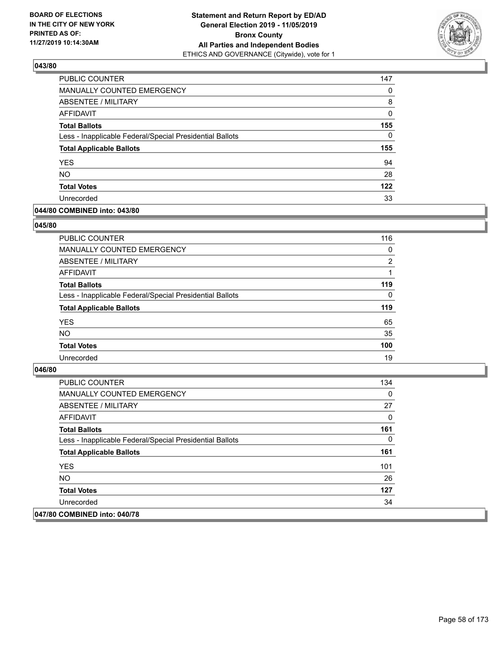

| PUBLIC COUNTER                                           | 147      |
|----------------------------------------------------------|----------|
| MANUALLY COUNTED EMERGENCY                               | 0        |
| ABSENTEE / MILITARY                                      | 8        |
| AFFIDAVIT                                                | 0        |
| <b>Total Ballots</b>                                     | 155      |
| Less - Inapplicable Federal/Special Presidential Ballots | $\Omega$ |
| <b>Total Applicable Ballots</b>                          | 155      |
| <b>YES</b>                                               | 94       |
| <b>NO</b>                                                | 28       |
| <b>Total Votes</b>                                       | 122      |
| Unrecorded                                               | 33       |

## **044/80 COMBINED into: 043/80**

### **045/80**

| PUBLIC COUNTER                                           | 116            |
|----------------------------------------------------------|----------------|
| <b>MANUALLY COUNTED EMERGENCY</b>                        | 0              |
| ABSENTEE / MILITARY                                      | $\overline{2}$ |
| AFFIDAVIT                                                |                |
| <b>Total Ballots</b>                                     | 119            |
| Less - Inapplicable Federal/Special Presidential Ballots | $\Omega$       |
| <b>Total Applicable Ballots</b>                          | 119            |
| <b>YES</b>                                               | 65             |
| <b>NO</b>                                                | 35             |
| <b>Total Votes</b>                                       | 100            |
| Unrecorded                                               | 19             |

| PUBLIC COUNTER                                           | 134 |
|----------------------------------------------------------|-----|
| MANUALLY COUNTED EMERGENCY                               | 0   |
| ABSENTEE / MILITARY                                      | 27  |
| AFFIDAVIT                                                | 0   |
| <b>Total Ballots</b>                                     | 161 |
| Less - Inapplicable Federal/Special Presidential Ballots | 0   |
| <b>Total Applicable Ballots</b>                          | 161 |
| <b>YES</b>                                               | 101 |
| NO.                                                      | 26  |
| <b>Total Votes</b>                                       | 127 |
| Unrecorded                                               | 34  |
| 047/80 COMBINED into: 040/78                             |     |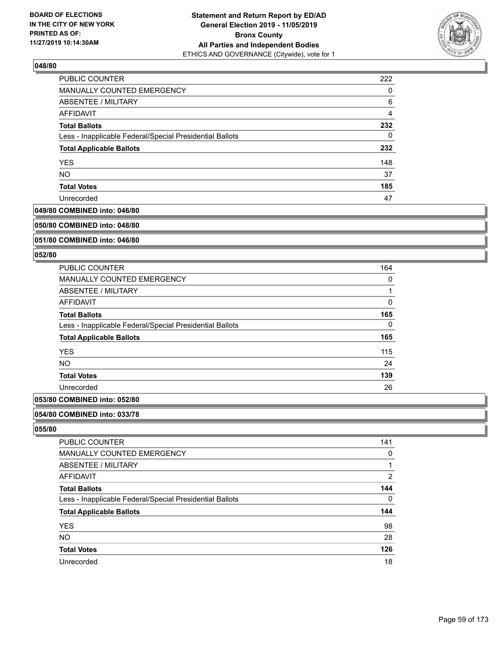

| <b>PUBLIC COUNTER</b>                                    | 222 |
|----------------------------------------------------------|-----|
| MANUALLY COUNTED EMERGENCY                               | 0   |
| <b>ABSENTEE / MILITARY</b>                               | 6   |
| AFFIDAVIT                                                | 4   |
| <b>Total Ballots</b>                                     | 232 |
| Less - Inapplicable Federal/Special Presidential Ballots | 0   |
| <b>Total Applicable Ballots</b>                          | 232 |
| <b>YES</b>                                               | 148 |
| <b>NO</b>                                                | 37  |
| <b>Total Votes</b>                                       | 185 |
| Unrecorded                                               | 47  |

#### **049/80 COMBINED into: 046/80**

#### **050/80 COMBINED into: 048/80**

# **051/80 COMBINED into: 046/80**

#### **052/80**

| <b>PUBLIC COUNTER</b>                                    | 164 |
|----------------------------------------------------------|-----|
| <b>MANUALLY COUNTED EMERGENCY</b>                        | 0   |
| ABSENTEE / MILITARY                                      |     |
| <b>AFFIDAVIT</b>                                         | 0   |
| <b>Total Ballots</b>                                     | 165 |
| Less - Inapplicable Federal/Special Presidential Ballots | 0   |
| <b>Total Applicable Ballots</b>                          | 165 |
| <b>YES</b>                                               | 115 |
| <b>NO</b>                                                | 24  |
| <b>Total Votes</b>                                       | 139 |
| Unrecorded                                               | 26  |
|                                                          |     |

# **053/80 COMBINED into: 052/80**

#### **054/80 COMBINED into: 033/78**

| PUBLIC COUNTER                                           | 141      |
|----------------------------------------------------------|----------|
| MANUALLY COUNTED EMERGENCY                               | 0        |
| ABSENTEE / MILITARY                                      |          |
| AFFIDAVIT                                                | 2        |
| <b>Total Ballots</b>                                     | 144      |
| Less - Inapplicable Federal/Special Presidential Ballots | $\Omega$ |
| <b>Total Applicable Ballots</b>                          | 144      |
| <b>YES</b>                                               | 98       |
| <b>NO</b>                                                | 28       |
| <b>Total Votes</b>                                       | 126      |
| Unrecorded                                               | 18       |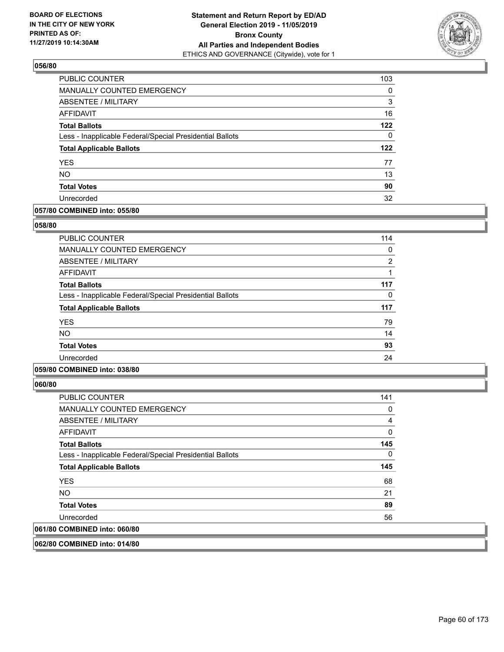

| PUBLIC COUNTER                                           | 103 |
|----------------------------------------------------------|-----|
| MANUALLY COUNTED EMERGENCY                               | 0   |
| <b>ABSENTEE / MILITARY</b>                               | 3   |
| AFFIDAVIT                                                | 16  |
| <b>Total Ballots</b>                                     | 122 |
| Less - Inapplicable Federal/Special Presidential Ballots | 0   |
| <b>Total Applicable Ballots</b>                          | 122 |
| <b>YES</b>                                               | 77  |
| <b>NO</b>                                                | 13  |
| <b>Total Votes</b>                                       | 90  |
| Unrecorded                                               | 32  |

### **057/80 COMBINED into: 055/80**

### **058/80**

| <b>PUBLIC COUNTER</b>                                    | 114 |
|----------------------------------------------------------|-----|
| <b>MANUALLY COUNTED EMERGENCY</b>                        | 0   |
| <b>ABSENTEE / MILITARY</b>                               | 2   |
| AFFIDAVIT                                                |     |
| <b>Total Ballots</b>                                     | 117 |
| Less - Inapplicable Federal/Special Presidential Ballots | 0   |
| <b>Total Applicable Ballots</b>                          | 117 |
| <b>YES</b>                                               | 79  |
| <b>NO</b>                                                | 14  |
| <b>Total Votes</b>                                       | 93  |
| Unrecorded                                               | 24  |
|                                                          |     |

## **059/80 COMBINED into: 038/80**

**060/80** 

| <b>PUBLIC COUNTER</b>                                    | 141 |
|----------------------------------------------------------|-----|
| <b>MANUALLY COUNTED EMERGENCY</b>                        | 0   |
| ABSENTEE / MILITARY                                      | 4   |
| AFFIDAVIT                                                | 0   |
| <b>Total Ballots</b>                                     | 145 |
| Less - Inapplicable Federal/Special Presidential Ballots | 0   |
| <b>Total Applicable Ballots</b>                          | 145 |
| <b>YES</b>                                               | 68  |
| NO.                                                      | 21  |
| <b>Total Votes</b>                                       | 89  |
| Unrecorded                                               | 56  |
| 061/80 COMBINED into: 060/80                             |     |
|                                                          |     |

**062/80 COMBINED into: 014/80**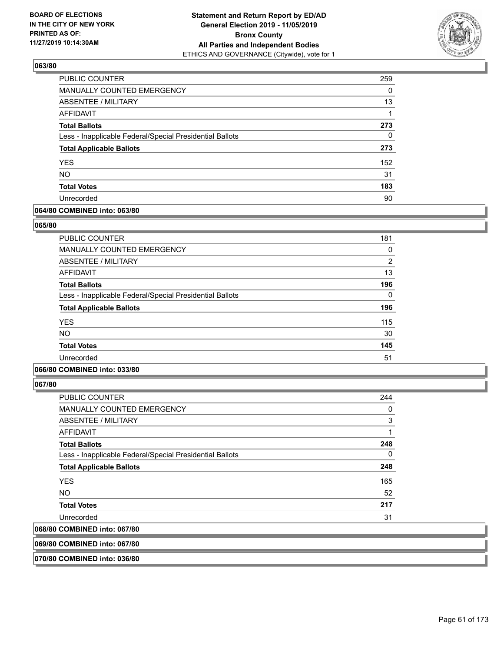

| PUBLIC COUNTER                                           | 259 |
|----------------------------------------------------------|-----|
| MANUALLY COUNTED EMERGENCY                               | 0   |
| ABSENTEE / MILITARY                                      | 13  |
| AFFIDAVIT                                                |     |
| <b>Total Ballots</b>                                     | 273 |
| Less - Inapplicable Federal/Special Presidential Ballots | 0   |
| <b>Total Applicable Ballots</b>                          | 273 |
| <b>YES</b>                                               | 152 |
| <b>NO</b>                                                | 31  |
| <b>Total Votes</b>                                       | 183 |
| Unrecorded                                               | 90  |

## **064/80 COMBINED into: 063/80**

### **065/80**

| <b>PUBLIC COUNTER</b>                                    | 181            |
|----------------------------------------------------------|----------------|
| <b>MANUALLY COUNTED EMERGENCY</b>                        | 0              |
| <b>ABSENTEE / MILITARY</b>                               | $\overline{2}$ |
| AFFIDAVIT                                                | 13             |
| <b>Total Ballots</b>                                     | 196            |
| Less - Inapplicable Federal/Special Presidential Ballots | 0              |
| <b>Total Applicable Ballots</b>                          | 196            |
| <b>YES</b>                                               | 115            |
| <b>NO</b>                                                | 30             |
| <b>Total Votes</b>                                       | 145            |
| Unrecorded                                               | 51             |
|                                                          |                |

## **066/80 COMBINED into: 033/80**

**067/80** 

| $\ldots$                                                 |     |
|----------------------------------------------------------|-----|
| 068/80 COMBINED into: 067/80                             |     |
| Unrecorded                                               | 31  |
| <b>Total Votes</b>                                       | 217 |
| <b>NO</b>                                                | 52  |
| <b>YES</b>                                               | 165 |
| <b>Total Applicable Ballots</b>                          | 248 |
| Less - Inapplicable Federal/Special Presidential Ballots | 0   |
| <b>Total Ballots</b>                                     | 248 |
| AFFIDAVIT                                                | 1   |
| ABSENTEE / MILITARY                                      | 3   |
| MANUALLY COUNTED EMERGENCY                               | 0   |
| <b>PUBLIC COUNTER</b>                                    | 244 |

**069/80 COMBINED into: 067/80**

**070/80 COMBINED into: 036/80**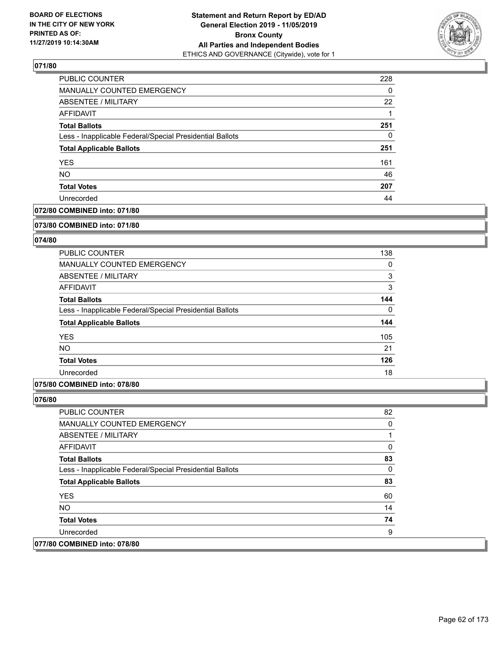

| PUBLIC COUNTER                                           | 228 |
|----------------------------------------------------------|-----|
| MANUALLY COUNTED EMERGENCY                               | 0   |
| ABSENTEE / MILITARY                                      | 22  |
| AFFIDAVIT                                                |     |
| <b>Total Ballots</b>                                     | 251 |
| Less - Inapplicable Federal/Special Presidential Ballots | 0   |
| <b>Total Applicable Ballots</b>                          | 251 |
| <b>YES</b>                                               | 161 |
| <b>NO</b>                                                | 46  |
| <b>Total Votes</b>                                       | 207 |
| Unrecorded                                               | 44  |

### **072/80 COMBINED into: 071/80**

#### **073/80 COMBINED into: 071/80**

# **074/80**

| <b>PUBLIC COUNTER</b>                                    | 138      |
|----------------------------------------------------------|----------|
| MANUALLY COUNTED EMERGENCY                               | 0        |
| ABSENTEE / MILITARY                                      | 3        |
| AFFIDAVIT                                                | 3        |
| <b>Total Ballots</b>                                     | 144      |
| Less - Inapplicable Federal/Special Presidential Ballots | $\Omega$ |
| <b>Total Applicable Ballots</b>                          | 144      |
| <b>YES</b>                                               | 105      |
| <b>NO</b>                                                | 21       |
| <b>Total Votes</b>                                       | 126      |
| Unrecorded                                               | 18       |

### **075/80 COMBINED into: 078/80**

| <b>PUBLIC COUNTER</b>                                    | 82 |
|----------------------------------------------------------|----|
| <b>MANUALLY COUNTED EMERGENCY</b>                        | 0  |
| ABSENTEE / MILITARY                                      |    |
| AFFIDAVIT                                                | 0  |
| <b>Total Ballots</b>                                     | 83 |
| Less - Inapplicable Federal/Special Presidential Ballots | 0  |
| <b>Total Applicable Ballots</b>                          | 83 |
| <b>YES</b>                                               | 60 |
| NO.                                                      | 14 |
| <b>Total Votes</b>                                       | 74 |
| Unrecorded                                               | 9  |
| 077/80 COMBINED into: 078/80                             |    |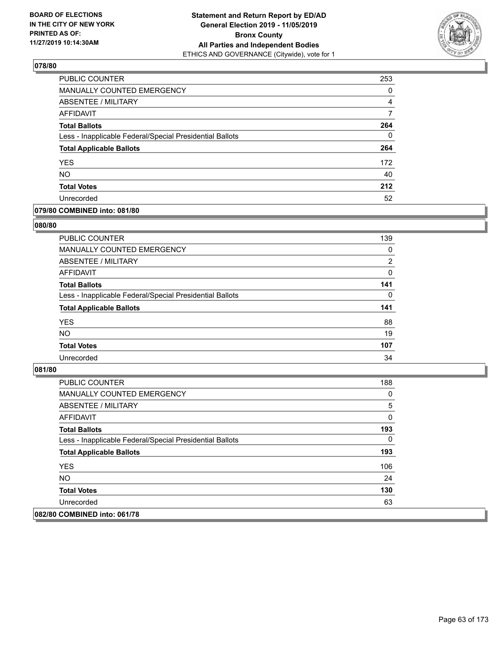

| PUBLIC COUNTER                                           | 253 |
|----------------------------------------------------------|-----|
| <b>MANUALLY COUNTED EMERGENCY</b>                        | 0   |
| <b>ABSENTEE / MILITARY</b>                               | 4   |
| <b>AFFIDAVIT</b>                                         |     |
| <b>Total Ballots</b>                                     | 264 |
| Less - Inapplicable Federal/Special Presidential Ballots | 0   |
| <b>Total Applicable Ballots</b>                          | 264 |
| <b>YES</b>                                               | 172 |
| <b>NO</b>                                                | 40  |
| <b>Total Votes</b>                                       | 212 |
| Unrecorded                                               | 52  |

# **079/80 COMBINED into: 081/80**

### **080/80**

| PUBLIC COUNTER                                           | 139            |
|----------------------------------------------------------|----------------|
| <b>MANUALLY COUNTED EMERGENCY</b>                        | $\Omega$       |
| ABSENTEE / MILITARY                                      | $\overline{2}$ |
| AFFIDAVIT                                                | $\Omega$       |
| <b>Total Ballots</b>                                     | 141            |
| Less - Inapplicable Federal/Special Presidential Ballots | 0              |
| <b>Total Applicable Ballots</b>                          | 141            |
| <b>YES</b>                                               | 88             |
| <b>NO</b>                                                | 19             |
| <b>Total Votes</b>                                       | 107            |
| Unrecorded                                               | 34             |
|                                                          |                |

| PUBLIC COUNTER                                           | 188 |
|----------------------------------------------------------|-----|
| <b>MANUALLY COUNTED EMERGENCY</b>                        | 0   |
| <b>ABSENTEE / MILITARY</b>                               | 5   |
| AFFIDAVIT                                                | 0   |
| <b>Total Ballots</b>                                     | 193 |
| Less - Inapplicable Federal/Special Presidential Ballots | 0   |
| <b>Total Applicable Ballots</b>                          | 193 |
| <b>YES</b>                                               | 106 |
| NO.                                                      | 24  |
| <b>Total Votes</b>                                       | 130 |
| Unrecorded                                               | 63  |
| 082/80 COMBINED into: 061/78                             |     |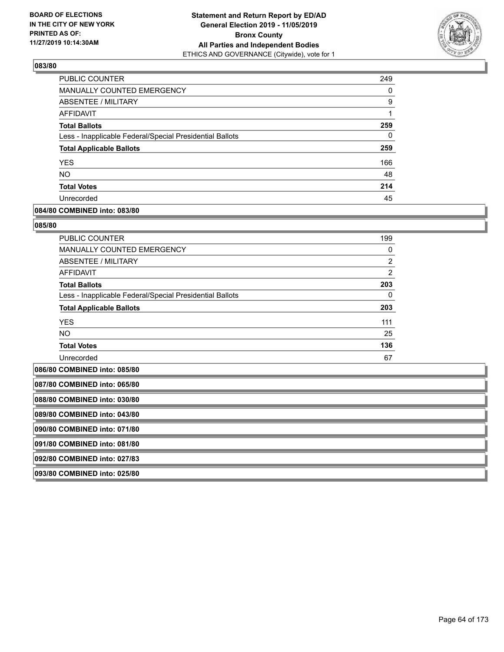

| PUBLIC COUNTER                                           | 249 |
|----------------------------------------------------------|-----|
| <b>MANUALLY COUNTED EMERGENCY</b>                        | 0   |
| ABSENTEE / MILITARY                                      | 9   |
| AFFIDAVIT                                                |     |
| <b>Total Ballots</b>                                     | 259 |
| Less - Inapplicable Federal/Special Presidential Ballots | 0   |
| <b>Total Applicable Ballots</b>                          | 259 |
| <b>YES</b>                                               | 166 |
| <b>NO</b>                                                | 48  |
| <b>Total Votes</b>                                       | 214 |
| Unrecorded                                               | 45  |

### **084/80 COMBINED into: 083/80**

#### **085/80**

| <b>PUBLIC COUNTER</b>                                    | 199            |
|----------------------------------------------------------|----------------|
| <b>MANUALLY COUNTED EMERGENCY</b>                        | $\Omega$       |
| ABSENTEE / MILITARY                                      | $\overline{2}$ |
| <b>AFFIDAVIT</b>                                         | $\overline{2}$ |
| <b>Total Ballots</b>                                     | 203            |
| Less - Inapplicable Federal/Special Presidential Ballots | 0              |
| <b>Total Applicable Ballots</b>                          | 203            |
| <b>YES</b>                                               | 111            |
| <b>NO</b>                                                | 25             |
| <b>Total Votes</b>                                       | 136            |
| Unrecorded                                               | 67             |

**086/80 COMBINED into: 085/80**

| 087/80 COMBINED into: 065/80 |  |
|------------------------------|--|
| 088/80 COMBINED into: 030/80 |  |
| 089/80 COMBINED into: 043/80 |  |
| 090/80 COMBINED into: 071/80 |  |
| 091/80 COMBINED into: 081/80 |  |
| 092/80 COMBINED into: 027/83 |  |
| 093/80 COMBINED into: 025/80 |  |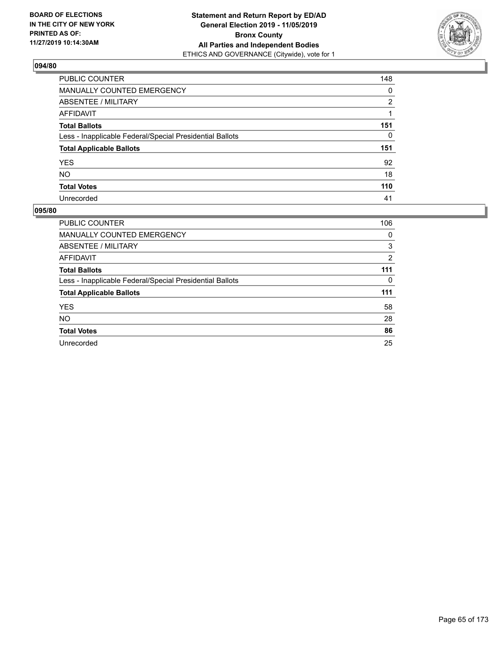

| PUBLIC COUNTER                                           | 148 |
|----------------------------------------------------------|-----|
| MANUALLY COUNTED EMERGENCY                               | 0   |
| ABSENTEE / MILITARY                                      | 2   |
| AFFIDAVIT                                                |     |
| <b>Total Ballots</b>                                     | 151 |
| Less - Inapplicable Federal/Special Presidential Ballots | 0   |
| <b>Total Applicable Ballots</b>                          | 151 |
| YES.                                                     | 92  |
| NO                                                       | 18  |
| <b>Total Votes</b>                                       | 110 |
| Unrecorded                                               | 41  |

| PUBLIC COUNTER                                           | 106 |
|----------------------------------------------------------|-----|
| <b>MANUALLY COUNTED EMERGENCY</b>                        | 0   |
| ABSENTEE / MILITARY                                      | 3   |
| <b>AFFIDAVIT</b>                                         | 2   |
| <b>Total Ballots</b>                                     | 111 |
| Less - Inapplicable Federal/Special Presidential Ballots | 0   |
| <b>Total Applicable Ballots</b>                          | 111 |
| <b>YES</b>                                               | 58  |
| <b>NO</b>                                                | 28  |
| <b>Total Votes</b>                                       | 86  |
| Unrecorded                                               | 25  |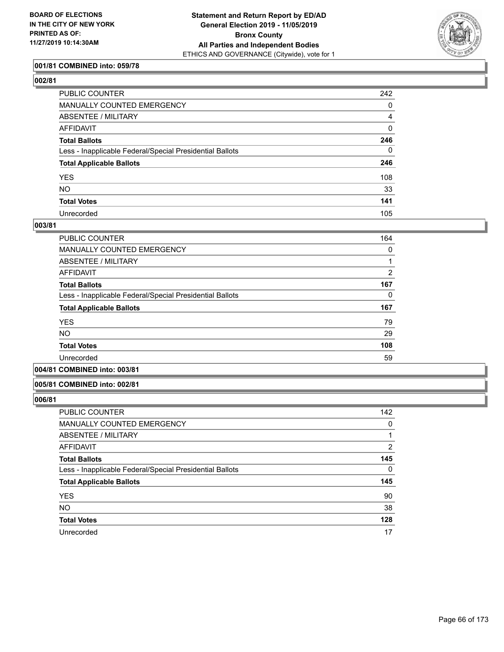

# **001/81 COMBINED into: 059/78**

| PUBLIC COUNTER                                           | 242         |
|----------------------------------------------------------|-------------|
| MANUALLY COUNTED EMERGENCY                               | 0           |
| ABSENTEE / MILITARY                                      | 4           |
| AFFIDAVIT                                                | $\mathbf 0$ |
| Total Ballots                                            | 246         |
| Less - Inapplicable Federal/Special Presidential Ballots | $\Omega$    |
| <b>Total Applicable Ballots</b>                          | 246         |
| YES                                                      | 108         |
| NO.                                                      | 33          |
| <b>Total Votes</b>                                       | 141         |
| Unrecorded                                               | 105         |

#### **003/81**

| PUBLIC COUNTER                                           | 164            |
|----------------------------------------------------------|----------------|
| MANUALLY COUNTED EMERGENCY                               | 0              |
| ABSENTEE / MILITARY                                      |                |
| AFFIDAVIT                                                | $\overline{2}$ |
| <b>Total Ballots</b>                                     | 167            |
| Less - Inapplicable Federal/Special Presidential Ballots | 0              |
| <b>Total Applicable Ballots</b>                          | 167            |
| <b>YES</b>                                               | 79             |
| <b>NO</b>                                                | 29             |
| <b>Total Votes</b>                                       | 108            |
| Unrecorded                                               | 59             |
|                                                          |                |

# **004/81 COMBINED into: 003/81**

#### **005/81 COMBINED into: 002/81**

| PUBLIC COUNTER                                           | 142 |
|----------------------------------------------------------|-----|
| <b>MANUALLY COUNTED EMERGENCY</b>                        | 0   |
| ABSENTEE / MILITARY                                      |     |
| AFFIDAVIT                                                | 2   |
| <b>Total Ballots</b>                                     | 145 |
| Less - Inapplicable Federal/Special Presidential Ballots | 0   |
| <b>Total Applicable Ballots</b>                          | 145 |
| <b>YES</b>                                               | 90  |
| <b>NO</b>                                                | 38  |
| <b>Total Votes</b>                                       | 128 |
| Unrecorded                                               | 17  |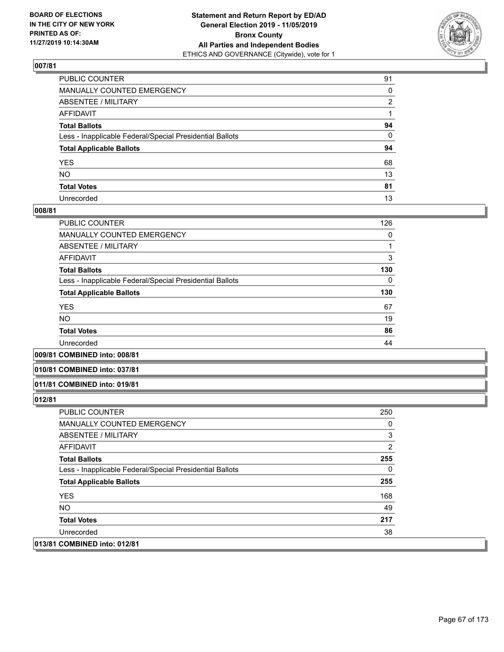

| PUBLIC COUNTER                                           | 91 |
|----------------------------------------------------------|----|
| MANUALLY COUNTED EMERGENCY                               | 0  |
| ABSENTEE / MILITARY                                      | 2  |
| AFFIDAVIT                                                |    |
| Total Ballots                                            | 94 |
| Less - Inapplicable Federal/Special Presidential Ballots | 0  |
| <b>Total Applicable Ballots</b>                          | 94 |
| YES                                                      | 68 |
| NO.                                                      | 13 |
| <b>Total Votes</b>                                       | 81 |
| Unrecorded                                               | 13 |

### **008/81**

| <b>PUBLIC COUNTER</b>                                    | 126 |
|----------------------------------------------------------|-----|
| <b>MANUALLY COUNTED EMERGENCY</b>                        | 0   |
| <b>ABSENTEE / MILITARY</b>                               |     |
| AFFIDAVIT                                                | 3   |
| <b>Total Ballots</b>                                     | 130 |
| Less - Inapplicable Federal/Special Presidential Ballots | 0   |
| <b>Total Applicable Ballots</b>                          | 130 |
| <b>YES</b>                                               | 67  |
| <b>NO</b>                                                | 19  |
| <b>Total Votes</b>                                       | 86  |
| Unrecorded                                               | 44  |
|                                                          |     |

**009/81 COMBINED into: 008/81**

#### **010/81 COMBINED into: 037/81**

#### **011/81 COMBINED into: 019/81**

| PUBLIC COUNTER                                           | 250 |
|----------------------------------------------------------|-----|
| <b>MANUALLY COUNTED EMERGENCY</b>                        | 0   |
| ABSENTEE / MILITARY                                      | 3   |
| AFFIDAVIT                                                | 2   |
| <b>Total Ballots</b>                                     | 255 |
| Less - Inapplicable Federal/Special Presidential Ballots | 0   |
| <b>Total Applicable Ballots</b>                          | 255 |
| <b>YES</b>                                               | 168 |
| NO.                                                      | 49  |
| <b>Total Votes</b>                                       | 217 |
| Unrecorded                                               | 38  |
| 013/81 COMBINED into: 012/81                             |     |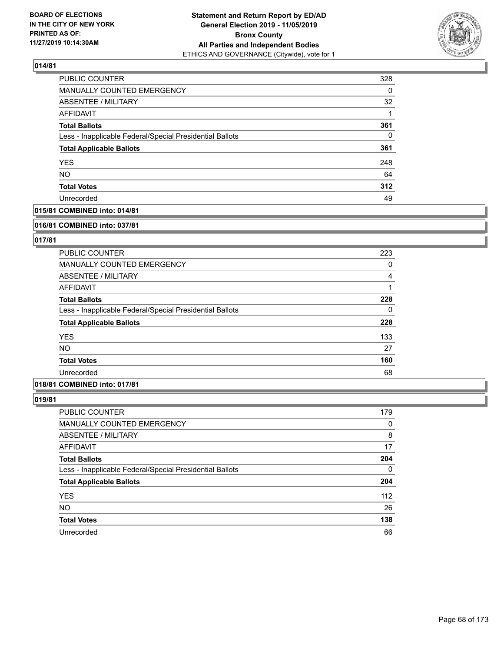

| PUBLIC COUNTER                                           | 328 |
|----------------------------------------------------------|-----|
| MANUALLY COUNTED EMERGENCY                               | 0   |
| <b>ABSENTEE / MILITARY</b>                               | 32  |
| <b>AFFIDAVIT</b>                                         | 1   |
| <b>Total Ballots</b>                                     | 361 |
| Less - Inapplicable Federal/Special Presidential Ballots | 0   |
| <b>Total Applicable Ballots</b>                          | 361 |
| <b>YES</b>                                               | 248 |
| <b>NO</b>                                                | 64  |
| <b>Total Votes</b>                                       | 312 |
| Unrecorded                                               | 49  |

# **015/81 COMBINED into: 014/81**

#### **016/81 COMBINED into: 037/81**

# **017/81**

| <b>PUBLIC COUNTER</b>                                    | 223 |
|----------------------------------------------------------|-----|
| <b>MANUALLY COUNTED EMERGENCY</b>                        | 0   |
| ABSENTEE / MILITARY                                      | 4   |
| AFFIDAVIT                                                |     |
| <b>Total Ballots</b>                                     | 228 |
| Less - Inapplicable Federal/Special Presidential Ballots | 0   |
| <b>Total Applicable Ballots</b>                          | 228 |
| <b>YES</b>                                               | 133 |
| <b>NO</b>                                                | 27  |
| <b>Total Votes</b>                                       | 160 |
| Unrecorded                                               | 68  |

### **018/81 COMBINED into: 017/81**

| <b>PUBLIC COUNTER</b>                                    | 179      |
|----------------------------------------------------------|----------|
| MANUALLY COUNTED EMERGENCY                               | 0        |
| ABSENTEE / MILITARY                                      | 8        |
| AFFIDAVIT                                                | 17       |
| <b>Total Ballots</b>                                     | 204      |
| Less - Inapplicable Federal/Special Presidential Ballots | $\Omega$ |
| <b>Total Applicable Ballots</b>                          | 204      |
| <b>YES</b>                                               | 112      |
| <b>NO</b>                                                | 26       |
| <b>Total Votes</b>                                       | 138      |
| Unrecorded                                               | 66       |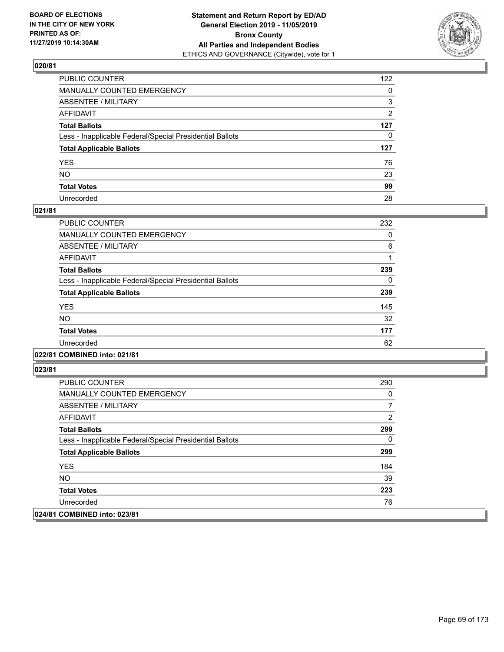

| PUBLIC COUNTER                                           | 122          |
|----------------------------------------------------------|--------------|
| MANUALLY COUNTED EMERGENCY                               | $\mathbf{0}$ |
| ABSENTEE / MILITARY                                      | 3            |
| AFFIDAVIT                                                | 2            |
| Total Ballots                                            | 127          |
| Less - Inapplicable Federal/Special Presidential Ballots | $\Omega$     |
| <b>Total Applicable Ballots</b>                          | 127          |
| YES                                                      | 76           |
| NO.                                                      | 23           |
| <b>Total Votes</b>                                       | 99           |
| Unrecorded                                               | 28           |

## **021/81**

| <b>PUBLIC COUNTER</b>                                    | 232 |
|----------------------------------------------------------|-----|
| <b>MANUALLY COUNTED EMERGENCY</b>                        | 0   |
| ABSENTEE / MILITARY                                      | 6   |
| <b>AFFIDAVIT</b>                                         |     |
| <b>Total Ballots</b>                                     | 239 |
| Less - Inapplicable Federal/Special Presidential Ballots | 0   |
| <b>Total Applicable Ballots</b>                          | 239 |
| <b>YES</b>                                               | 145 |
| N <sub>O</sub>                                           | 32  |
| <b>Total Votes</b>                                       | 177 |
| Unrecorded                                               | 62  |
|                                                          |     |

### **022/81 COMBINED into: 021/81**

| PUBLIC COUNTER                                           | 290 |
|----------------------------------------------------------|-----|
| MANUALLY COUNTED EMERGENCY                               | 0   |
| ABSENTEE / MILITARY                                      |     |
| AFFIDAVIT                                                | 2   |
| <b>Total Ballots</b>                                     | 299 |
| Less - Inapplicable Federal/Special Presidential Ballots | 0   |
| <b>Total Applicable Ballots</b>                          | 299 |
| <b>YES</b>                                               | 184 |
| NO.                                                      | 39  |
| <b>Total Votes</b>                                       | 223 |
| Unrecorded                                               | 76  |
| 024/81 COMBINED into: 023/81                             |     |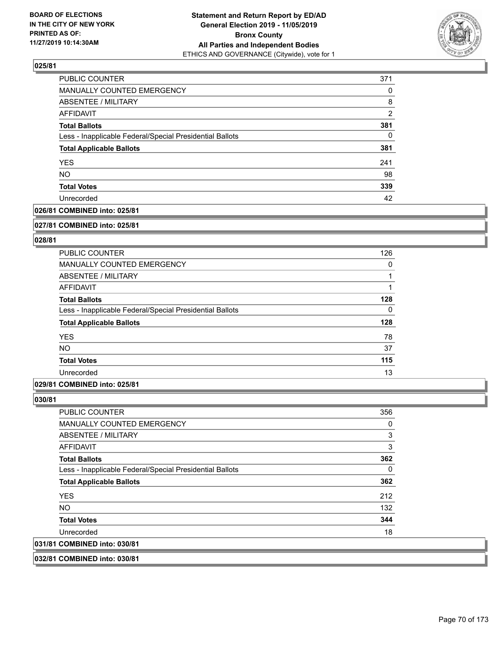

| PUBLIC COUNTER                                           | 371           |
|----------------------------------------------------------|---------------|
| MANUALLY COUNTED EMERGENCY                               | 0             |
| ABSENTEE / MILITARY                                      | 8             |
| AFFIDAVIT                                                | $\mathcal{P}$ |
| <b>Total Ballots</b>                                     | 381           |
| Less - Inapplicable Federal/Special Presidential Ballots | 0             |
| <b>Total Applicable Ballots</b>                          | 381           |
| <b>YES</b>                                               | 241           |
| <b>NO</b>                                                | 98            |
| <b>Total Votes</b>                                       | 339           |
| Unrecorded                                               | 42            |

# **026/81 COMBINED into: 025/81**

#### **027/81 COMBINED into: 025/81**

# **028/81**

| <b>PUBLIC COUNTER</b>                                    | 126      |
|----------------------------------------------------------|----------|
| <b>MANUALLY COUNTED EMERGENCY</b>                        | 0        |
| ABSENTEE / MILITARY                                      |          |
| AFFIDAVIT                                                |          |
| <b>Total Ballots</b>                                     | 128      |
| Less - Inapplicable Federal/Special Presidential Ballots | $\Omega$ |
| <b>Total Applicable Ballots</b>                          | 128      |
| <b>YES</b>                                               | 78       |
| <b>NO</b>                                                | 37       |
| <b>Total Votes</b>                                       | 115      |
| Unrecorded                                               | 13       |

### **029/81 COMBINED into: 025/81**

| PUBLIC COUNTER                                           | 356 |
|----------------------------------------------------------|-----|
| <b>MANUALLY COUNTED EMERGENCY</b>                        | 0   |
| ABSENTEE / MILITARY                                      | 3   |
| AFFIDAVIT                                                | 3   |
| <b>Total Ballots</b>                                     | 362 |
| Less - Inapplicable Federal/Special Presidential Ballots | 0   |
| <b>Total Applicable Ballots</b>                          | 362 |
| <b>YES</b>                                               | 212 |
| NO.                                                      | 132 |
| <b>Total Votes</b>                                       | 344 |
| Unrecorded                                               | 18  |
| 031/81 COMBINED into: 030/81                             |     |
|                                                          |     |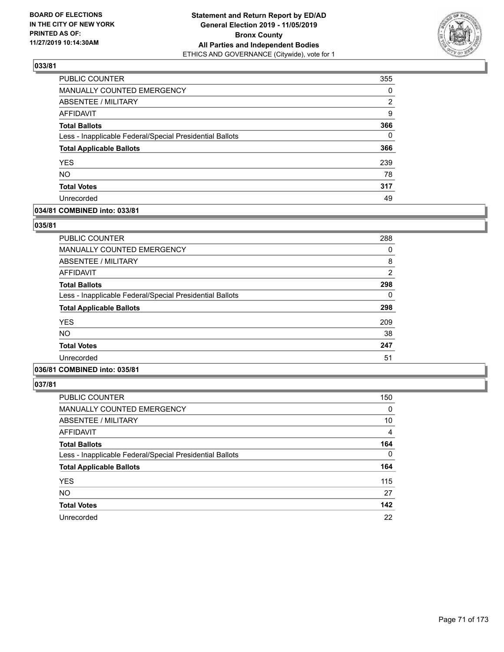

| PUBLIC COUNTER                                           | 355          |
|----------------------------------------------------------|--------------|
| MANUALLY COUNTED EMERGENCY                               | 0            |
| ABSENTEE / MILITARY                                      | 2            |
| <b>AFFIDAVIT</b>                                         | 9            |
| <b>Total Ballots</b>                                     | 366          |
| Less - Inapplicable Federal/Special Presidential Ballots | $\mathbf{0}$ |
| <b>Total Applicable Ballots</b>                          | 366          |
| <b>YES</b>                                               | 239          |
| <b>NO</b>                                                | 78           |
| <b>Total Votes</b>                                       | 317          |
| Unrecorded                                               | 49           |

# **034/81 COMBINED into: 033/81**

## **035/81**

| <b>PUBLIC COUNTER</b>                                    | 288            |
|----------------------------------------------------------|----------------|
| MANUALLY COUNTED EMERGENCY                               | 0              |
| ABSENTEE / MILITARY                                      | 8              |
| AFFIDAVIT                                                | $\overline{2}$ |
| <b>Total Ballots</b>                                     | 298            |
| Less - Inapplicable Federal/Special Presidential Ballots | 0              |
| <b>Total Applicable Ballots</b>                          | 298            |
| <b>YES</b>                                               | 209            |
| <b>NO</b>                                                | 38             |
| <b>Total Votes</b>                                       | 247            |
| Unrecorded                                               | 51             |
|                                                          |                |

# **036/81 COMBINED into: 035/81**

| <b>PUBLIC COUNTER</b>                                    | 150      |
|----------------------------------------------------------|----------|
| MANUALLY COUNTED EMERGENCY                               | 0        |
| ABSENTEE / MILITARY                                      | 10       |
| AFFIDAVIT                                                | 4        |
| <b>Total Ballots</b>                                     | 164      |
| Less - Inapplicable Federal/Special Presidential Ballots | $\Omega$ |
| <b>Total Applicable Ballots</b>                          | 164      |
| <b>YES</b>                                               | 115      |
| <b>NO</b>                                                | 27       |
| <b>Total Votes</b>                                       | 142      |
| Unrecorded                                               | 22       |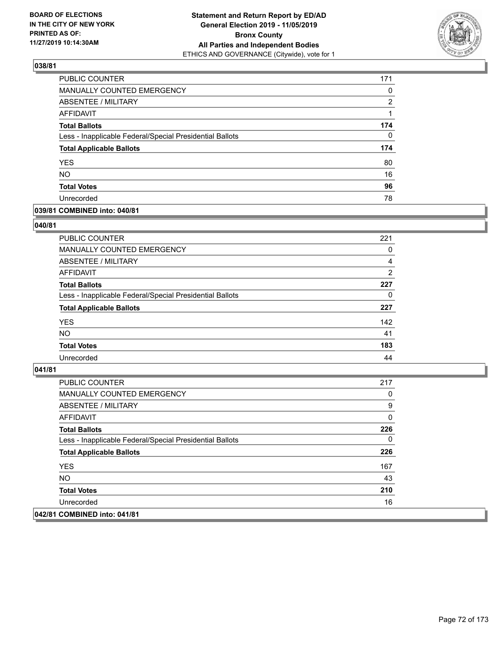

| PUBLIC COUNTER                                           | 171      |
|----------------------------------------------------------|----------|
| MANUALLY COUNTED EMERGENCY                               | 0        |
| ABSENTEE / MILITARY                                      | 2        |
| AFFIDAVIT                                                |          |
| <b>Total Ballots</b>                                     | 174      |
| Less - Inapplicable Federal/Special Presidential Ballots | $\Omega$ |
| <b>Total Applicable Ballots</b>                          | 174      |
| <b>YES</b>                                               | 80       |
| <b>NO</b>                                                | 16       |
| <b>Total Votes</b>                                       | 96       |
| Unrecorded                                               | 78       |

## **039/81 COMBINED into: 040/81**

### **040/81**

| <b>PUBLIC COUNTER</b>                                    | 221            |
|----------------------------------------------------------|----------------|
| MANUALLY COUNTED EMERGENCY                               | 0              |
| ABSENTEE / MILITARY                                      | 4              |
| AFFIDAVIT                                                | $\overline{2}$ |
| <b>Total Ballots</b>                                     | 227            |
| Less - Inapplicable Federal/Special Presidential Ballots | $\Omega$       |
| <b>Total Applicable Ballots</b>                          | 227            |
| <b>YES</b>                                               | 142            |
| <b>NO</b>                                                | 41             |
| <b>Total Votes</b>                                       | 183            |
| Unrecorded                                               | 44             |

| PUBLIC COUNTER                                           | 217 |
|----------------------------------------------------------|-----|
| <b>MANUALLY COUNTED EMERGENCY</b>                        | 0   |
| ABSENTEE / MILITARY                                      | 9   |
| AFFIDAVIT                                                | 0   |
| <b>Total Ballots</b>                                     | 226 |
| Less - Inapplicable Federal/Special Presidential Ballots | 0   |
| <b>Total Applicable Ballots</b>                          | 226 |
| <b>YES</b>                                               | 167 |
| NO.                                                      | 43  |
| <b>Total Votes</b>                                       | 210 |
| Unrecorded                                               | 16  |
| 042/81 COMBINED into: 041/81                             |     |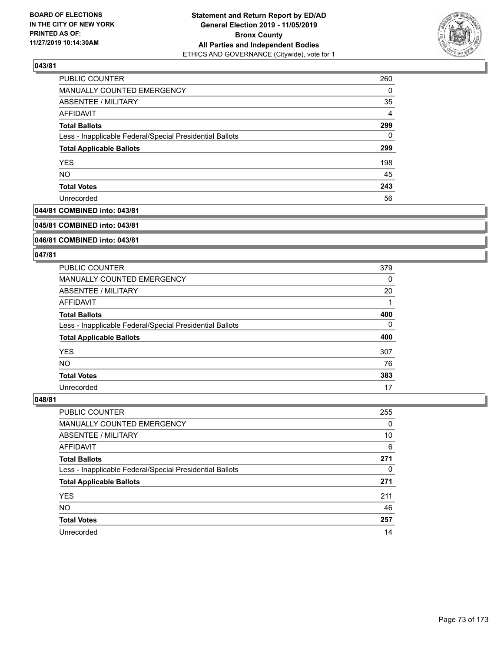

| PUBLIC COUNTER                                           | 260            |
|----------------------------------------------------------|----------------|
| MANUALLY COUNTED EMERGENCY                               | $\Omega$       |
| ABSENTEE / MILITARY                                      | 35             |
| AFFIDAVIT                                                | $\overline{4}$ |
| <b>Total Ballots</b>                                     | 299            |
| Less - Inapplicable Federal/Special Presidential Ballots | 0              |
| <b>Total Applicable Ballots</b>                          | 299            |
| <b>YES</b>                                               | 198            |
| <b>NO</b>                                                | 45             |
| <b>Total Votes</b>                                       | 243            |
| Unrecorded                                               | 56             |

# **044/81 COMBINED into: 043/81**

#### **045/81 COMBINED into: 043/81**

# **046/81 COMBINED into: 043/81**

#### **047/81**

| <b>PUBLIC COUNTER</b>                                    | 379 |
|----------------------------------------------------------|-----|
| MANUALLY COUNTED EMERGENCY                               | 0   |
| ABSENTEE / MILITARY                                      | 20  |
| AFFIDAVIT                                                |     |
| <b>Total Ballots</b>                                     | 400 |
| Less - Inapplicable Federal/Special Presidential Ballots | 0   |
| <b>Total Applicable Ballots</b>                          | 400 |
| <b>YES</b>                                               | 307 |
| NO.                                                      | 76  |
| <b>Total Votes</b>                                       | 383 |
| Unrecorded                                               | 17  |

| <b>PUBLIC COUNTER</b>                                    | 255 |
|----------------------------------------------------------|-----|
| MANUALLY COUNTED EMERGENCY                               | 0   |
| ABSENTEE / MILITARY                                      | 10  |
| AFFIDAVIT                                                | 6   |
| <b>Total Ballots</b>                                     | 271 |
| Less - Inapplicable Federal/Special Presidential Ballots | 0   |
| <b>Total Applicable Ballots</b>                          | 271 |
| <b>YES</b>                                               | 211 |
| <b>NO</b>                                                | 46  |
| <b>Total Votes</b>                                       | 257 |
| Unrecorded                                               | 14  |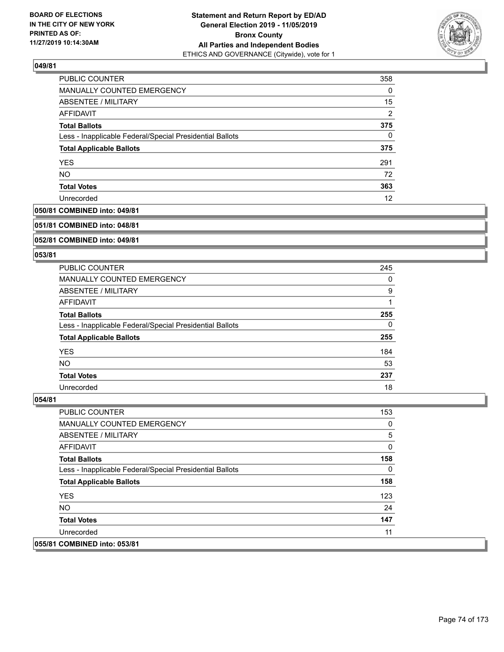

| PUBLIC COUNTER                                           | 358            |
|----------------------------------------------------------|----------------|
| MANUALLY COUNTED EMERGENCY                               | $\Omega$       |
| ABSENTEE / MILITARY                                      | 15             |
| AFFIDAVIT                                                | $\overline{2}$ |
| <b>Total Ballots</b>                                     | 375            |
| Less - Inapplicable Federal/Special Presidential Ballots | $\Omega$       |
| <b>Total Applicable Ballots</b>                          | 375            |
| <b>YES</b>                                               | 291            |
| <b>NO</b>                                                | 72             |
| <b>Total Votes</b>                                       | 363            |
| Unrecorded                                               | 12             |

# **050/81 COMBINED into: 049/81**

#### **051/81 COMBINED into: 048/81**

## **052/81 COMBINED into: 049/81**

#### **053/81**

| <b>PUBLIC COUNTER</b>                                    | 245 |
|----------------------------------------------------------|-----|
| MANUALLY COUNTED EMERGENCY                               | 0   |
| ABSENTEE / MILITARY                                      | 9   |
| AFFIDAVIT                                                |     |
| <b>Total Ballots</b>                                     | 255 |
| Less - Inapplicable Federal/Special Presidential Ballots | 0   |
| <b>Total Applicable Ballots</b>                          | 255 |
| <b>YES</b>                                               | 184 |
| NO.                                                      | 53  |
| <b>Total Votes</b>                                       | 237 |
| Unrecorded                                               | 18  |

| PUBLIC COUNTER                                           | 153 |
|----------------------------------------------------------|-----|
| <b>MANUALLY COUNTED EMERGENCY</b>                        | 0   |
| <b>ABSENTEE / MILITARY</b>                               | 5   |
| AFFIDAVIT                                                | 0   |
| <b>Total Ballots</b>                                     | 158 |
| Less - Inapplicable Federal/Special Presidential Ballots | 0   |
| <b>Total Applicable Ballots</b>                          | 158 |
| <b>YES</b>                                               | 123 |
| NO.                                                      | 24  |
| <b>Total Votes</b>                                       | 147 |
| Unrecorded                                               | 11  |
| 055/81 COMBINED into: 053/81                             |     |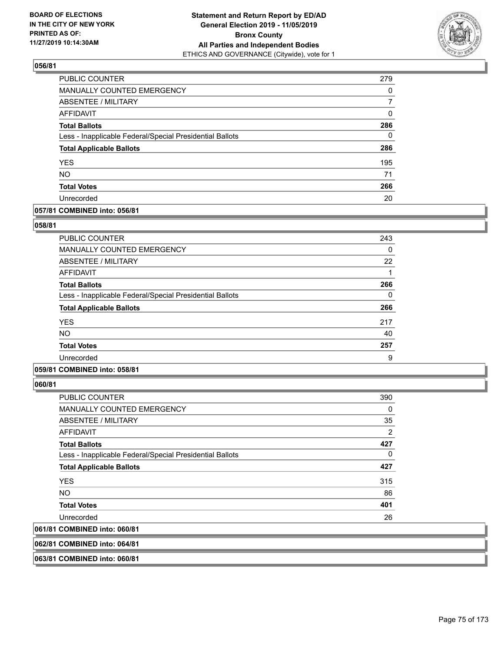

| <b>PUBLIC COUNTER</b>                                    | 279 |
|----------------------------------------------------------|-----|
| <b>MANUALLY COUNTED EMERGENCY</b>                        | 0   |
| <b>ABSENTEE / MILITARY</b>                               | 7   |
| AFFIDAVIT                                                | 0   |
| <b>Total Ballots</b>                                     | 286 |
| Less - Inapplicable Federal/Special Presidential Ballots | 0   |
| <b>Total Applicable Ballots</b>                          | 286 |
| <b>YES</b>                                               | 195 |
| <b>NO</b>                                                | 71  |
| <b>Total Votes</b>                                       | 266 |
| Unrecorded                                               | 20  |

# **057/81 COMBINED into: 056/81**

## **058/81**

| PUBLIC COUNTER                                           | 243 |
|----------------------------------------------------------|-----|
| <b>MANUALLY COUNTED EMERGENCY</b>                        | 0   |
| ABSENTEE / MILITARY                                      | 22  |
| AFFIDAVIT                                                |     |
| <b>Total Ballots</b>                                     | 266 |
| Less - Inapplicable Federal/Special Presidential Ballots | 0   |
| <b>Total Applicable Ballots</b>                          | 266 |
| <b>YES</b>                                               | 217 |
| <b>NO</b>                                                | 40  |
| <b>Total Votes</b>                                       | 257 |
| Unrecorded                                               | 9   |

# **059/81 COMBINED into: 058/81**

**060/81** 

| <b>PUBLIC COUNTER</b>                                    | 390            |
|----------------------------------------------------------|----------------|
| <b>MANUALLY COUNTED EMERGENCY</b>                        | 0              |
| ABSENTEE / MILITARY                                      | 35             |
| AFFIDAVIT                                                | $\overline{2}$ |
| <b>Total Ballots</b>                                     | 427            |
| Less - Inapplicable Federal/Special Presidential Ballots | 0              |
| <b>Total Applicable Ballots</b>                          | 427            |
| <b>YES</b>                                               | 315            |
| NO                                                       | 86             |
| <b>Total Votes</b>                                       | 401            |
| Unrecorded                                               | 26             |
| 061/81 COMBINED into: 060/81                             |                |
|                                                          |                |

**062/81 COMBINED into: 064/81**

**063/81 COMBINED into: 060/81**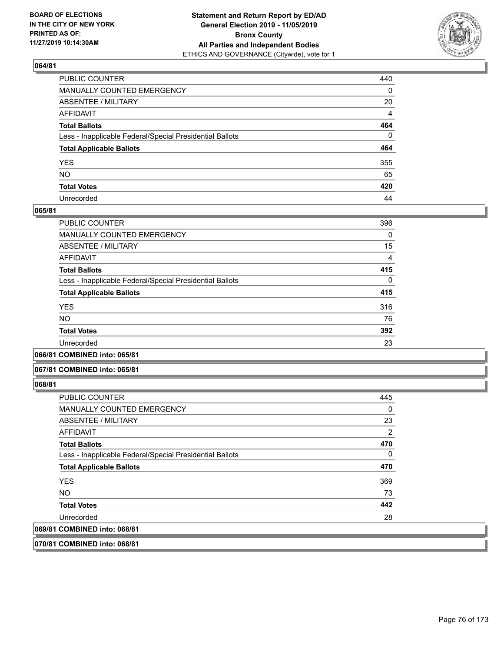

| PUBLIC COUNTER                                           | 440      |
|----------------------------------------------------------|----------|
| MANUALLY COUNTED EMERGENCY                               | 0        |
| ABSENTEE / MILITARY                                      | 20       |
| AFFIDAVIT                                                | 4        |
| Total Ballots                                            | 464      |
| Less - Inapplicable Federal/Special Presidential Ballots | $\Omega$ |
| <b>Total Applicable Ballots</b>                          | 464      |
| YES                                                      | 355      |
| NO.                                                      | 65       |
| <b>Total Votes</b>                                       | 420      |
| Unrecorded                                               | 44       |

## **065/81**

| PUBLIC COUNTER                                           | 396      |
|----------------------------------------------------------|----------|
| <b>MANUALLY COUNTED EMERGENCY</b>                        | 0        |
| ABSENTEE / MILITARY                                      | 15       |
| <b>AFFIDAVIT</b>                                         | 4        |
| <b>Total Ballots</b>                                     | 415      |
| Less - Inapplicable Federal/Special Presidential Ballots | $\Omega$ |
| <b>Total Applicable Ballots</b>                          | 415      |
| <b>YES</b>                                               | 316      |
| <b>NO</b>                                                | 76       |
| <b>Total Votes</b>                                       | 392      |
| Unrecorded                                               | 23       |
|                                                          |          |

**066/81 COMBINED into: 065/81**

#### **067/81 COMBINED into: 065/81**

**068/81** 

| <b>PUBLIC COUNTER</b>                                    | 445 |
|----------------------------------------------------------|-----|
| <b>MANUALLY COUNTED EMERGENCY</b>                        | 0   |
| ABSENTEE / MILITARY                                      | 23  |
| AFFIDAVIT                                                | 2   |
| <b>Total Ballots</b>                                     | 470 |
| Less - Inapplicable Federal/Special Presidential Ballots | 0   |
| <b>Total Applicable Ballots</b>                          | 470 |
| <b>YES</b>                                               | 369 |
| NO.                                                      | 73  |
| <b>Total Votes</b>                                       | 442 |
| Unrecorded                                               | 28  |
| 069/81 COMBINED into: 068/81                             |     |
|                                                          |     |

**070/81 COMBINED into: 068/81**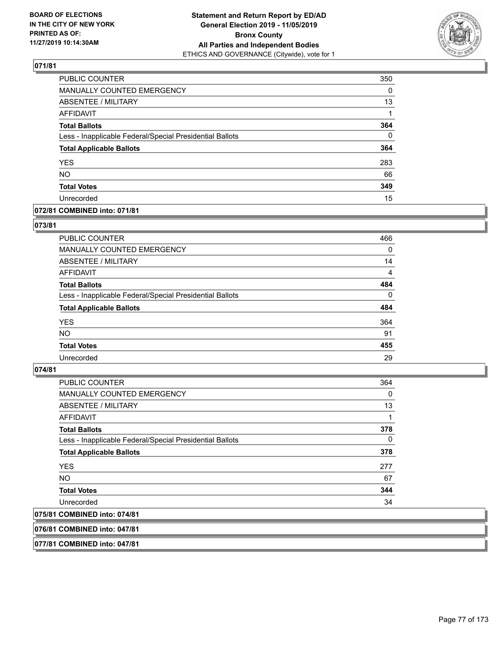

| PUBLIC COUNTER                                           | 350          |
|----------------------------------------------------------|--------------|
| <b>MANUALLY COUNTED EMERGENCY</b>                        | $\Omega$     |
| ABSENTEE / MILITARY                                      | 13           |
| <b>AFFIDAVIT</b>                                         |              |
| <b>Total Ballots</b>                                     | 364          |
| Less - Inapplicable Federal/Special Presidential Ballots | $\mathbf{0}$ |
| <b>Total Applicable Ballots</b>                          | 364          |
| <b>YES</b>                                               | 283          |
| <b>NO</b>                                                | 66           |
| <b>Total Votes</b>                                       | 349          |
| Unrecorded                                               | 15           |

# **072/81 COMBINED into: 071/81**

## **073/81**

| PUBLIC COUNTER                                           | 466            |
|----------------------------------------------------------|----------------|
| <b>MANUALLY COUNTED EMERGENCY</b>                        | $\Omega$       |
| ABSENTEE / MILITARY                                      | 14             |
| AFFIDAVIT                                                | $\overline{4}$ |
| <b>Total Ballots</b>                                     | 484            |
| Less - Inapplicable Federal/Special Presidential Ballots | $\Omega$       |
| <b>Total Applicable Ballots</b>                          | 484            |
| <b>YES</b>                                               | 364            |
| <b>NO</b>                                                | 91             |
| <b>Total Votes</b>                                       | 455            |
| Unrecorded                                               | 29             |

#### **074/81**

| <b>PUBLIC COUNTER</b>                                    | 364      |
|----------------------------------------------------------|----------|
| <b>MANUALLY COUNTED EMERGENCY</b>                        | 0        |
| ABSENTEE / MILITARY                                      | 13       |
| AFFIDAVIT                                                | 1        |
| <b>Total Ballots</b>                                     | 378      |
| Less - Inapplicable Federal/Special Presidential Ballots | $\Omega$ |
| <b>Total Applicable Ballots</b>                          | 378      |
| <b>YES</b>                                               | 277      |
| <b>NO</b>                                                | 67       |
| <b>Total Votes</b>                                       | 344      |
| Unrecorded                                               | 34       |
| 075/81 COMBINED into: 074/81                             |          |

**076/81 COMBINED into: 047/81**

**077/81 COMBINED into: 047/81**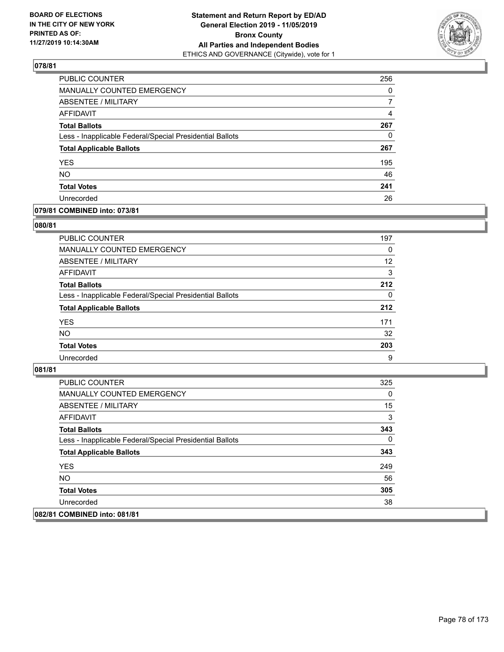

| PUBLIC COUNTER                                           | 256      |
|----------------------------------------------------------|----------|
| MANUALLY COUNTED EMERGENCY                               | 0        |
| ABSENTEE / MILITARY                                      | 7        |
| AFFIDAVIT                                                | 4        |
| <b>Total Ballots</b>                                     | 267      |
| Less - Inapplicable Federal/Special Presidential Ballots | $\Omega$ |
| <b>Total Applicable Ballots</b>                          | 267      |
| <b>YES</b>                                               | 195      |
| <b>NO</b>                                                | 46       |
| <b>Total Votes</b>                                       | 241      |
| Unrecorded                                               | 26       |

# **079/81 COMBINED into: 073/81**

## **080/81**

| <b>PUBLIC COUNTER</b>                                    | 197      |
|----------------------------------------------------------|----------|
| MANUALLY COUNTED EMERGENCY                               | $\Omega$ |
| ABSENTEE / MILITARY                                      | 12       |
| AFFIDAVIT                                                | 3        |
| <b>Total Ballots</b>                                     | 212      |
| Less - Inapplicable Federal/Special Presidential Ballots | $\Omega$ |
| <b>Total Applicable Ballots</b>                          | 212      |
| <b>YES</b>                                               | 171      |
| <b>NO</b>                                                | 32       |
| <b>Total Votes</b>                                       | 203      |
| Unrecorded                                               | 9        |

| PUBLIC COUNTER                                           | 325 |
|----------------------------------------------------------|-----|
| <b>MANUALLY COUNTED EMERGENCY</b>                        | 0   |
| ABSENTEE / MILITARY                                      | 15  |
| AFFIDAVIT                                                | 3   |
| <b>Total Ballots</b>                                     | 343 |
| Less - Inapplicable Federal/Special Presidential Ballots | 0   |
| <b>Total Applicable Ballots</b>                          | 343 |
| <b>YES</b>                                               | 249 |
| NO.                                                      | 56  |
| <b>Total Votes</b>                                       | 305 |
| Unrecorded                                               | 38  |
| 082/81 COMBINED into: 081/81                             |     |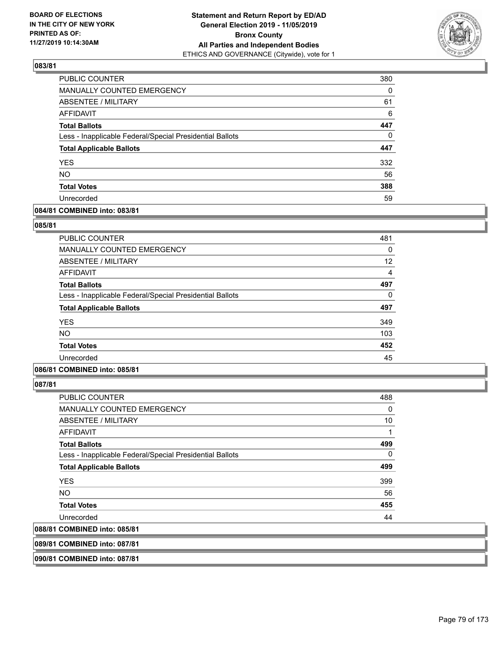

| PUBLIC COUNTER                                           | 380      |
|----------------------------------------------------------|----------|
| <b>MANUALLY COUNTED EMERGENCY</b>                        | 0        |
| ABSENTEE / MILITARY                                      | 61       |
| AFFIDAVIT                                                | 6        |
| <b>Total Ballots</b>                                     | 447      |
| Less - Inapplicable Federal/Special Presidential Ballots | $\Omega$ |
| <b>Total Applicable Ballots</b>                          | 447      |
| <b>YES</b>                                               | 332      |
| <b>NO</b>                                                | 56       |
| <b>Total Votes</b>                                       | 388      |
| Unrecorded                                               | 59       |

# **084/81 COMBINED into: 083/81**

## **085/81**

| <b>PUBLIC COUNTER</b>                                    | 481 |
|----------------------------------------------------------|-----|
| <b>MANUALLY COUNTED EMERGENCY</b>                        | 0   |
| <b>ABSENTEE / MILITARY</b>                               | 12  |
| AFFIDAVIT                                                | 4   |
| <b>Total Ballots</b>                                     | 497 |
| Less - Inapplicable Federal/Special Presidential Ballots | 0   |
| <b>Total Applicable Ballots</b>                          | 497 |
| <b>YES</b>                                               | 349 |
| <b>NO</b>                                                | 103 |
| <b>Total Votes</b>                                       | 452 |
| Unrecorded                                               | 45  |
|                                                          |     |

# **086/81 COMBINED into: 085/81**

**087/81** 

| <b>PUBLIC COUNTER</b>                                    | 488 |
|----------------------------------------------------------|-----|
| <b>MANUALLY COUNTED EMERGENCY</b>                        | 0   |
| ABSENTEE / MILITARY                                      | 10  |
| AFFIDAVIT                                                | 1   |
| <b>Total Ballots</b>                                     | 499 |
| Less - Inapplicable Federal/Special Presidential Ballots | 0   |
| <b>Total Applicable Ballots</b>                          | 499 |
| <b>YES</b>                                               | 399 |
| NO.                                                      | 56  |
| <b>Total Votes</b>                                       | 455 |
| Unrecorded                                               | 44  |
| 088/81 COMBINED into: 085/81                             |     |
|                                                          |     |

**089/81 COMBINED into: 087/81**

**090/81 COMBINED into: 087/81**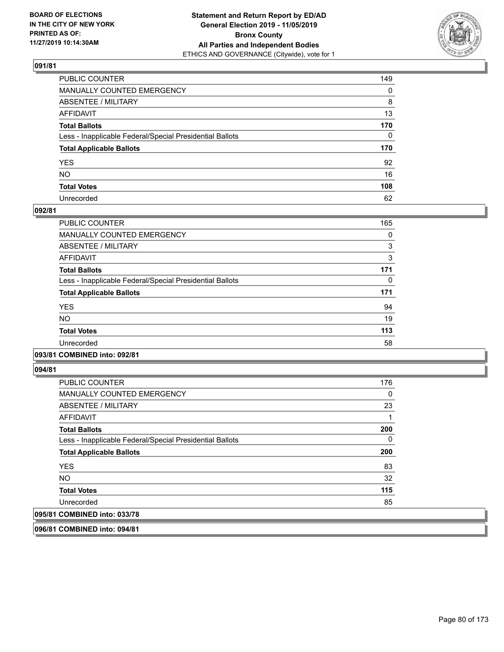

| PUBLIC COUNTER                                           | 149          |
|----------------------------------------------------------|--------------|
| MANUALLY COUNTED EMERGENCY                               | 0            |
| ABSENTEE / MILITARY                                      | 8            |
| AFFIDAVIT                                                | 13           |
| Total Ballots                                            | 170          |
| Less - Inapplicable Federal/Special Presidential Ballots | $\mathbf{0}$ |
| <b>Total Applicable Ballots</b>                          | 170          |
| YES                                                      | 92           |
| NO.                                                      | 16           |
| <b>Total Votes</b>                                       | 108          |
| Unrecorded                                               | 62           |

#### **092/81**

| PUBLIC COUNTER                                           | 165 |
|----------------------------------------------------------|-----|
| <b>MANUALLY COUNTED EMERGENCY</b>                        | 0   |
| ABSENTEE / MILITARY                                      | 3   |
| <b>AFFIDAVIT</b>                                         | 3   |
| <b>Total Ballots</b>                                     | 171 |
| Less - Inapplicable Federal/Special Presidential Ballots | 0   |
| <b>Total Applicable Ballots</b>                          | 171 |
| <b>YES</b>                                               | 94  |
| NO.                                                      | 19  |
| <b>Total Votes</b>                                       | 113 |
| Unrecorded                                               | 58  |
|                                                          |     |

#### **093/81 COMBINED into: 092/81**

**094/81** 

| <b>PUBLIC COUNTER</b>                                    | 176 |
|----------------------------------------------------------|-----|
| MANUALLY COUNTED EMERGENCY                               | 0   |
| ABSENTEE / MILITARY                                      | 23  |
| AFFIDAVIT                                                |     |
| <b>Total Ballots</b>                                     | 200 |
| Less - Inapplicable Federal/Special Presidential Ballots | 0   |
| <b>Total Applicable Ballots</b>                          | 200 |
| <b>YES</b>                                               | 83  |
| <b>NO</b>                                                | 32  |
| <b>Total Votes</b>                                       | 115 |
| Unrecorded                                               | 85  |
| 095/81 COMBINED into: 033/78                             |     |

**096/81 COMBINED into: 094/81**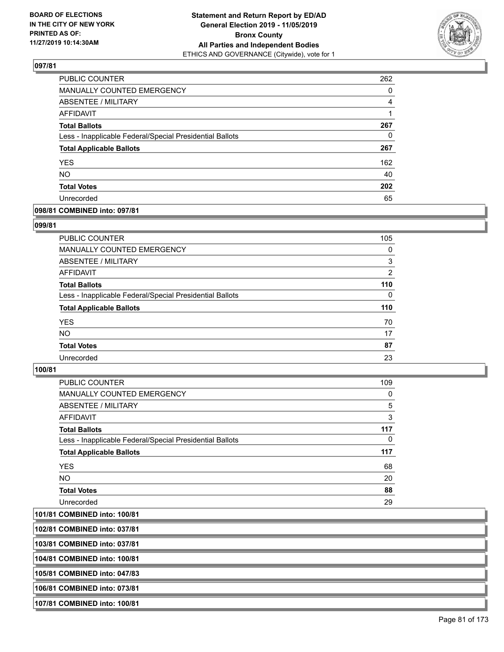

| PUBLIC COUNTER                                           | 262 |
|----------------------------------------------------------|-----|
| MANUALLY COUNTED EMERGENCY                               | 0   |
| ABSENTEE / MILITARY                                      | 4   |
| AFFIDAVIT                                                |     |
| <b>Total Ballots</b>                                     | 267 |
| Less - Inapplicable Federal/Special Presidential Ballots | 0   |
| <b>Total Applicable Ballots</b>                          | 267 |
| <b>YES</b>                                               | 162 |
| <b>NO</b>                                                | 40  |
| <b>Total Votes</b>                                       | 202 |
| Unrecorded                                               | 65  |

#### **098/81 COMBINED into: 097/81**

#### **099/81**

| PUBLIC COUNTER                                           | 105            |
|----------------------------------------------------------|----------------|
| <b>MANUALLY COUNTED EMERGENCY</b>                        | $\Omega$       |
| ABSENTEE / MILITARY                                      | 3              |
| AFFIDAVIT                                                | $\overline{2}$ |
| <b>Total Ballots</b>                                     | 110            |
| Less - Inapplicable Federal/Special Presidential Ballots | $\Omega$       |
| <b>Total Applicable Ballots</b>                          | 110            |
| <b>YES</b>                                               | 70             |
| <b>NO</b>                                                | 17             |
| <b>Total Votes</b>                                       | 87             |
| Unrecorded                                               | 23             |
|                                                          |                |

## **100/81**

| <b>PUBLIC COUNTER</b>                                    | 109      |
|----------------------------------------------------------|----------|
| <b>MANUALLY COUNTED EMERGENCY</b>                        | 0        |
| ABSENTEE / MILITARY                                      | 5        |
| AFFIDAVIT                                                | 3        |
| <b>Total Ballots</b>                                     | 117      |
| Less - Inapplicable Federal/Special Presidential Ballots | $\Omega$ |
| <b>Total Applicable Ballots</b>                          | 117      |
| <b>YES</b>                                               | 68       |
| NO.                                                      | 20       |
| <b>Total Votes</b>                                       | 88       |
| Unrecorded                                               | 29       |

**101/81 COMBINED into: 100/81**

**102/81 COMBINED into: 037/81**

**103/81 COMBINED into: 037/81**

**104/81 COMBINED into: 100/81**

**105/81 COMBINED into: 047/83**

**106/81 COMBINED into: 073/81**

**107/81 COMBINED into: 100/81**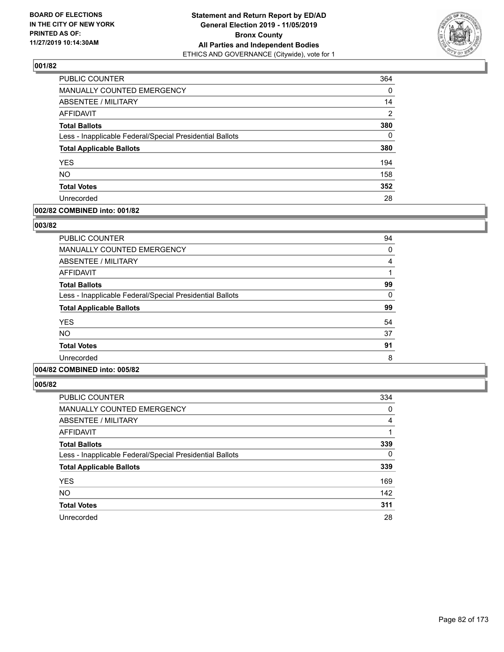

| PUBLIC COUNTER                                           | 364      |
|----------------------------------------------------------|----------|
| MANUALLY COUNTED EMERGENCY                               | 0        |
| <b>ABSENTEE / MILITARY</b>                               | 14       |
| <b>AFFIDAVIT</b>                                         | 2        |
| <b>Total Ballots</b>                                     | 380      |
| Less - Inapplicable Federal/Special Presidential Ballots | $\Omega$ |
| <b>Total Applicable Ballots</b>                          | 380      |
| <b>YES</b>                                               | 194      |
| <b>NO</b>                                                | 158      |
| <b>Total Votes</b>                                       | 352      |
| Unrecorded                                               | 28       |

## **002/82 COMBINED into: 001/82**

#### **003/82**

| <b>PUBLIC COUNTER</b>                                    | 94 |
|----------------------------------------------------------|----|
| MANUALLY COUNTED EMERGENCY                               | 0  |
| ABSENTEE / MILITARY                                      | 4  |
| AFFIDAVIT                                                |    |
| <b>Total Ballots</b>                                     | 99 |
| Less - Inapplicable Federal/Special Presidential Ballots | 0  |
| <b>Total Applicable Ballots</b>                          | 99 |
| <b>YES</b>                                               | 54 |
| <b>NO</b>                                                | 37 |
| <b>Total Votes</b>                                       | 91 |
| Unrecorded                                               | 8  |
|                                                          |    |

# **004/82 COMBINED into: 005/82**

| <b>PUBLIC COUNTER</b>                                    | 334      |
|----------------------------------------------------------|----------|
| <b>MANUALLY COUNTED EMERGENCY</b>                        | 0        |
| ABSENTEE / MILITARY                                      | 4        |
| <b>AFFIDAVIT</b>                                         |          |
| <b>Total Ballots</b>                                     | 339      |
| Less - Inapplicable Federal/Special Presidential Ballots | $\Omega$ |
| <b>Total Applicable Ballots</b>                          | 339      |
| <b>YES</b>                                               | 169      |
| <b>NO</b>                                                | 142      |
| <b>Total Votes</b>                                       | 311      |
| Unrecorded                                               | 28       |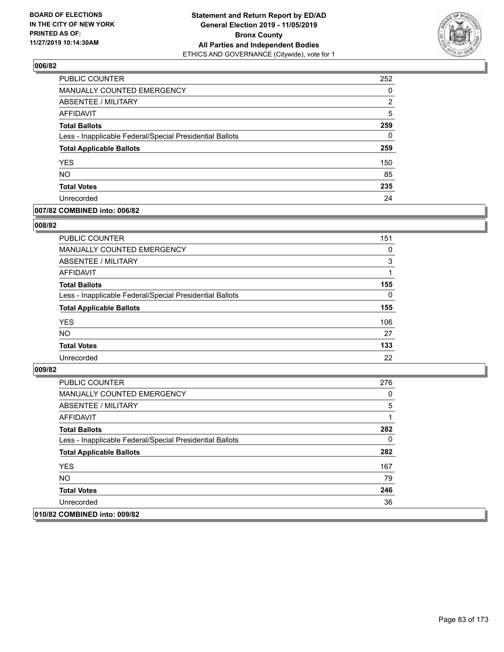

| PUBLIC COUNTER                                           | 252      |
|----------------------------------------------------------|----------|
| MANUALLY COUNTED EMERGENCY                               | $\Omega$ |
| <b>ABSENTEE / MILITARY</b>                               | 2        |
| AFFIDAVIT                                                | 5        |
| <b>Total Ballots</b>                                     | 259      |
| Less - Inapplicable Federal/Special Presidential Ballots | $\Omega$ |
| <b>Total Applicable Ballots</b>                          | 259      |
| <b>YES</b>                                               | 150      |
| <b>NO</b>                                                | 85       |
| <b>Total Votes</b>                                       | 235      |
| Unrecorded                                               | 24       |

## **007/82 COMBINED into: 006/82**

#### **008/82**

| PUBLIC COUNTER                                           | 151      |
|----------------------------------------------------------|----------|
| <b>MANUALLY COUNTED EMERGENCY</b>                        | $\Omega$ |
| ABSENTEE / MILITARY                                      | 3        |
| AFFIDAVIT                                                |          |
| <b>Total Ballots</b>                                     | 155      |
| Less - Inapplicable Federal/Special Presidential Ballots | $\Omega$ |
| <b>Total Applicable Ballots</b>                          | 155      |
| <b>YES</b>                                               | 106      |
| <b>NO</b>                                                | 27       |
| <b>Total Votes</b>                                       | 133      |
| Unrecorded                                               | 22       |

| <b>PUBLIC COUNTER</b>                                    | 276 |
|----------------------------------------------------------|-----|
| MANUALLY COUNTED EMERGENCY                               | 0   |
| ABSENTEE / MILITARY                                      | 5   |
| AFFIDAVIT                                                |     |
| <b>Total Ballots</b>                                     | 282 |
| Less - Inapplicable Federal/Special Presidential Ballots | 0   |
| <b>Total Applicable Ballots</b>                          | 282 |
| <b>YES</b>                                               | 167 |
| NO.                                                      | 79  |
| <b>Total Votes</b>                                       | 246 |
| Unrecorded                                               | 36  |
| 010/82 COMBINED into: 009/82                             |     |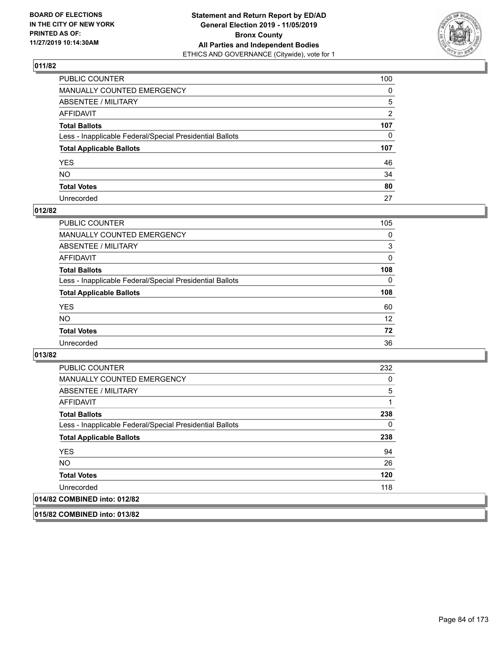

| PUBLIC COUNTER                                           | 100          |
|----------------------------------------------------------|--------------|
| MANUALLY COUNTED EMERGENCY                               | $\mathbf{0}$ |
| ABSENTEE / MILITARY                                      | 5            |
| AFFIDAVIT                                                | 2            |
| Total Ballots                                            | 107          |
| Less - Inapplicable Federal/Special Presidential Ballots | 0            |
| <b>Total Applicable Ballots</b>                          | 107          |
| YES                                                      | 46           |
| NO.                                                      | 34           |
| <b>Total Votes</b>                                       | 80           |
| Unrecorded                                               | 27           |

# **012/82**

| <b>PUBLIC COUNTER</b>                                    | 105      |
|----------------------------------------------------------|----------|
| MANUALLY COUNTED EMERGENCY                               | 0        |
| ABSENTEE / MILITARY                                      | 3        |
| AFFIDAVIT                                                | $\Omega$ |
| <b>Total Ballots</b>                                     | 108      |
| Less - Inapplicable Federal/Special Presidential Ballots | $\Omega$ |
| <b>Total Applicable Ballots</b>                          | 108      |
| <b>YES</b>                                               | 60       |
| <b>NO</b>                                                | 12       |
| <b>Total Votes</b>                                       | 72       |
| Unrecorded                                               | 36       |

#### **013/82**

| <b>PUBLIC COUNTER</b>                                    | 232 |
|----------------------------------------------------------|-----|
| <b>MANUALLY COUNTED EMERGENCY</b>                        | 0   |
| ABSENTEE / MILITARY                                      | 5   |
| <b>AFFIDAVIT</b>                                         | 1   |
| <b>Total Ballots</b>                                     | 238 |
| Less - Inapplicable Federal/Special Presidential Ballots | 0   |
| <b>Total Applicable Ballots</b>                          | 238 |
| <b>YES</b>                                               | 94  |
| NO.                                                      | 26  |
| <b>Total Votes</b>                                       | 120 |
| Unrecorded                                               | 118 |
| 014/82 COMBINED into: 012/82                             |     |

**015/82 COMBINED into: 013/82**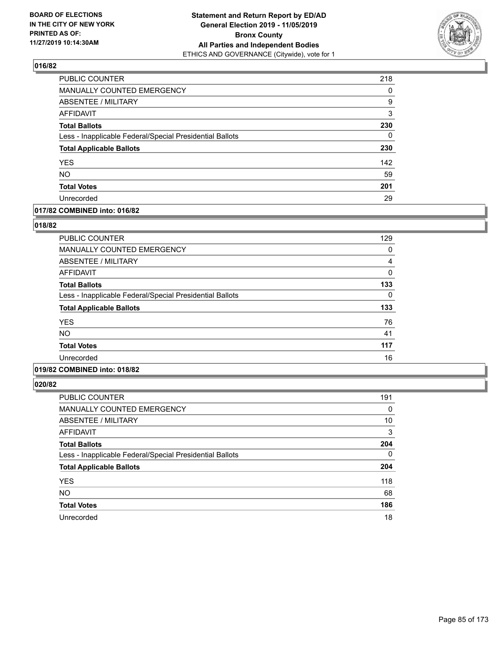

| PUBLIC COUNTER                                           | 218      |
|----------------------------------------------------------|----------|
| <b>MANUALLY COUNTED EMERGENCY</b>                        | 0        |
| <b>ABSENTEE / MILITARY</b>                               | 9        |
| <b>AFFIDAVIT</b>                                         | 3        |
| <b>Total Ballots</b>                                     | 230      |
| Less - Inapplicable Federal/Special Presidential Ballots | $\Omega$ |
| <b>Total Applicable Ballots</b>                          | 230      |
| <b>YES</b>                                               | 142      |
| <b>NO</b>                                                | 59       |
| <b>Total Votes</b>                                       | 201      |
| Unrecorded                                               | 29       |

# **017/82 COMBINED into: 016/82**

#### **018/82**

| <b>PUBLIC COUNTER</b>                                    | 129 |
|----------------------------------------------------------|-----|
| <b>MANUALLY COUNTED EMERGENCY</b>                        | 0   |
| <b>ABSENTEE / MILITARY</b>                               | 4   |
| <b>AFFIDAVIT</b>                                         | 0   |
| <b>Total Ballots</b>                                     | 133 |
| Less - Inapplicable Federal/Special Presidential Ballots | 0   |
| <b>Total Applicable Ballots</b>                          | 133 |
| <b>YES</b>                                               | 76  |
| <b>NO</b>                                                | 41  |
| <b>Total Votes</b>                                       | 117 |
| Unrecorded                                               | 16  |
|                                                          |     |

# **019/82 COMBINED into: 018/82**

| <b>PUBLIC COUNTER</b>                                    | 191      |
|----------------------------------------------------------|----------|
| <b>MANUALLY COUNTED EMERGENCY</b>                        | 0        |
| ABSENTEE / MILITARY                                      | 10       |
| <b>AFFIDAVIT</b>                                         | 3        |
| <b>Total Ballots</b>                                     | 204      |
| Less - Inapplicable Federal/Special Presidential Ballots | $\Omega$ |
| <b>Total Applicable Ballots</b>                          | 204      |
| <b>YES</b>                                               | 118      |
| <b>NO</b>                                                | 68       |
| <b>Total Votes</b>                                       | 186      |
| Unrecorded                                               | 18       |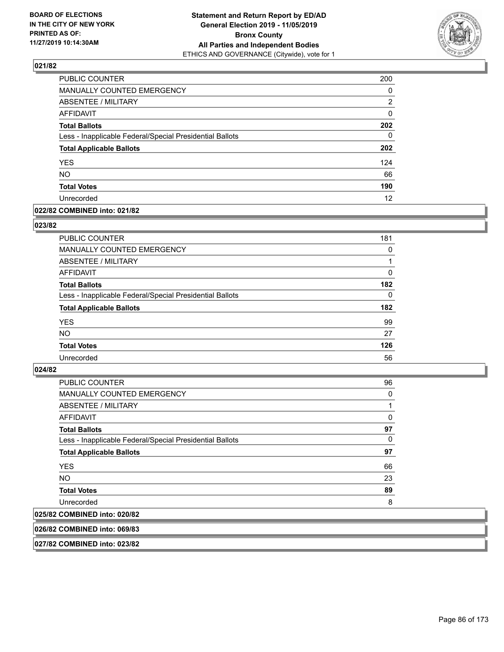

| PUBLIC COUNTER                                           | 200      |
|----------------------------------------------------------|----------|
| MANUALLY COUNTED EMERGENCY                               | 0        |
| ABSENTEE / MILITARY                                      | 2        |
| AFFIDAVIT                                                | $\Omega$ |
| <b>Total Ballots</b>                                     | 202      |
| Less - Inapplicable Federal/Special Presidential Ballots | 0        |
| <b>Total Applicable Ballots</b>                          | 202      |
| <b>YES</b>                                               | 124      |
| <b>NO</b>                                                | 66       |
| <b>Total Votes</b>                                       | 190      |
| Unrecorded                                               | 12       |

## **022/82 COMBINED into: 021/82**

#### **023/82**

| PUBLIC COUNTER                                           | 181      |
|----------------------------------------------------------|----------|
| MANUALLY COUNTED EMERGENCY                               | 0        |
| ABSENTEE / MILITARY                                      |          |
| AFFIDAVIT                                                | 0        |
| <b>Total Ballots</b>                                     | 182      |
| Less - Inapplicable Federal/Special Presidential Ballots | $\Omega$ |
| <b>Total Applicable Ballots</b>                          | 182      |
| <b>YES</b>                                               | 99       |
| <b>NO</b>                                                | 27       |
| <b>Total Votes</b>                                       | 126      |
| Unrecorded                                               | 56       |
|                                                          |          |

#### **024/82**

| <b>PUBLIC COUNTER</b>                                    | 96       |
|----------------------------------------------------------|----------|
| <b>MANUALLY COUNTED EMERGENCY</b>                        | 0        |
| ABSENTEE / MILITARY                                      |          |
| AFFIDAVIT                                                | 0        |
| <b>Total Ballots</b>                                     | 97       |
| Less - Inapplicable Federal/Special Presidential Ballots | $\Omega$ |
| <b>Total Applicable Ballots</b>                          | 97       |
| <b>YES</b>                                               | 66       |
| NO.                                                      | 23       |
| <b>Total Votes</b>                                       | 89       |
| Unrecorded                                               | 8        |
| 025/82 COMBINED into: 020/82                             |          |

#### **026/82 COMBINED into: 069/83**

**027/82 COMBINED into: 023/82**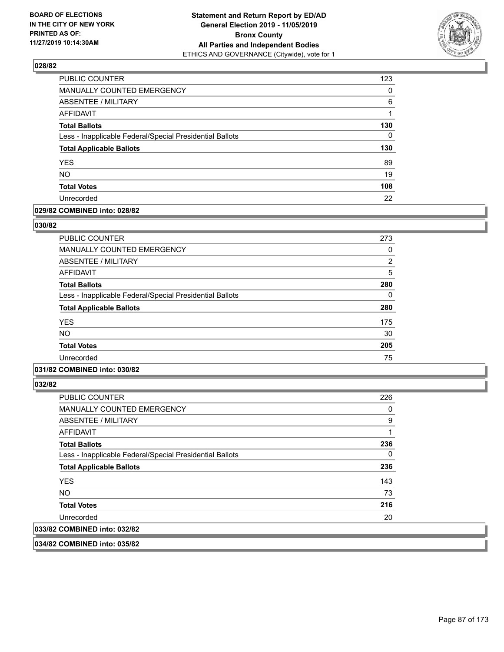

| <b>PUBLIC COUNTER</b>                                    | 123 |
|----------------------------------------------------------|-----|
| MANUALLY COUNTED EMERGENCY                               | 0   |
| <b>ABSENTEE / MILITARY</b>                               | 6   |
| AFFIDAVIT                                                | 1   |
| <b>Total Ballots</b>                                     | 130 |
| Less - Inapplicable Federal/Special Presidential Ballots | 0   |
| <b>Total Applicable Ballots</b>                          | 130 |
| <b>YES</b>                                               | 89  |
| <b>NO</b>                                                | 19  |
| <b>Total Votes</b>                                       | 108 |
| Unrecorded                                               | 22  |

# **029/82 COMBINED into: 028/82**

#### **030/82**

| PUBLIC COUNTER                                           | 273      |
|----------------------------------------------------------|----------|
| <b>MANUALLY COUNTED EMERGENCY</b>                        | 0        |
| ABSENTEE / MILITARY                                      | 2        |
| AFFIDAVIT                                                | 5        |
| <b>Total Ballots</b>                                     | 280      |
| Less - Inapplicable Federal/Special Presidential Ballots | $\Omega$ |
| <b>Total Applicable Ballots</b>                          | 280      |
| <b>YES</b>                                               | 175      |
| <b>NO</b>                                                | 30       |
| <b>Total Votes</b>                                       | 205      |
| Unrecorded                                               | 75       |
|                                                          |          |

# **031/82 COMBINED into: 030/82**

**032/82** 

| <b>PUBLIC COUNTER</b>                                    | 226 |
|----------------------------------------------------------|-----|
| <b>MANUALLY COUNTED EMERGENCY</b>                        | 0   |
| ABSENTEE / MILITARY                                      | 9   |
| AFFIDAVIT                                                |     |
| <b>Total Ballots</b>                                     | 236 |
| Less - Inapplicable Federal/Special Presidential Ballots | 0   |
| <b>Total Applicable Ballots</b>                          | 236 |
| <b>YES</b>                                               | 143 |
| NO.                                                      | 73  |
| <b>Total Votes</b>                                       | 216 |
| Unrecorded                                               | 20  |
| 033/82 COMBINED into: 032/82                             |     |

**034/82 COMBINED into: 035/82**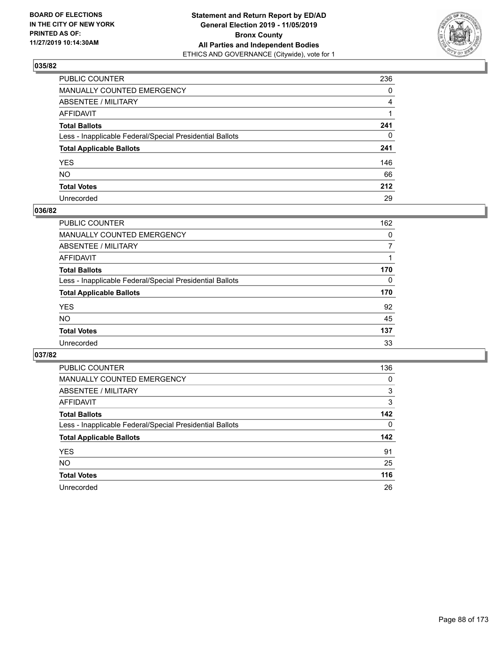

| PUBLIC COUNTER                                           | 236          |
|----------------------------------------------------------|--------------|
| MANUALLY COUNTED EMERGENCY                               | $\mathbf{0}$ |
| ABSENTEE / MILITARY                                      | 4            |
| AFFIDAVIT                                                |              |
| Total Ballots                                            | 241          |
| Less - Inapplicable Federal/Special Presidential Ballots | $\mathbf{0}$ |
| <b>Total Applicable Ballots</b>                          | 241          |
| YES                                                      | 146          |
| NO.                                                      | 66           |
| <b>Total Votes</b>                                       | 212          |
| Unrecorded                                               | 29           |

#### **036/82**

| <b>PUBLIC COUNTER</b>                                    | 162      |
|----------------------------------------------------------|----------|
| <b>MANUALLY COUNTED EMERGENCY</b>                        | $\Omega$ |
| ABSENTEE / MILITARY                                      |          |
| AFFIDAVIT                                                |          |
| <b>Total Ballots</b>                                     | 170      |
| Less - Inapplicable Federal/Special Presidential Ballots | $\Omega$ |
| <b>Total Applicable Ballots</b>                          | 170      |
| <b>YES</b>                                               | 92       |
| <b>NO</b>                                                | 45       |
| <b>Total Votes</b>                                       | 137      |
| Unrecorded                                               | 33       |

| PUBLIC COUNTER                                           | 136      |
|----------------------------------------------------------|----------|
| <b>MANUALLY COUNTED EMERGENCY</b>                        | $\Omega$ |
| ABSENTEE / MILITARY                                      | 3        |
| AFFIDAVIT                                                | 3        |
| <b>Total Ballots</b>                                     | 142      |
| Less - Inapplicable Federal/Special Presidential Ballots | $\Omega$ |
| <b>Total Applicable Ballots</b>                          | 142      |
| <b>YES</b>                                               | 91       |
| <b>NO</b>                                                | 25       |
| <b>Total Votes</b>                                       | 116      |
| Unrecorded                                               | 26       |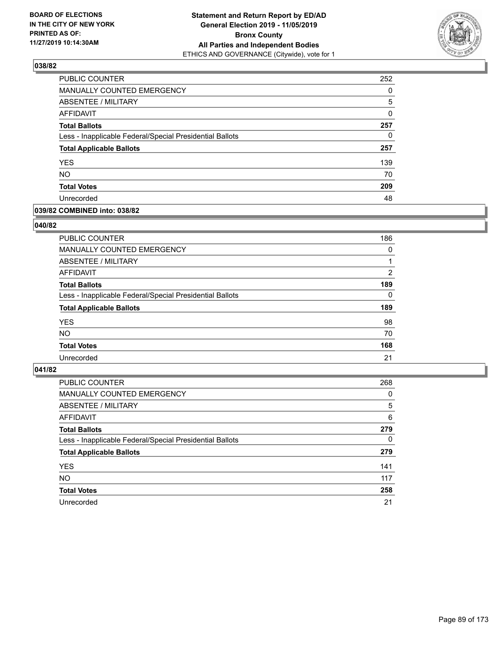

| PUBLIC COUNTER                                           | 252 |
|----------------------------------------------------------|-----|
| MANUALLY COUNTED EMERGENCY                               | 0   |
| ABSENTEE / MILITARY                                      | 5   |
| AFFIDAVIT                                                | 0   |
| <b>Total Ballots</b>                                     | 257 |
| Less - Inapplicable Federal/Special Presidential Ballots | 0   |
| <b>Total Applicable Ballots</b>                          | 257 |
| <b>YES</b>                                               | 139 |
| <b>NO</b>                                                | 70  |
| <b>Total Votes</b>                                       | 209 |
| Unrecorded                                               | 48  |

# **039/82 COMBINED into: 038/82**

#### **040/82**

| <b>PUBLIC COUNTER</b>                                    | 186      |
|----------------------------------------------------------|----------|
| <b>MANUALLY COUNTED EMERGENCY</b>                        | $\Omega$ |
| ABSENTEE / MILITARY                                      |          |
| AFFIDAVIT                                                | 2        |
| <b>Total Ballots</b>                                     | 189      |
| Less - Inapplicable Federal/Special Presidential Ballots | $\Omega$ |
| <b>Total Applicable Ballots</b>                          | 189      |
| <b>YES</b>                                               | 98       |
| <b>NO</b>                                                | 70       |
| <b>Total Votes</b>                                       | 168      |
| Unrecorded                                               | 21       |
|                                                          |          |

| <b>PUBLIC COUNTER</b>                                    | 268      |
|----------------------------------------------------------|----------|
| MANUALLY COUNTED EMERGENCY                               | 0        |
| ABSENTEE / MILITARY                                      | 5        |
| AFFIDAVIT                                                | 6        |
| <b>Total Ballots</b>                                     | 279      |
| Less - Inapplicable Federal/Special Presidential Ballots | $\Omega$ |
| <b>Total Applicable Ballots</b>                          | 279      |
| <b>YES</b>                                               | 141      |
| <b>NO</b>                                                | 117      |
| <b>Total Votes</b>                                       | 258      |
| Unrecorded                                               | 21       |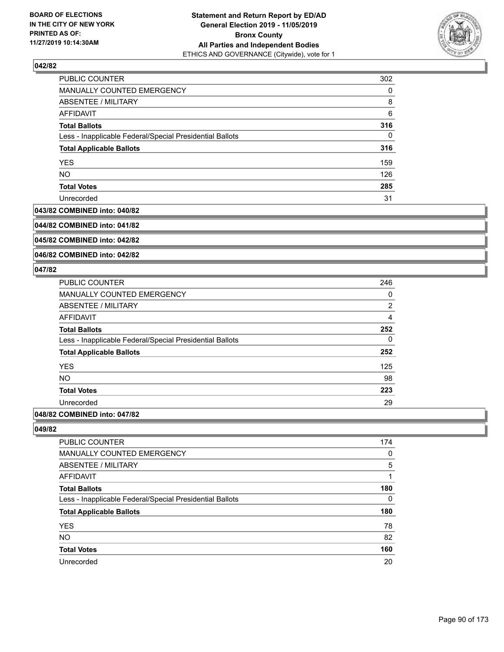

| <b>PUBLIC COUNTER</b>                                    | 302 |
|----------------------------------------------------------|-----|
| <b>MANUALLY COUNTED EMERGENCY</b>                        | 0   |
| ABSENTEE / MILITARY                                      | 8   |
| AFFIDAVIT                                                | 6   |
| <b>Total Ballots</b>                                     | 316 |
| Less - Inapplicable Federal/Special Presidential Ballots | 0   |
| <b>Total Applicable Ballots</b>                          | 316 |
| <b>YES</b>                                               | 159 |
| <b>NO</b>                                                | 126 |
| <b>Total Votes</b>                                       | 285 |
| Unrecorded                                               | 31  |

#### **043/82 COMBINED into: 040/82**

**044/82 COMBINED into: 041/82**

**045/82 COMBINED into: 042/82**

**046/82 COMBINED into: 042/82**

#### **047/82**

| PUBLIC COUNTER                                           | 246            |
|----------------------------------------------------------|----------------|
| <b>MANUALLY COUNTED EMERGENCY</b>                        | 0              |
| ABSENTEE / MILITARY                                      | $\overline{2}$ |
| AFFIDAVIT                                                | $\overline{4}$ |
| <b>Total Ballots</b>                                     | 252            |
| Less - Inapplicable Federal/Special Presidential Ballots | 0              |
| <b>Total Applicable Ballots</b>                          | 252            |
| <b>YES</b>                                               | 125            |
| <b>NO</b>                                                | 98             |
| <b>Total Votes</b>                                       | 223            |
| Unrecorded                                               | 29             |
|                                                          |                |

# **048/82 COMBINED into: 047/82**

| 174 |
|-----|
| 0   |
| 5   |
|     |
| 180 |
| 0   |
| 180 |
| 78  |
| 82  |
| 160 |
| 20  |
|     |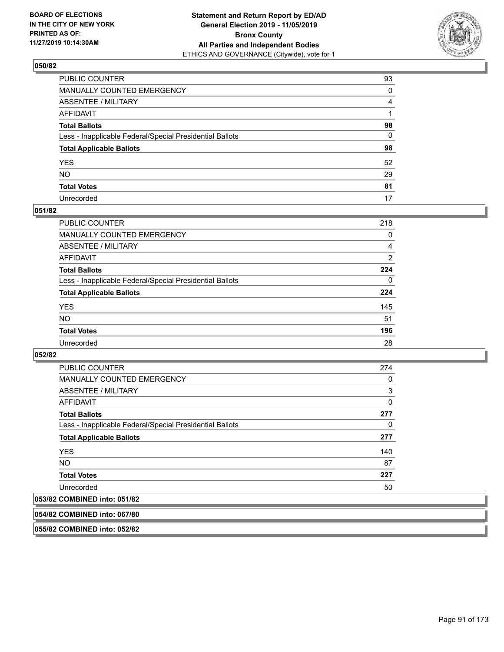

| PUBLIC COUNTER                                           | 93             |
|----------------------------------------------------------|----------------|
| MANUALLY COUNTED EMERGENCY                               | $\Omega$       |
| ABSENTEE / MILITARY                                      | $\overline{4}$ |
| AFFIDAVIT                                                |                |
| Total Ballots                                            | 98             |
| Less - Inapplicable Federal/Special Presidential Ballots | $\mathbf{0}$   |
| <b>Total Applicable Ballots</b>                          | 98             |
| YES                                                      | 52             |
| NO.                                                      | 29             |
| <b>Total Votes</b>                                       | 81             |
| Unrecorded                                               | 17             |

#### **051/82**

| <b>PUBLIC COUNTER</b>                                    | 218      |
|----------------------------------------------------------|----------|
| MANUALLY COUNTED EMERGENCY                               | 0        |
| ABSENTEE / MILITARY                                      | 4        |
| AFFIDAVIT                                                | 2        |
| <b>Total Ballots</b>                                     | 224      |
| Less - Inapplicable Federal/Special Presidential Ballots | $\Omega$ |
| <b>Total Applicable Ballots</b>                          | 224      |
| <b>YES</b>                                               | 145      |
| <b>NO</b>                                                | 51       |
| <b>Total Votes</b>                                       | 196      |
| Unrecorded                                               | 28       |

#### **052/82**

| PUBLIC COUNTER                                                                                                                                                                                                                                                                                                                                                                                                                                                                                                                                                   | 274 |
|------------------------------------------------------------------------------------------------------------------------------------------------------------------------------------------------------------------------------------------------------------------------------------------------------------------------------------------------------------------------------------------------------------------------------------------------------------------------------------------------------------------------------------------------------------------|-----|
| <b>MANUALLY COUNTED EMERGENCY</b>                                                                                                                                                                                                                                                                                                                                                                                                                                                                                                                                | 0   |
| ABSENTEE / MILITARY                                                                                                                                                                                                                                                                                                                                                                                                                                                                                                                                              | 3   |
| AFFIDAVIT                                                                                                                                                                                                                                                                                                                                                                                                                                                                                                                                                        | 0   |
| <b>Total Ballots</b>                                                                                                                                                                                                                                                                                                                                                                                                                                                                                                                                             | 277 |
| Less - Inapplicable Federal/Special Presidential Ballots                                                                                                                                                                                                                                                                                                                                                                                                                                                                                                         | 0   |
| <b>Total Applicable Ballots</b>                                                                                                                                                                                                                                                                                                                                                                                                                                                                                                                                  | 277 |
| <b>YES</b>                                                                                                                                                                                                                                                                                                                                                                                                                                                                                                                                                       | 140 |
| NO.                                                                                                                                                                                                                                                                                                                                                                                                                                                                                                                                                              | 87  |
| <b>Total Votes</b>                                                                                                                                                                                                                                                                                                                                                                                                                                                                                                                                               | 227 |
| Unrecorded                                                                                                                                                                                                                                                                                                                                                                                                                                                                                                                                                       | 50  |
| $\begin{array}{c} \bullet \end{array} \begin{array}{c} \bullet \end{array} \begin{array}{c} \bullet \end{array} \begin{array}{c} \bullet \end{array} \begin{array}{c} \bullet \end{array} \begin{array}{c} \bullet \end{array} \begin{array}{c} \bullet \end{array} \begin{array}{c} \bullet \end{array} \begin{array}{c} \bullet \end{array} \begin{array}{c} \bullet \end{array} \begin{array}{c} \bullet \end{array} \begin{array}{c} \bullet \end{array} \begin{array}{c} \end{array} \begin{array}{c} \end{array} \begin{array}{c} \end{array} \end{array}$ |     |

# **053/82 COMBINED into: 051/82**

**054/82 COMBINED into: 067/80**

**055/82 COMBINED into: 052/82**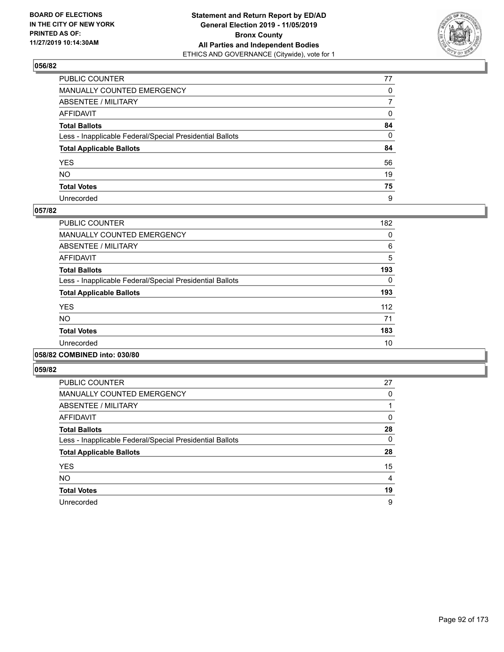

| PUBLIC COUNTER                                           | 77           |
|----------------------------------------------------------|--------------|
| MANUALLY COUNTED EMERGENCY                               | $\mathbf{0}$ |
| ABSENTEE / MILITARY                                      | 7            |
| AFFIDAVIT                                                | 0            |
| Total Ballots                                            | 84           |
| Less - Inapplicable Federal/Special Presidential Ballots | $\Omega$     |
| <b>Total Applicable Ballots</b>                          | 84           |
| YES                                                      | 56           |
| NO.                                                      | 19           |
| <b>Total Votes</b>                                       | 75           |
| Unrecorded                                               | 9            |

#### **057/82**

| <b>PUBLIC COUNTER</b>                                    | 182      |
|----------------------------------------------------------|----------|
| <b>MANUALLY COUNTED EMERGENCY</b>                        | 0        |
| ABSENTEE / MILITARY                                      | 6        |
| <b>AFFIDAVIT</b>                                         | 5        |
| <b>Total Ballots</b>                                     | 193      |
| Less - Inapplicable Federal/Special Presidential Ballots | $\Omega$ |
| <b>Total Applicable Ballots</b>                          | 193      |
| <b>YES</b>                                               | 112      |
| NO.                                                      | 71       |
| <b>Total Votes</b>                                       | 183      |
| Unrecorded                                               | 10       |
|                                                          |          |

## **058/82 COMBINED into: 030/80**

| <b>PUBLIC COUNTER</b>                                    | 27 |
|----------------------------------------------------------|----|
| <b>MANUALLY COUNTED EMERGENCY</b>                        | 0  |
| ABSENTEE / MILITARY                                      |    |
| AFFIDAVIT                                                | 0  |
| <b>Total Ballots</b>                                     | 28 |
| Less - Inapplicable Federal/Special Presidential Ballots | 0  |
| <b>Total Applicable Ballots</b>                          | 28 |
| <b>YES</b>                                               | 15 |
| <b>NO</b>                                                | 4  |
| <b>Total Votes</b>                                       | 19 |
| Unrecorded                                               | 9  |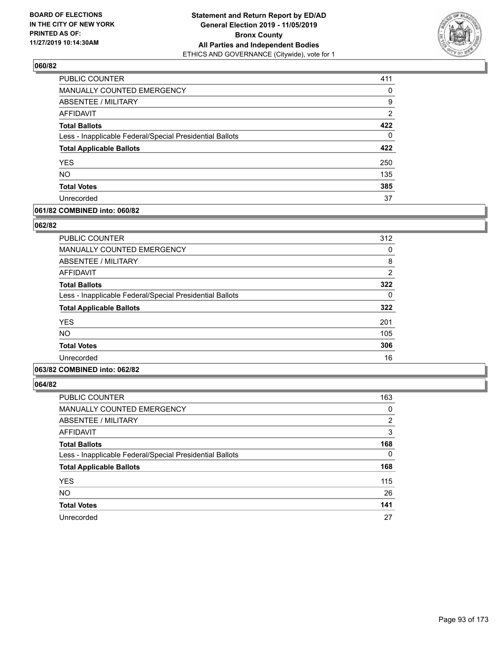

| <b>PUBLIC COUNTER</b>                                    | 411 |
|----------------------------------------------------------|-----|
| <b>MANUALLY COUNTED EMERGENCY</b>                        | 0   |
| <b>ABSENTEE / MILITARY</b>                               | 9   |
| AFFIDAVIT                                                | 2   |
| <b>Total Ballots</b>                                     | 422 |
| Less - Inapplicable Federal/Special Presidential Ballots | 0   |
| <b>Total Applicable Ballots</b>                          | 422 |
| <b>YES</b>                                               | 250 |
| <b>NO</b>                                                | 135 |
| <b>Total Votes</b>                                       | 385 |
| Unrecorded                                               | 37  |

# **061/82 COMBINED into: 060/82**

#### **062/82**

| <b>PUBLIC COUNTER</b>                                    | 312            |
|----------------------------------------------------------|----------------|
| <b>MANUALLY COUNTED EMERGENCY</b>                        | 0              |
| <b>ABSENTEE / MILITARY</b>                               | 8              |
| <b>AFFIDAVIT</b>                                         | $\overline{2}$ |
| <b>Total Ballots</b>                                     | 322            |
| Less - Inapplicable Federal/Special Presidential Ballots | 0              |
| <b>Total Applicable Ballots</b>                          | 322            |
| <b>YES</b>                                               | 201            |
| <b>NO</b>                                                | 105            |
| <b>Total Votes</b>                                       | 306            |
| Unrecorded                                               | 16             |
|                                                          |                |

# **063/82 COMBINED into: 062/82**

| <b>PUBLIC COUNTER</b>                                    | 163      |
|----------------------------------------------------------|----------|
| MANUALLY COUNTED EMERGENCY                               | 0        |
| ABSENTEE / MILITARY                                      | 2        |
| AFFIDAVIT                                                | 3        |
| <b>Total Ballots</b>                                     | 168      |
| Less - Inapplicable Federal/Special Presidential Ballots | $\Omega$ |
| <b>Total Applicable Ballots</b>                          | 168      |
| <b>YES</b>                                               | 115      |
| <b>NO</b>                                                | 26       |
| <b>Total Votes</b>                                       | 141      |
| Unrecorded                                               | 27       |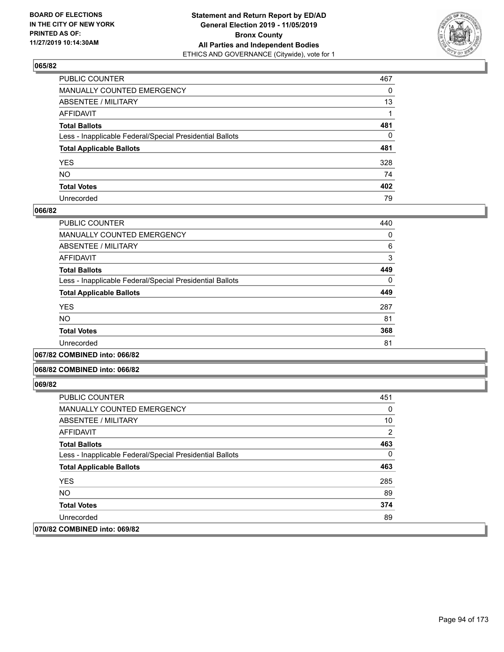

| PUBLIC COUNTER                                           | 467      |
|----------------------------------------------------------|----------|
| MANUALLY COUNTED EMERGENCY                               | 0        |
| ABSENTEE / MILITARY                                      | 13       |
| AFFIDAVIT                                                |          |
| Total Ballots                                            | 481      |
| Less - Inapplicable Federal/Special Presidential Ballots | $\Omega$ |
| <b>Total Applicable Ballots</b>                          | 481      |
| YES                                                      | 328      |
| NO.                                                      | 74       |
| <b>Total Votes</b>                                       | 402      |
| Unrecorded                                               | 79       |

#### **066/82**

| PUBLIC COUNTER                                           | 440      |
|----------------------------------------------------------|----------|
| <b>MANUALLY COUNTED EMERGENCY</b>                        | 0        |
| ABSENTEE / MILITARY                                      | 6        |
| <b>AFFIDAVIT</b>                                         | 3        |
| <b>Total Ballots</b>                                     | 449      |
| Less - Inapplicable Federal/Special Presidential Ballots | $\Omega$ |
| <b>Total Applicable Ballots</b>                          | 449      |
| <b>YES</b>                                               | 287      |
| <b>NO</b>                                                | 81       |
| <b>Total Votes</b>                                       | 368      |
| Unrecorded                                               | 81       |
|                                                          |          |

#### **067/82 COMBINED into: 066/82**

#### **068/82 COMBINED into: 066/82**

| <b>PUBLIC COUNTER</b>                                    | 451      |
|----------------------------------------------------------|----------|
| MANUALLY COUNTED EMERGENCY                               | 0        |
| ABSENTEE / MILITARY                                      | 10       |
| <b>AFFIDAVIT</b>                                         | 2        |
| <b>Total Ballots</b>                                     | 463      |
| Less - Inapplicable Federal/Special Presidential Ballots | $\Omega$ |
| <b>Total Applicable Ballots</b>                          | 463      |
| <b>YES</b>                                               | 285      |
| NO.                                                      | 89       |
| <b>Total Votes</b>                                       | 374      |
| Unrecorded                                               | 89       |
| 070/82 COMBINED into: 069/82                             |          |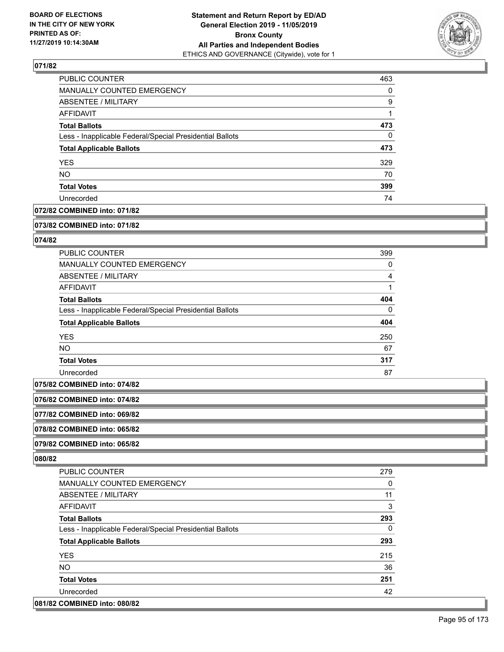

| <b>PUBLIC COUNTER</b>                                    | 463      |
|----------------------------------------------------------|----------|
| <b>MANUALLY COUNTED EMERGENCY</b>                        | $\Omega$ |
| <b>ABSENTEE / MILITARY</b>                               | 9        |
| AFFIDAVIT                                                |          |
| <b>Total Ballots</b>                                     | 473      |
| Less - Inapplicable Federal/Special Presidential Ballots | $\Omega$ |
| <b>Total Applicable Ballots</b>                          | 473      |
| <b>YES</b>                                               | 329      |
| <b>NO</b>                                                | 70       |
| <b>Total Votes</b>                                       | 399      |
| Unrecorded                                               | 74       |

# **072/82 COMBINED into: 071/82**

#### **073/82 COMBINED into: 071/82**

## **074/82**

| <b>PUBLIC COUNTER</b>                                    | 399      |
|----------------------------------------------------------|----------|
| MANUALLY COUNTED EMERGENCY                               | 0        |
| ABSENTEE / MILITARY                                      | 4        |
| AFFIDAVIT                                                |          |
| <b>Total Ballots</b>                                     | 404      |
| Less - Inapplicable Federal/Special Presidential Ballots | $\Omega$ |
| <b>Total Applicable Ballots</b>                          | 404      |
| <b>YES</b>                                               | 250      |
| <b>NO</b>                                                | 67       |
| <b>Total Votes</b>                                       | 317      |
| Unrecorded                                               | 87       |

**075/82 COMBINED into: 074/82**

**076/82 COMBINED into: 074/82**

**077/82 COMBINED into: 069/82**

**078/82 COMBINED into: 065/82**

**079/82 COMBINED into: 065/82**

| <b>PUBLIC COUNTER</b>                                    | 279 |
|----------------------------------------------------------|-----|
| <b>MANUALLY COUNTED EMERGENCY</b>                        | 0   |
| ABSENTEE / MILITARY                                      | 11  |
| AFFIDAVIT                                                | 3   |
| <b>Total Ballots</b>                                     | 293 |
| Less - Inapplicable Federal/Special Presidential Ballots | 0   |
| <b>Total Applicable Ballots</b>                          | 293 |
| <b>YES</b>                                               | 215 |
| NO.                                                      | 36  |
| <b>Total Votes</b>                                       | 251 |
| Unrecorded                                               | 42  |
| 081/82 COMBINED into: 080/82                             |     |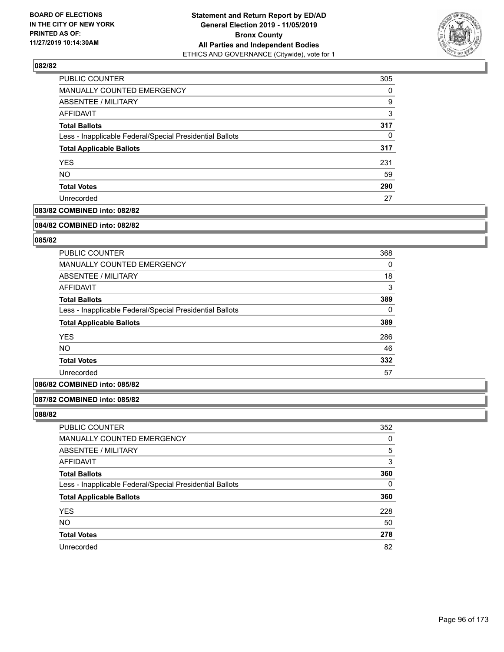

| PUBLIC COUNTER                                           | 305 |
|----------------------------------------------------------|-----|
| MANUALLY COUNTED EMERGENCY                               | 0   |
| ABSENTEE / MILITARY                                      | 9   |
| AFFIDAVIT                                                | 3   |
| <b>Total Ballots</b>                                     | 317 |
| Less - Inapplicable Federal/Special Presidential Ballots | 0   |
| <b>Total Applicable Ballots</b>                          | 317 |
| <b>YES</b>                                               | 231 |
| <b>NO</b>                                                | 59  |
| <b>Total Votes</b>                                       | 290 |
| Unrecorded                                               | 27  |

# **083/82 COMBINED into: 082/82**

#### **084/82 COMBINED into: 082/82**

# **085/82**

| PUBLIC COUNTER                                           | 368      |
|----------------------------------------------------------|----------|
| <b>MANUALLY COUNTED EMERGENCY</b>                        | 0        |
| ABSENTEE / MILITARY                                      | 18       |
| AFFIDAVIT                                                | 3        |
| <b>Total Ballots</b>                                     | 389      |
| Less - Inapplicable Federal/Special Presidential Ballots | $\Omega$ |
| <b>Total Applicable Ballots</b>                          | 389      |
| <b>YES</b>                                               | 286      |
| <b>NO</b>                                                | 46       |
| <b>Total Votes</b>                                       | 332      |
| Unrecorded                                               | 57       |

# **086/82 COMBINED into: 085/82**

#### **087/82 COMBINED into: 085/82**

| <b>PUBLIC COUNTER</b>                                    | 352 |
|----------------------------------------------------------|-----|
| MANUALLY COUNTED EMERGENCY                               | 0   |
| <b>ABSENTEE / MILITARY</b>                               | 5   |
| AFFIDAVIT                                                | 3   |
| <b>Total Ballots</b>                                     | 360 |
| Less - Inapplicable Federal/Special Presidential Ballots | 0   |
| <b>Total Applicable Ballots</b>                          | 360 |
| <b>YES</b>                                               | 228 |
| <b>NO</b>                                                | 50  |
| <b>Total Votes</b>                                       | 278 |
| Unrecorded                                               | 82  |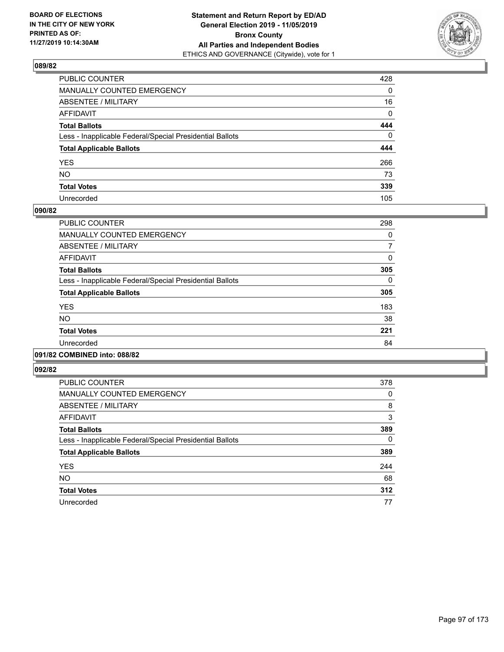

| PUBLIC COUNTER                                           | 428          |
|----------------------------------------------------------|--------------|
| MANUALLY COUNTED EMERGENCY                               | $\mathbf{0}$ |
| ABSENTEE / MILITARY                                      | 16           |
| AFFIDAVIT                                                | $\mathbf 0$  |
| Total Ballots                                            | 444          |
| Less - Inapplicable Federal/Special Presidential Ballots | $\mathbf{0}$ |
| <b>Total Applicable Ballots</b>                          | 444          |
| YES                                                      | 266          |
| NO.                                                      | 73           |
| <b>Total Votes</b>                                       | 339          |
| Unrecorded                                               | 105          |

#### **090/82**

| PUBLIC COUNTER                                           | 298      |
|----------------------------------------------------------|----------|
| <b>MANUALLY COUNTED EMERGENCY</b>                        | 0        |
| ABSENTEE / MILITARY                                      | 7        |
| <b>AFFIDAVIT</b>                                         | 0        |
| <b>Total Ballots</b>                                     | 305      |
| Less - Inapplicable Federal/Special Presidential Ballots | $\Omega$ |
| <b>Total Applicable Ballots</b>                          | 305      |
| <b>YES</b>                                               | 183      |
| N <sub>O</sub>                                           | 38       |
| <b>Total Votes</b>                                       | 221      |
| Unrecorded                                               | 84       |
|                                                          |          |

# **091/82 COMBINED into: 088/82**

| <b>PUBLIC COUNTER</b>                                    | 378 |
|----------------------------------------------------------|-----|
| <b>MANUALLY COUNTED EMERGENCY</b>                        | 0   |
| ABSENTEE / MILITARY                                      | 8   |
| AFFIDAVIT                                                | 3   |
| <b>Total Ballots</b>                                     | 389 |
| Less - Inapplicable Federal/Special Presidential Ballots | 0   |
| <b>Total Applicable Ballots</b>                          | 389 |
| <b>YES</b>                                               | 244 |
| <b>NO</b>                                                | 68  |
| <b>Total Votes</b>                                       | 312 |
| Unrecorded                                               | 77  |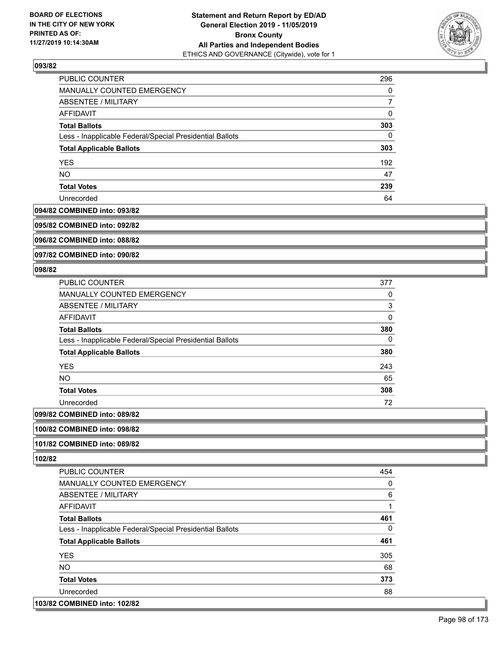

| PUBLIC COUNTER                                           | 296 |
|----------------------------------------------------------|-----|
| MANUALLY COUNTED EMERGENCY                               | 0   |
| ABSENTEE / MILITARY                                      |     |
| AFFIDAVIT                                                | 0   |
| <b>Total Ballots</b>                                     | 303 |
| Less - Inapplicable Federal/Special Presidential Ballots | 0   |
| <b>Total Applicable Ballots</b>                          | 303 |
| <b>YES</b>                                               | 192 |
| <b>NO</b>                                                | 47  |
| <b>Total Votes</b>                                       | 239 |
| Unrecorded                                               | 64  |

#### **094/82 COMBINED into: 093/82**

**095/82 COMBINED into: 092/82**

**096/82 COMBINED into: 088/82**

**097/82 COMBINED into: 090/82**

#### **098/82**

| <b>PUBLIC COUNTER</b>                                    | 377      |
|----------------------------------------------------------|----------|
| <b>MANUALLY COUNTED EMERGENCY</b>                        | 0        |
| ABSENTEE / MILITARY                                      | 3        |
| <b>AFFIDAVIT</b>                                         | $\Omega$ |
| <b>Total Ballots</b>                                     | 380      |
| Less - Inapplicable Federal/Special Presidential Ballots | 0        |
| <b>Total Applicable Ballots</b>                          | 380      |
| <b>YES</b>                                               | 243      |
| NO.                                                      | 65       |
| <b>Total Votes</b>                                       | 308      |
| Unrecorded                                               | 72       |
| COMPINIED into 000/02                                    |          |

# **099/82 COMBINED into: 089/82**

**100/82 COMBINED into: 098/82**

# **101/82 COMBINED into: 089/82**

**102/82** 

| <b>PUBLIC COUNTER</b>                                    | 454 |
|----------------------------------------------------------|-----|
| MANUALLY COUNTED EMERGENCY                               | 0   |
| ABSENTEE / MILITARY                                      | 6   |
| AFFIDAVIT                                                | 1   |
| <b>Total Ballots</b>                                     | 461 |
| Less - Inapplicable Federal/Special Presidential Ballots | 0   |
| <b>Total Applicable Ballots</b>                          | 461 |
| <b>YES</b>                                               | 305 |
| <b>NO</b>                                                | 68  |
| <b>Total Votes</b>                                       | 373 |
| Unrecorded                                               | 88  |
|                                                          |     |

## **103/82 COMBINED into: 102/82**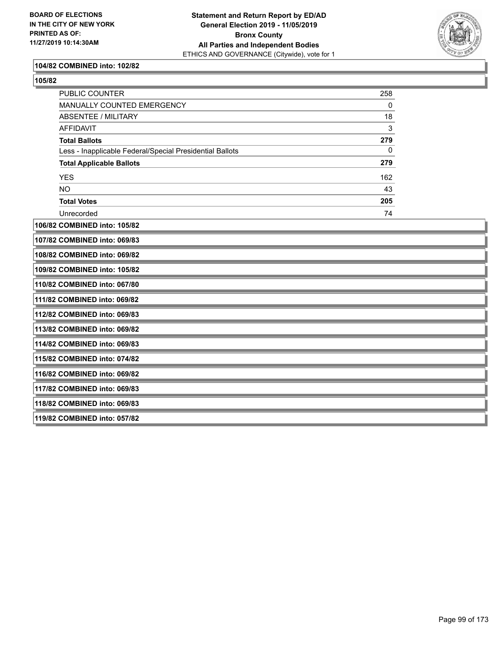

#### **104/82 COMBINED into: 102/82**

| ×<br>I<br>۰, |
|--------------|
|--------------|

| PUBLIC COUNTER                                           | 258 |  |
|----------------------------------------------------------|-----|--|
| MANUALLY COUNTED EMERGENCY                               | 0   |  |
| <b>ABSENTEE / MILITARY</b>                               | 18  |  |
| <b>AFFIDAVIT</b>                                         | 3   |  |
| <b>Total Ballots</b>                                     | 279 |  |
| Less - Inapplicable Federal/Special Presidential Ballots | 0   |  |
| <b>Total Applicable Ballots</b>                          | 279 |  |
| <b>YES</b>                                               | 162 |  |
| <b>NO</b>                                                | 43  |  |
| <b>Total Votes</b>                                       | 205 |  |
| Unrecorded                                               | 74  |  |
| 106/82 COMBINED into: 105/82                             |     |  |
| 107/82 COMBINED into: 069/83                             |     |  |
| 108/82 COMBINED into: 069/82                             |     |  |
| 109/82 COMBINED into: 105/82                             |     |  |
| 110/82 COMBINED into: 067/80                             |     |  |
| 111/82 COMBINED into: 069/82                             |     |  |
| 112/82 COMBINED into: 069/83                             |     |  |
| 113/82 COMBINED into: 069/82                             |     |  |
| 114/82 COMBINED into: 069/83                             |     |  |
| 115/82 COMBINED into: 074/82                             |     |  |
| 116/82 COMBINED into: 069/82                             |     |  |
| 117/82 COMBINED into: 069/83                             |     |  |
| 118/82 COMBINED into: 069/83                             |     |  |
| 119/82 COMBINED into: 057/82                             |     |  |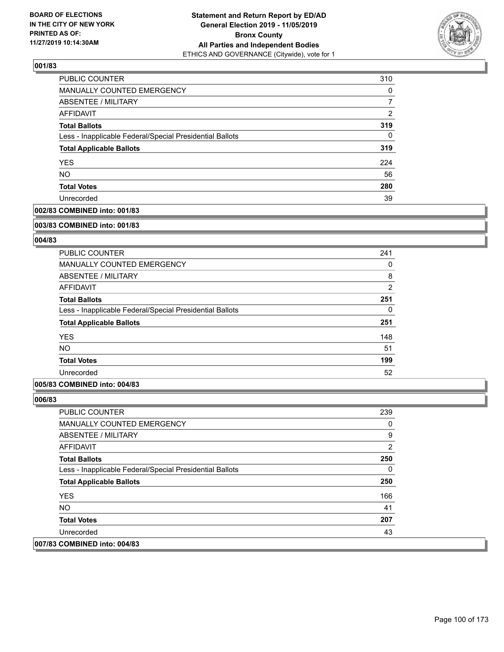

| <b>PUBLIC COUNTER</b>                                    | 310      |
|----------------------------------------------------------|----------|
| <b>MANUALLY COUNTED EMERGENCY</b>                        | $\Omega$ |
| <b>ABSENTEE / MILITARY</b>                               | 7        |
| AFFIDAVIT                                                | 2        |
| <b>Total Ballots</b>                                     | 319      |
| Less - Inapplicable Federal/Special Presidential Ballots | $\Omega$ |
| <b>Total Applicable Ballots</b>                          | 319      |
| <b>YES</b>                                               | 224      |
| <b>NO</b>                                                | 56       |
| <b>Total Votes</b>                                       | 280      |
| Unrecorded                                               | 39       |

# **002/83 COMBINED into: 001/83**

#### **003/83 COMBINED into: 001/83**

# **004/83**

| <b>PUBLIC COUNTER</b>                                    | 241            |
|----------------------------------------------------------|----------------|
| <b>MANUALLY COUNTED EMERGENCY</b>                        | 0              |
| ABSENTEE / MILITARY                                      | 8              |
| AFFIDAVIT                                                | $\overline{2}$ |
| <b>Total Ballots</b>                                     | 251            |
| Less - Inapplicable Federal/Special Presidential Ballots | 0              |
| <b>Total Applicable Ballots</b>                          | 251            |
| <b>YES</b>                                               | 148            |
| <b>NO</b>                                                | 51             |
| <b>Total Votes</b>                                       | 199            |
| Unrecorded                                               | 52             |

### **005/83 COMBINED into: 004/83**

| <b>PUBLIC COUNTER</b>                                    | 239            |
|----------------------------------------------------------|----------------|
| <b>MANUALLY COUNTED EMERGENCY</b>                        | 0              |
| ABSENTEE / MILITARY                                      | 9              |
| AFFIDAVIT                                                | $\overline{2}$ |
| <b>Total Ballots</b>                                     | 250            |
| Less - Inapplicable Federal/Special Presidential Ballots | 0              |
| <b>Total Applicable Ballots</b>                          | 250            |
| <b>YES</b>                                               | 166            |
| NO.                                                      | 41             |
| <b>Total Votes</b>                                       | 207            |
| Unrecorded                                               | 43             |
| 007/83 COMBINED into: 004/83                             |                |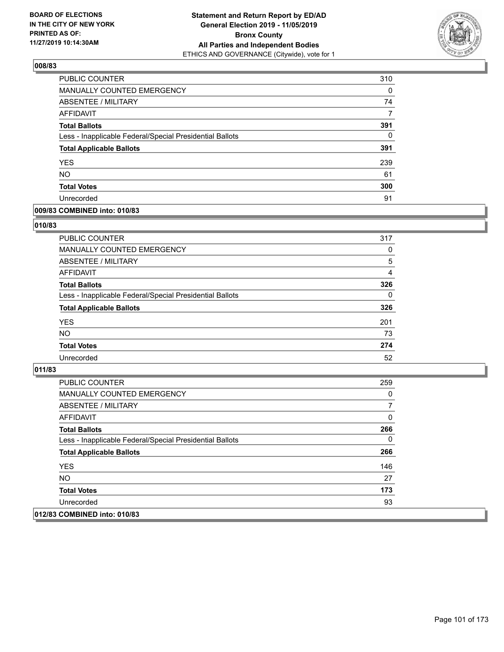

| <b>PUBLIC COUNTER</b>                                    | 310      |
|----------------------------------------------------------|----------|
| <b>MANUALLY COUNTED EMERGENCY</b>                        | $\Omega$ |
| <b>ABSENTEE / MILITARY</b>                               | 74       |
| AFFIDAVIT                                                | 7        |
| <b>Total Ballots</b>                                     | 391      |
| Less - Inapplicable Federal/Special Presidential Ballots | $\Omega$ |
| <b>Total Applicable Ballots</b>                          | 391      |
| <b>YES</b>                                               | 239      |
| <b>NO</b>                                                | 61       |
| <b>Total Votes</b>                                       | 300      |
| Unrecorded                                               | 91       |

## **009/83 COMBINED into: 010/83**

#### **010/83**

| PUBLIC COUNTER                                           | 317      |
|----------------------------------------------------------|----------|
| MANUALLY COUNTED EMERGENCY                               | 0        |
| ABSENTEE / MILITARY                                      | 5        |
| AFFIDAVIT                                                | 4        |
| <b>Total Ballots</b>                                     | 326      |
| Less - Inapplicable Federal/Special Presidential Ballots | $\Omega$ |
| <b>Total Applicable Ballots</b>                          | 326      |
| <b>YES</b>                                               | 201      |
| <b>NO</b>                                                | 73       |
| <b>Total Votes</b>                                       | 274      |
| Unrecorded                                               | 52       |
|                                                          |          |

| PUBLIC COUNTER                                           | 259 |
|----------------------------------------------------------|-----|
| MANUALLY COUNTED EMERGENCY                               | 0   |
| ABSENTEE / MILITARY                                      |     |
| AFFIDAVIT                                                | 0   |
| <b>Total Ballots</b>                                     | 266 |
| Less - Inapplicable Federal/Special Presidential Ballots | 0   |
| <b>Total Applicable Ballots</b>                          | 266 |
| <b>YES</b>                                               | 146 |
| NO.                                                      | 27  |
| <b>Total Votes</b>                                       | 173 |
| Unrecorded                                               | 93  |
| 012/83 COMBINED into: 010/83                             |     |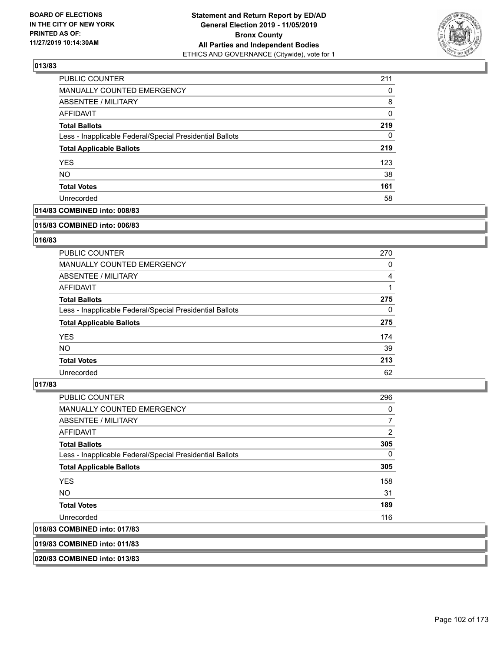

| <b>PUBLIC COUNTER</b>                                    | 211 |
|----------------------------------------------------------|-----|
| <b>MANUALLY COUNTED EMERGENCY</b>                        | 0   |
| <b>ABSENTEE / MILITARY</b>                               | 8   |
| AFFIDAVIT                                                | 0   |
| <b>Total Ballots</b>                                     | 219 |
| Less - Inapplicable Federal/Special Presidential Ballots | 0   |
| <b>Total Applicable Ballots</b>                          | 219 |
| <b>YES</b>                                               | 123 |
| <b>NO</b>                                                | 38  |
| <b>Total Votes</b>                                       | 161 |
| Unrecorded                                               | 58  |

# **014/83 COMBINED into: 008/83**

#### **015/83 COMBINED into: 006/83**

# **016/83**

| <b>PUBLIC COUNTER</b>                                    | 270      |
|----------------------------------------------------------|----------|
| <b>MANUALLY COUNTED EMERGENCY</b>                        | 0        |
| ABSENTEE / MILITARY                                      | 4        |
| AFFIDAVIT                                                |          |
| <b>Total Ballots</b>                                     | 275      |
| Less - Inapplicable Federal/Special Presidential Ballots | $\Omega$ |
| <b>Total Applicable Ballots</b>                          | 275      |
| <b>YES</b>                                               | 174      |
| NO.                                                      | 39       |
| <b>Total Votes</b>                                       | 213      |
| Unrecorded                                               | 62       |

#### **017/83**

| <b>PUBLIC COUNTER</b>                                    | 296            |
|----------------------------------------------------------|----------------|
| <b>MANUALLY COUNTED EMERGENCY</b>                        | 0              |
| ABSENTEE / MILITARY                                      | $\overline{7}$ |
| <b>AFFIDAVIT</b>                                         | 2              |
| <b>Total Ballots</b>                                     | 305            |
| Less - Inapplicable Federal/Special Presidential Ballots | 0              |
| <b>Total Applicable Ballots</b>                          | 305            |
| <b>YES</b>                                               | 158            |
| NO.                                                      | 31             |
| <b>Total Votes</b>                                       | 189            |
| Unrecorded                                               | 116            |
| 018/83 COMBINED into: 017/83                             |                |

**019/83 COMBINED into: 011/83**

**020/83 COMBINED into: 013/83**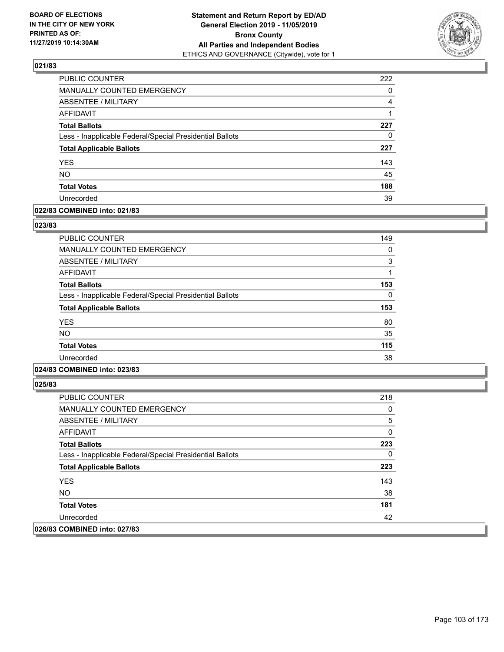

| <b>PUBLIC COUNTER</b>                                    | 222 |
|----------------------------------------------------------|-----|
| MANUALLY COUNTED EMERGENCY                               | 0   |
| <b>ABSENTEE / MILITARY</b>                               | 4   |
| AFFIDAVIT                                                | 1   |
| <b>Total Ballots</b>                                     | 227 |
| Less - Inapplicable Federal/Special Presidential Ballots | 0   |
| <b>Total Applicable Ballots</b>                          | 227 |
| <b>YES</b>                                               | 143 |
| <b>NO</b>                                                | 45  |
| <b>Total Votes</b>                                       | 188 |
| Unrecorded                                               | 39  |

#### **022/83 COMBINED into: 021/83**

#### **023/83**

| <b>PUBLIC COUNTER</b>                                    | 149 |
|----------------------------------------------------------|-----|
| <b>MANUALLY COUNTED EMERGENCY</b>                        | 0   |
| <b>ABSENTEE / MILITARY</b>                               | 3   |
| AFFIDAVIT                                                |     |
| <b>Total Ballots</b>                                     | 153 |
| Less - Inapplicable Federal/Special Presidential Ballots | 0   |
| <b>Total Applicable Ballots</b>                          | 153 |
| <b>YES</b>                                               | 80  |
| <b>NO</b>                                                | 35  |
| <b>Total Votes</b>                                       | 115 |
| Unrecorded                                               | 38  |
|                                                          |     |

# **024/83 COMBINED into: 023/83**

| <b>PUBLIC COUNTER</b>                                    | 218 |
|----------------------------------------------------------|-----|
| <b>MANUALLY COUNTED EMERGENCY</b>                        | 0   |
| ABSENTEE / MILITARY                                      | 5   |
| AFFIDAVIT                                                | 0   |
| <b>Total Ballots</b>                                     | 223 |
| Less - Inapplicable Federal/Special Presidential Ballots | 0   |
| <b>Total Applicable Ballots</b>                          | 223 |
| <b>YES</b>                                               | 143 |
| NO.                                                      | 38  |
| <b>Total Votes</b>                                       | 181 |
| Unrecorded                                               | 42  |
| 026/83 COMBINED into: 027/83                             |     |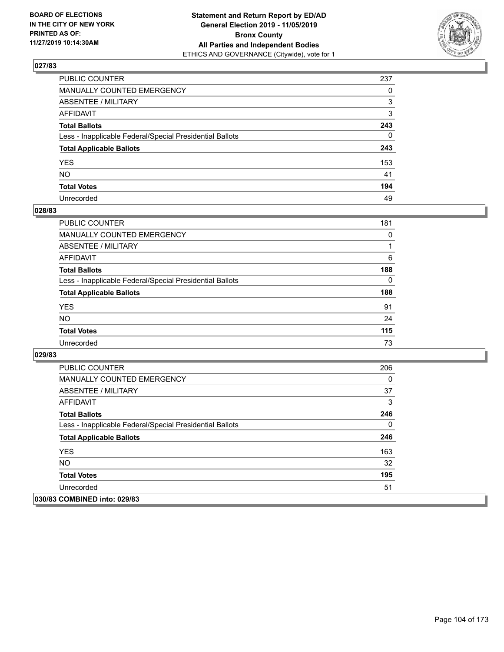

| PUBLIC COUNTER                                           | 237          |
|----------------------------------------------------------|--------------|
| MANUALLY COUNTED EMERGENCY                               | $\Omega$     |
| ABSENTEE / MILITARY                                      | 3            |
| AFFIDAVIT                                                | 3            |
| Total Ballots                                            | 243          |
| Less - Inapplicable Federal/Special Presidential Ballots | $\mathbf{0}$ |
| <b>Total Applicable Ballots</b>                          | 243          |
| YES                                                      | 153          |
| NO.                                                      | 41           |
| <b>Total Votes</b>                                       | 194          |
| Unrecorded                                               | 49           |

#### **028/83**

| <b>PUBLIC COUNTER</b>                                    | 181      |
|----------------------------------------------------------|----------|
| MANUALLY COUNTED EMERGENCY                               | $\Omega$ |
| ABSENTEE / MILITARY                                      |          |
| AFFIDAVIT                                                | 6        |
| <b>Total Ballots</b>                                     | 188      |
| Less - Inapplicable Federal/Special Presidential Ballots | $\Omega$ |
| <b>Total Applicable Ballots</b>                          | 188      |
| <b>YES</b>                                               | 91       |
| <b>NO</b>                                                | 24       |
| <b>Total Votes</b>                                       | 115      |
| Unrecorded                                               | 73       |

| <b>PUBLIC COUNTER</b>                                    | 206 |
|----------------------------------------------------------|-----|
| <b>MANUALLY COUNTED EMERGENCY</b>                        | 0   |
| ABSENTEE / MILITARY                                      | 37  |
| AFFIDAVIT                                                | 3   |
| <b>Total Ballots</b>                                     | 246 |
| Less - Inapplicable Federal/Special Presidential Ballots | 0   |
| <b>Total Applicable Ballots</b>                          | 246 |
| <b>YES</b>                                               | 163 |
| NO.                                                      | 32  |
| <b>Total Votes</b>                                       | 195 |
| Unrecorded                                               | 51  |
| 030/83 COMBINED into: 029/83                             |     |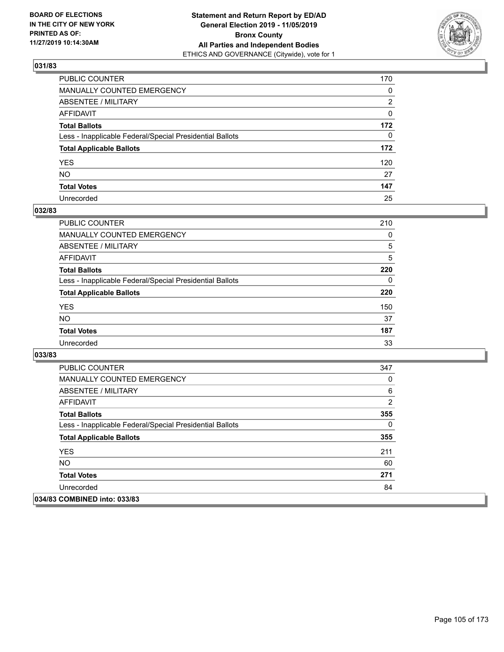

| PUBLIC COUNTER                                           | 170          |
|----------------------------------------------------------|--------------|
| MANUALLY COUNTED EMERGENCY                               | 0            |
| ABSENTEE / MILITARY                                      | 2            |
| AFFIDAVIT                                                | 0            |
| Total Ballots                                            | 172          |
| Less - Inapplicable Federal/Special Presidential Ballots | $\mathbf{0}$ |
| <b>Total Applicable Ballots</b>                          | 172          |
| YES                                                      | 120          |
| NO.                                                      | 27           |
| <b>Total Votes</b>                                       | 147          |
| Unrecorded                                               | 25           |

#### **032/83**

| <b>PUBLIC COUNTER</b>                                    | 210      |
|----------------------------------------------------------|----------|
| MANUALLY COUNTED EMERGENCY                               | $\Omega$ |
| ABSENTEE / MILITARY                                      | 5        |
| AFFIDAVIT                                                | 5        |
| <b>Total Ballots</b>                                     | 220      |
| Less - Inapplicable Federal/Special Presidential Ballots | 0        |
| <b>Total Applicable Ballots</b>                          | 220      |
| <b>YES</b>                                               | 150      |
| <b>NO</b>                                                | 37       |
| <b>Total Votes</b>                                       | 187      |
| Unrecorded                                               | 33       |

| <b>PUBLIC COUNTER</b>                                    | 347 |
|----------------------------------------------------------|-----|
| <b>MANUALLY COUNTED EMERGENCY</b>                        | 0   |
| ABSENTEE / MILITARY                                      | 6   |
| AFFIDAVIT                                                | 2   |
| <b>Total Ballots</b>                                     | 355 |
| Less - Inapplicable Federal/Special Presidential Ballots | 0   |
| <b>Total Applicable Ballots</b>                          | 355 |
| <b>YES</b>                                               | 211 |
| <b>NO</b>                                                | 60  |
| <b>Total Votes</b>                                       | 271 |
| Unrecorded                                               | 84  |
| 034/83 COMBINED into: 033/83                             |     |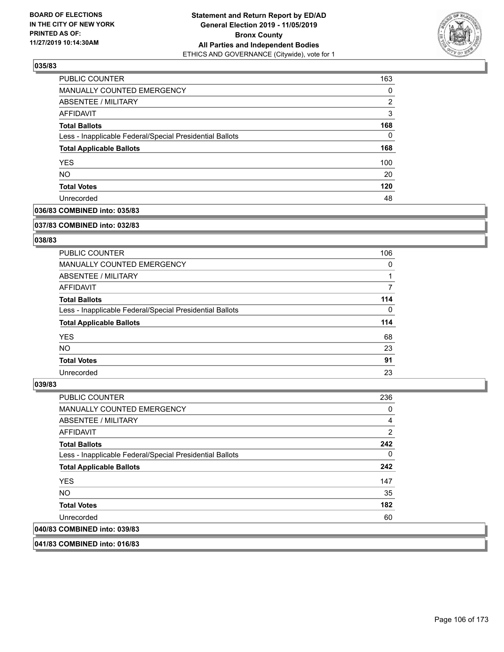

| PUBLIC COUNTER                                           | 163      |
|----------------------------------------------------------|----------|
| MANUALLY COUNTED EMERGENCY                               | $\Omega$ |
| ABSENTEE / MILITARY                                      | 2        |
| AFFIDAVIT                                                | 3        |
| <b>Total Ballots</b>                                     | 168      |
| Less - Inapplicable Federal/Special Presidential Ballots | 0        |
| <b>Total Applicable Ballots</b>                          | 168      |
| <b>YES</b>                                               | 100      |
| <b>NO</b>                                                | 20       |
| <b>Total Votes</b>                                       | 120      |
| Unrecorded                                               | 48       |

# **036/83 COMBINED into: 035/83**

#### **037/83 COMBINED into: 032/83**

# **038/83**

| <b>PUBLIC COUNTER</b>                                    | 106      |
|----------------------------------------------------------|----------|
| <b>MANUALLY COUNTED EMERGENCY</b>                        | 0        |
| ABSENTEE / MILITARY                                      |          |
| AFFIDAVIT                                                |          |
| <b>Total Ballots</b>                                     | 114      |
| Less - Inapplicable Federal/Special Presidential Ballots | $\Omega$ |
| <b>Total Applicable Ballots</b>                          | 114      |
| <b>YES</b>                                               | 68       |
| NO.                                                      | 23       |
| <b>Total Votes</b>                                       | 91       |
| Unrecorded                                               | 23       |

#### **039/83**

| <b>PUBLIC COUNTER</b>                                    | 236            |
|----------------------------------------------------------|----------------|
| <b>MANUALLY COUNTED EMERGENCY</b>                        | 0              |
| ABSENTEE / MILITARY                                      | $\overline{4}$ |
| <b>AFFIDAVIT</b>                                         | 2              |
| <b>Total Ballots</b>                                     | 242            |
| Less - Inapplicable Federal/Special Presidential Ballots | $\mathbf{0}$   |
| <b>Total Applicable Ballots</b>                          | 242            |
| <b>YES</b>                                               | 147            |
| NO.                                                      | 35             |
| <b>Total Votes</b>                                       | 182            |
| Unrecorded                                               | 60             |
| 040/83 COMBINED into: 039/83                             |                |

**041/83 COMBINED into: 016/83**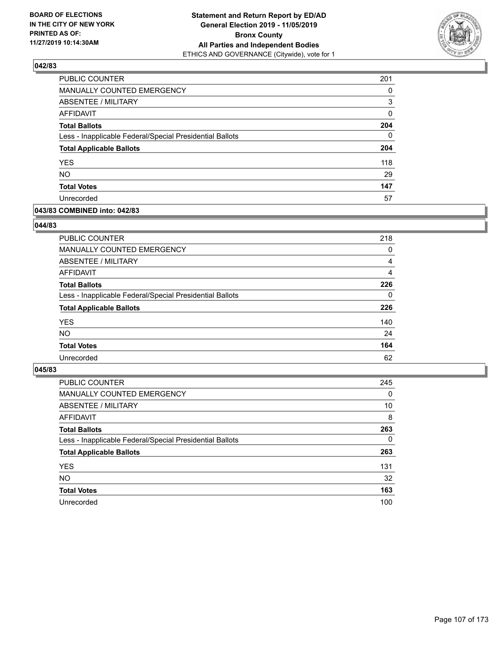

| PUBLIC COUNTER                                           | 201      |
|----------------------------------------------------------|----------|
| MANUALLY COUNTED EMERGENCY                               | 0        |
| ABSENTEE / MILITARY                                      | 3        |
| <b>AFFIDAVIT</b>                                         | 0        |
| <b>Total Ballots</b>                                     | 204      |
| Less - Inapplicable Federal/Special Presidential Ballots | $\Omega$ |
| <b>Total Applicable Ballots</b>                          | 204      |
| <b>YES</b>                                               | 118      |
| <b>NO</b>                                                | 29       |
| <b>Total Votes</b>                                       | 147      |
| Unrecorded                                               | 57       |

# **043/83 COMBINED into: 042/83**

#### **044/83**

| PUBLIC COUNTER                                           | 218      |
|----------------------------------------------------------|----------|
| MANUALLY COUNTED EMERGENCY                               | $\Omega$ |
| ABSENTEE / MILITARY                                      | 4        |
| AFFIDAVIT                                                | 4        |
| <b>Total Ballots</b>                                     | 226      |
| Less - Inapplicable Federal/Special Presidential Ballots | $\Omega$ |
| <b>Total Applicable Ballots</b>                          | 226      |
| <b>YES</b>                                               | 140      |
| <b>NO</b>                                                | 24       |
| <b>Total Votes</b>                                       | 164      |
| Unrecorded                                               | 62       |
|                                                          |          |

| <b>PUBLIC COUNTER</b>                                    | 245      |
|----------------------------------------------------------|----------|
| MANUALLY COUNTED EMERGENCY                               | $\Omega$ |
| ABSENTEE / MILITARY                                      | 10       |
| AFFIDAVIT                                                | 8        |
| <b>Total Ballots</b>                                     | 263      |
| Less - Inapplicable Federal/Special Presidential Ballots | $\Omega$ |
| <b>Total Applicable Ballots</b>                          | 263      |
| <b>YES</b>                                               | 131      |
| <b>NO</b>                                                | 32       |
| <b>Total Votes</b>                                       | 163      |
| Unrecorded                                               | 100      |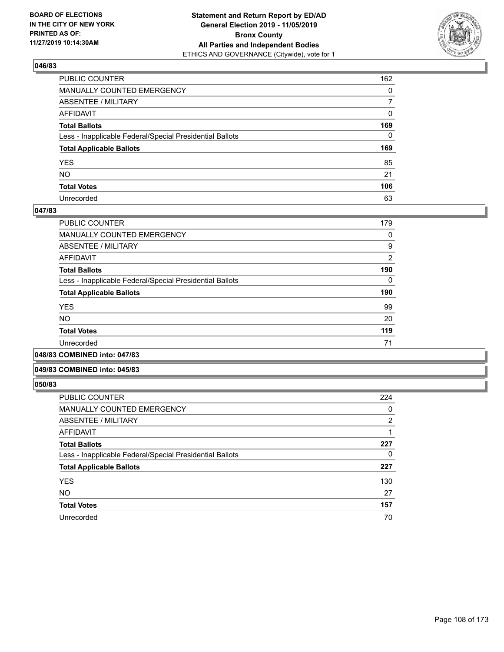

| PUBLIC COUNTER                                           | 162            |
|----------------------------------------------------------|----------------|
| MANUALLY COUNTED EMERGENCY                               | $\mathbf{0}$   |
| ABSENTEE / MILITARY                                      | $\overline{7}$ |
| AFFIDAVIT                                                | 0              |
| Total Ballots                                            | 169            |
| Less - Inapplicable Federal/Special Presidential Ballots | $\mathbf{0}$   |
| <b>Total Applicable Ballots</b>                          | 169            |
| YES                                                      | 85             |
| NO.                                                      | 21             |
| <b>Total Votes</b>                                       | 106            |
| Unrecorded                                               | 63             |

#### **047/83**

| PUBLIC COUNTER                                           | 179            |
|----------------------------------------------------------|----------------|
| <b>MANUALLY COUNTED EMERGENCY</b>                        | 0              |
| ABSENTEE / MILITARY                                      | 9              |
| AFFIDAVIT                                                | $\overline{2}$ |
| <b>Total Ballots</b>                                     | 190            |
| Less - Inapplicable Federal/Special Presidential Ballots | 0              |
| <b>Total Applicable Ballots</b>                          | 190            |
| <b>YES</b>                                               | 99             |
| <b>NO</b>                                                | 20             |
| <b>Total Votes</b>                                       | 119            |
| Unrecorded                                               | 71             |
|                                                          |                |

**048/83 COMBINED into: 047/83**

#### **049/83 COMBINED into: 045/83**

| <b>PUBLIC COUNTER</b>                                    | 224            |
|----------------------------------------------------------|----------------|
| <b>MANUALLY COUNTED EMERGENCY</b>                        | 0              |
| ABSENTEE / MILITARY                                      | $\overline{2}$ |
| <b>AFFIDAVIT</b>                                         |                |
| <b>Total Ballots</b>                                     | 227            |
| Less - Inapplicable Federal/Special Presidential Ballots | 0              |
| <b>Total Applicable Ballots</b>                          | 227            |
| <b>YES</b>                                               | 130            |
| <b>NO</b>                                                | 27             |
| <b>Total Votes</b>                                       | 157            |
| Unrecorded                                               | 70             |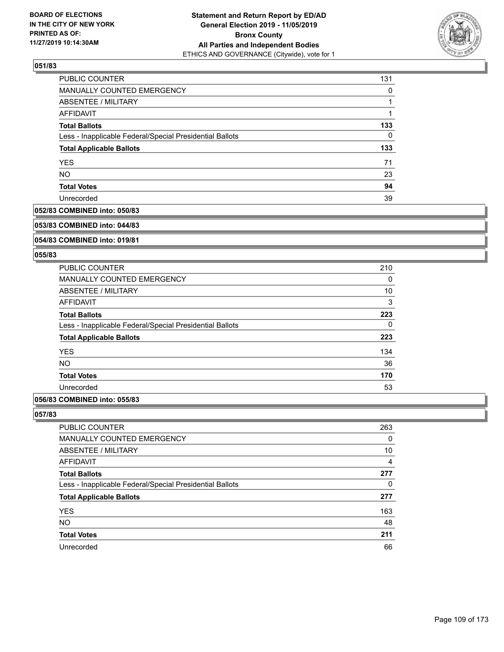

| PUBLIC COUNTER                                           | 131      |
|----------------------------------------------------------|----------|
| MANUALLY COUNTED EMERGENCY                               | 0        |
| ABSENTEE / MILITARY                                      |          |
| AFFIDAVIT                                                | 1        |
| <b>Total Ballots</b>                                     | 133      |
| Less - Inapplicable Federal/Special Presidential Ballots | $\Omega$ |
| <b>Total Applicable Ballots</b>                          | 133      |
| <b>YES</b>                                               | 71       |
| <b>NO</b>                                                | 23       |
| <b>Total Votes</b>                                       | 94       |
| Unrecorded                                               | 39       |

#### **052/83 COMBINED into: 050/83**

#### **053/83 COMBINED into: 044/83**

# **054/83 COMBINED into: 019/81**

## **055/83**

| <b>PUBLIC COUNTER</b>                                    | 210 |
|----------------------------------------------------------|-----|
| <b>MANUALLY COUNTED EMERGENCY</b>                        | 0   |
| ABSENTEE / MILITARY                                      | 10  |
| AFFIDAVIT                                                | 3   |
| <b>Total Ballots</b>                                     | 223 |
| Less - Inapplicable Federal/Special Presidential Ballots | 0   |
| <b>Total Applicable Ballots</b>                          | 223 |
| <b>YES</b>                                               | 134 |
| <b>NO</b>                                                | 36  |
| <b>Total Votes</b>                                       | 170 |
| Unrecorded                                               | 53  |
|                                                          |     |

# **056/83 COMBINED into: 055/83**

| <b>PUBLIC COUNTER</b>                                    | 263            |
|----------------------------------------------------------|----------------|
| <b>MANUALLY COUNTED EMERGENCY</b>                        | 0              |
| ABSENTEE / MILITARY                                      | 10             |
| AFFIDAVIT                                                | $\overline{4}$ |
| <b>Total Ballots</b>                                     | 277            |
| Less - Inapplicable Federal/Special Presidential Ballots | 0              |
| <b>Total Applicable Ballots</b>                          | 277            |
| <b>YES</b>                                               | 163            |
| <b>NO</b>                                                | 48             |
| <b>Total Votes</b>                                       | 211            |
| Unrecorded                                               | 66             |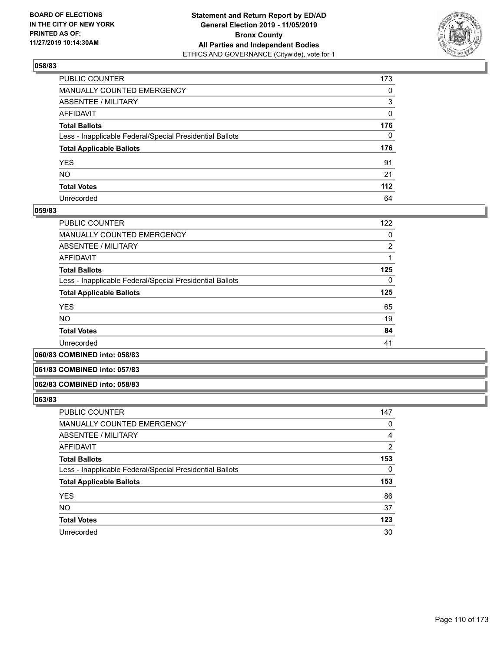

| PUBLIC COUNTER                                           | 173      |
|----------------------------------------------------------|----------|
| MANUALLY COUNTED EMERGENCY                               | 0        |
| ABSENTEE / MILITARY                                      | 3        |
| AFFIDAVIT                                                | 0        |
| Total Ballots                                            | 176      |
| Less - Inapplicable Federal/Special Presidential Ballots | $\Omega$ |
| <b>Total Applicable Ballots</b>                          | 176      |
| YES                                                      | 91       |
| NO.                                                      | 21       |
| <b>Total Votes</b>                                       | 112      |
| Unrecorded                                               |          |

## **059/83**

| <b>PUBLIC COUNTER</b>                                    | 122            |
|----------------------------------------------------------|----------------|
| <b>MANUALLY COUNTED EMERGENCY</b>                        | 0              |
| ABSENTEE / MILITARY                                      | $\overline{2}$ |
| <b>AFFIDAVIT</b>                                         |                |
| <b>Total Ballots</b>                                     | 125            |
| Less - Inapplicable Federal/Special Presidential Ballots | $\Omega$       |
| <b>Total Applicable Ballots</b>                          | 125            |
| <b>YES</b>                                               | 65             |
| <b>NO</b>                                                | 19             |
| <b>Total Votes</b>                                       | 84             |
| Unrecorded                                               | 41             |
|                                                          |                |

**060/83 COMBINED into: 058/83**

## **061/83 COMBINED into: 057/83**

### **062/83 COMBINED into: 058/83**

| <b>PUBLIC COUNTER</b>                                    | 147      |
|----------------------------------------------------------|----------|
| MANUALLY COUNTED EMERGENCY                               | 0        |
| <b>ABSENTEE / MILITARY</b>                               | 4        |
| AFFIDAVIT                                                | 2        |
| <b>Total Ballots</b>                                     | 153      |
| Less - Inapplicable Federal/Special Presidential Ballots | $\Omega$ |
| <b>Total Applicable Ballots</b>                          | 153      |
| <b>YES</b>                                               | 86       |
| <b>NO</b>                                                | 37       |
| <b>Total Votes</b>                                       | 123      |
| Unrecorded                                               | 30       |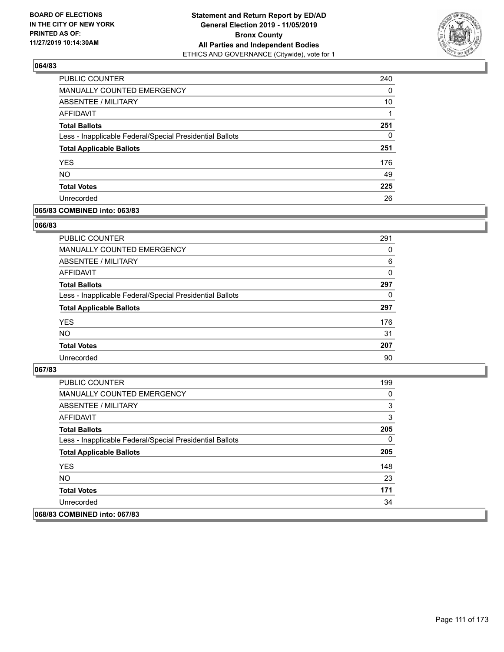

| PUBLIC COUNTER                                           | 240 |
|----------------------------------------------------------|-----|
| MANUALLY COUNTED EMERGENCY                               | 0   |
| <b>ABSENTEE / MILITARY</b>                               | 10  |
| AFFIDAVIT                                                | 1   |
| <b>Total Ballots</b>                                     | 251 |
| Less - Inapplicable Federal/Special Presidential Ballots | 0   |
| <b>Total Applicable Ballots</b>                          | 251 |
| <b>YES</b>                                               | 176 |
| <b>NO</b>                                                | 49  |
| <b>Total Votes</b>                                       | 225 |
| Unrecorded                                               | 26  |

## **065/83 COMBINED into: 063/83**

## **066/83**

| <b>PUBLIC COUNTER</b>                                    | 291      |
|----------------------------------------------------------|----------|
| <b>MANUALLY COUNTED EMERGENCY</b>                        | 0        |
| ABSENTEE / MILITARY                                      | 6        |
| AFFIDAVIT                                                | $\Omega$ |
| <b>Total Ballots</b>                                     | 297      |
| Less - Inapplicable Federal/Special Presidential Ballots | 0        |
| <b>Total Applicable Ballots</b>                          | 297      |
| <b>YES</b>                                               | 176      |
| <b>NO</b>                                                | 31       |
| <b>Total Votes</b>                                       | 207      |
| Unrecorded                                               | 90       |

| <b>PUBLIC COUNTER</b>                                    | 199 |
|----------------------------------------------------------|-----|
| MANUALLY COUNTED EMERGENCY                               | 0   |
| ABSENTEE / MILITARY                                      | 3   |
| AFFIDAVIT                                                | 3   |
| <b>Total Ballots</b>                                     | 205 |
| Less - Inapplicable Federal/Special Presidential Ballots | 0   |
| <b>Total Applicable Ballots</b>                          | 205 |
| <b>YES</b>                                               | 148 |
| NO.                                                      | 23  |
| <b>Total Votes</b>                                       | 171 |
| Unrecorded                                               | 34  |
| 068/83 COMBINED into: 067/83                             |     |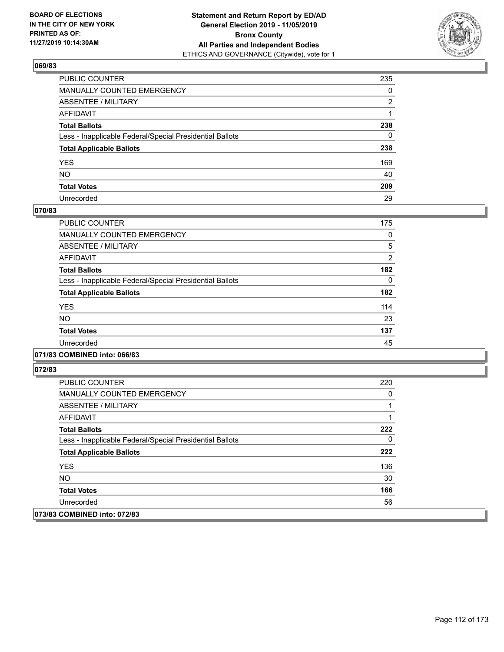

| PUBLIC COUNTER                                           | 235 |
|----------------------------------------------------------|-----|
| MANUALLY COUNTED EMERGENCY                               | 0   |
| ABSENTEE / MILITARY                                      | 2   |
| AFFIDAVIT                                                |     |
| Total Ballots                                            | 238 |
| Less - Inapplicable Federal/Special Presidential Ballots | 0   |
| <b>Total Applicable Ballots</b>                          | 238 |
| YES                                                      | 169 |
| NO.                                                      | 40  |
| <b>Total Votes</b>                                       | 209 |
| Unrecorded                                               | 29  |

## **070/83**

| <b>PUBLIC COUNTER</b>                                    | 175      |
|----------------------------------------------------------|----------|
| <b>MANUALLY COUNTED EMERGENCY</b>                        | 0        |
| ABSENTEE / MILITARY                                      | 5        |
| <b>AFFIDAVIT</b>                                         | 2        |
| <b>Total Ballots</b>                                     | 182      |
| Less - Inapplicable Federal/Special Presidential Ballots | $\Omega$ |
| <b>Total Applicable Ballots</b>                          | 182      |
| <b>YES</b>                                               | 114      |
| <b>NO</b>                                                | 23       |
| <b>Total Votes</b>                                       | 137      |
| Unrecorded                                               | 45       |
|                                                          |          |

## **071/83 COMBINED into: 066/83**

| <b>PUBLIC COUNTER</b>                                    | 220 |
|----------------------------------------------------------|-----|
| <b>MANUALLY COUNTED EMERGENCY</b>                        | 0   |
| ABSENTEE / MILITARY                                      |     |
| AFFIDAVIT                                                |     |
| <b>Total Ballots</b>                                     | 222 |
| Less - Inapplicable Federal/Special Presidential Ballots | 0   |
| <b>Total Applicable Ballots</b>                          | 222 |
| <b>YES</b>                                               | 136 |
| NO.                                                      | 30  |
| <b>Total Votes</b>                                       | 166 |
| Unrecorded                                               | 56  |
| 073/83 COMBINED into: 072/83                             |     |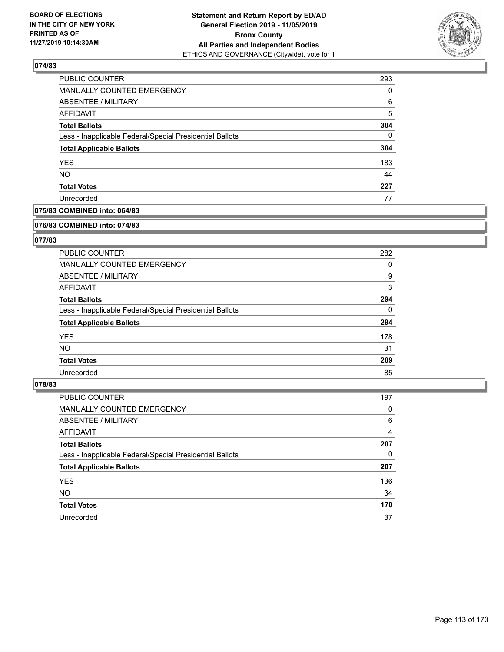

| <b>PUBLIC COUNTER</b>                                    | 293      |
|----------------------------------------------------------|----------|
| <b>MANUALLY COUNTED EMERGENCY</b>                        | 0        |
| <b>ABSENTEE / MILITARY</b>                               | 6        |
| AFFIDAVIT                                                | 5        |
| <b>Total Ballots</b>                                     | 304      |
| Less - Inapplicable Federal/Special Presidential Ballots | $\Omega$ |
| <b>Total Applicable Ballots</b>                          | 304      |
| <b>YES</b>                                               | 183      |
| <b>NO</b>                                                | 44       |
| <b>Total Votes</b>                                       | 227      |
| Unrecorded                                               | 77       |

# **075/83 COMBINED into: 064/83**

#### **076/83 COMBINED into: 074/83**

# **077/83**

| <b>PUBLIC COUNTER</b>                                    | 282      |
|----------------------------------------------------------|----------|
| MANUALLY COUNTED EMERGENCY                               | 0        |
| ABSENTEE / MILITARY                                      | 9        |
| AFFIDAVIT                                                | 3        |
| <b>Total Ballots</b>                                     | 294      |
| Less - Inapplicable Federal/Special Presidential Ballots | $\Omega$ |
| <b>Total Applicable Ballots</b>                          | 294      |
| <b>YES</b>                                               | 178      |
| NO.                                                      | 31       |
| <b>Total Votes</b>                                       | 209      |
| Unrecorded                                               | 85       |

| PUBLIC COUNTER                                           | 197 |
|----------------------------------------------------------|-----|
| <b>MANUALLY COUNTED EMERGENCY</b>                        | 0   |
| ABSENTEE / MILITARY                                      | 6   |
| AFFIDAVIT                                                | 4   |
| <b>Total Ballots</b>                                     | 207 |
| Less - Inapplicable Federal/Special Presidential Ballots | 0   |
| <b>Total Applicable Ballots</b>                          | 207 |
| <b>YES</b>                                               | 136 |
| <b>NO</b>                                                | 34  |
| <b>Total Votes</b>                                       | 170 |
|                                                          |     |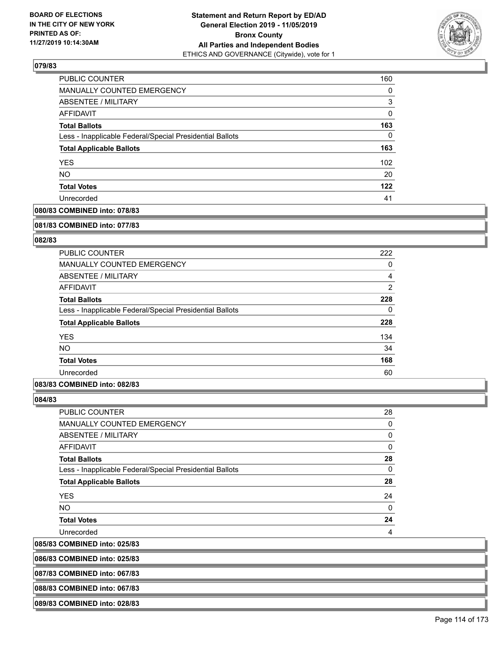

| <b>PUBLIC COUNTER</b>                                    | 160      |
|----------------------------------------------------------|----------|
| MANUALLY COUNTED EMERGENCY                               | 0        |
| ABSENTEE / MILITARY                                      | 3        |
| AFFIDAVIT                                                | 0        |
| <b>Total Ballots</b>                                     | 163      |
| Less - Inapplicable Federal/Special Presidential Ballots | $\Omega$ |
| <b>Total Applicable Ballots</b>                          | 163      |
| <b>YES</b>                                               | 102      |
| <b>NO</b>                                                | 20       |
| <b>Total Votes</b>                                       | 122      |
| Unrecorded                                               | 41       |

# **080/83 COMBINED into: 078/83**

#### **081/83 COMBINED into: 077/83**

# **082/83**

| <b>PUBLIC COUNTER</b>                                    | 222            |
|----------------------------------------------------------|----------------|
| <b>MANUALLY COUNTED EMERGENCY</b>                        | 0              |
| ABSENTEE / MILITARY                                      | 4              |
| <b>AFFIDAVIT</b>                                         | $\overline{2}$ |
| <b>Total Ballots</b>                                     | 228            |
| Less - Inapplicable Federal/Special Presidential Ballots | 0              |
| <b>Total Applicable Ballots</b>                          | 228            |
| <b>YES</b>                                               | 134            |
| <b>NO</b>                                                | 34             |
| <b>Total Votes</b>                                       | 168            |
| Unrecorded                                               | 60             |

## **083/83 COMBINED into: 082/83**

**084/83** 

 $|085/83$ 

| <b>PUBLIC COUNTER</b>                                    | 28 |
|----------------------------------------------------------|----|
| <b>MANUALLY COUNTED EMERGENCY</b>                        | 0  |
| <b>ABSENTEE / MILITARY</b>                               | 0  |
| <b>AFFIDAVIT</b>                                         | 0  |
| <b>Total Ballots</b>                                     | 28 |
| Less - Inapplicable Federal/Special Presidential Ballots | 0  |
| <b>Total Applicable Ballots</b>                          | 28 |
| <b>YES</b>                                               | 24 |
| <b>NO</b>                                                | 0  |
| <b>Total Votes</b>                                       | 24 |
| Unrecorded                                               | 4  |
| <b>COMBINED into: 025/83</b>                             |    |

**086/83 COMBINED into: 025/83**

**087/83 COMBINED into: 067/83**

**088/83 COMBINED into: 067/83**

**089/83 COMBINED into: 028/83**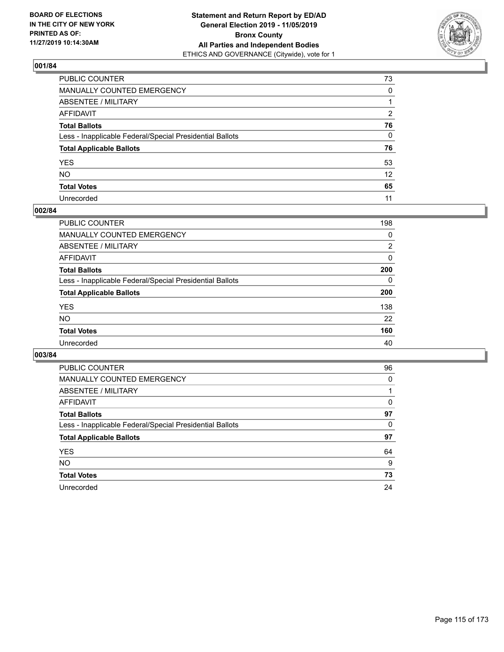

| PUBLIC COUNTER                                           | 73              |
|----------------------------------------------------------|-----------------|
| MANUALLY COUNTED EMERGENCY                               | $\mathbf{0}$    |
| ABSENTEE / MILITARY                                      |                 |
| AFFIDAVIT                                                | 2               |
| Total Ballots                                            | 76              |
| Less - Inapplicable Federal/Special Presidential Ballots | 0               |
| <b>Total Applicable Ballots</b>                          | 76              |
| YES                                                      | 53              |
| NO.                                                      | 12 <sup>2</sup> |
| <b>Total Votes</b>                                       | 65              |
| Unrecorded                                               | 11              |

## **002/84**

| <b>PUBLIC COUNTER</b>                                    | 198      |
|----------------------------------------------------------|----------|
| <b>MANUALLY COUNTED EMERGENCY</b>                        | 0        |
| ABSENTEE / MILITARY                                      | 2        |
| AFFIDAVIT                                                | $\Omega$ |
| <b>Total Ballots</b>                                     | 200      |
| Less - Inapplicable Federal/Special Presidential Ballots | $\Omega$ |
| <b>Total Applicable Ballots</b>                          | 200      |
| <b>YES</b>                                               | 138      |
| <b>NO</b>                                                | 22       |
| <b>Total Votes</b>                                       | 160      |
| Unrecorded                                               | 40       |

| <b>PUBLIC COUNTER</b>                                    | 96       |
|----------------------------------------------------------|----------|
| <b>MANUALLY COUNTED EMERGENCY</b>                        | $\Omega$ |
| ABSENTEE / MILITARY                                      |          |
| AFFIDAVIT                                                | 0        |
| <b>Total Ballots</b>                                     | 97       |
| Less - Inapplicable Federal/Special Presidential Ballots | 0        |
| <b>Total Applicable Ballots</b>                          | 97       |
| <b>YES</b>                                               | 64       |
| NO.                                                      | 9        |
| <b>Total Votes</b>                                       | 73       |
| Unrecorded                                               | 24       |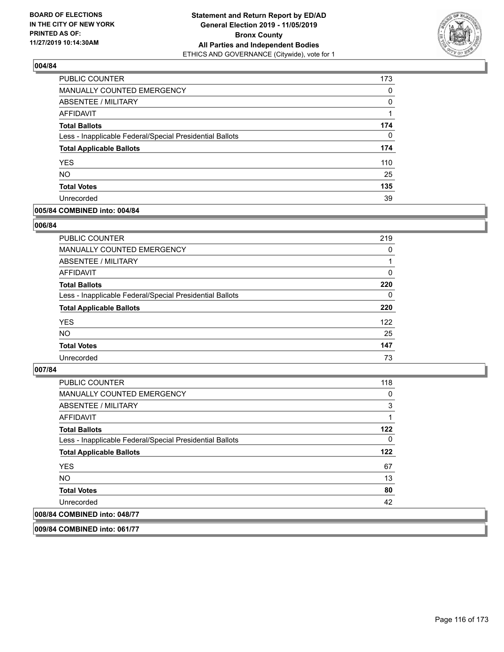

| PUBLIC COUNTER                                           | 173 |
|----------------------------------------------------------|-----|
| <b>MANUALLY COUNTED EMERGENCY</b>                        | 0   |
| ABSENTEE / MILITARY                                      | 0   |
| AFFIDAVIT                                                |     |
| <b>Total Ballots</b>                                     | 174 |
| Less - Inapplicable Federal/Special Presidential Ballots | 0   |
| <b>Total Applicable Ballots</b>                          | 174 |
| <b>YES</b>                                               | 110 |
| <b>NO</b>                                                | 25  |
| <b>Total Votes</b>                                       | 135 |
| Unrecorded                                               | 39  |

# **005/84 COMBINED into: 004/84**

## **006/84**

| <b>PUBLIC COUNTER</b>                                    | 219      |
|----------------------------------------------------------|----------|
| MANUALLY COUNTED EMERGENCY                               | 0        |
| ABSENTEE / MILITARY                                      |          |
| AFFIDAVIT                                                | $\Omega$ |
| <b>Total Ballots</b>                                     | 220      |
| Less - Inapplicable Federal/Special Presidential Ballots | $\Omega$ |
| <b>Total Applicable Ballots</b>                          | 220      |
| <b>YES</b>                                               | 122      |
| <b>NO</b>                                                | 25       |
| <b>Total Votes</b>                                       | 147      |
| Unrecorded                                               | 73       |
|                                                          |          |

### **007/84**

| <b>PUBLIC COUNTER</b>                                    | 118 |
|----------------------------------------------------------|-----|
| <b>MANUALLY COUNTED EMERGENCY</b>                        | 0   |
| ABSENTEE / MILITARY                                      | 3   |
| AFFIDAVIT                                                |     |
| <b>Total Ballots</b>                                     | 122 |
| Less - Inapplicable Federal/Special Presidential Ballots | 0   |
| <b>Total Applicable Ballots</b>                          | 122 |
| <b>YES</b>                                               | 67  |
| <b>NO</b>                                                | 13  |
| <b>Total Votes</b>                                       | 80  |
| Unrecorded                                               | 42  |
| 008/84 COMBINED into: 048/77                             |     |

**009/84 COMBINED into: 061/77**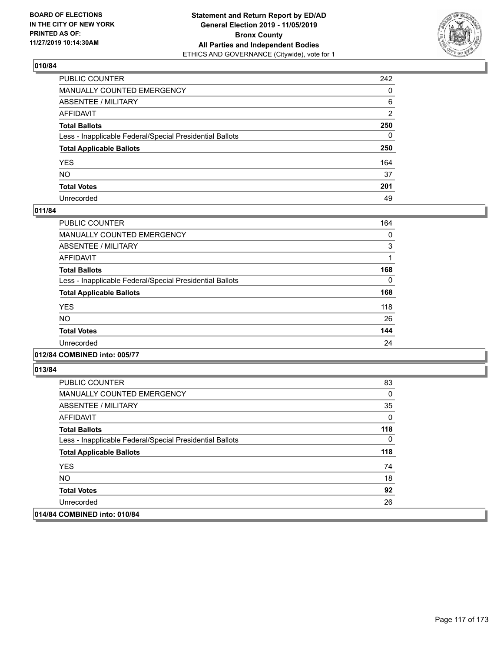

| PUBLIC COUNTER                                           | 242 |
|----------------------------------------------------------|-----|
| MANUALLY COUNTED EMERGENCY                               | 0   |
| ABSENTEE / MILITARY                                      | 6   |
| AFFIDAVIT                                                | 2   |
| Total Ballots                                            | 250 |
| Less - Inapplicable Federal/Special Presidential Ballots | 0   |
| <b>Total Applicable Ballots</b>                          | 250 |
| YES                                                      | 164 |
| NO.                                                      | 37  |
| <b>Total Votes</b>                                       | 201 |
| Unrecorded                                               | 49  |

## **011/84**

| <b>PUBLIC COUNTER</b>                                    | 164      |
|----------------------------------------------------------|----------|
| <b>MANUALLY COUNTED EMERGENCY</b>                        | 0        |
| ABSENTEE / MILITARY                                      | 3        |
| <b>AFFIDAVIT</b>                                         |          |
| <b>Total Ballots</b>                                     | 168      |
| Less - Inapplicable Federal/Special Presidential Ballots | $\Omega$ |
| <b>Total Applicable Ballots</b>                          | 168      |
| <b>YES</b>                                               | 118      |
| <b>NO</b>                                                | 26       |
| <b>Total Votes</b>                                       | 144      |
| Unrecorded                                               | 24       |
|                                                          |          |

## **012/84 COMBINED into: 005/77**

| <b>PUBLIC COUNTER</b>                                    | 83  |
|----------------------------------------------------------|-----|
| <b>MANUALLY COUNTED EMERGENCY</b>                        | 0   |
| ABSENTEE / MILITARY                                      | 35  |
| AFFIDAVIT                                                | 0   |
| <b>Total Ballots</b>                                     | 118 |
| Less - Inapplicable Federal/Special Presidential Ballots | 0   |
| <b>Total Applicable Ballots</b>                          | 118 |
| <b>YES</b>                                               | 74  |
| NO.                                                      | 18  |
| <b>Total Votes</b>                                       | 92  |
| Unrecorded                                               | 26  |
| 014/84 COMBINED into: 010/84                             |     |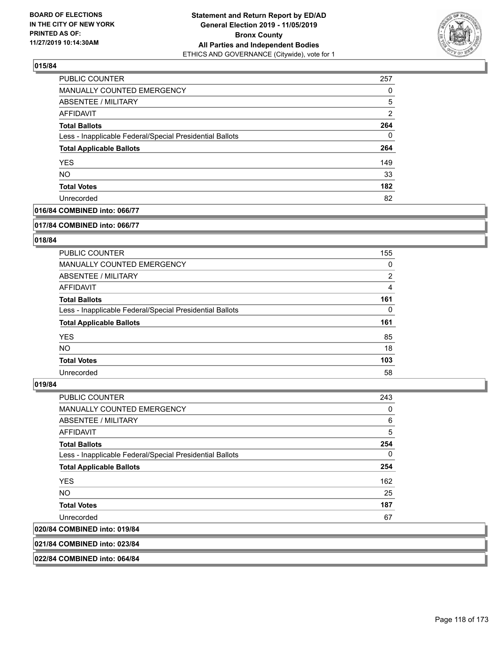

| <b>PUBLIC COUNTER</b>                                    | 257           |
|----------------------------------------------------------|---------------|
| MANUALLY COUNTED EMERGENCY                               | 0             |
| <b>ABSENTEE / MILITARY</b>                               | 5             |
| AFFIDAVIT                                                | $\mathcal{P}$ |
| <b>Total Ballots</b>                                     | 264           |
| Less - Inapplicable Federal/Special Presidential Ballots | $\Omega$      |
| <b>Total Applicable Ballots</b>                          | 264           |
| <b>YES</b>                                               | 149           |
| <b>NO</b>                                                | 33            |
| <b>Total Votes</b>                                       | 182           |
| Unrecorded                                               | 82            |

# **016/84 COMBINED into: 066/77**

#### **017/84 COMBINED into: 066/77**

## **018/84**

| <b>PUBLIC COUNTER</b>                                    | 155            |
|----------------------------------------------------------|----------------|
| <b>MANUALLY COUNTED EMERGENCY</b>                        | 0              |
| ABSENTEE / MILITARY                                      | $\overline{2}$ |
| AFFIDAVIT                                                | 4              |
| <b>Total Ballots</b>                                     | 161            |
| Less - Inapplicable Federal/Special Presidential Ballots | $\Omega$       |
| <b>Total Applicable Ballots</b>                          | 161            |
| <b>YES</b>                                               | 85             |
| NO.                                                      | 18             |
| <b>Total Votes</b>                                       | 103            |
| Unrecorded                                               | 58             |

### **019/84**

| <b>PUBLIC COUNTER</b>                                    | 243      |
|----------------------------------------------------------|----------|
| <b>MANUALLY COUNTED EMERGENCY</b>                        | 0        |
| ABSENTEE / MILITARY                                      | 6        |
| <b>AFFIDAVIT</b>                                         | 5        |
| <b>Total Ballots</b>                                     | 254      |
| Less - Inapplicable Federal/Special Presidential Ballots | $\Omega$ |
| <b>Total Applicable Ballots</b>                          | 254      |
| <b>YES</b>                                               | 162      |
| <b>NO</b>                                                | 25       |
| <b>Total Votes</b>                                       | 187      |
| Unrecorded                                               | 67       |
| 020/84 COMBINED into: 019/84                             |          |
|                                                          |          |

**021/84 COMBINED into: 023/84**

**022/84 COMBINED into: 064/84**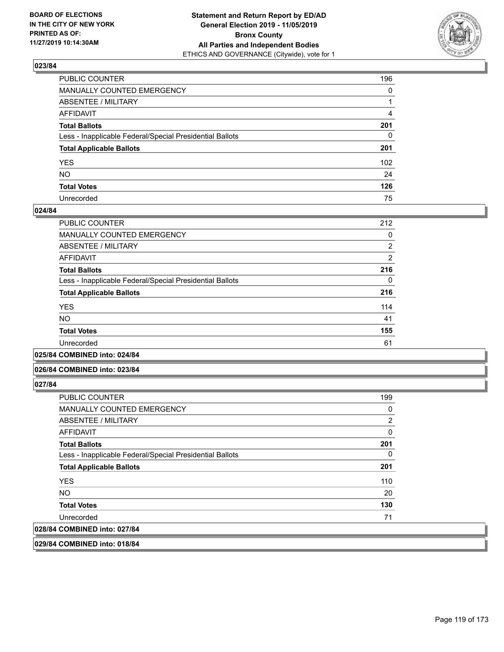

| PUBLIC COUNTER                                           | 196          |
|----------------------------------------------------------|--------------|
| MANUALLY COUNTED EMERGENCY                               | $\mathbf{0}$ |
| ABSENTEE / MILITARY                                      |              |
| AFFIDAVIT                                                | 4            |
| Total Ballots                                            | 201          |
| Less - Inapplicable Federal/Special Presidential Ballots | $\Omega$     |
| <b>Total Applicable Ballots</b>                          | 201          |
| YES                                                      | 102          |
| NO.                                                      | 24           |
| <b>Total Votes</b>                                       | 126          |
| Unrecorded                                               | 75           |

## **024/84**

| <b>PUBLIC COUNTER</b>                                    | 212            |
|----------------------------------------------------------|----------------|
| <b>MANUALLY COUNTED EMERGENCY</b>                        | 0              |
| ABSENTEE / MILITARY                                      | $\overline{2}$ |
| AFFIDAVIT                                                | $\overline{2}$ |
| <b>Total Ballots</b>                                     | 216            |
| Less - Inapplicable Federal/Special Presidential Ballots | 0              |
| <b>Total Applicable Ballots</b>                          | 216            |
| <b>YES</b>                                               | 114            |
| <b>NO</b>                                                | 41             |
| <b>Total Votes</b>                                       | 155            |
| Unrecorded                                               | 61             |
|                                                          |                |

**025/84 COMBINED into: 024/84**

### **026/84 COMBINED into: 023/84**

**027/84** 

| <b>PUBLIC COUNTER</b>                                    | 199 |
|----------------------------------------------------------|-----|
| MANUALLY COUNTED EMERGENCY                               | 0   |
| ABSENTEE / MILITARY                                      | 2   |
| AFFIDAVIT                                                | 0   |
| <b>Total Ballots</b>                                     | 201 |
| Less - Inapplicable Federal/Special Presidential Ballots | 0   |
| <b>Total Applicable Ballots</b>                          | 201 |
| <b>YES</b>                                               | 110 |
| <b>NO</b>                                                | 20  |
| <b>Total Votes</b>                                       | 130 |
| Unrecorded                                               | 71  |
| 028/84 COMBINED into: 027/84                             |     |

**029/84 COMBINED into: 018/84**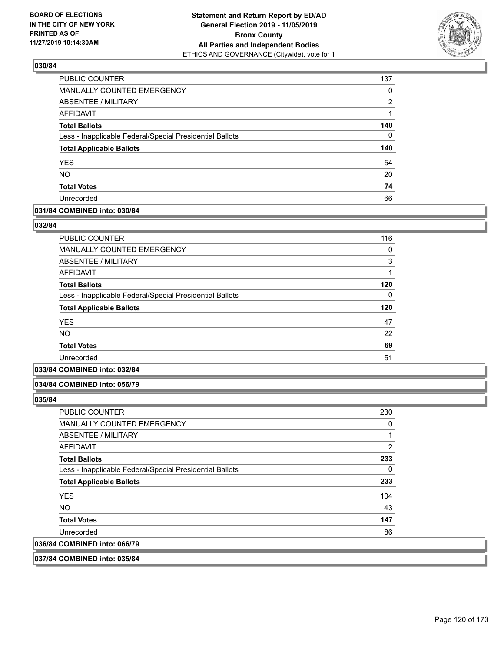

| PUBLIC COUNTER                                           | 137      |
|----------------------------------------------------------|----------|
| <b>MANUALLY COUNTED EMERGENCY</b>                        | 0        |
| <b>ABSENTEE / MILITARY</b>                               | 2        |
| <b>AFFIDAVIT</b>                                         |          |
| <b>Total Ballots</b>                                     | 140      |
| Less - Inapplicable Federal/Special Presidential Ballots | $\Omega$ |
| <b>Total Applicable Ballots</b>                          | 140      |
| <b>YES</b>                                               | 54       |
| <b>NO</b>                                                | 20       |
| <b>Total Votes</b>                                       | 74       |
| Unrecorded                                               | 66       |

## **031/84 COMBINED into: 030/84**

### **032/84**

| <b>PUBLIC COUNTER</b>                                    | 116 |
|----------------------------------------------------------|-----|
| <b>MANUALLY COUNTED EMERGENCY</b>                        | 0   |
| <b>ABSENTEE / MILITARY</b>                               | 3   |
| <b>AFFIDAVIT</b>                                         | 1   |
| <b>Total Ballots</b>                                     | 120 |
| Less - Inapplicable Federal/Special Presidential Ballots | 0   |
| <b>Total Applicable Ballots</b>                          | 120 |
| <b>YES</b>                                               | 47  |
| <b>NO</b>                                                | 22  |
| <b>Total Votes</b>                                       | 69  |
| Unrecorded                                               | 51  |
|                                                          |     |

# **033/84 COMBINED into: 032/84**

## **034/84 COMBINED into: 056/79**

**035/84** 

| <b>PUBLIC COUNTER</b>                                    | 230 |
|----------------------------------------------------------|-----|
| MANUALLY COUNTED EMERGENCY                               | 0   |
| ABSENTEE / MILITARY                                      |     |
| AFFIDAVIT                                                | 2   |
| <b>Total Ballots</b>                                     | 233 |
| Less - Inapplicable Federal/Special Presidential Ballots | 0   |
| <b>Total Applicable Ballots</b>                          | 233 |
| <b>YES</b>                                               | 104 |
| NO.                                                      | 43  |
| <b>Total Votes</b>                                       | 147 |
| Unrecorded                                               | 86  |
| 036/84 COMBINED into: 066/79                             |     |
|                                                          |     |

### **037/84 COMBINED into: 035/84**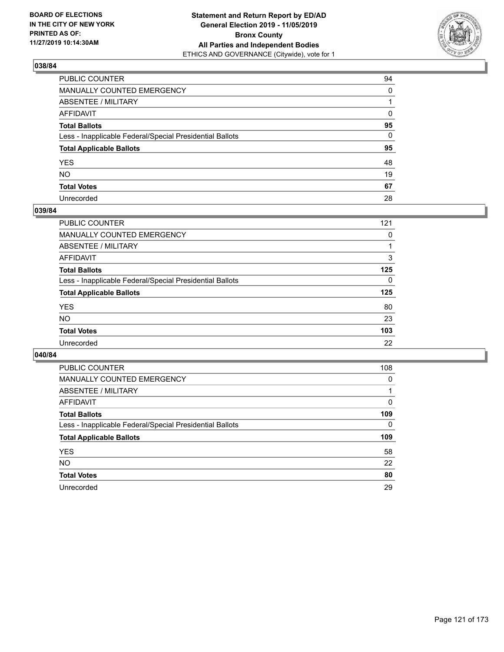

| PUBLIC COUNTER                                           | 94       |
|----------------------------------------------------------|----------|
| MANUALLY COUNTED EMERGENCY                               | $\Omega$ |
| ABSENTEE / MILITARY                                      |          |
| AFFIDAVIT                                                | 0        |
| Total Ballots                                            | 95       |
| Less - Inapplicable Federal/Special Presidential Ballots | 0        |
| <b>Total Applicable Ballots</b>                          | 95       |
| YES                                                      | 48       |
| NO.                                                      | 19       |
| <b>Total Votes</b>                                       | 67       |
| Unrecorded                                               | 28       |

## **039/84**

| 121      |
|----------|
| 0        |
|          |
| 3        |
| 125      |
| $\Omega$ |
| 125      |
| 80       |
| 23       |
| 103      |
| 22       |
|          |

| <b>PUBLIC COUNTER</b>                                    | 108      |
|----------------------------------------------------------|----------|
| MANUALLY COUNTED EMERGENCY                               | $\Omega$ |
| ABSENTEE / MILITARY                                      |          |
| AFFIDAVIT                                                | 0        |
| <b>Total Ballots</b>                                     | 109      |
| Less - Inapplicable Federal/Special Presidential Ballots | 0        |
| <b>Total Applicable Ballots</b>                          | 109      |
| <b>YES</b>                                               | 58       |
|                                                          |          |
| NO.                                                      | 22       |
| <b>Total Votes</b>                                       | 80       |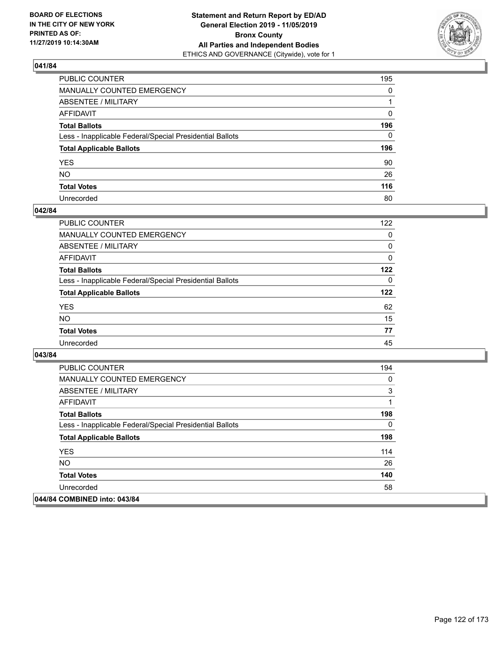

| PUBLIC COUNTER                                           | 195          |
|----------------------------------------------------------|--------------|
| MANUALLY COUNTED EMERGENCY                               | $\mathbf{0}$ |
| ABSENTEE / MILITARY                                      |              |
| AFFIDAVIT                                                | 0            |
| Total Ballots                                            | 196          |
| Less - Inapplicable Federal/Special Presidential Ballots | $\Omega$     |
| <b>Total Applicable Ballots</b>                          | 196          |
| YES                                                      | 90           |
| NO.                                                      | 26           |
| <b>Total Votes</b>                                       | 116          |
| Unrecorded                                               | 80           |

## **042/84**

| <b>PUBLIC COUNTER</b>                                    | 122      |
|----------------------------------------------------------|----------|
| MANUALLY COUNTED EMERGENCY                               | 0        |
| ABSENTEE / MILITARY                                      | 0        |
| AFFIDAVIT                                                | $\Omega$ |
| <b>Total Ballots</b>                                     | 122      |
| Less - Inapplicable Federal/Special Presidential Ballots | $\Omega$ |
| <b>Total Applicable Ballots</b>                          | 122      |
| <b>YES</b>                                               | 62       |
| <b>NO</b>                                                | 15       |
| <b>Total Votes</b>                                       | 77       |
| Unrecorded                                               | 45       |

| <b>PUBLIC COUNTER</b>                                    | 194 |
|----------------------------------------------------------|-----|
| <b>MANUALLY COUNTED EMERGENCY</b>                        | 0   |
| ABSENTEE / MILITARY                                      | 3   |
| AFFIDAVIT                                                | 1   |
| <b>Total Ballots</b>                                     | 198 |
| Less - Inapplicable Federal/Special Presidential Ballots | 0   |
| <b>Total Applicable Ballots</b>                          | 198 |
| <b>YES</b>                                               | 114 |
| NO.                                                      | 26  |
| <b>Total Votes</b>                                       | 140 |
| Unrecorded                                               | 58  |
| 044/84 COMBINED into: 043/84                             |     |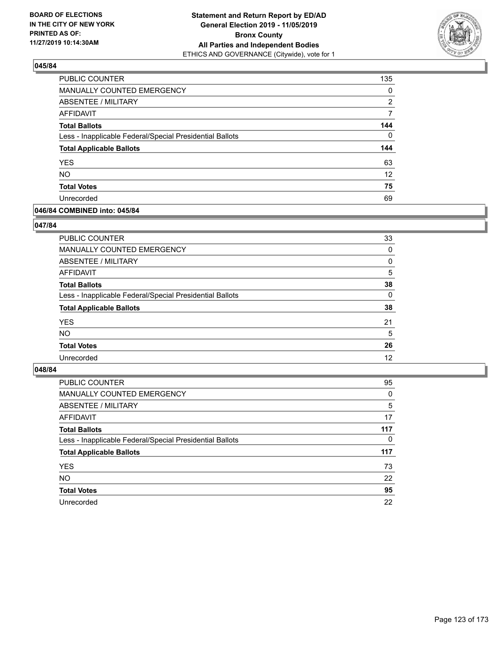

| PUBLIC COUNTER                                           | 135             |
|----------------------------------------------------------|-----------------|
| MANUALLY COUNTED EMERGENCY                               | 0               |
| ABSENTEE / MILITARY                                      | 2               |
| AFFIDAVIT                                                | 7               |
| <b>Total Ballots</b>                                     | 144             |
| Less - Inapplicable Federal/Special Presidential Ballots | $\Omega$        |
| <b>Total Applicable Ballots</b>                          | 144             |
| <b>YES</b>                                               | 63              |
| <b>NO</b>                                                | 12 <sup>°</sup> |
| <b>Total Votes</b>                                       | 75              |
| Unrecorded                                               | 69              |

# **046/84 COMBINED into: 045/84**

## **047/84**

| <b>PUBLIC COUNTER</b>                                    | 33       |
|----------------------------------------------------------|----------|
| <b>MANUALLY COUNTED EMERGENCY</b>                        | $\Omega$ |
| ABSENTEE / MILITARY                                      | 0        |
| AFFIDAVIT                                                | 5        |
| <b>Total Ballots</b>                                     | 38       |
| Less - Inapplicable Federal/Special Presidential Ballots | $\Omega$ |
| <b>Total Applicable Ballots</b>                          | 38       |
| <b>YES</b>                                               | 21       |
| <b>NO</b>                                                | 5        |
| <b>Total Votes</b>                                       | 26       |
| Unrecorded                                               | 12       |
|                                                          |          |

| <b>PUBLIC COUNTER</b>                                    | 95       |
|----------------------------------------------------------|----------|
| MANUALLY COUNTED EMERGENCY                               | 0        |
| ABSENTEE / MILITARY                                      | 5        |
| AFFIDAVIT                                                | 17       |
| <b>Total Ballots</b>                                     | 117      |
| Less - Inapplicable Federal/Special Presidential Ballots | $\Omega$ |
| <b>Total Applicable Ballots</b>                          | 117      |
| <b>YES</b>                                               | 73       |
| <b>NO</b>                                                | 22       |
| <b>Total Votes</b>                                       | 95       |
| Unrecorded                                               | 22       |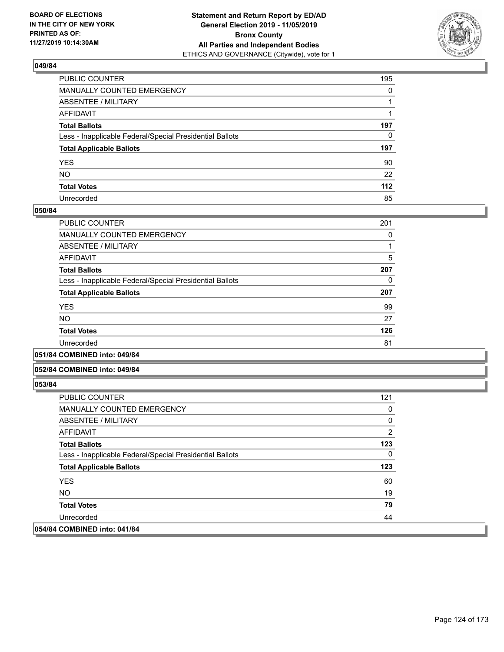

| PUBLIC COUNTER                                           | 195 |
|----------------------------------------------------------|-----|
| MANUALLY COUNTED EMERGENCY                               | 0   |
| ABSENTEE / MILITARY                                      |     |
| AFFIDAVIT                                                |     |
| Total Ballots                                            | 197 |
| Less - Inapplicable Federal/Special Presidential Ballots | 0   |
| <b>Total Applicable Ballots</b>                          | 197 |
| YES                                                      | 90  |
| NO.                                                      | 22  |
| <b>Total Votes</b>                                       | 112 |
| Unrecorded                                               | 85  |

## **050/84**

| PUBLIC COUNTER                                           | 201 |
|----------------------------------------------------------|-----|
| <b>MANUALLY COUNTED EMERGENCY</b>                        | 0   |
| ABSENTEE / MILITARY                                      |     |
| <b>AFFIDAVIT</b>                                         | 5   |
| <b>Total Ballots</b>                                     | 207 |
| Less - Inapplicable Federal/Special Presidential Ballots | 0   |
| <b>Total Applicable Ballots</b>                          | 207 |
| <b>YES</b>                                               | 99  |
| <b>NO</b>                                                | 27  |
| <b>Total Votes</b>                                       | 126 |
| Unrecorded                                               | 81  |
|                                                          |     |

## **051/84 COMBINED into: 049/84**

## **052/84 COMBINED into: 049/84**

| <b>PUBLIC COUNTER</b>                                    | 121 |
|----------------------------------------------------------|-----|
| <b>MANUALLY COUNTED EMERGENCY</b>                        | 0   |
| ABSENTEE / MILITARY                                      | 0   |
| AFFIDAVIT                                                | 2   |
| <b>Total Ballots</b>                                     | 123 |
| Less - Inapplicable Federal/Special Presidential Ballots | 0   |
| <b>Total Applicable Ballots</b>                          | 123 |
| <b>YES</b>                                               | 60  |
| NO.                                                      | 19  |
| <b>Total Votes</b>                                       | 79  |
| Unrecorded                                               | 44  |
| 054/84 COMBINED into: 041/84                             |     |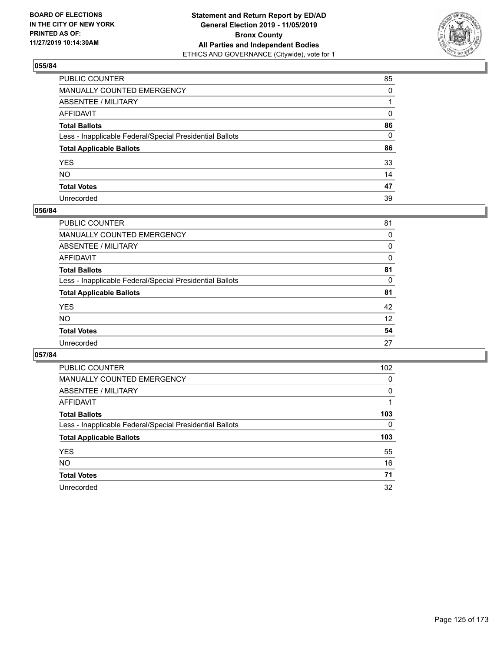

| PUBLIC COUNTER                                           | 85       |
|----------------------------------------------------------|----------|
| MANUALLY COUNTED EMERGENCY                               | $\Omega$ |
| ABSENTEE / MILITARY                                      |          |
| AFFIDAVIT                                                | 0        |
| Total Ballots                                            | 86       |
| Less - Inapplicable Federal/Special Presidential Ballots | 0        |
| <b>Total Applicable Ballots</b>                          | 86       |
| YES                                                      | 33       |
| NO.                                                      | 14       |
| <b>Total Votes</b>                                       | 47       |
| Unrecorded                                               | 39       |

## **056/84**

| <b>PUBLIC COUNTER</b>                                    | 81       |
|----------------------------------------------------------|----------|
| <b>MANUALLY COUNTED EMERGENCY</b>                        | 0        |
| ABSENTEE / MILITARY                                      | 0        |
| AFFIDAVIT                                                | $\Omega$ |
| <b>Total Ballots</b>                                     | 81       |
| Less - Inapplicable Federal/Special Presidential Ballots | 0        |
| <b>Total Applicable Ballots</b>                          | 81       |
| <b>YES</b>                                               | 42       |
| <b>NO</b>                                                | 12       |
| <b>Total Votes</b>                                       | 54       |
| Unrecorded                                               | 27       |
|                                                          |          |

| PUBLIC COUNTER                                           | 102      |
|----------------------------------------------------------|----------|
| <b>MANUALLY COUNTED EMERGENCY</b>                        | 0        |
| ABSENTEE / MILITARY                                      | $\Omega$ |
| AFFIDAVIT                                                |          |
| <b>Total Ballots</b>                                     | 103      |
| Less - Inapplicable Federal/Special Presidential Ballots | 0        |
| <b>Total Applicable Ballots</b>                          | 103      |
| <b>YES</b>                                               | 55       |
| NO.                                                      | 16       |
| <b>Total Votes</b>                                       | 71       |
| Unrecorded                                               | 32       |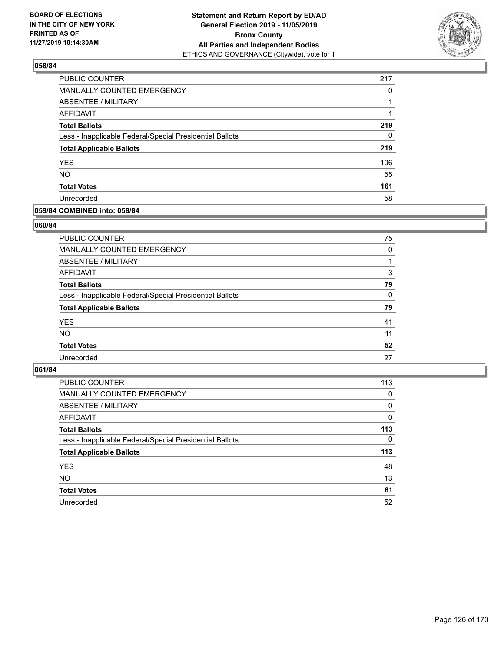

| <b>PUBLIC COUNTER</b>                                    | 217 |
|----------------------------------------------------------|-----|
| MANUALLY COUNTED EMERGENCY                               | 0   |
| ABSENTEE / MILITARY                                      |     |
| AFFIDAVIT                                                | 1   |
| <b>Total Ballots</b>                                     | 219 |
| Less - Inapplicable Federal/Special Presidential Ballots | 0   |
| <b>Total Applicable Ballots</b>                          | 219 |
| <b>YES</b>                                               | 106 |
| <b>NO</b>                                                | 55  |
| <b>Total Votes</b>                                       | 161 |
| Unrecorded                                               | 58  |

# **059/84 COMBINED into: 058/84**

## **060/84**

| PUBLIC COUNTER                                           | 75       |
|----------------------------------------------------------|----------|
| MANUALLY COUNTED EMERGENCY                               | $\Omega$ |
| ABSENTEE / MILITARY                                      |          |
| AFFIDAVIT                                                | 3        |
| <b>Total Ballots</b>                                     | 79       |
| Less - Inapplicable Federal/Special Presidential Ballots | $\Omega$ |
| <b>Total Applicable Ballots</b>                          | 79       |
| <b>YES</b>                                               | 41       |
| <b>NO</b>                                                | 11       |
| <b>Total Votes</b>                                       | 52       |
| Unrecorded                                               | 27       |
|                                                          |          |

| <b>PUBLIC COUNTER</b>                                    | 113 |
|----------------------------------------------------------|-----|
| MANUALLY COUNTED EMERGENCY                               | 0   |
| ABSENTEE / MILITARY                                      | 0   |
| AFFIDAVIT                                                | 0   |
| <b>Total Ballots</b>                                     | 113 |
| Less - Inapplicable Federal/Special Presidential Ballots | 0   |
| <b>Total Applicable Ballots</b>                          | 113 |
| <b>YES</b>                                               | 48  |
| <b>NO</b>                                                | 13  |
| <b>Total Votes</b>                                       | 61  |
| Unrecorded                                               | 52  |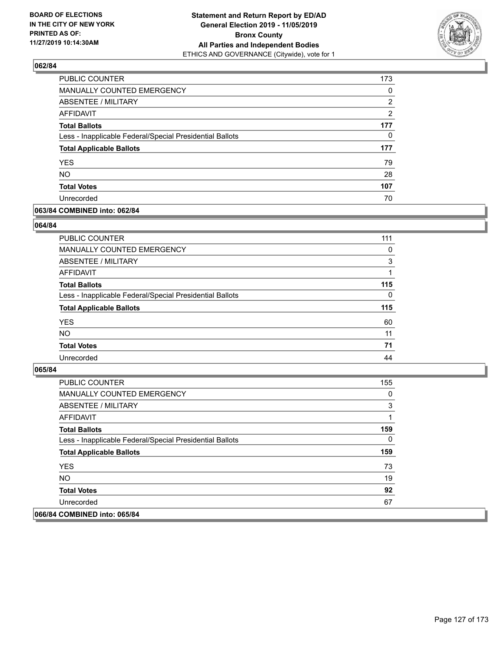

| <b>PUBLIC COUNTER</b>                                    | 173 |
|----------------------------------------------------------|-----|
| MANUALLY COUNTED EMERGENCY                               | 0   |
| ABSENTEE / MILITARY                                      | 2   |
| AFFIDAVIT                                                | 2   |
| <b>Total Ballots</b>                                     | 177 |
| Less - Inapplicable Federal/Special Presidential Ballots | 0   |
| <b>Total Applicable Ballots</b>                          | 177 |
| <b>YES</b>                                               | 79  |
| <b>NO</b>                                                | 28  |
| <b>Total Votes</b>                                       | 107 |
| Unrecorded                                               | 70  |

# **063/84 COMBINED into: 062/84**

## **064/84**

| <b>PUBLIC COUNTER</b>                                    | 111      |
|----------------------------------------------------------|----------|
| <b>MANUALLY COUNTED EMERGENCY</b>                        | $\Omega$ |
| ABSENTEE / MILITARY                                      | 3        |
| AFFIDAVIT                                                |          |
| <b>Total Ballots</b>                                     | 115      |
| Less - Inapplicable Federal/Special Presidential Ballots | $\Omega$ |
| <b>Total Applicable Ballots</b>                          | 115      |
| <b>YES</b>                                               | 60       |
| <b>NO</b>                                                | 11       |
| <b>Total Votes</b>                                       | 71       |
| Unrecorded                                               | 44       |
|                                                          |          |

| <b>PUBLIC COUNTER</b>                                    | 155 |
|----------------------------------------------------------|-----|
| MANUALLY COUNTED EMERGENCY                               | 0   |
| ABSENTEE / MILITARY                                      | 3   |
| AFFIDAVIT                                                |     |
| <b>Total Ballots</b>                                     | 159 |
| Less - Inapplicable Federal/Special Presidential Ballots | 0   |
| <b>Total Applicable Ballots</b>                          | 159 |
| <b>YES</b>                                               | 73  |
| NO.                                                      | 19  |
| <b>Total Votes</b>                                       | 92  |
| Unrecorded                                               | 67  |
| 066/84 COMBINED into: 065/84                             |     |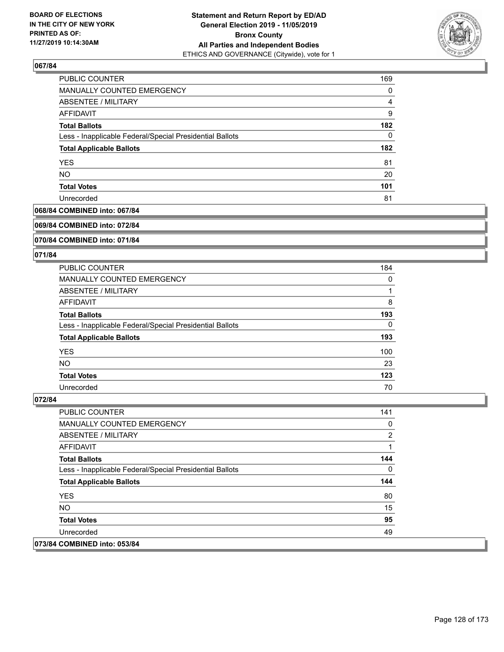

| PUBLIC COUNTER                                           | 169      |
|----------------------------------------------------------|----------|
| MANUALLY COUNTED EMERGENCY                               | $\Omega$ |
| ABSENTEE / MILITARY                                      | 4        |
| AFFIDAVIT                                                | 9        |
| <b>Total Ballots</b>                                     | 182      |
| Less - Inapplicable Federal/Special Presidential Ballots | $\Omega$ |
| <b>Total Applicable Ballots</b>                          | 182      |
| <b>YES</b>                                               | 81       |
| <b>NO</b>                                                | 20       |
| <b>Total Votes</b>                                       | 101      |
| Unrecorded                                               | 81       |

# **068/84 COMBINED into: 067/84**

### **069/84 COMBINED into: 072/84**

# **070/84 COMBINED into: 071/84**

### **071/84**

| <b>PUBLIC COUNTER</b>                                    | 184 |
|----------------------------------------------------------|-----|
| MANUALLY COUNTED EMERGENCY                               | 0   |
| ABSENTEE / MILITARY                                      |     |
| AFFIDAVIT                                                | 8   |
| <b>Total Ballots</b>                                     | 193 |
| Less - Inapplicable Federal/Special Presidential Ballots | 0   |
| <b>Total Applicable Ballots</b>                          | 193 |
| <b>YES</b>                                               | 100 |
| <b>NO</b>                                                | 23  |
| <b>Total Votes</b>                                       | 123 |
| Unrecorded                                               | 70  |

| <b>PUBLIC COUNTER</b>                                    | 141 |
|----------------------------------------------------------|-----|
| <b>MANUALLY COUNTED EMERGENCY</b>                        | 0   |
| ABSENTEE / MILITARY                                      | 2   |
| AFFIDAVIT                                                |     |
| <b>Total Ballots</b>                                     | 144 |
| Less - Inapplicable Federal/Special Presidential Ballots | 0   |
| <b>Total Applicable Ballots</b>                          | 144 |
| <b>YES</b>                                               | 80  |
| NO.                                                      | 15  |
| <b>Total Votes</b>                                       | 95  |
| Unrecorded                                               | 49  |
| 073/84 COMBINED into: 053/84                             |     |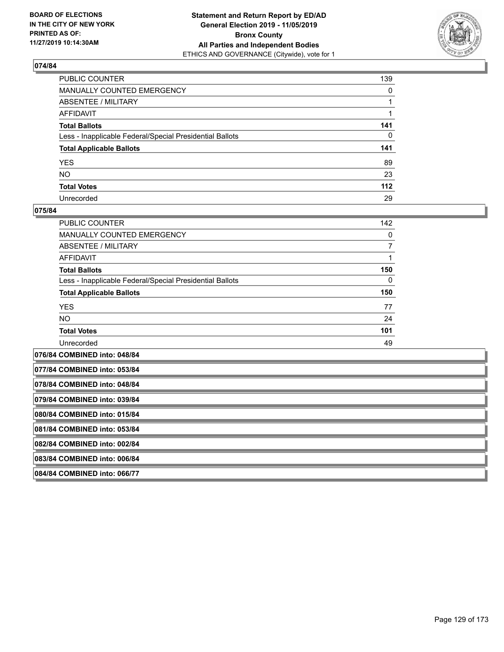

| PUBLIC COUNTER                                           | 139          |
|----------------------------------------------------------|--------------|
| MANUALLY COUNTED EMERGENCY                               | $\mathbf{0}$ |
| ABSENTEE / MILITARY                                      |              |
| AFFIDAVIT                                                |              |
| Total Ballots                                            | 141          |
| Less - Inapplicable Federal/Special Presidential Ballots | $\mathbf{0}$ |
| <b>Total Applicable Ballots</b>                          | 141          |
| YES                                                      | 89           |
| NO.                                                      | 23           |
| <b>Total Votes</b>                                       | 112          |
| Unrecorded                                               | 29           |

#### **075/84**

| <b>PUBLIC COUNTER</b>                                    | 142      |
|----------------------------------------------------------|----------|
| MANUALLY COUNTED EMERGENCY                               | 0        |
| ABSENTEE / MILITARY                                      |          |
| AFFIDAVIT                                                |          |
| <b>Total Ballots</b>                                     | 150      |
| Less - Inapplicable Federal/Special Presidential Ballots | $\Omega$ |
| <b>Total Applicable Ballots</b>                          | 150      |
| <b>YES</b>                                               | 77       |
| <b>NO</b>                                                | 24       |
| <b>Total Votes</b>                                       | 101      |
| Unrecorded                                               | 49       |
|                                                          |          |

**076/84 COMBINED into: 048/84 077/84 COMBINED into: 053/84**

**078/84 COMBINED into: 048/84**

**079/84 COMBINED into: 039/84**

**080/84 COMBINED into: 015/84**

**081/84 COMBINED into: 053/84**

**082/84 COMBINED into: 002/84**

**083/84 COMBINED into: 006/84**

**084/84 COMBINED into: 066/77**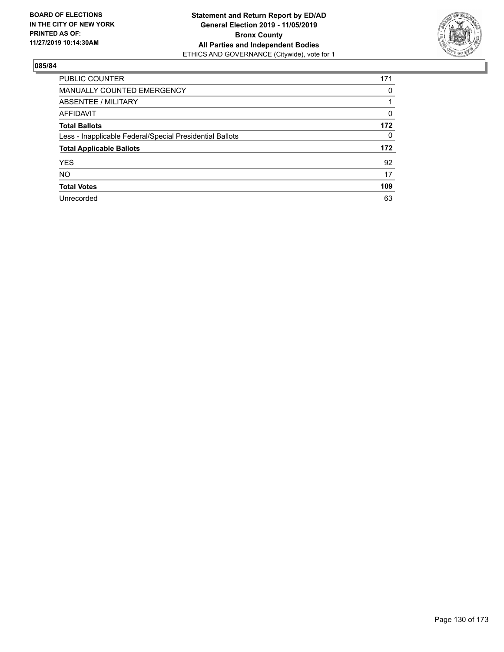

| PUBLIC COUNTER                                           | 171      |
|----------------------------------------------------------|----------|
| MANUALLY COUNTED EMERGENCY                               | 0        |
| ABSENTEE / MILITARY                                      |          |
| AFFIDAVIT                                                | $\Omega$ |
| <b>Total Ballots</b>                                     | 172      |
| Less - Inapplicable Federal/Special Presidential Ballots | $\Omega$ |
| <b>Total Applicable Ballots</b>                          | 172      |
| <b>YES</b>                                               | 92       |
| <b>NO</b>                                                | 17       |
| <b>Total Votes</b>                                       | 109      |
| Unrecorded                                               | 63       |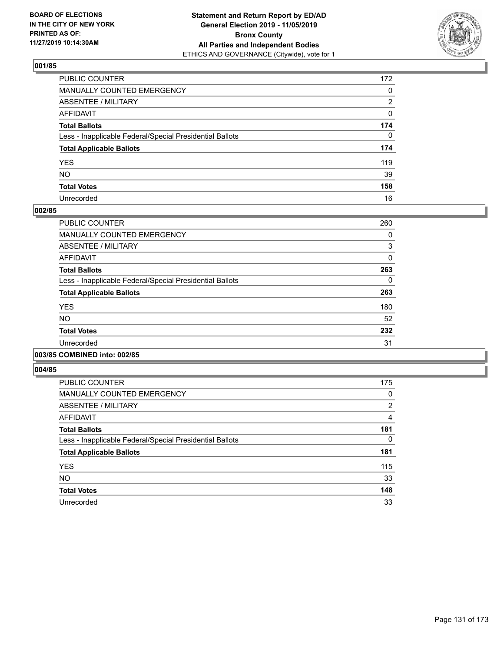

| PUBLIC COUNTER                                           | 172          |
|----------------------------------------------------------|--------------|
| MANUALLY COUNTED EMERGENCY                               | $\mathbf{0}$ |
| ABSENTEE / MILITARY                                      | 2            |
| AFFIDAVIT                                                | 0            |
| Total Ballots                                            | 174          |
| Less - Inapplicable Federal/Special Presidential Ballots | $\Omega$     |
| <b>Total Applicable Ballots</b>                          | 174          |
| YES                                                      | 119          |
| NΟ                                                       | 39           |
| <b>Total Votes</b>                                       | 158          |
| Unrecorded                                               | 16           |

## **002/85**

| PUBLIC COUNTER                                           | 260 |
|----------------------------------------------------------|-----|
| <b>MANUALLY COUNTED EMERGENCY</b>                        | 0   |
| ABSENTEE / MILITARY                                      | 3   |
| <b>AFFIDAVIT</b>                                         | 0   |
| <b>Total Ballots</b>                                     | 263 |
| Less - Inapplicable Federal/Special Presidential Ballots | 0   |
| <b>Total Applicable Ballots</b>                          | 263 |
| <b>YES</b>                                               | 180 |
| NO.                                                      | 52  |
| <b>Total Votes</b>                                       | 232 |
| Unrecorded                                               | 31  |
|                                                          |     |

### **003/85 COMBINED into: 002/85**

| <b>PUBLIC COUNTER</b>                                    | 175            |
|----------------------------------------------------------|----------------|
| <b>MANUALLY COUNTED EMERGENCY</b>                        | 0              |
| ABSENTEE / MILITARY                                      | $\overline{2}$ |
| <b>AFFIDAVIT</b>                                         | 4              |
| <b>Total Ballots</b>                                     | 181            |
| Less - Inapplicable Federal/Special Presidential Ballots | 0              |
| <b>Total Applicable Ballots</b>                          | 181            |
| <b>YES</b>                                               | 115            |
| <b>NO</b>                                                | 33             |
| <b>Total Votes</b>                                       | 148            |
| Unrecorded                                               | 33             |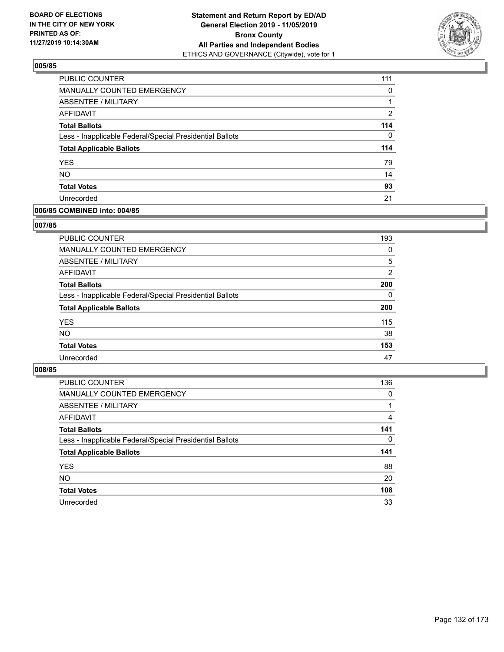

| PUBLIC COUNTER                                           | 111      |
|----------------------------------------------------------|----------|
| MANUALLY COUNTED EMERGENCY                               | 0        |
| ABSENTEE / MILITARY                                      |          |
| <b>AFFIDAVIT</b>                                         | 2        |
| <b>Total Ballots</b>                                     | 114      |
| Less - Inapplicable Federal/Special Presidential Ballots | $\Omega$ |
| <b>Total Applicable Ballots</b>                          | 114      |
| <b>YES</b>                                               | 79       |
| <b>NO</b>                                                | 14       |
| <b>Total Votes</b>                                       | 93       |
| Unrecorded                                               | 21       |

## **006/85 COMBINED into: 004/85**

## **007/85**

| PUBLIC COUNTER                                           | 193      |
|----------------------------------------------------------|----------|
| MANUALLY COUNTED EMERGENCY                               | 0        |
| <b>ABSENTEE / MILITARY</b>                               | 5        |
| AFFIDAVIT                                                | 2        |
| <b>Total Ballots</b>                                     | 200      |
| Less - Inapplicable Federal/Special Presidential Ballots | $\Omega$ |
| <b>Total Applicable Ballots</b>                          | 200      |
| <b>YES</b>                                               | 115      |
| <b>NO</b>                                                | 38       |
| <b>Total Votes</b>                                       | 153      |
| Unrecorded                                               | 47       |

| <b>PUBLIC COUNTER</b>                                    | 136      |
|----------------------------------------------------------|----------|
| MANUALLY COUNTED EMERGENCY                               | $\Omega$ |
| ABSENTEE / MILITARY                                      |          |
| AFFIDAVIT                                                | 4        |
| <b>Total Ballots</b>                                     | 141      |
| Less - Inapplicable Federal/Special Presidential Ballots | $\Omega$ |
| <b>Total Applicable Ballots</b>                          | 141      |
| <b>YES</b>                                               | 88       |
| <b>NO</b>                                                | 20       |
| <b>Total Votes</b>                                       | 108      |
| Unrecorded                                               | 33       |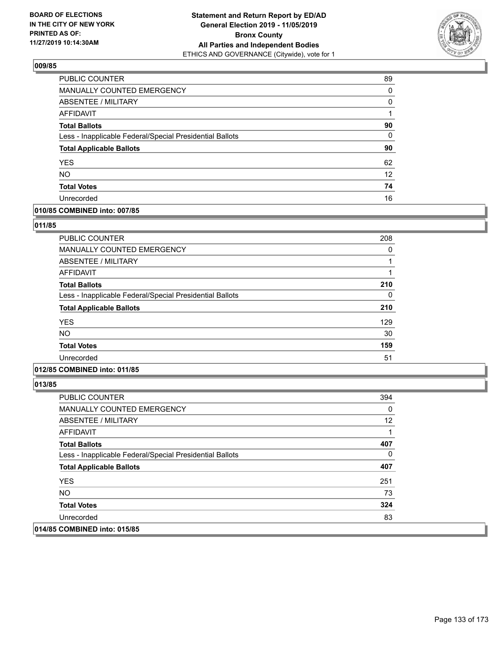

| PUBLIC COUNTER                                           | 89       |
|----------------------------------------------------------|----------|
| MANUALLY COUNTED EMERGENCY                               | 0        |
| <b>ABSENTEE / MILITARY</b>                               | 0        |
| AFFIDAVIT                                                |          |
| <b>Total Ballots</b>                                     | 90       |
| Less - Inapplicable Federal/Special Presidential Ballots | $\Omega$ |
| <b>Total Applicable Ballots</b>                          | 90       |
| <b>YES</b>                                               | 62       |
| <b>NO</b>                                                | 12       |
| <b>Total Votes</b>                                       | 74       |
| Unrecorded                                               | 16       |

# **010/85 COMBINED into: 007/85**

## **011/85**

| 208 |
|-----|
| 0   |
|     |
|     |
| 210 |
| 0   |
| 210 |
| 129 |
| 30  |
| 159 |
| 51  |
|     |

# **012/85 COMBINED into: 011/85**

| <b>PUBLIC COUNTER</b>                                    | 394      |
|----------------------------------------------------------|----------|
| MANUALLY COUNTED EMERGENCY                               | 0        |
| ABSENTEE / MILITARY                                      | 12       |
| AFFIDAVIT                                                | 1        |
| <b>Total Ballots</b>                                     | 407      |
| Less - Inapplicable Federal/Special Presidential Ballots | $\Omega$ |
| <b>Total Applicable Ballots</b>                          | 407      |
| <b>YES</b>                                               | 251      |
| <b>NO</b>                                                | 73       |
| <b>Total Votes</b>                                       | 324      |
| Unrecorded                                               | 83       |
| 014/85 COMBINED into: 015/85                             |          |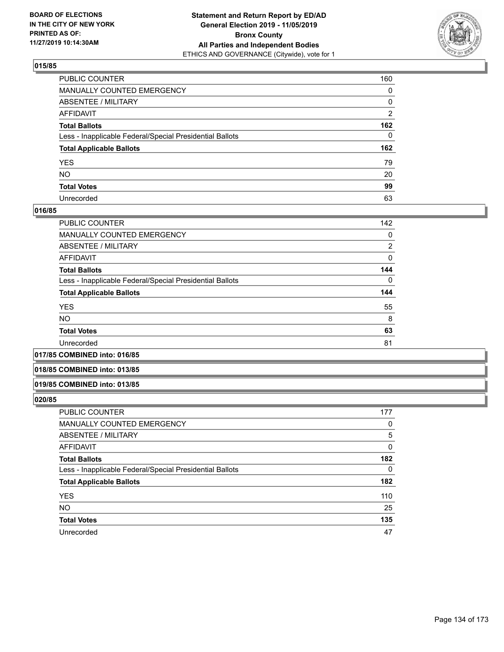

| PUBLIC COUNTER                                           | 160            |
|----------------------------------------------------------|----------------|
| MANUALLY COUNTED EMERGENCY                               | 0              |
| ABSENTEE / MILITARY                                      | 0              |
| AFFIDAVIT                                                | $\overline{2}$ |
| Total Ballots                                            | 162            |
| Less - Inapplicable Federal/Special Presidential Ballots | $\Omega$       |
| <b>Total Applicable Ballots</b>                          | 162            |
| YES                                                      | 79             |
| NO.                                                      | 20             |
| <b>Total Votes</b>                                       | 99             |
| Unrecorded                                               | 63             |

## **016/85**

| PUBLIC COUNTER                                           | 142      |
|----------------------------------------------------------|----------|
| <b>MANUALLY COUNTED EMERGENCY</b>                        | 0        |
| ABSENTEE / MILITARY                                      | 2        |
| AFFIDAVIT                                                | 0        |
| <b>Total Ballots</b>                                     | 144      |
| Less - Inapplicable Federal/Special Presidential Ballots | $\Omega$ |
| <b>Total Applicable Ballots</b>                          | 144      |
| <b>YES</b>                                               | 55       |
| <b>NO</b>                                                | 8        |
| <b>Total Votes</b>                                       | 63       |
| Unrecorded                                               | 81       |
|                                                          |          |

**017/85 COMBINED into: 016/85**

## **018/85 COMBINED into: 013/85**

### **019/85 COMBINED into: 013/85**

| <b>PUBLIC COUNTER</b>                                    | 177      |
|----------------------------------------------------------|----------|
| MANUALLY COUNTED EMERGENCY                               | 0        |
| <b>ABSENTEE / MILITARY</b>                               | 5        |
| AFFIDAVIT                                                | 0        |
| <b>Total Ballots</b>                                     | 182      |
| Less - Inapplicable Federal/Special Presidential Ballots | $\Omega$ |
| <b>Total Applicable Ballots</b>                          | 182      |
| <b>YES</b>                                               | 110      |
| <b>NO</b>                                                | 25       |
| <b>Total Votes</b>                                       | 135      |
| Unrecorded                                               | 47       |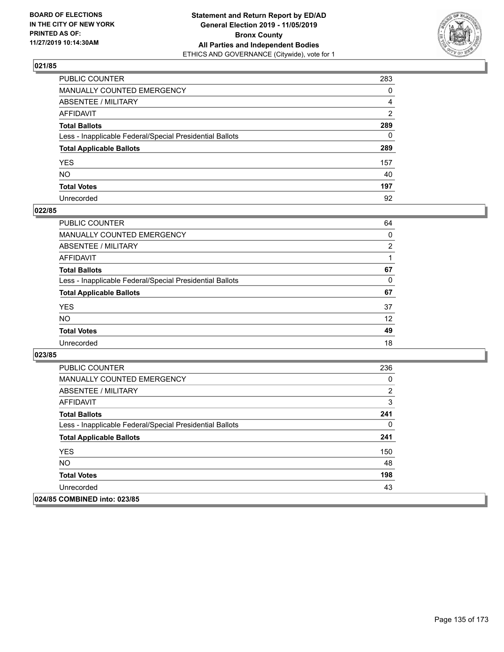

| PUBLIC COUNTER                                           | 283          |
|----------------------------------------------------------|--------------|
| MANUALLY COUNTED EMERGENCY                               | $\mathbf{0}$ |
| ABSENTEE / MILITARY                                      | 4            |
| AFFIDAVIT                                                | 2            |
| Total Ballots                                            | 289          |
| Less - Inapplicable Federal/Special Presidential Ballots | $\mathbf{0}$ |
| <b>Total Applicable Ballots</b>                          | 289          |
| YES                                                      | 157          |
| NO.                                                      | 40           |
| <b>Total Votes</b>                                       | 197          |
| Unrecorded                                               | 92           |

## **022/85**

| PUBLIC COUNTER                                           | 64 |
|----------------------------------------------------------|----|
| MANUALLY COUNTED EMERGENCY                               | 0  |
| ABSENTEE / MILITARY                                      | 2  |
| AFFIDAVIT                                                |    |
| <b>Total Ballots</b>                                     | 67 |
| Less - Inapplicable Federal/Special Presidential Ballots | 0  |
| <b>Total Applicable Ballots</b>                          | 67 |
| <b>YES</b>                                               | 37 |
| <b>NO</b>                                                | 12 |
| <b>Total Votes</b>                                       | 49 |
| Unrecorded                                               | 18 |

| <b>PUBLIC COUNTER</b>                                    | 236 |
|----------------------------------------------------------|-----|
| <b>MANUALLY COUNTED EMERGENCY</b>                        | 0   |
| ABSENTEE / MILITARY                                      | 2   |
| AFFIDAVIT                                                | 3   |
| <b>Total Ballots</b>                                     | 241 |
| Less - Inapplicable Federal/Special Presidential Ballots | 0   |
| <b>Total Applicable Ballots</b>                          | 241 |
| <b>YES</b>                                               | 150 |
| <b>NO</b>                                                | 48  |
| <b>Total Votes</b>                                       | 198 |
| Unrecorded                                               | 43  |
| 024/85 COMBINED into: 023/85                             |     |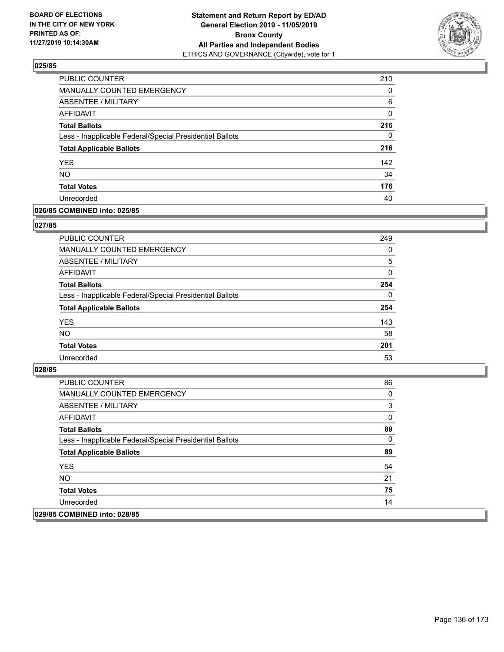

| <b>PUBLIC COUNTER</b>                                    | 210 |
|----------------------------------------------------------|-----|
| MANUALLY COUNTED EMERGENCY                               | 0   |
| ABSENTEE / MILITARY                                      | 6   |
| AFFIDAVIT                                                | 0   |
| <b>Total Ballots</b>                                     | 216 |
| Less - Inapplicable Federal/Special Presidential Ballots | 0   |
| <b>Total Applicable Ballots</b>                          | 216 |
| <b>YES</b>                                               | 142 |
| <b>NO</b>                                                | 34  |
| <b>Total Votes</b>                                       | 176 |
| Unrecorded                                               | 40  |

# **026/85 COMBINED into: 025/85**

## **027/85**

| <b>PUBLIC COUNTER</b>                                    | 249      |
|----------------------------------------------------------|----------|
| MANUALLY COUNTED EMERGENCY                               | $\Omega$ |
| ABSENTEE / MILITARY                                      | 5        |
| AFFIDAVIT                                                | 0        |
| <b>Total Ballots</b>                                     | 254      |
| Less - Inapplicable Federal/Special Presidential Ballots | $\Omega$ |
| <b>Total Applicable Ballots</b>                          | 254      |
| <b>YES</b>                                               | 143      |
| <b>NO</b>                                                | 58       |
| <b>Total Votes</b>                                       | 201      |
| Unrecorded                                               | 53       |
|                                                          |          |

| <b>PUBLIC COUNTER</b>                                    | 86 |
|----------------------------------------------------------|----|
| MANUALLY COUNTED EMERGENCY                               | 0  |
| ABSENTEE / MILITARY                                      | 3  |
| AFFIDAVIT                                                | 0  |
| <b>Total Ballots</b>                                     | 89 |
| Less - Inapplicable Federal/Special Presidential Ballots | 0  |
| <b>Total Applicable Ballots</b>                          | 89 |
| <b>YES</b>                                               | 54 |
| NO.                                                      | 21 |
| <b>Total Votes</b>                                       | 75 |
| Unrecorded                                               | 14 |
| 029/85 COMBINED into: 028/85                             |    |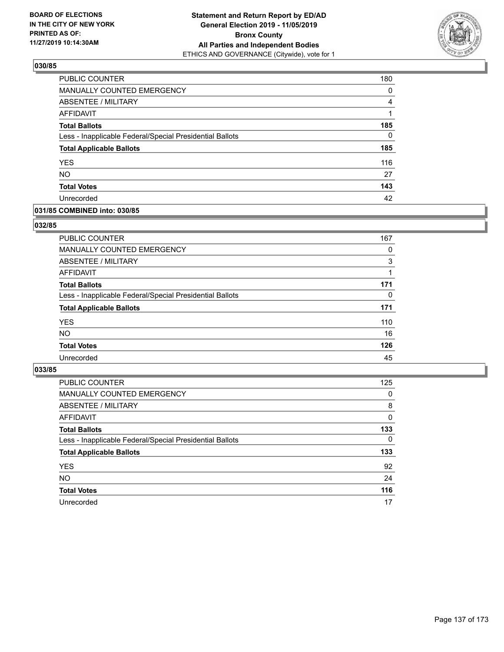

| PUBLIC COUNTER                                           | 180      |
|----------------------------------------------------------|----------|
| MANUALLY COUNTED EMERGENCY                               | 0        |
| ABSENTEE / MILITARY                                      | 4        |
| AFFIDAVIT                                                | 1        |
| <b>Total Ballots</b>                                     | 185      |
| Less - Inapplicable Federal/Special Presidential Ballots | $\Omega$ |
| <b>Total Applicable Ballots</b>                          | 185      |
| <b>YES</b>                                               | 116      |
| <b>NO</b>                                                | 27       |
| <b>Total Votes</b>                                       | 143      |
| Unrecorded                                               | 42       |

## **031/85 COMBINED into: 030/85**

## **032/85**

| <b>PUBLIC COUNTER</b>                                    | 167      |
|----------------------------------------------------------|----------|
| MANUALLY COUNTED EMERGENCY                               | 0        |
| ABSENTEE / MILITARY                                      | 3        |
| AFFIDAVIT                                                |          |
| <b>Total Ballots</b>                                     | 171      |
| Less - Inapplicable Federal/Special Presidential Ballots | $\Omega$ |
| <b>Total Applicable Ballots</b>                          | 171      |
| <b>YES</b>                                               | 110      |
| <b>NO</b>                                                | 16       |
| <b>Total Votes</b>                                       | 126      |
| Unrecorded                                               | 45       |

| <b>PUBLIC COUNTER</b>                                    | 125      |
|----------------------------------------------------------|----------|
| MANUALLY COUNTED EMERGENCY                               | $\Omega$ |
| ABSENTEE / MILITARY                                      | 8        |
| AFFIDAVIT                                                | $\Omega$ |
| <b>Total Ballots</b>                                     | 133      |
| Less - Inapplicable Federal/Special Presidential Ballots | 0        |
| <b>Total Applicable Ballots</b>                          | 133      |
| <b>YES</b>                                               | 92       |
| <b>NO</b>                                                | 24       |
| <b>Total Votes</b>                                       | 116      |
|                                                          |          |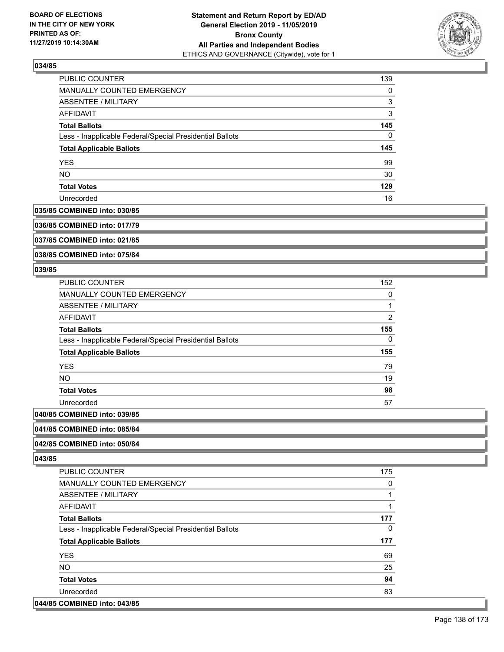

| <b>PUBLIC COUNTER</b>                                    | 139 |
|----------------------------------------------------------|-----|
| <b>MANUALLY COUNTED EMERGENCY</b>                        | 0   |
| ABSENTEE / MILITARY                                      | 3   |
| AFFIDAVIT                                                | 3   |
| <b>Total Ballots</b>                                     | 145 |
| Less - Inapplicable Federal/Special Presidential Ballots | 0   |
| <b>Total Applicable Ballots</b>                          | 145 |
| <b>YES</b>                                               | 99  |
| <b>NO</b>                                                | 30  |
| <b>Total Votes</b>                                       | 129 |
| Unrecorded                                               | 16  |

#### **035/85 COMBINED into: 030/85**

**036/85 COMBINED into: 017/79**

**037/85 COMBINED into: 021/85**

**038/85 COMBINED into: 075/84**

## **039/85**

| <b>PUBLIC COUNTER</b>                                    | 152 |
|----------------------------------------------------------|-----|
| <b>MANUALLY COUNTED EMERGENCY</b>                        | 0   |
| ABSENTEE / MILITARY                                      |     |
| AFFIDAVIT                                                | 2   |
| <b>Total Ballots</b>                                     | 155 |
| Less - Inapplicable Federal/Special Presidential Ballots | 0   |
| <b>Total Applicable Ballots</b>                          | 155 |
| <b>YES</b>                                               | 79  |
| <b>NO</b>                                                | 19  |
| <b>Total Votes</b>                                       | 98  |
| Unrecorded                                               | 57  |
| $OOMDHIER 1.4.4. OQ$                                     |     |

# **040/85 COMBINED into: 039/85**

## **041/85 COMBINED into: 085/84**

# **042/85 COMBINED into: 050/84**

**043/85** 

| PUBLIC COUNTER                                           | 175 |
|----------------------------------------------------------|-----|
| <b>MANUALLY COUNTED EMERGENCY</b>                        | 0   |
| ABSENTEE / MILITARY                                      |     |
| AFFIDAVIT                                                |     |
| <b>Total Ballots</b>                                     | 177 |
| Less - Inapplicable Federal/Special Presidential Ballots | 0   |
|                                                          |     |
| <b>Total Applicable Ballots</b>                          | 177 |
| <b>YES</b>                                               | 69  |
| <b>NO</b>                                                | 25  |
| <b>Total Votes</b>                                       | 94  |
| Unrecorded                                               | 83  |

# **044/85 COMBINED into: 043/85**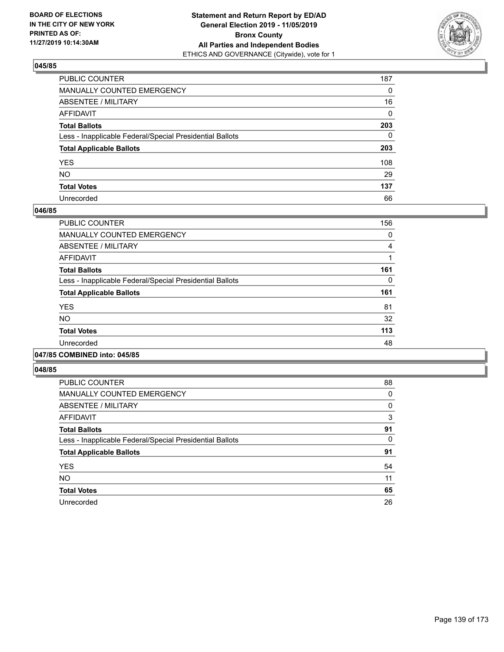

| PUBLIC COUNTER                                           | 187          |
|----------------------------------------------------------|--------------|
| MANUALLY COUNTED EMERGENCY                               | $\mathbf{0}$ |
| ABSENTEE / MILITARY                                      | 16           |
| AFFIDAVIT                                                | $\mathbf{0}$ |
| Total Ballots                                            | 203          |
| Less - Inapplicable Federal/Special Presidential Ballots | $\mathbf{0}$ |
| <b>Total Applicable Ballots</b>                          | 203          |
| YES                                                      | 108          |
| NO.                                                      | 29           |
| <b>Total Votes</b>                                       | 137          |
| Unrecorded                                               | 66           |

## **046/85**

| PUBLIC COUNTER                                           | 156 |
|----------------------------------------------------------|-----|
| <b>MANUALLY COUNTED EMERGENCY</b>                        | 0   |
| ABSENTEE / MILITARY                                      | 4   |
| AFFIDAVIT                                                |     |
| <b>Total Ballots</b>                                     | 161 |
| Less - Inapplicable Federal/Special Presidential Ballots | 0   |
| <b>Total Applicable Ballots</b>                          | 161 |
| <b>YES</b>                                               | 81  |
| <b>NO</b>                                                | 32  |
| <b>Total Votes</b>                                       | 113 |
| Unrecorded                                               | 48  |
|                                                          |     |

### **047/85 COMBINED into: 045/85**

| PUBLIC COUNTER                                           | 88 |
|----------------------------------------------------------|----|
| <b>MANUALLY COUNTED EMERGENCY</b>                        | 0  |
| <b>ABSENTEE / MILITARY</b>                               | 0  |
| <b>AFFIDAVIT</b>                                         | 3  |
| <b>Total Ballots</b>                                     | 91 |
| Less - Inapplicable Federal/Special Presidential Ballots | 0  |
| <b>Total Applicable Ballots</b>                          | 91 |
| <b>YES</b>                                               | 54 |
| <b>NO</b>                                                | 11 |
| <b>Total Votes</b>                                       | 65 |
| Unrecorded                                               | 26 |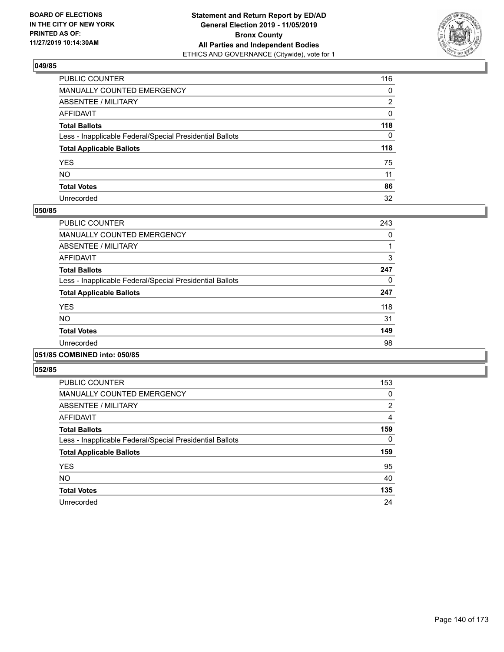

| PUBLIC COUNTER                                           | 116          |
|----------------------------------------------------------|--------------|
| MANUALLY COUNTED EMERGENCY                               | $\mathbf{0}$ |
| ABSENTEE / MILITARY                                      | 2            |
| AFFIDAVIT                                                | 0            |
| Total Ballots                                            | 118          |
| Less - Inapplicable Federal/Special Presidential Ballots | $\Omega$     |
| <b>Total Applicable Ballots</b>                          | 118          |
| YES                                                      | 75           |
| NO.                                                      | 11           |
| <b>Total Votes</b>                                       | 86           |
| Unrecorded                                               | 32           |

## **050/85**

| PUBLIC COUNTER                                           | 243 |
|----------------------------------------------------------|-----|
| <b>MANUALLY COUNTED EMERGENCY</b>                        | 0   |
| ABSENTEE / MILITARY                                      |     |
| <b>AFFIDAVIT</b>                                         | 3   |
| <b>Total Ballots</b>                                     | 247 |
| Less - Inapplicable Federal/Special Presidential Ballots | 0   |
| <b>Total Applicable Ballots</b>                          | 247 |
| <b>YES</b>                                               | 118 |
| NO.                                                      | 31  |
| <b>Total Votes</b>                                       | 149 |
| Unrecorded                                               | 98  |
|                                                          |     |

### **051/85 COMBINED into: 050/85**

| PUBLIC COUNTER                                           | 153           |
|----------------------------------------------------------|---------------|
| MANUALLY COUNTED EMERGENCY                               | 0             |
| ABSENTEE / MILITARY                                      | $\mathcal{P}$ |
| AFFIDAVIT                                                | 4             |
| <b>Total Ballots</b>                                     | 159           |
| Less - Inapplicable Federal/Special Presidential Ballots | 0             |
| <b>Total Applicable Ballots</b>                          | 159           |
| <b>YES</b>                                               | 95            |
| <b>NO</b>                                                | 40            |
| <b>Total Votes</b>                                       | 135           |
| Unrecorded                                               | 24            |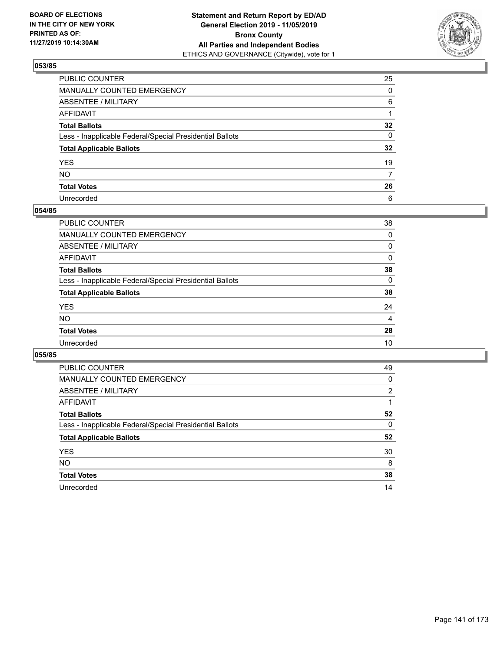

| PUBLIC COUNTER                                           | 25              |
|----------------------------------------------------------|-----------------|
| MANUALLY COUNTED EMERGENCY                               | $\mathbf{0}$    |
| ABSENTEE / MILITARY                                      | 6               |
| AFFIDAVIT                                                |                 |
| Total Ballots                                            | $32\phantom{a}$ |
| Less - Inapplicable Federal/Special Presidential Ballots | 0               |
| <b>Total Applicable Ballots</b>                          | $32\phantom{a}$ |
| YES                                                      | 19              |
| NO.                                                      | $\overline{7}$  |
| <b>Total Votes</b>                                       | 26              |
| Unrecorded                                               | 6               |

## **054/85**

| PUBLIC COUNTER                                           | 38             |
|----------------------------------------------------------|----------------|
| <b>MANUALLY COUNTED EMERGENCY</b>                        | $\Omega$       |
| ABSENTEE / MILITARY                                      | 0              |
| AFFIDAVIT                                                | $\Omega$       |
| <b>Total Ballots</b>                                     | 38             |
| Less - Inapplicable Federal/Special Presidential Ballots | $\Omega$       |
| <b>Total Applicable Ballots</b>                          | 38             |
| <b>YES</b>                                               | 24             |
| <b>NO</b>                                                | $\overline{4}$ |
| <b>Total Votes</b>                                       | 28             |
| Unrecorded                                               | 10             |
|                                                          |                |

| PUBLIC COUNTER                                           | 49       |
|----------------------------------------------------------|----------|
| <b>MANUALLY COUNTED EMERGENCY</b>                        | 0        |
| ABSENTEE / MILITARY                                      | 2        |
| AFFIDAVIT                                                |          |
| <b>Total Ballots</b>                                     | 52       |
| Less - Inapplicable Federal/Special Presidential Ballots | $\Omega$ |
| <b>Total Applicable Ballots</b>                          | 52       |
| <b>YES</b>                                               | 30       |
| <b>NO</b>                                                | 8        |
| <b>Total Votes</b>                                       | 38       |
| Unrecorded                                               | 14       |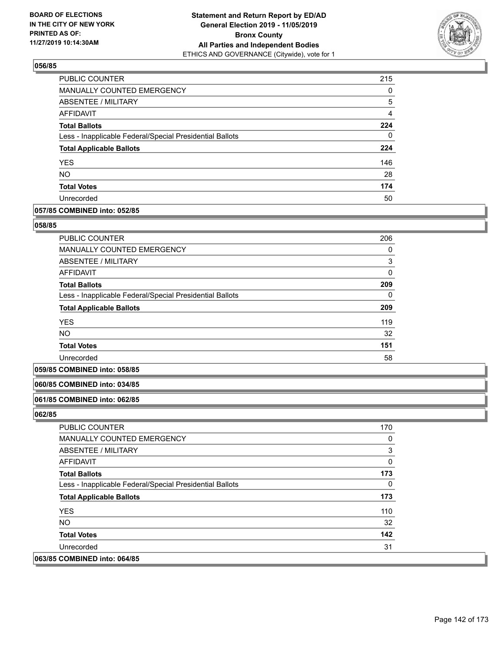

| PUBLIC COUNTER                                           | 215 |
|----------------------------------------------------------|-----|
| <b>MANUALLY COUNTED EMERGENCY</b>                        | 0   |
| ABSENTEE / MILITARY                                      | 5   |
| AFFIDAVIT                                                | 4   |
| <b>Total Ballots</b>                                     | 224 |
| Less - Inapplicable Federal/Special Presidential Ballots | 0   |
| <b>Total Applicable Ballots</b>                          | 224 |
| <b>YES</b>                                               | 146 |
| <b>NO</b>                                                | 28  |
| <b>Total Votes</b>                                       | 174 |
| Unrecorded                                               | 50  |

## **057/85 COMBINED into: 052/85**

## **058/85**

| <b>PUBLIC COUNTER</b>                                    | 206          |
|----------------------------------------------------------|--------------|
| <b>MANUALLY COUNTED EMERGENCY</b>                        | 0            |
| ABSENTEE / MILITARY                                      | 3            |
| AFFIDAVIT                                                | $\mathbf{0}$ |
| <b>Total Ballots</b>                                     | 209          |
| Less - Inapplicable Federal/Special Presidential Ballots | 0            |
| <b>Total Applicable Ballots</b>                          | 209          |
| <b>YES</b>                                               | 119          |
| <b>NO</b>                                                | 32           |
| <b>Total Votes</b>                                       | 151          |
| Unrecorded                                               | 58           |

### **059/85 COMBINED into: 058/85**

## **060/85 COMBINED into: 034/85**

### **061/85 COMBINED into: 062/85**

| <b>PUBLIC COUNTER</b>                                    | 170      |
|----------------------------------------------------------|----------|
| <b>MANUALLY COUNTED EMERGENCY</b>                        | $\Omega$ |
| ABSENTEE / MILITARY                                      | 3        |
| <b>AFFIDAVIT</b>                                         | 0        |
| <b>Total Ballots</b>                                     | 173      |
| Less - Inapplicable Federal/Special Presidential Ballots | 0        |
| <b>Total Applicable Ballots</b>                          | 173      |
| <b>YES</b>                                               | 110      |
| NO.                                                      | 32       |
| <b>Total Votes</b>                                       | 142      |
| Unrecorded                                               | 31       |
| 063/85 COMBINED into: 064/85                             |          |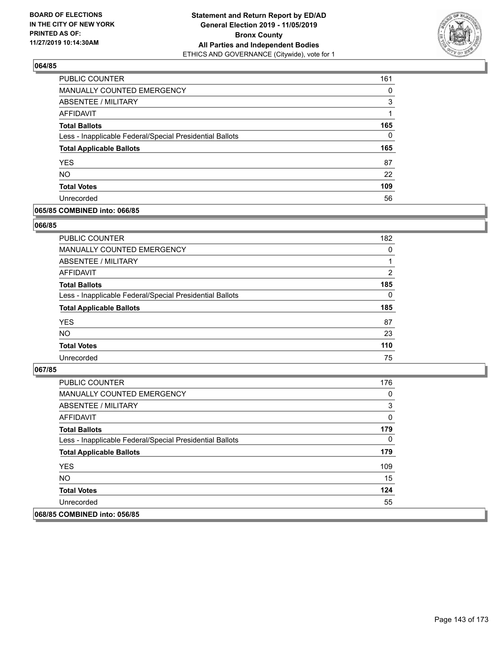

| <b>PUBLIC COUNTER</b>                                    | 161 |
|----------------------------------------------------------|-----|
| MANUALLY COUNTED EMERGENCY                               | 0   |
| ABSENTEE / MILITARY                                      | 3   |
| AFFIDAVIT                                                |     |
| <b>Total Ballots</b>                                     | 165 |
| Less - Inapplicable Federal/Special Presidential Ballots | 0   |
| <b>Total Applicable Ballots</b>                          | 165 |
| <b>YES</b>                                               | 87  |
| <b>NO</b>                                                | 22  |
| <b>Total Votes</b>                                       | 109 |
| Unrecorded                                               | 56  |

# **065/85 COMBINED into: 066/85**

## **066/85**

| <b>PUBLIC COUNTER</b>                                    | 182      |
|----------------------------------------------------------|----------|
| MANUALLY COUNTED EMERGENCY                               | 0        |
| ABSENTEE / MILITARY                                      |          |
| AFFIDAVIT                                                | 2        |
| <b>Total Ballots</b>                                     | 185      |
| Less - Inapplicable Federal/Special Presidential Ballots | $\Omega$ |
| <b>Total Applicable Ballots</b>                          | 185      |
| <b>YES</b>                                               | 87       |
| <b>NO</b>                                                | 23       |
| <b>Total Votes</b>                                       | 110      |
| Unrecorded                                               | 75       |

| <b>PUBLIC COUNTER</b>                                    | 176 |
|----------------------------------------------------------|-----|
| <b>MANUALLY COUNTED EMERGENCY</b>                        | 0   |
| ABSENTEE / MILITARY                                      | 3   |
| AFFIDAVIT                                                | 0   |
| <b>Total Ballots</b>                                     | 179 |
| Less - Inapplicable Federal/Special Presidential Ballots | 0   |
| <b>Total Applicable Ballots</b>                          | 179 |
| <b>YES</b>                                               | 109 |
| NO.                                                      | 15  |
| <b>Total Votes</b>                                       | 124 |
| Unrecorded                                               | 55  |
| 068/85 COMBINED into: 056/85                             |     |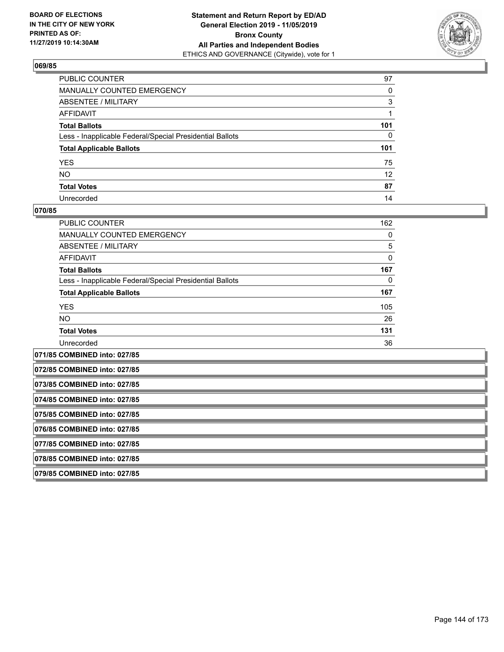

| PUBLIC COUNTER                                           | 97              |
|----------------------------------------------------------|-----------------|
| MANUALLY COUNTED EMERGENCY                               | 0               |
| ABSENTEE / MILITARY                                      | 3               |
| AFFIDAVIT                                                |                 |
| Total Ballots                                            | 101             |
| Less - Inapplicable Federal/Special Presidential Ballots | $\mathbf{0}$    |
| <b>Total Applicable Ballots</b>                          | 101             |
| YES                                                      | 75              |
| NO.                                                      | 12 <sup>2</sup> |
| <b>Total Votes</b>                                       | 87              |
| Unrecorded                                               | 14              |

## **070/85**

| <b>PUBLIC COUNTER</b>                                    | 162 |
|----------------------------------------------------------|-----|
| <b>MANUALLY COUNTED EMERGENCY</b>                        | 0   |
| <b>ABSENTEE / MILITARY</b>                               | 5   |
| AFFIDAVIT                                                | 0   |
| <b>Total Ballots</b>                                     | 167 |
| Less - Inapplicable Federal/Special Presidential Ballots | 0   |
| <b>Total Applicable Ballots</b>                          | 167 |
| <b>YES</b>                                               | 105 |
| <b>NO</b>                                                | 26  |
| <b>Total Votes</b>                                       | 131 |
| Unrecorded                                               | 36  |
|                                                          |     |

**071/85 COMBINED into: 027/85 072/85 COMBINED into: 027/85 073/85 COMBINED into: 027/85 074/85 COMBINED into: 027/85 075/85 COMBINED into: 027/85 076/85 COMBINED into: 027/85 077/85 COMBINED into: 027/85 078/85 COMBINED into: 027/85 079/85 COMBINED into: 027/85**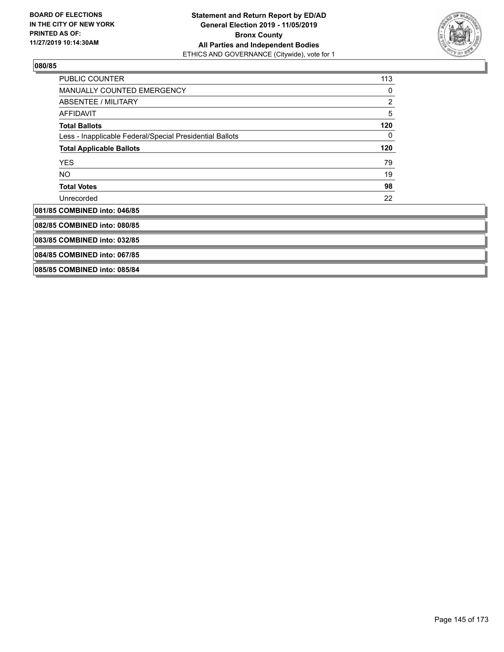

| <b>PUBLIC COUNTER</b>                                    | 113        |
|----------------------------------------------------------|------------|
| <b>MANUALLY COUNTED EMERGENCY</b>                        | 0          |
| <b>ABSENTEE / MILITARY</b>                               | 2          |
| <b>AFFIDAVIT</b>                                         | $\sqrt{5}$ |
| <b>Total Ballots</b>                                     | 120        |
| Less - Inapplicable Federal/Special Presidential Ballots | 0          |
| <b>Total Applicable Ballots</b>                          | 120        |
| <b>YES</b>                                               | 79         |
| NO.                                                      | 19         |
| <b>Total Votes</b>                                       | 98         |
| Unrecorded                                               | 22         |
| 081/85 COMBINED into: 046/85                             |            |
| 082/85 COMBINED into: 080/85                             |            |
| 083/85 COMBINED into: 032/85                             |            |
| 084/85 COMBINED into: 067/85                             |            |
| 085/85 COMBINED into: 085/84                             |            |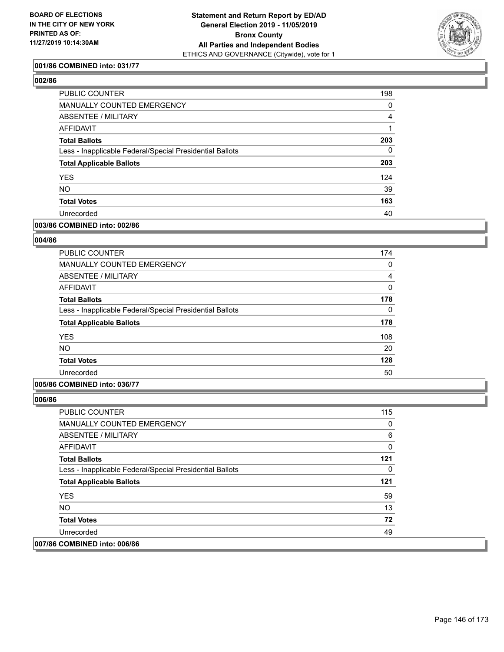

## **001/86 COMBINED into: 031/77**

# **002/86**

| <b>PUBLIC COUNTER</b>                                    | 198      |
|----------------------------------------------------------|----------|
| <b>MANUALLY COUNTED EMERGENCY</b>                        | 0        |
| ABSENTEE / MILITARY                                      | 4        |
| <b>AFFIDAVIT</b>                                         |          |
| <b>Total Ballots</b>                                     | 203      |
| Less - Inapplicable Federal/Special Presidential Ballots | $\Omega$ |
| <b>Total Applicable Ballots</b>                          | 203      |
| <b>YES</b>                                               | 124      |
| <b>NO</b>                                                | 39       |
| <b>Total Votes</b>                                       | 163      |
| Unrecorded                                               | 40       |
|                                                          |          |

## **003/86 COMBINED into: 002/86**

## **004/86**

| <b>PUBLIC COUNTER</b>                                    | 174      |
|----------------------------------------------------------|----------|
| <b>MANUALLY COUNTED EMERGENCY</b>                        | 0        |
| ABSENTEE / MILITARY                                      | 4        |
| AFFIDAVIT                                                | $\Omega$ |
| <b>Total Ballots</b>                                     | 178      |
| Less - Inapplicable Federal/Special Presidential Ballots | $\Omega$ |
| <b>Total Applicable Ballots</b>                          | 178      |
| <b>YES</b>                                               | 108      |
| NO.                                                      | 20       |
| <b>Total Votes</b>                                       | 128      |
| Unrecorded                                               | 50       |

## **005/86 COMBINED into: 036/77**

| <b>PUBLIC COUNTER</b>                                    | 115 |
|----------------------------------------------------------|-----|
| <b>MANUALLY COUNTED EMERGENCY</b>                        | 0   |
| ABSENTEE / MILITARY                                      | 6   |
| AFFIDAVIT                                                | 0   |
| <b>Total Ballots</b>                                     | 121 |
| Less - Inapplicable Federal/Special Presidential Ballots | 0   |
| <b>Total Applicable Ballots</b>                          | 121 |
| <b>YES</b>                                               | 59  |
| NO.                                                      | 13  |
| <b>Total Votes</b>                                       | 72  |
| Unrecorded                                               | 49  |
| 007/86 COMBINED into: 006/86                             |     |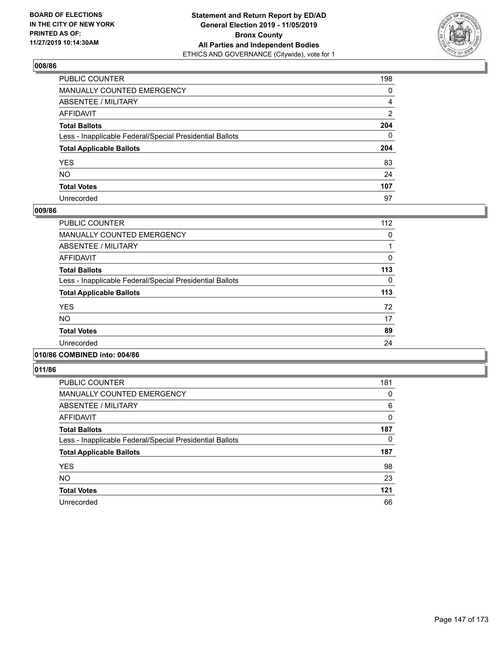

| PUBLIC COUNTER                                           | 198          |
|----------------------------------------------------------|--------------|
| MANUALLY COUNTED EMERGENCY                               | 0            |
| ABSENTEE / MILITARY                                      | 4            |
| AFFIDAVIT                                                | 2            |
| Total Ballots                                            | 204          |
| Less - Inapplicable Federal/Special Presidential Ballots | $\mathbf{0}$ |
| <b>Total Applicable Ballots</b>                          | 204          |
| YES                                                      | 83           |
| NO.                                                      | 24           |
| <b>Total Votes</b>                                       | 107          |
| Unrecorded                                               | 97           |

### **009/86**

| <b>PUBLIC COUNTER</b>                                    | 112      |
|----------------------------------------------------------|----------|
| MANUALLY COUNTED EMERGENCY                               | 0        |
| ABSENTEE / MILITARY                                      |          |
| AFFIDAVIT                                                | 0        |
| <b>Total Ballots</b>                                     | 113      |
| Less - Inapplicable Federal/Special Presidential Ballots | $\Omega$ |
| <b>Total Applicable Ballots</b>                          | 113      |
| <b>YES</b>                                               | 72       |
| <b>NO</b>                                                | 17       |
| <b>Total Votes</b>                                       | 89       |
| Unrecorded                                               | 24       |
|                                                          |          |

### **010/86 COMBINED into: 004/86**

| <b>PUBLIC COUNTER</b>                                    | 181 |
|----------------------------------------------------------|-----|
| <b>MANUALLY COUNTED EMERGENCY</b>                        | 0   |
| ABSENTEE / MILITARY                                      | 6   |
| AFFIDAVIT                                                | 0   |
| <b>Total Ballots</b>                                     | 187 |
| Less - Inapplicable Federal/Special Presidential Ballots | 0   |
| <b>Total Applicable Ballots</b>                          | 187 |
| <b>YES</b>                                               | 98  |
| <b>NO</b>                                                | 23  |
| <b>Total Votes</b>                                       | 121 |
| Unrecorded                                               | 66  |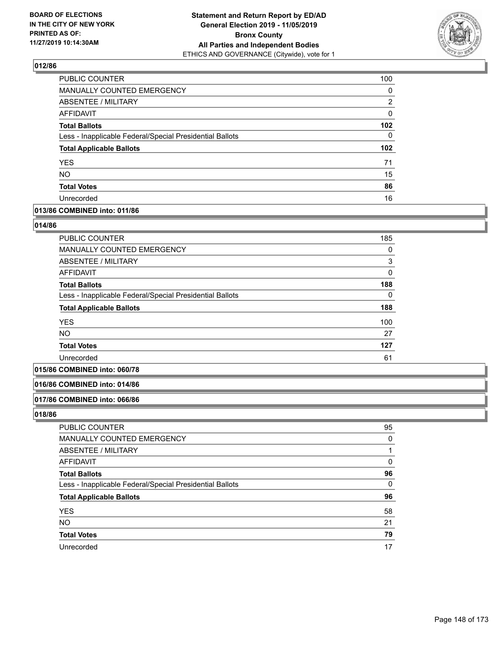

| <b>PUBLIC COUNTER</b>                                    | 100              |
|----------------------------------------------------------|------------------|
| MANUALLY COUNTED EMERGENCY                               | $\Omega$         |
| <b>ABSENTEE / MILITARY</b>                               | 2                |
| AFFIDAVIT                                                | 0                |
| <b>Total Ballots</b>                                     | 102 <sub>2</sub> |
| Less - Inapplicable Federal/Special Presidential Ballots | $\Omega$         |
| <b>Total Applicable Ballots</b>                          | 102 <sub>2</sub> |
| <b>YES</b>                                               | 71               |
| <b>NO</b>                                                | 15               |
|                                                          |                  |
| <b>Total Votes</b>                                       | 86               |

### **013/86 COMBINED into: 011/86**

### **014/86**

| PUBLIC COUNTER                                           | 185          |
|----------------------------------------------------------|--------------|
| MANUALLY COUNTED EMERGENCY                               | 0            |
| ABSENTEE / MILITARY                                      | 3            |
| AFFIDAVIT                                                | $\mathbf{0}$ |
| <b>Total Ballots</b>                                     | 188          |
| Less - Inapplicable Federal/Special Presidential Ballots | 0            |
| <b>Total Applicable Ballots</b>                          | 188          |
| <b>YES</b>                                               | 100          |
| <b>NO</b>                                                | 27           |
| <b>Total Votes</b>                                       | 127          |
| Unrecorded                                               | 61           |

# **015/86 COMBINED into: 060/78**

#### **016/86 COMBINED into: 014/86**

#### **017/86 COMBINED into: 066/86**

| <b>PUBLIC COUNTER</b>                                    | 95 |
|----------------------------------------------------------|----|
| MANUALLY COUNTED EMERGENCY                               | 0  |
| ABSENTEE / MILITARY                                      |    |
| AFFIDAVIT                                                | 0  |
| <b>Total Ballots</b>                                     | 96 |
| Less - Inapplicable Federal/Special Presidential Ballots | 0  |
| <b>Total Applicable Ballots</b>                          | 96 |
| <b>YES</b>                                               | 58 |
| <b>NO</b>                                                | 21 |
| <b>Total Votes</b>                                       | 79 |
| Unrecorded                                               | 17 |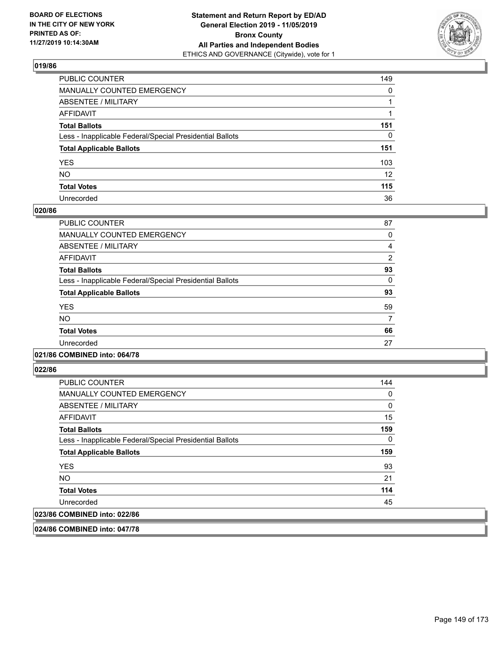

| PUBLIC COUNTER                                           | 149             |
|----------------------------------------------------------|-----------------|
| MANUALLY COUNTED EMERGENCY                               | 0               |
| ABSENTEE / MILITARY                                      |                 |
| AFFIDAVIT                                                |                 |
| Total Ballots                                            | 151             |
| Less - Inapplicable Federal/Special Presidential Ballots | $\mathbf{0}$    |
| <b>Total Applicable Ballots</b>                          | 151             |
| YES                                                      | 103             |
| NO.                                                      | 12 <sup>2</sup> |
| <b>Total Votes</b>                                       | 115             |
| Unrecorded                                               | 36              |

### **020/86**

| <b>PUBLIC COUNTER</b>                                    | 87             |
|----------------------------------------------------------|----------------|
| <b>MANUALLY COUNTED EMERGENCY</b>                        | 0              |
| <b>ABSENTEE / MILITARY</b>                               | 4              |
| AFFIDAVIT                                                | $\overline{2}$ |
| <b>Total Ballots</b>                                     | 93             |
| Less - Inapplicable Federal/Special Presidential Ballots | $\Omega$       |
| <b>Total Applicable Ballots</b>                          | 93             |
| <b>YES</b>                                               | 59             |
| <b>NO</b>                                                |                |
| <b>Total Votes</b>                                       | 66             |
| Unrecorded                                               | 27             |
|                                                          |                |

## **021/86 COMBINED into: 064/78**

**022/86** 

| <b>PUBLIC COUNTER</b>                                    | 144 |
|----------------------------------------------------------|-----|
| MANUALLY COUNTED EMERGENCY                               | 0   |
| ABSENTEE / MILITARY                                      | 0   |
| AFFIDAVIT                                                | 15  |
| <b>Total Ballots</b>                                     | 159 |
| Less - Inapplicable Federal/Special Presidential Ballots | 0   |
| <b>Total Applicable Ballots</b>                          | 159 |
| <b>YES</b>                                               | 93  |
| <b>NO</b>                                                | 21  |
| <b>Total Votes</b>                                       | 114 |
| Unrecorded                                               | 45  |
| 023/86 COMBINED into: 022/86                             |     |
|                                                          |     |

**024/86 COMBINED into: 047/78**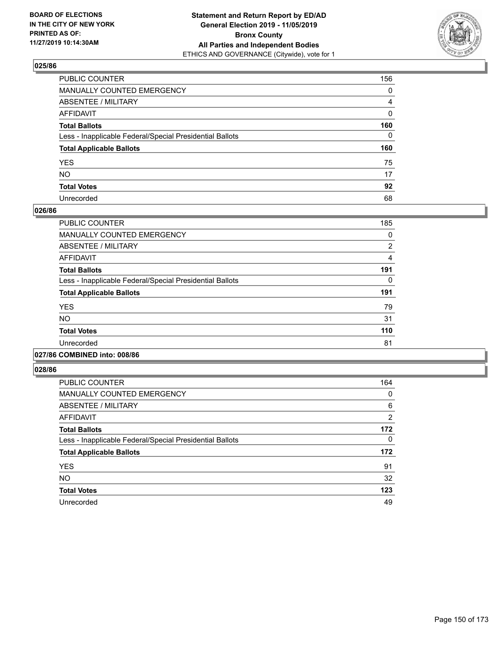

| PUBLIC COUNTER                                           | 156            |
|----------------------------------------------------------|----------------|
| MANUALLY COUNTED EMERGENCY                               | $\mathbf{0}$   |
| ABSENTEE / MILITARY                                      | $\overline{4}$ |
| AFFIDAVIT                                                | $\Omega$       |
| Total Ballots                                            | 160            |
| Less - Inapplicable Federal/Special Presidential Ballots | $\Omega$       |
| <b>Total Applicable Ballots</b>                          | 160            |
| YES                                                      | 75             |
| NO.                                                      | 17             |
| <b>Total Votes</b>                                       | 92             |
| Unrecorded                                               | 68             |

### **026/86**

| <b>PUBLIC COUNTER</b>                                    | 185 |
|----------------------------------------------------------|-----|
| <b>MANUALLY COUNTED EMERGENCY</b>                        | 0   |
| ABSENTEE / MILITARY                                      | 2   |
| <b>AFFIDAVIT</b>                                         | 4   |
| <b>Total Ballots</b>                                     | 191 |
| Less - Inapplicable Federal/Special Presidential Ballots | 0   |
| <b>Total Applicable Ballots</b>                          | 191 |
| <b>YES</b>                                               | 79  |
| <b>NO</b>                                                | 31  |
| <b>Total Votes</b>                                       | 110 |
| Unrecorded                                               | 81  |
|                                                          |     |

### **027/86 COMBINED into: 008/86**

| <b>PUBLIC COUNTER</b>                                    | 164            |
|----------------------------------------------------------|----------------|
| <b>MANUALLY COUNTED EMERGENCY</b>                        | 0              |
| ABSENTEE / MILITARY                                      | 6              |
| AFFIDAVIT                                                | $\overline{2}$ |
| <b>Total Ballots</b>                                     | 172            |
| Less - Inapplicable Federal/Special Presidential Ballots | 0              |
| <b>Total Applicable Ballots</b>                          | 172            |
| <b>YES</b>                                               | 91             |
| <b>NO</b>                                                | 32             |
| <b>Total Votes</b>                                       | 123            |
| Unrecorded                                               | 49             |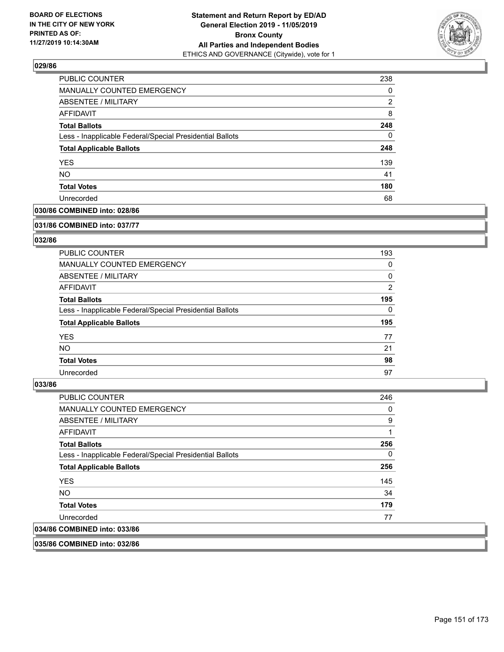

| <b>PUBLIC COUNTER</b>                                    | 238 |
|----------------------------------------------------------|-----|
| <b>MANUALLY COUNTED EMERGENCY</b>                        | 0   |
| <b>ABSENTEE / MILITARY</b>                               | 2   |
| AFFIDAVIT                                                | 8   |
| <b>Total Ballots</b>                                     | 248 |
| Less - Inapplicable Federal/Special Presidential Ballots | 0   |
| <b>Total Applicable Ballots</b>                          | 248 |
| <b>YES</b>                                               | 139 |
| <b>NO</b>                                                | 41  |
| <b>Total Votes</b>                                       | 180 |
| Unrecorded                                               | 68  |

## **030/86 COMBINED into: 028/86**

#### **031/86 COMBINED into: 037/77**

## **032/86**

| <b>PUBLIC COUNTER</b>                                    | 193            |
|----------------------------------------------------------|----------------|
| <b>MANUALLY COUNTED EMERGENCY</b>                        | 0              |
| ABSENTEE / MILITARY                                      | 0              |
| AFFIDAVIT                                                | $\overline{2}$ |
| <b>Total Ballots</b>                                     | 195            |
| Less - Inapplicable Federal/Special Presidential Ballots | $\Omega$       |
| <b>Total Applicable Ballots</b>                          | 195            |
| <b>YES</b>                                               | 77             |
| NO.                                                      | 21             |
| <b>Total Votes</b>                                       | 98             |
| Unrecorded                                               | 97             |

#### **033/86**

| <b>PUBLIC COUNTER</b>                                    | 246 |
|----------------------------------------------------------|-----|
| <b>MANUALLY COUNTED EMERGENCY</b>                        | 0   |
| ABSENTEE / MILITARY                                      | 9   |
| AFFIDAVIT                                                | 1   |
| <b>Total Ballots</b>                                     | 256 |
| Less - Inapplicable Federal/Special Presidential Ballots | 0   |
| <b>Total Applicable Ballots</b>                          | 256 |
| <b>YES</b>                                               | 145 |
| NO.                                                      | 34  |
| <b>Total Votes</b>                                       | 179 |
| Unrecorded                                               | 77  |
| 034/86 COMBINED into: 033/86                             |     |
|                                                          |     |

**035/86 COMBINED into: 032/86**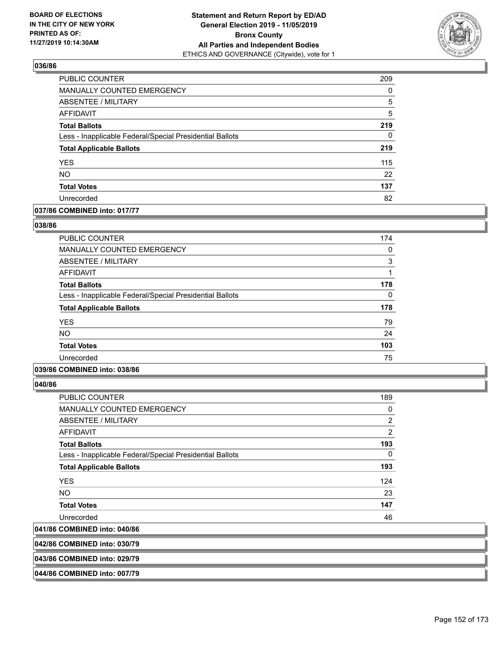

| <b>PUBLIC COUNTER</b>                                    | 209      |
|----------------------------------------------------------|----------|
| MANUALLY COUNTED EMERGENCY                               | $\Omega$ |
| <b>ABSENTEE / MILITARY</b>                               | 5        |
| AFFIDAVIT                                                | 5        |
| <b>Total Ballots</b>                                     | 219      |
| Less - Inapplicable Federal/Special Presidential Ballots | 0        |
| <b>Total Applicable Ballots</b>                          | 219      |
| <b>YES</b>                                               | 115      |
| <b>NO</b>                                                | 22       |
| <b>Total Votes</b>                                       | 137      |
| Unrecorded                                               | 82       |

### **037/86 COMBINED into: 017/77**

### **038/86**

| <b>PUBLIC COUNTER</b>                                    | 174      |
|----------------------------------------------------------|----------|
| MANUALLY COUNTED EMERGENCY                               | $\Omega$ |
| ABSENTEE / MILITARY                                      | 3        |
| AFFIDAVIT                                                | 1        |
| <b>Total Ballots</b>                                     | 178      |
| Less - Inapplicable Federal/Special Presidential Ballots | 0        |
| <b>Total Applicable Ballots</b>                          | 178      |
| <b>YES</b>                                               | 79       |
| <b>NO</b>                                                | 24       |
| <b>Total Votes</b>                                       | 103      |
| Unrecorded                                               | 75       |
|                                                          |          |

### **039/86 COMBINED into: 038/86**

**040/86** 

| 041/86 COMBINED into: 040/86                             |                |
|----------------------------------------------------------|----------------|
| Unrecorded                                               | 46             |
| <b>Total Votes</b>                                       | 147            |
| <b>NO</b>                                                | 23             |
| <b>YES</b>                                               | 124            |
| <b>Total Applicable Ballots</b>                          | 193            |
| Less - Inapplicable Federal/Special Presidential Ballots | 0              |
| <b>Total Ballots</b>                                     | 193            |
| AFFIDAVIT                                                | $\overline{2}$ |
| ABSENTEE / MILITARY                                      | $\overline{2}$ |
| <b>MANUALLY COUNTED EMERGENCY</b>                        | 0              |
| <b>PUBLIC COUNTER</b>                                    | 189            |

**042/86 COMBINED into: 030/79**

#### **043/86 COMBINED into: 029/79**

**044/86 COMBINED into: 007/79**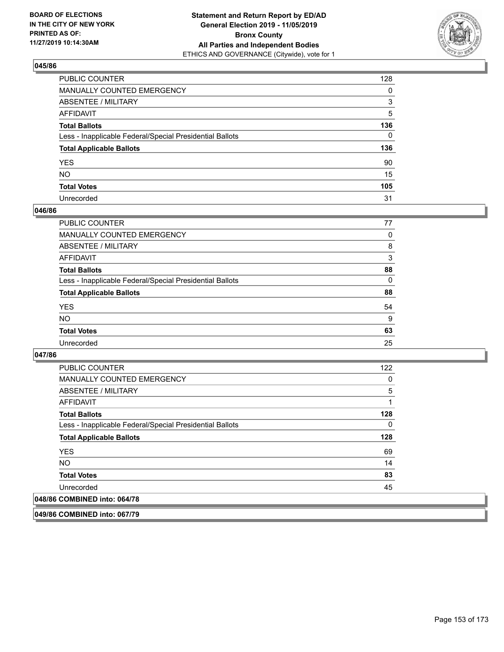

| PUBLIC COUNTER                                           | 128          |
|----------------------------------------------------------|--------------|
| MANUALLY COUNTED EMERGENCY                               | 0            |
| ABSENTEE / MILITARY                                      | 3            |
| AFFIDAVIT                                                | 5            |
| Total Ballots                                            | 136          |
| Less - Inapplicable Federal/Special Presidential Ballots | $\mathbf{0}$ |
| <b>Total Applicable Ballots</b>                          | 136          |
| YES                                                      | 90           |
| NO.                                                      | 15           |
| <b>Total Votes</b>                                       | 105          |
| Unrecorded                                               | 31           |

### **046/86**

| <b>PUBLIC COUNTER</b>                                    | 77       |
|----------------------------------------------------------|----------|
| <b>MANUALLY COUNTED EMERGENCY</b>                        | $\Omega$ |
| ABSENTEE / MILITARY                                      | 8        |
| AFFIDAVIT                                                | 3        |
| <b>Total Ballots</b>                                     | 88       |
| Less - Inapplicable Federal/Special Presidential Ballots | $\Omega$ |
| <b>Total Applicable Ballots</b>                          | 88       |
| <b>YES</b>                                               | 54       |
| <b>NO</b>                                                | 9        |
| <b>Total Votes</b>                                       | 63       |
| Unrecorded                                               | 25       |

### **047/86**

| <b>PUBLIC COUNTER</b>                                    | 122 |
|----------------------------------------------------------|-----|
| <b>MANUALLY COUNTED EMERGENCY</b>                        | 0   |
| ABSENTEE / MILITARY                                      | 5   |
| AFFIDAVIT                                                |     |
| <b>Total Ballots</b>                                     | 128 |
| Less - Inapplicable Federal/Special Presidential Ballots | 0   |
| <b>Total Applicable Ballots</b>                          | 128 |
| <b>YES</b>                                               | 69  |
| NO.                                                      | 14  |
|                                                          |     |
| <b>Total Votes</b>                                       | 83  |
| Unrecorded                                               | 45  |

**049/86 COMBINED into: 067/79**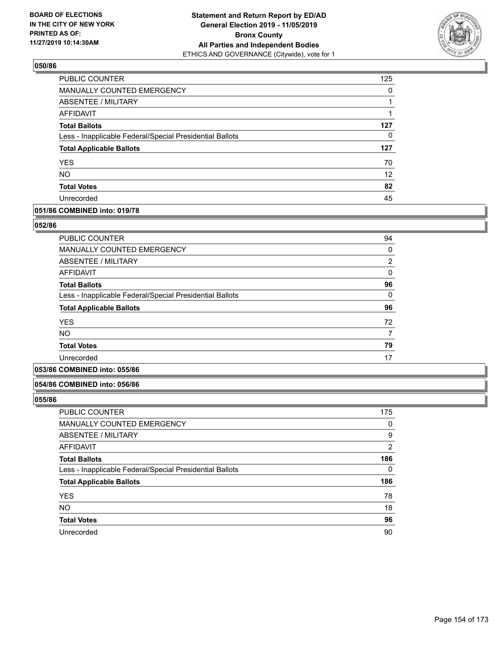

| PUBLIC COUNTER                                           | 125               |
|----------------------------------------------------------|-------------------|
| MANUALLY COUNTED EMERGENCY                               | 0                 |
| ABSENTEE / MILITARY                                      |                   |
| AFFIDAVIT                                                |                   |
| <b>Total Ballots</b>                                     | 127               |
| Less - Inapplicable Federal/Special Presidential Ballots | 0                 |
| <b>Total Applicable Ballots</b>                          | 127               |
| <b>YES</b>                                               | 70                |
| <b>NO</b>                                                | $12 \overline{ }$ |
| <b>Total Votes</b>                                       | 82                |
| Unrecorded                                               | 45                |

# **051/86 COMBINED into: 019/78**

### **052/86**

| <b>PUBLIC COUNTER</b>                                    | 94       |
|----------------------------------------------------------|----------|
|                                                          |          |
| <b>MANUALLY COUNTED EMERGENCY</b>                        | 0        |
| ABSENTEE / MILITARY                                      | 2        |
| AFFIDAVIT                                                | 0        |
| <b>Total Ballots</b>                                     | 96       |
| Less - Inapplicable Federal/Special Presidential Ballots | $\Omega$ |
| <b>Total Applicable Ballots</b>                          | 96       |
| <b>YES</b>                                               | 72       |
| <b>NO</b>                                                | 7        |
| <b>Total Votes</b>                                       | 79       |
| Unrecorded                                               | 17       |
|                                                          |          |

# **053/86 COMBINED into: 055/86**

### **054/86 COMBINED into: 056/86**

| <b>PUBLIC COUNTER</b>                                    | 175 |
|----------------------------------------------------------|-----|
| <b>MANUALLY COUNTED EMERGENCY</b>                        | 0   |
| ABSENTEE / MILITARY                                      | 9   |
| AFFIDAVIT                                                | 2   |
| <b>Total Ballots</b>                                     | 186 |
| Less - Inapplicable Federal/Special Presidential Ballots | 0   |
| <b>Total Applicable Ballots</b>                          | 186 |
| <b>YES</b>                                               | 78  |
| <b>NO</b>                                                | 18  |
| <b>Total Votes</b>                                       | 96  |
| Unrecorded                                               | 90  |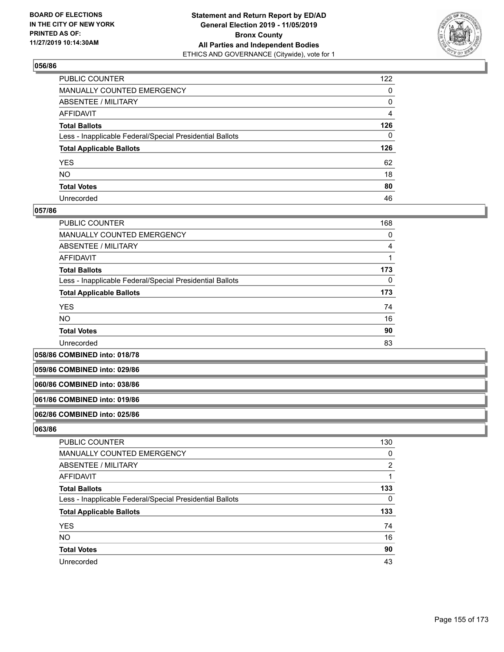

| PUBLIC COUNTER                                           | 122          |
|----------------------------------------------------------|--------------|
| MANUALLY COUNTED EMERGENCY                               | $\mathbf{0}$ |
| ABSENTEE / MILITARY                                      | 0            |
| AFFIDAVIT                                                | 4            |
| Total Ballots                                            | 126          |
| Less - Inapplicable Federal/Special Presidential Ballots | $\mathbf{0}$ |
| <b>Total Applicable Ballots</b>                          | 126          |
| YES                                                      | 62           |
| NO.                                                      | 18           |
| <b>Total Votes</b>                                       | 80           |
| Unrecorded                                               | 46           |

### **057/86**

| <b>PUBLIC COUNTER</b>                                    | 168      |
|----------------------------------------------------------|----------|
| <b>MANUALLY COUNTED EMERGENCY</b>                        | 0        |
| ABSENTEE / MILITARY                                      | 4        |
| AFFIDAVIT                                                |          |
| <b>Total Ballots</b>                                     | 173      |
| Less - Inapplicable Federal/Special Presidential Ballots | $\Omega$ |
| <b>Total Applicable Ballots</b>                          | 173      |
| <b>YES</b>                                               | 74       |
| <b>NO</b>                                                | 16       |
| <b>Total Votes</b>                                       | 90       |
| Unrecorded                                               | 83       |

**058/86 COMBINED into: 018/78**

**059/86 COMBINED into: 029/86**

#### **060/86 COMBINED into: 038/86**

#### **061/86 COMBINED into: 019/86**

#### **062/86 COMBINED into: 025/86**

| <b>PUBLIC COUNTER</b>                                    | 130 |
|----------------------------------------------------------|-----|
| MANUALLY COUNTED EMERGENCY                               | 0   |
| ABSENTEE / MILITARY                                      | 2   |
| AFFIDAVIT                                                |     |
| <b>Total Ballots</b>                                     | 133 |
| Less - Inapplicable Federal/Special Presidential Ballots | 0   |
| <b>Total Applicable Ballots</b>                          | 133 |
| <b>YES</b>                                               | 74  |
| <b>NO</b>                                                | 16  |
| <b>Total Votes</b>                                       | 90  |
| Unrecorded                                               | 43  |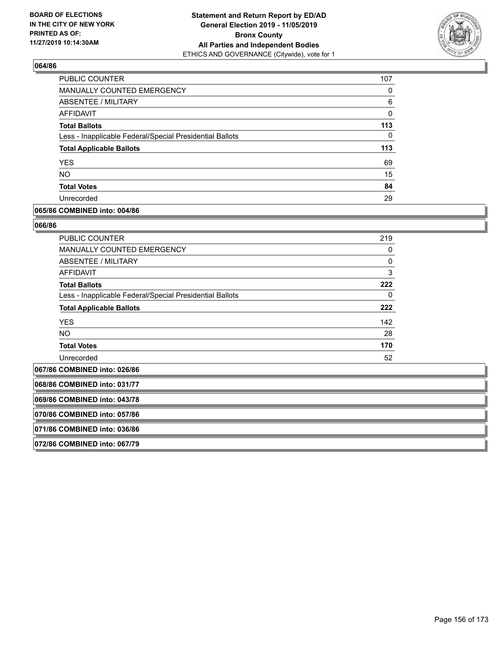

| PUBLIC COUNTER                                           | 107 |
|----------------------------------------------------------|-----|
| MANUALLY COUNTED EMERGENCY                               | 0   |
| ABSENTEE / MILITARY                                      | 6   |
| AFFIDAVIT                                                | 0   |
| <b>Total Ballots</b>                                     | 113 |
| Less - Inapplicable Federal/Special Presidential Ballots | 0   |
| <b>Total Applicable Ballots</b>                          | 113 |
| <b>YES</b>                                               | 69  |
| <b>NO</b>                                                | 15  |
| <b>Total Votes</b>                                       | 84  |
| Unrecorded                                               | 29  |

### **065/86 COMBINED into: 004/86**

#### **066/86**

| <b>PUBLIC COUNTER</b>                                    | 219          |
|----------------------------------------------------------|--------------|
| <b>MANUALLY COUNTED EMERGENCY</b>                        | 0            |
| ABSENTEE / MILITARY                                      | $\mathbf{0}$ |
| AFFIDAVIT                                                | 3            |
| <b>Total Ballots</b>                                     | 222          |
| Less - Inapplicable Federal/Special Presidential Ballots | 0            |
| <b>Total Applicable Ballots</b>                          | 222          |
| <b>YES</b>                                               | 142          |
| <b>NO</b>                                                | 28           |
| <b>Total Votes</b>                                       | 170          |
| Unrecorded                                               | 52           |

**067/86 COMBINED into: 026/86**

**068/86 COMBINED into: 031/77**

**069/86 COMBINED into: 043/78**

**070/86 COMBINED into: 057/86**

**071/86 COMBINED into: 036/86**

**072/86 COMBINED into: 067/79**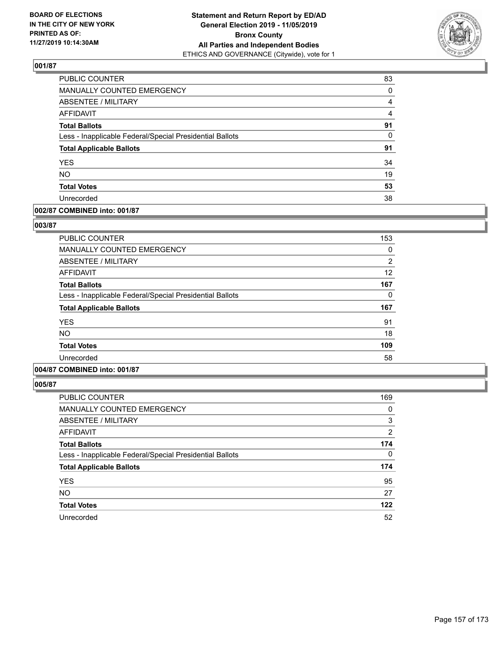

| PUBLIC COUNTER                                           | 83       |
|----------------------------------------------------------|----------|
| MANUALLY COUNTED EMERGENCY                               | 0        |
| ABSENTEE / MILITARY                                      | 4        |
| AFFIDAVIT                                                | 4        |
| <b>Total Ballots</b>                                     | 91       |
| Less - Inapplicable Federal/Special Presidential Ballots | $\Omega$ |
| <b>Total Applicable Ballots</b>                          | 91       |
| <b>YES</b>                                               | 34       |
| <b>NO</b>                                                | 19       |
| <b>Total Votes</b>                                       | 53       |
| Unrecorded                                               | 38       |

### **002/87 COMBINED into: 001/87**

### **003/87**

| <b>PUBLIC COUNTER</b>                                    | 153            |
|----------------------------------------------------------|----------------|
| <b>MANUALLY COUNTED EMERGENCY</b>                        | 0              |
| <b>ABSENTEE / MILITARY</b>                               | $\overline{2}$ |
| <b>AFFIDAVIT</b>                                         | 12             |
| <b>Total Ballots</b>                                     | 167            |
| Less - Inapplicable Federal/Special Presidential Ballots | 0              |
| <b>Total Applicable Ballots</b>                          | 167            |
| <b>YES</b>                                               | 91             |
| <b>NO</b>                                                | 18             |
| <b>Total Votes</b>                                       | 109            |
| Unrecorded                                               | 58             |
|                                                          |                |

# **004/87 COMBINED into: 001/87**

| <b>PUBLIC COUNTER</b>                                    | 169      |
|----------------------------------------------------------|----------|
| <b>MANUALLY COUNTED EMERGENCY</b>                        | 0        |
| ABSENTEE / MILITARY                                      | 3        |
| AFFIDAVIT                                                | 2        |
| <b>Total Ballots</b>                                     | 174      |
| Less - Inapplicable Federal/Special Presidential Ballots | $\Omega$ |
| <b>Total Applicable Ballots</b>                          | 174      |
| <b>YES</b>                                               | 95       |
| <b>NO</b>                                                | 27       |
| <b>Total Votes</b>                                       | 122      |
| Unrecorded                                               | 52       |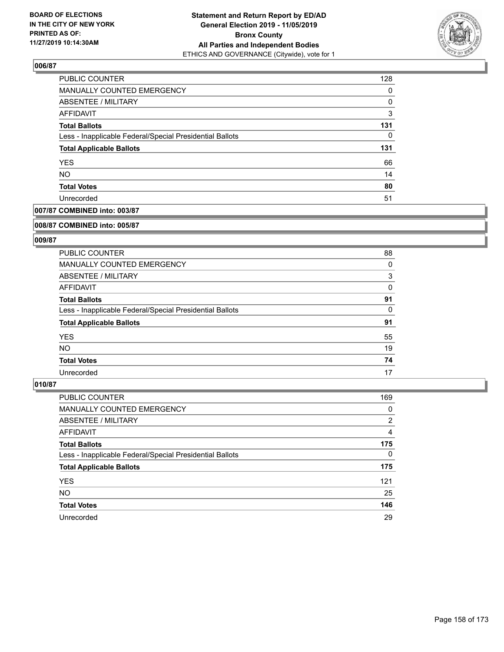

| <b>PUBLIC COUNTER</b>                                    | 128      |
|----------------------------------------------------------|----------|
| MANUALLY COUNTED EMERGENCY                               | $\Omega$ |
| ABSENTEE / MILITARY                                      | 0        |
| AFFIDAVIT                                                | 3        |
| <b>Total Ballots</b>                                     | 131      |
| Less - Inapplicable Federal/Special Presidential Ballots | $\Omega$ |
| <b>Total Applicable Ballots</b>                          | 131      |
| <b>YES</b>                                               | 66       |
| <b>NO</b>                                                | 14       |
| <b>Total Votes</b>                                       | 80       |
| Unrecorded                                               | 51       |

# **007/87 COMBINED into: 003/87**

#### **008/87 COMBINED into: 005/87**

## **009/87**

| <b>PUBLIC COUNTER</b>                                    | 88 |
|----------------------------------------------------------|----|
| <b>MANUALLY COUNTED EMERGENCY</b>                        | 0  |
| ABSENTEE / MILITARY                                      | 3  |
| AFFIDAVIT                                                | 0  |
| <b>Total Ballots</b>                                     | 91 |
| Less - Inapplicable Federal/Special Presidential Ballots | 0  |
| <b>Total Applicable Ballots</b>                          | 91 |
| <b>YES</b>                                               | 55 |
| NO.                                                      | 19 |
| <b>Total Votes</b>                                       | 74 |
| Unrecorded                                               | 17 |

| PUBLIC COUNTER                                           | 169            |
|----------------------------------------------------------|----------------|
| <b>MANUALLY COUNTED EMERGENCY</b>                        | 0              |
| ABSENTEE / MILITARY                                      | $\overline{2}$ |
| AFFIDAVIT                                                | 4              |
| <b>Total Ballots</b>                                     | 175            |
| Less - Inapplicable Federal/Special Presidential Ballots | $\Omega$       |
| <b>Total Applicable Ballots</b>                          | 175            |
| <b>YES</b>                                               | 121            |
| <b>NO</b>                                                | 25             |
| <b>Total Votes</b>                                       | 146            |
| Unrecorded                                               | 29             |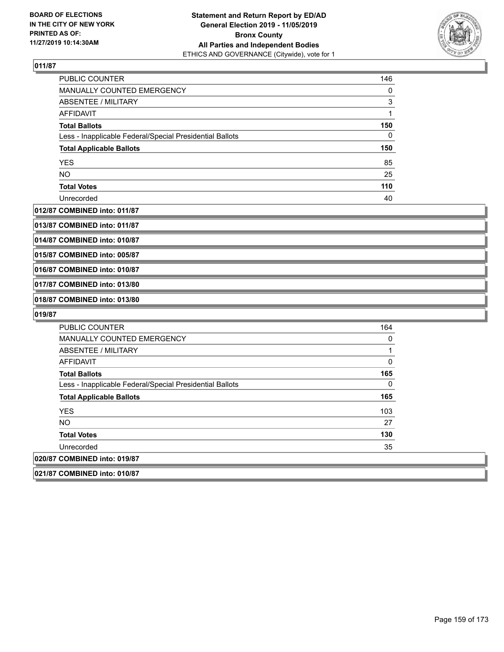

| PUBLIC COUNTER                                           | 146 |
|----------------------------------------------------------|-----|
| MANUALLY COUNTED EMERGENCY                               | 0   |
| ABSENTEE / MILITARY                                      | 3   |
| AFFIDAVIT                                                |     |
| <b>Total Ballots</b>                                     | 150 |
| Less - Inapplicable Federal/Special Presidential Ballots | 0   |
| <b>Total Applicable Ballots</b>                          | 150 |
| <b>YES</b>                                               | 85  |
| <b>NO</b>                                                | 25  |
| <b>Total Votes</b>                                       | 110 |
| Unrecorded                                               | 40  |

### **012/87 COMBINED into: 011/87**

**013/87 COMBINED into: 011/87**

**014/87 COMBINED into: 010/87**

**015/87 COMBINED into: 005/87**

**016/87 COMBINED into: 010/87**

**017/87 COMBINED into: 013/80**

**018/87 COMBINED into: 013/80**

| <b>PUBLIC COUNTER</b>                                    | 164 |
|----------------------------------------------------------|-----|
| <b>MANUALLY COUNTED EMERGENCY</b>                        | 0   |
| ABSENTEE / MILITARY                                      |     |
| <b>AFFIDAVIT</b>                                         | 0   |
| <b>Total Ballots</b>                                     | 165 |
| Less - Inapplicable Federal/Special Presidential Ballots | 0   |
| <b>Total Applicable Ballots</b>                          | 165 |
| <b>YES</b>                                               | 103 |
| <b>NO</b>                                                | 27  |
| <b>Total Votes</b>                                       | 130 |
| Unrecorded                                               | 35  |
| 020/87 COMBINED into: 019/87                             |     |
| 021/87 COMBINED into: 010/87                             |     |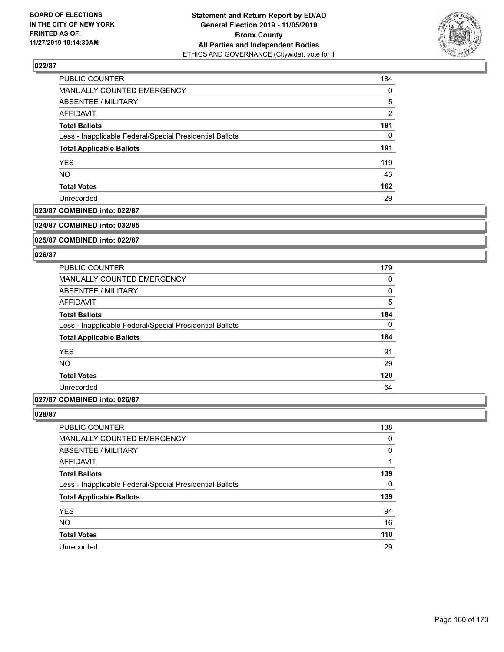

| PUBLIC COUNTER                                           | 184      |
|----------------------------------------------------------|----------|
| MANUALLY COUNTED EMERGENCY                               | $\Omega$ |
| ABSENTEE / MILITARY                                      | 5        |
| AFFIDAVIT                                                | 2        |
| <b>Total Ballots</b>                                     | 191      |
| Less - Inapplicable Federal/Special Presidential Ballots | 0        |
| <b>Total Applicable Ballots</b>                          | 191      |
| <b>YES</b>                                               | 119      |
| <b>NO</b>                                                | 43       |
| <b>Total Votes</b>                                       | 162      |
| Unrecorded                                               | 29       |

## **023/87 COMBINED into: 022/87**

#### **024/87 COMBINED into: 032/85**

**025/87 COMBINED into: 022/87**

#### **026/87**

| 179 |
|-----|
| 0   |
| 0   |
| 5   |
| 184 |
| 0   |
| 184 |
| 91  |
| 29  |
| 120 |
| 64  |
|     |

## **027/87 COMBINED into: 026/87**

| PUBLIC COUNTER                                           | 138      |
|----------------------------------------------------------|----------|
| <b>MANUALLY COUNTED EMERGENCY</b>                        | 0        |
| ABSENTEE / MILITARY                                      | $\Omega$ |
| AFFIDAVIT                                                |          |
| <b>Total Ballots</b>                                     | 139      |
| Less - Inapplicable Federal/Special Presidential Ballots | 0        |
| <b>Total Applicable Ballots</b>                          | 139      |
| <b>YES</b>                                               | 94       |
| <b>NO</b>                                                | 16       |
| <b>Total Votes</b>                                       | 110      |
| Unrecorded                                               | 29       |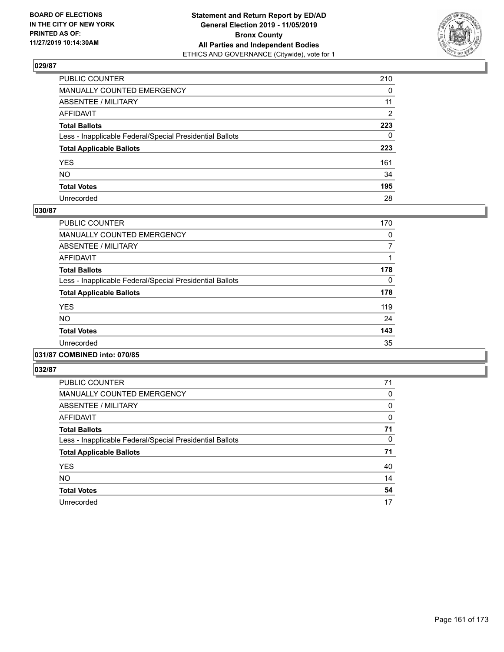

| PUBLIC COUNTER                                           | 210          |
|----------------------------------------------------------|--------------|
| MANUALLY COUNTED EMERGENCY                               | 0            |
| ABSENTEE / MILITARY                                      | 11           |
| AFFIDAVIT                                                | 2            |
| Total Ballots                                            | 223          |
| Less - Inapplicable Federal/Special Presidential Ballots | $\mathbf{0}$ |
| <b>Total Applicable Ballots</b>                          | 223          |
| YES                                                      | 161          |
| NO.                                                      | 34           |
| <b>Total Votes</b>                                       | 195          |
| Unrecorded                                               | 28           |

### **030/87**

| <b>PUBLIC COUNTER</b>                                    | 170 |
|----------------------------------------------------------|-----|
| <b>MANUALLY COUNTED EMERGENCY</b>                        | 0   |
| ABSENTEE / MILITARY                                      | 7   |
| <b>AFFIDAVIT</b>                                         |     |
| <b>Total Ballots</b>                                     | 178 |
| Less - Inapplicable Federal/Special Presidential Ballots | 0   |
| <b>Total Applicable Ballots</b>                          | 178 |
| <b>YES</b>                                               | 119 |
| NO.                                                      | 24  |
| <b>Total Votes</b>                                       | 143 |
| Unrecorded                                               | 35  |
|                                                          |     |

## **031/87 COMBINED into: 070/85**

| <b>PUBLIC COUNTER</b>                                    | 71 |
|----------------------------------------------------------|----|
| <b>MANUALLY COUNTED EMERGENCY</b>                        | 0  |
| ABSENTEE / MILITARY                                      | 0  |
| <b>AFFIDAVIT</b>                                         | 0  |
| <b>Total Ballots</b>                                     | 71 |
| Less - Inapplicable Federal/Special Presidential Ballots | 0  |
| <b>Total Applicable Ballots</b>                          | 71 |
| <b>YES</b>                                               | 40 |
| <b>NO</b>                                                | 14 |
| <b>Total Votes</b>                                       | 54 |
| Unrecorded                                               | 17 |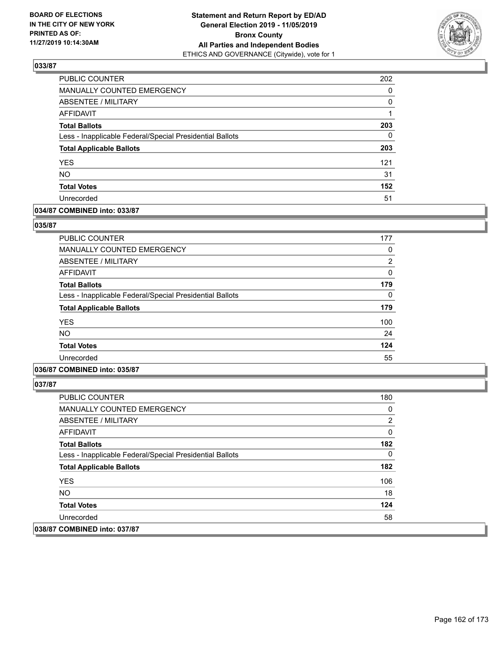

| PUBLIC COUNTER                                           | 202      |
|----------------------------------------------------------|----------|
| MANUALLY COUNTED EMERGENCY                               | $\Omega$ |
| ABSENTEE / MILITARY                                      | $\Omega$ |
| <b>AFFIDAVIT</b>                                         |          |
| <b>Total Ballots</b>                                     | 203      |
| Less - Inapplicable Federal/Special Presidential Ballots | $\Omega$ |
| <b>Total Applicable Ballots</b>                          | 203      |
| <b>YES</b>                                               | 121      |
| <b>NO</b>                                                | 31       |
| <b>Total Votes</b>                                       | 152      |
| Unrecorded                                               | 51       |

### **034/87 COMBINED into: 033/87**

#### **035/87**

| <b>PUBLIC COUNTER</b>                                    | 177 |
|----------------------------------------------------------|-----|
| <b>MANUALLY COUNTED EMERGENCY</b>                        | 0   |
| ABSENTEE / MILITARY                                      | 2   |
| AFFIDAVIT                                                | 0   |
| <b>Total Ballots</b>                                     | 179 |
| Less - Inapplicable Federal/Special Presidential Ballots | 0   |
| <b>Total Applicable Ballots</b>                          | 179 |
| <b>YES</b>                                               | 100 |
| <b>NO</b>                                                | 24  |
| <b>Total Votes</b>                                       | 124 |
| Unrecorded                                               | 55  |
|                                                          |     |

# **036/87 COMBINED into: 035/87**

| <b>PUBLIC COUNTER</b>                                    | 180 |
|----------------------------------------------------------|-----|
| <b>MANUALLY COUNTED EMERGENCY</b>                        | 0   |
| ABSENTEE / MILITARY                                      | 2   |
| AFFIDAVIT                                                | 0   |
| <b>Total Ballots</b>                                     | 182 |
| Less - Inapplicable Federal/Special Presidential Ballots | 0   |
| <b>Total Applicable Ballots</b>                          | 182 |
| <b>YES</b>                                               | 106 |
| NO.                                                      | 18  |
| <b>Total Votes</b>                                       | 124 |
| Unrecorded                                               | 58  |
| 038/87 COMBINED into: 037/87                             |     |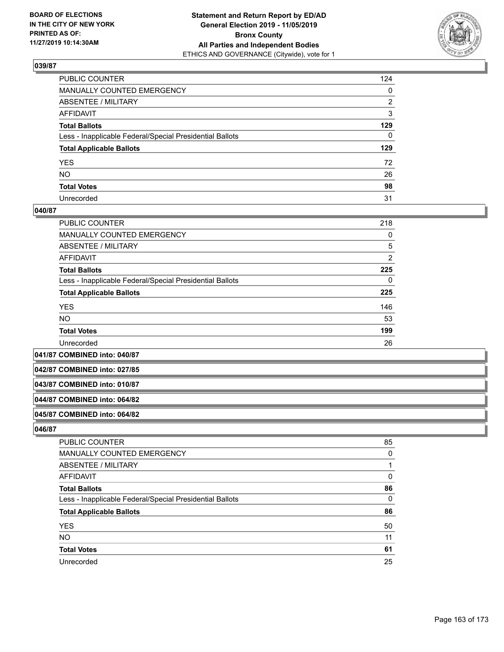

| PUBLIC COUNTER                                           | 124          |
|----------------------------------------------------------|--------------|
| MANUALLY COUNTED EMERGENCY                               | $\mathbf{0}$ |
| ABSENTEE / MILITARY                                      | 2            |
| AFFIDAVIT                                                | 3            |
| Total Ballots                                            | 129          |
| Less - Inapplicable Federal/Special Presidential Ballots | $\mathbf{0}$ |
| <b>Total Applicable Ballots</b>                          | 129          |
| YES                                                      | 72           |
| NO.                                                      | 26           |
| <b>Total Votes</b>                                       | 98           |
| Unrecorded                                               | 31           |

### **040/87**

| PUBLIC COUNTER                                           | 218 |
|----------------------------------------------------------|-----|
| <b>MANUALLY COUNTED EMERGENCY</b>                        | 0   |
| ABSENTEE / MILITARY                                      | 5   |
| <b>AFFIDAVIT</b>                                         | 2   |
| <b>Total Ballots</b>                                     | 225 |
| Less - Inapplicable Federal/Special Presidential Ballots | 0   |
| <b>Total Applicable Ballots</b>                          | 225 |
| <b>YES</b>                                               | 146 |
| <b>NO</b>                                                | 53  |
| <b>Total Votes</b>                                       | 199 |
| Unrecorded                                               | 26  |

**041/87 COMBINED into: 040/87**

**042/87 COMBINED into: 027/85**

### **043/87 COMBINED into: 010/87**

#### **044/87 COMBINED into: 064/82**

### **045/87 COMBINED into: 064/82**

| <b>PUBLIC COUNTER</b>                                    | 85       |
|----------------------------------------------------------|----------|
| MANUALLY COUNTED EMERGENCY                               | $\Omega$ |
| <b>ABSENTEE / MILITARY</b>                               |          |
| AFFIDAVIT                                                | 0        |
| <b>Total Ballots</b>                                     | 86       |
| Less - Inapplicable Federal/Special Presidential Ballots | $\Omega$ |
| <b>Total Applicable Ballots</b>                          | 86       |
| <b>YES</b>                                               | 50       |
| <b>NO</b>                                                | 11       |
| <b>Total Votes</b>                                       | 61       |
| Unrecorded                                               | 25       |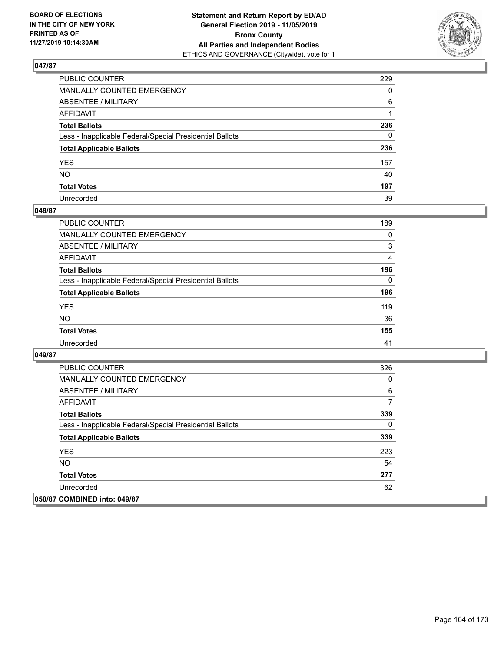

| PUBLIC COUNTER                                           | 229          |
|----------------------------------------------------------|--------------|
| MANUALLY COUNTED EMERGENCY                               | $\mathbf{0}$ |
| ABSENTEE / MILITARY                                      | 6            |
| AFFIDAVIT                                                |              |
| Total Ballots                                            | 236          |
| Less - Inapplicable Federal/Special Presidential Ballots | $\mathbf{0}$ |
| <b>Total Applicable Ballots</b>                          | 236          |
| YES                                                      | 157          |
| NO.                                                      | 40           |
| <b>Total Votes</b>                                       | 197          |
| Unrecorded                                               | 39           |

### **048/87**

| <b>PUBLIC COUNTER</b>                                    | 189      |
|----------------------------------------------------------|----------|
| <b>MANUALLY COUNTED EMERGENCY</b>                        | $\Omega$ |
| ABSENTEE / MILITARY                                      | 3        |
| AFFIDAVIT                                                | 4        |
| <b>Total Ballots</b>                                     | 196      |
| Less - Inapplicable Federal/Special Presidential Ballots | $\Omega$ |
| <b>Total Applicable Ballots</b>                          | 196      |
| <b>YES</b>                                               | 119      |
| <b>NO</b>                                                | 36       |
| <b>Total Votes</b>                                       | 155      |
| Unrecorded                                               | 41       |

| <b>PUBLIC COUNTER</b>                                    | 326 |
|----------------------------------------------------------|-----|
| <b>MANUALLY COUNTED EMERGENCY</b>                        | 0   |
| ABSENTEE / MILITARY                                      | 6   |
| AFFIDAVIT                                                | 7   |
| <b>Total Ballots</b>                                     | 339 |
| Less - Inapplicable Federal/Special Presidential Ballots | 0   |
| <b>Total Applicable Ballots</b>                          | 339 |
| <b>YES</b>                                               | 223 |
| NO.                                                      | 54  |
| <b>Total Votes</b>                                       | 277 |
| Unrecorded                                               | 62  |
| 050/87 COMBINED into: 049/87                             |     |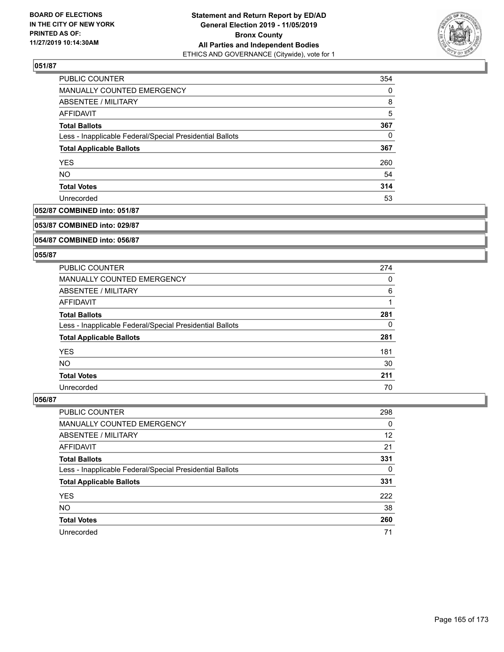

| PUBLIC COUNTER                                           | 354      |
|----------------------------------------------------------|----------|
| MANUALLY COUNTED EMERGENCY                               | $\Omega$ |
| ABSENTEE / MILITARY                                      | 8        |
| AFFIDAVIT                                                | 5        |
| <b>Total Ballots</b>                                     | 367      |
| Less - Inapplicable Federal/Special Presidential Ballots | $\Omega$ |
| <b>Total Applicable Ballots</b>                          | 367      |
| <b>YES</b>                                               | 260      |
| <b>NO</b>                                                | 54       |
| <b>Total Votes</b>                                       | 314      |
| Unrecorded                                               | 53       |

### **052/87 COMBINED into: 051/87**

#### **053/87 COMBINED into: 029/87**

### **054/87 COMBINED into: 056/87**

#### **055/87**

| PUBLIC COUNTER                                           | 274 |
|----------------------------------------------------------|-----|
| MANUALLY COUNTED EMERGENCY                               | 0   |
| ABSENTEE / MILITARY                                      | 6   |
| AFFIDAVIT                                                |     |
| <b>Total Ballots</b>                                     | 281 |
| Less - Inapplicable Federal/Special Presidential Ballots | 0   |
| <b>Total Applicable Ballots</b>                          | 281 |
| <b>YES</b>                                               | 181 |
| <b>NO</b>                                                | 30  |
| <b>Total Votes</b>                                       | 211 |
| Unrecorded                                               | 70  |

| <b>PUBLIC COUNTER</b>                                    | 298      |
|----------------------------------------------------------|----------|
| MANUALLY COUNTED EMERGENCY                               | $\Omega$ |
| ABSENTEE / MILITARY                                      | 12       |
| AFFIDAVIT                                                | 21       |
| <b>Total Ballots</b>                                     | 331      |
| Less - Inapplicable Federal/Special Presidential Ballots | 0        |
| <b>Total Applicable Ballots</b>                          | 331      |
| <b>YES</b>                                               | 222      |
| <b>NO</b>                                                | 38       |
| <b>Total Votes</b>                                       | 260      |
| Unrecorded                                               | 71       |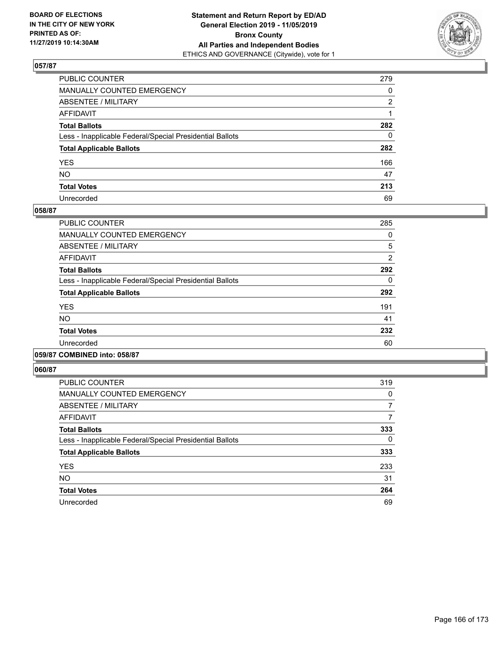

| PUBLIC COUNTER                                           | 279          |
|----------------------------------------------------------|--------------|
| MANUALLY COUNTED EMERGENCY                               | $\mathbf{0}$ |
| ABSENTEE / MILITARY                                      | 2            |
| AFFIDAVIT                                                |              |
| Total Ballots                                            | 282          |
| Less - Inapplicable Federal/Special Presidential Ballots | $\mathbf{0}$ |
| <b>Total Applicable Ballots</b>                          | 282          |
| YES                                                      | 166          |
| NO.                                                      | 47           |
| <b>Total Votes</b>                                       | 213          |
| Unrecorded                                               | 69           |

### **058/87**

| <b>PUBLIC COUNTER</b>                                    | 285            |
|----------------------------------------------------------|----------------|
| <b>MANUALLY COUNTED EMERGENCY</b>                        | 0              |
| ABSENTEE / MILITARY                                      | 5              |
| <b>AFFIDAVIT</b>                                         | $\overline{2}$ |
| <b>Total Ballots</b>                                     | 292            |
| Less - Inapplicable Federal/Special Presidential Ballots | 0              |
| <b>Total Applicable Ballots</b>                          | 292            |
| <b>YES</b>                                               | 191            |
| <b>NO</b>                                                | 41             |
| <b>Total Votes</b>                                       | 232            |
| Unrecorded                                               | 60             |
|                                                          |                |

### **059/87 COMBINED into: 058/87**

| <b>PUBLIC COUNTER</b>                                    | 319 |
|----------------------------------------------------------|-----|
| <b>MANUALLY COUNTED EMERGENCY</b>                        | 0   |
| ABSENTEE / MILITARY                                      | 7   |
| <b>AFFIDAVIT</b>                                         |     |
| <b>Total Ballots</b>                                     | 333 |
| Less - Inapplicable Federal/Special Presidential Ballots | 0   |
| <b>Total Applicable Ballots</b>                          | 333 |
| <b>YES</b>                                               | 233 |
| NO.                                                      | 31  |
| <b>Total Votes</b>                                       | 264 |
| Unrecorded                                               | 69  |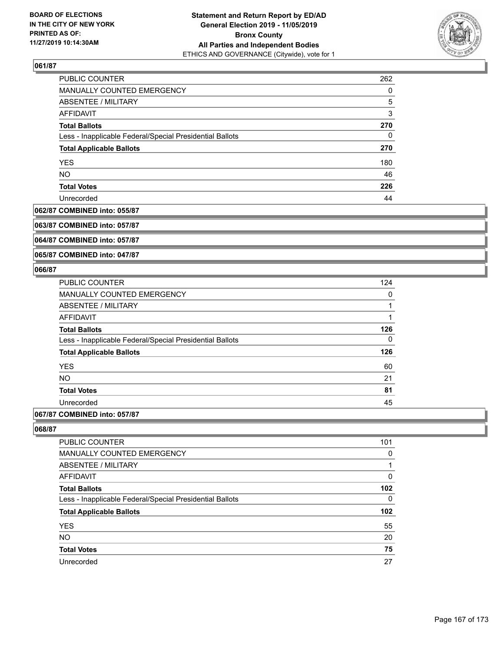

| PUBLIC COUNTER                                           | 262 |
|----------------------------------------------------------|-----|
| MANUALLY COUNTED EMERGENCY                               | 0   |
| ABSENTEE / MILITARY                                      | 5   |
| AFFIDAVIT                                                | 3   |
| <b>Total Ballots</b>                                     | 270 |
| Less - Inapplicable Federal/Special Presidential Ballots | 0   |
| <b>Total Applicable Ballots</b>                          | 270 |
| <b>YES</b>                                               | 180 |
| <b>NO</b>                                                | 46  |
| <b>Total Votes</b>                                       | 226 |
| Unrecorded                                               | 44  |

## **062/87 COMBINED into: 055/87**

**063/87 COMBINED into: 057/87**

**064/87 COMBINED into: 057/87**

**065/87 COMBINED into: 047/87**

### **066/87**

| <b>PUBLIC COUNTER</b>                                    | 124 |
|----------------------------------------------------------|-----|
| <b>MANUALLY COUNTED EMERGENCY</b>                        | 0   |
| ABSENTEE / MILITARY                                      | 1   |
| <b>AFFIDAVIT</b>                                         | 1   |
| <b>Total Ballots</b>                                     | 126 |
| Less - Inapplicable Federal/Special Presidential Ballots | 0   |
| <b>Total Applicable Ballots</b>                          | 126 |
| <b>YES</b>                                               | 60  |
| <b>NO</b>                                                | 21  |
| <b>Total Votes</b>                                       | 81  |
| Unrecorded                                               | 45  |
|                                                          |     |

# **067/87 COMBINED into: 057/87**

| 101 |
|-----|
| 0   |
|     |
| 0   |
| 102 |
| 0   |
| 102 |
| 55  |
| 20  |
| 75  |
| 27  |
|     |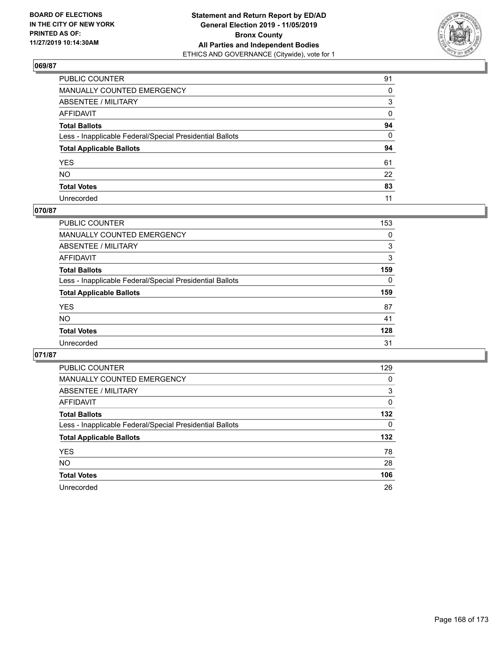

| PUBLIC COUNTER                                           | 91           |
|----------------------------------------------------------|--------------|
| MANUALLY COUNTED EMERGENCY                               | $\Omega$     |
| ABSENTEE / MILITARY                                      | 3            |
| AFFIDAVIT                                                | 0            |
| Total Ballots                                            | 94           |
| Less - Inapplicable Federal/Special Presidential Ballots | $\mathbf{0}$ |
| <b>Total Applicable Ballots</b>                          | 94           |
| YES                                                      | 61           |
| NO.                                                      | 22           |
| <b>Total Votes</b>                                       | 83           |
| Unrecorded                                               | 11           |

### **070/87**

| <b>PUBLIC COUNTER</b>                                    | 153      |
|----------------------------------------------------------|----------|
| <b>MANUALLY COUNTED EMERGENCY</b>                        | 0        |
| ABSENTEE / MILITARY                                      | 3        |
| AFFIDAVIT                                                | 3        |
| <b>Total Ballots</b>                                     | 159      |
| Less - Inapplicable Federal/Special Presidential Ballots | $\Omega$ |
| <b>Total Applicable Ballots</b>                          | 159      |
| <b>YES</b>                                               | 87       |
| <b>NO</b>                                                | 41       |
| <b>Total Votes</b>                                       | 128      |
| Unrecorded                                               | 31       |

| <b>PUBLIC COUNTER</b>                                    | 129 |
|----------------------------------------------------------|-----|
| <b>MANUALLY COUNTED EMERGENCY</b>                        | 0   |
| ABSENTEE / MILITARY                                      | 3   |
| AFFIDAVIT                                                | 0   |
| <b>Total Ballots</b>                                     | 132 |
| Less - Inapplicable Federal/Special Presidential Ballots | 0   |
| <b>Total Applicable Ballots</b>                          | 132 |
| <b>YES</b>                                               | 78  |
| NO.                                                      | 28  |
| <b>Total Votes</b>                                       | 106 |
| Unrecorded                                               | 26  |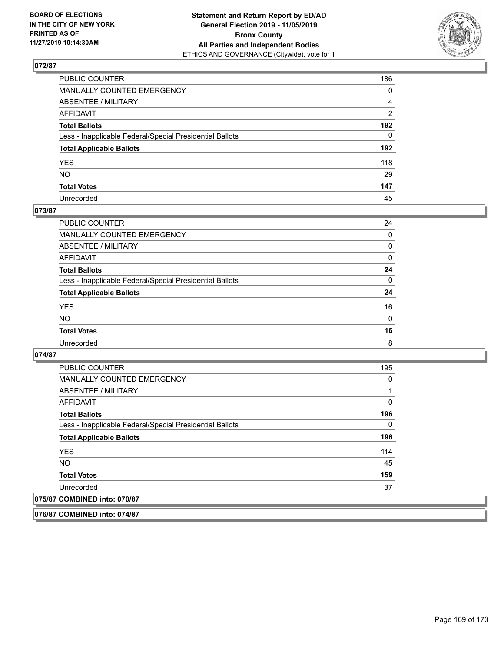

| PUBLIC COUNTER                                           | 186            |
|----------------------------------------------------------|----------------|
| MANUALLY COUNTED EMERGENCY                               | $\mathbf{0}$   |
| ABSENTEE / MILITARY                                      | $\overline{4}$ |
| AFFIDAVIT                                                | $\overline{2}$ |
| Total Ballots                                            | 192            |
| Less - Inapplicable Federal/Special Presidential Ballots | $\Omega$       |
| <b>Total Applicable Ballots</b>                          | 192            |
| YES                                                      | 118            |
| NΟ                                                       | 29             |
| <b>Total Votes</b>                                       | 147            |
| Unrecorded                                               | 45             |

### **073/87**

| <b>PUBLIC COUNTER</b>                                    | 24           |
|----------------------------------------------------------|--------------|
| <b>MANUALLY COUNTED EMERGENCY</b>                        | $\Omega$     |
| ABSENTEE / MILITARY                                      | 0            |
| AFFIDAVIT                                                | $\Omega$     |
| <b>Total Ballots</b>                                     | 24           |
| Less - Inapplicable Federal/Special Presidential Ballots | $\Omega$     |
| <b>Total Applicable Ballots</b>                          | 24           |
| <b>YES</b>                                               | 16           |
| <b>NO</b>                                                | $\mathbf{0}$ |
| <b>Total Votes</b>                                       | 16           |
| Unrecorded                                               | 8            |

### **074/87**

| <b>PUBLIC COUNTER</b>                                    | 195 |
|----------------------------------------------------------|-----|
| <b>MANUALLY COUNTED EMERGENCY</b>                        | 0   |
| ABSENTEE / MILITARY                                      |     |
| AFFIDAVIT                                                | 0   |
| <b>Total Ballots</b>                                     | 196 |
| Less - Inapplicable Federal/Special Presidential Ballots | 0   |
| <b>Total Applicable Ballots</b>                          | 196 |
| <b>YES</b>                                               | 114 |
| NO.                                                      | 45  |
| <b>Total Votes</b>                                       | 159 |
| Unrecorded                                               | 37  |
| 075/87 COMBINED into: 070/87                             |     |

**076/87 COMBINED into: 074/87**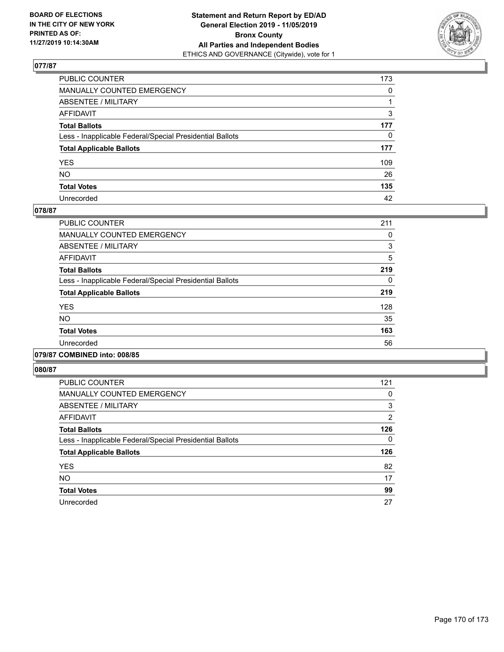

| PUBLIC COUNTER                                           | 173          |
|----------------------------------------------------------|--------------|
| MANUALLY COUNTED EMERGENCY                               | $\mathbf{0}$ |
| ABSENTEE / MILITARY                                      |              |
| AFFIDAVIT                                                | 3            |
| Total Ballots                                            | 177          |
| Less - Inapplicable Federal/Special Presidential Ballots | $\mathbf{0}$ |
| <b>Total Applicable Ballots</b>                          | 177          |
| YES                                                      | 109          |
| NO.                                                      | 26           |
| <b>Total Votes</b>                                       | 135          |
| Unrecorded                                               | 42           |

### **078/87**

| <b>PUBLIC COUNTER</b>                                    | 211 |
|----------------------------------------------------------|-----|
| <b>MANUALLY COUNTED EMERGENCY</b>                        | 0   |
| ABSENTEE / MILITARY                                      | 3   |
| <b>AFFIDAVIT</b>                                         | 5   |
| <b>Total Ballots</b>                                     | 219 |
| Less - Inapplicable Federal/Special Presidential Ballots | 0   |
| <b>Total Applicable Ballots</b>                          | 219 |
| <b>YES</b>                                               | 128 |
| <b>NO</b>                                                | 35  |
| <b>Total Votes</b>                                       | 163 |
| Unrecorded                                               | 56  |
|                                                          |     |

### **079/87 COMBINED into: 008/85**

| <b>PUBLIC COUNTER</b>                                    | 121 |
|----------------------------------------------------------|-----|
| <b>MANUALLY COUNTED EMERGENCY</b>                        | 0   |
| ABSENTEE / MILITARY                                      | 3   |
| AFFIDAVIT                                                | 2   |
| <b>Total Ballots</b>                                     | 126 |
| Less - Inapplicable Federal/Special Presidential Ballots | 0   |
| <b>Total Applicable Ballots</b>                          | 126 |
| <b>YES</b>                                               | 82  |
| <b>NO</b>                                                | 17  |
| <b>Total Votes</b>                                       | 99  |
| Unrecorded                                               | 27  |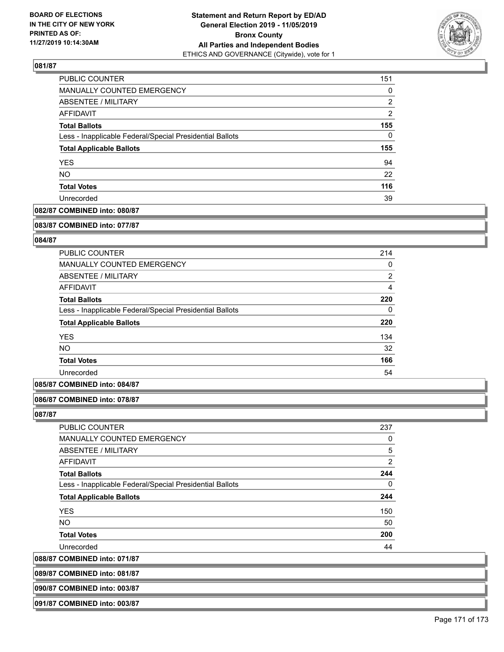

| PUBLIC COUNTER                                           | 151            |
|----------------------------------------------------------|----------------|
| MANUALLY COUNTED EMERGENCY                               | 0              |
| ABSENTEE / MILITARY                                      | 2              |
| AFFIDAVIT                                                | $\overline{2}$ |
| <b>Total Ballots</b>                                     | 155            |
| Less - Inapplicable Federal/Special Presidential Ballots | 0              |
| <b>Total Applicable Ballots</b>                          | 155            |
| <b>YES</b>                                               | 94             |
| <b>NO</b>                                                | 22             |
| <b>Total Votes</b>                                       | 116            |
| Unrecorded                                               | 39             |

## **082/87 COMBINED into: 080/87**

#### **083/87 COMBINED into: 077/87**

### **084/87**

| <b>PUBLIC COUNTER</b>                                    | 214      |
|----------------------------------------------------------|----------|
| <b>MANUALLY COUNTED EMERGENCY</b>                        | 0        |
| ABSENTEE / MILITARY                                      | 2        |
| AFFIDAVIT                                                | 4        |
| <b>Total Ballots</b>                                     | 220      |
| Less - Inapplicable Federal/Special Presidential Ballots | $\Omega$ |
| <b>Total Applicable Ballots</b>                          | 220      |
| <b>YES</b>                                               | 134      |
| <b>NO</b>                                                | 32       |
| <b>Total Votes</b>                                       | 166      |
| Unrecorded                                               | 54       |

## **085/87 COMBINED into: 084/87**

#### **086/87 COMBINED into: 078/87**

#### **087/87**

| <b>PUBLIC COUNTER</b>                                    | 237            |
|----------------------------------------------------------|----------------|
| <b>MANUALLY COUNTED EMERGENCY</b>                        | 0              |
| ABSENTEE / MILITARY                                      | 5              |
| AFFIDAVIT                                                | $\overline{2}$ |
| <b>Total Ballots</b>                                     | 244            |
| Less - Inapplicable Federal/Special Presidential Ballots | 0              |
| <b>Total Applicable Ballots</b>                          | 244            |
| <b>YES</b>                                               | 150            |
| <b>NO</b>                                                | 50             |
| <b>Total Votes</b>                                       | 200            |
| Unrecorded                                               | 44             |
|                                                          |                |

**088/87 COMBINED into: 071/87**

| 089/87 COMBINED into: 081/87 |  |  |
|------------------------------|--|--|
|                              |  |  |
|                              |  |  |

**090/87 COMBINED into: 003/87**

**091/87 COMBINED into: 003/87**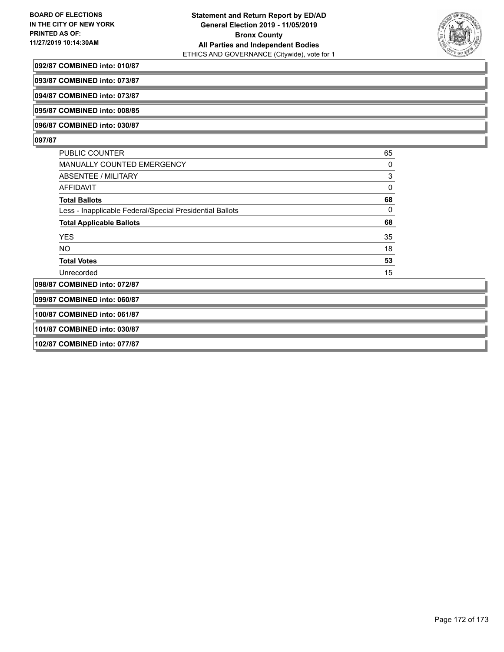

#### **092/87 COMBINED into: 010/87**

**093/87 COMBINED into: 073/87**

**094/87 COMBINED into: 073/87**

**095/87 COMBINED into: 008/85**

**096/87 COMBINED into: 030/87**

### **097/87**

| PUBLIC COUNTER                                           | 65       |
|----------------------------------------------------------|----------|
| MANUALLY COUNTED EMERGENCY                               | $\Omega$ |
| ABSENTEE / MILITARY                                      | 3        |
| AFFIDAVIT                                                | 0        |
| <b>Total Ballots</b>                                     | 68       |
| Less - Inapplicable Federal/Special Presidential Ballots | 0        |
| <b>Total Applicable Ballots</b>                          | 68       |
| <b>YES</b>                                               | 35       |
| <b>NO</b>                                                | 18       |
| <b>Total Votes</b>                                       | 53       |
| Unrecorded                                               | 15       |
| 098/87 COMBINED into: 072/87                             |          |

**099/87 COMBINED into: 060/87**

**100/87 COMBINED into: 061/87**

**101/87 COMBINED into: 030/87**

**102/87 COMBINED into: 077/87**